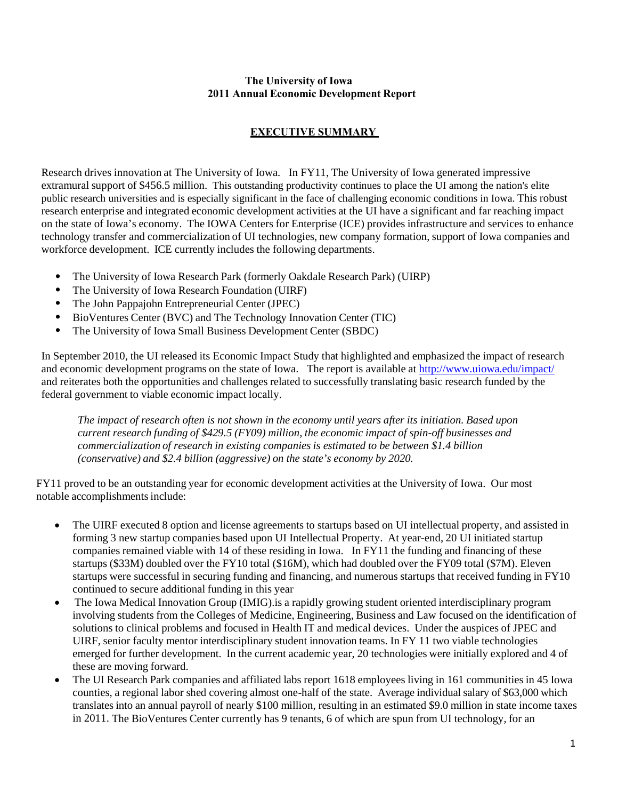#### **The University of Iowa 2011 Annual Economic Development Report**

#### **EXECUTIVE SUMMARY**

Research drives innovation at The University of Iowa. In FY11, The University of Iowa generated impressive extramural support of \$456.5 million. This outstanding productivity continues to place the UI among the nation's elite public research universities and is especially significant in the face of challenging economic conditions in Iowa. This robust research enterprise and integrated economic development activities at the UI have a significant and far reaching impact on the state of Iowa's economy. The IOWA Centers for Enterprise (ICE) provides infrastructure and services to enhance technology transfer and commercialization of UI technologies, new company formation, support of Iowa companies and workforce development. ICE currently includes the following departments.

- The University of Iowa Research Park (formerly Oakdale Research Park) (UIRP)
- The University of Iowa Research Foundation (UIRF)
- The John Pappajohn Entrepreneurial Center (JPEC)
- BioVentures Center (BVC) and The Technology Innovation Center (TIC)
- The University of Iowa Small Business Development Center (SBDC)

In September 2010, the UI released its Economic Impact Study that highlighted and emphasized the impact of research and economic development programs on the state of Iowa. The report is available at http://www.uiowa.edu/impact/ and reiterates both the opportunities and challenges related to successfully translating basic research funded by the federal government to viable economic impact locally.

*The impact of research often is not shown in the economy until years after its initiation. Based upon current research funding of \$429.5 (FY09) million, the economic impact of spin-off businesses and commercialization of research in existing companies is estimated to be between \$1.4 billion (conservative) and \$2.4 billion (aggressive) on the state's economy by 2020.*

FY11 proved to be an outstanding year for economic development activities at the University of Iowa. Our most notable accomplishments include:

- The UIRF executed 8 option and license agreements to startups based on UI intellectual property, and assisted in forming 3 new startup companies based upon UI Intellectual Property. At year-end, 20 UI initiated startup companies remained viable with 14 of these residing in Iowa. In FY11 the funding and financing of these startups (\$33M) doubled over the FY10 total (\$16M), which had doubled over the FY09 total (\$7M). Eleven startups were successful in securing funding and financing, and numerous startups that received funding in FY10 continued to secure additional funding in this year
- The Iowa Medical Innovation Group (IMIG).is a rapidly growing student oriented interdisciplinary program involving students from the Colleges of Medicine, Engineering, Business and Law focused on the identification of solutions to clinical problems and focused in Health IT and medical devices. Under the auspices of JPEC and UIRF, senior faculty mentor interdisciplinary student innovation teams. In FY 11 two viable technologies emerged for further development. In the current academic year, 20 technologies were initially explored and 4 of these are moving forward.
- The UI Research Park companies and affiliated labs report 1618 employees living in 161 communities in 45 Iowa counties, a regional labor shed covering almost one-half of the state. Average individual salary of \$63,000 which translates into an annual payroll of nearly \$100 million, resulting in an estimated \$9.0 million in state income taxes in 2011. The BioVentures Center currently has 9 tenants, 6 of which are spun from UI technology, for an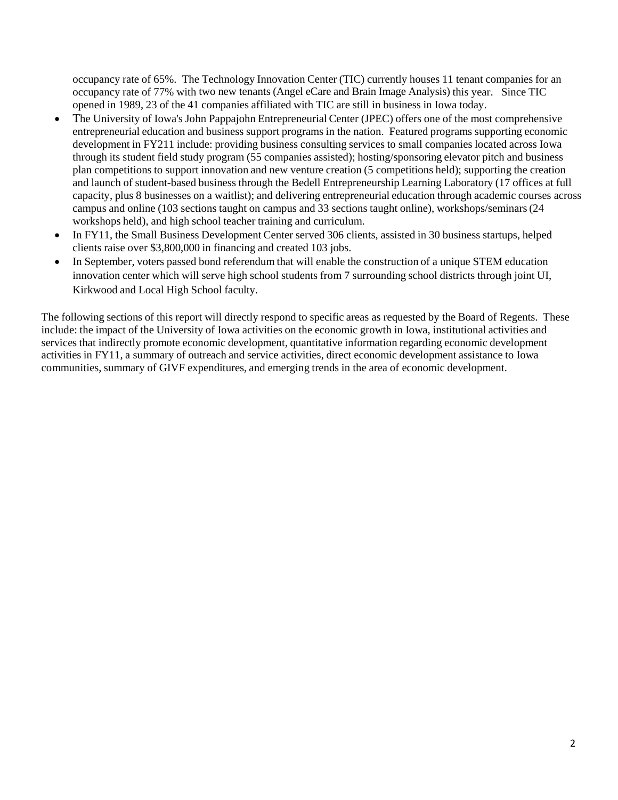occupancy rate of 65%. The Technology Innovation Center (TIC) currently houses 11 tenant companies for an occupancy rate of 77% with two new tenants (Angel eCare and Brain Image Analysis) this year. Since TIC opened in 1989, 23 of the 41 companies affiliated with TIC are still in business in Iowa today.

- The University of Iowa's John Pappajohn Entrepreneurial Center (JPEC) offers one of the most comprehensive entrepreneurial education and business support programs in the nation. Featured programs supporting economic development in FY211 include: providing business consulting services to small companies located across Iowa through its student field study program (55 companies assisted); hosting/sponsoring elevator pitch and business plan competitions to support innovation and new venture creation (5 competitions held); supporting the creation and launch of student-based business through the Bedell Entrepreneurship Learning Laboratory (17 offices at full capacity, plus 8 businesses on a waitlist); and delivering entrepreneurial education through academic courses across campus and online (103 sections taught on campus and 33 sections taught online), workshops/seminars (24 workshops held), and high school teacher training and curriculum.
- In FY11, the Small Business Development Center served 306 clients, assisted in 30 business startups, helped clients raise over \$3,800,000 in financing and created 103 jobs.
- In September, voters passed bond referendum that will enable the construction of a unique STEM education innovation center which will serve high school students from 7 surrounding school districts through joint UI, Kirkwood and Local High School faculty.

The following sections of this report will directly respond to specific areas as requested by the Board of Regents. These include: the impact of the University of Iowa activities on the economic growth in Iowa, institutional activities and services that indirectly promote economic development, quantitative information regarding economic development activities in FY11, a summary of outreach and service activities, direct economic development assistance to Iowa communities, summary of GIVF expenditures, and emerging trends in the area of economic development.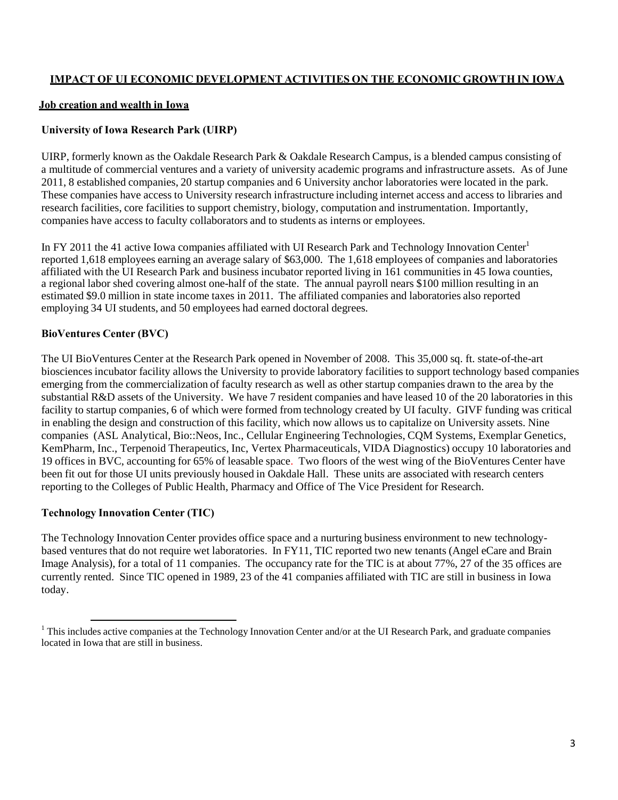## **IMPACT OF UI ECONOMIC DEVELOPMENT ACTIVITIES ON THE ECONOMIC GROWTH IN IOWA**

#### **Job creation and wealth in Iowa**

#### **University of Iowa Research Park (UIRP)**

UIRP, formerly known as the Oakdale Research Park & Oakdale Research Campus, is a blended campus consisting of a multitude of commercial ventures and a variety of university academic programs and infrastructure assets. As of June 2011, 8 established companies, 20 startup companies and 6 University anchor laboratories were located in the park. These companies have access to University research infrastructure including internet access and access to libraries and research facilities, core facilities to support chemistry, biology, computation and instrumentation. Importantly, companies have access to faculty collaborators and to students as interns or employees.

In FY 2011 the 41 active Iowa companies affiliated with UI Research Park and Technology Innovation Center<sup>1</sup> reported 1,618 employees earning an average salary of \$63,000. The 1,618 employees of companies and laboratories affiliated with the UI Research Park and business incubator reported living in 161 communities in 45 Iowa counties, a regional labor shed covering almost one-half of the state. The annual payroll nears \$100 million resulting in an estimated \$9.0 million in state income taxes in 2011. The affiliated companies and laboratories also reported employing 34 UI students, and 50 employees had earned doctoral degrees.

#### **BioVentures Center (BVC)**

The UI BioVentures Center at the Research Park opened in November of 2008. This 35,000 sq. ft. state-of-the-art biosciences incubator facility allows the University to provide laboratory facilities to support technology based companies emerging from the commercialization of faculty research as well as other startup companies drawn to the area by the substantial R&D assets of the University. We have 7 resident companies and have leased 10 of the 20 laboratories in this facility to startup companies, 6 of which were formed from technology created by UI faculty. GIVF funding was critical in enabling the design and construction of this facility, which now allows us to capitalize on University assets. Nine companies (ASL Analytical, Bio::Neos, Inc., Cellular Engineering Technologies, CQM Systems, Exemplar Genetics, KemPharm, Inc., Terpenoid Therapeutics, Inc, Vertex Pharmaceuticals, VIDA Diagnostics) occupy 10 laboratories and 19 offices in BVC, accounting for 65% of leasable space. Two floors of the west wing of the BioVentures Center have been fit out for those UI units previously housed in Oakdale Hall. These units are associated with research centers reporting to the Colleges of Public Health, Pharmacy and Office of The Vice President for Research.

#### **Technology Innovation Center (TIC)**

The Technology Innovation Center provides office space and a nurturing business environment to new technologybased ventures that do not require wet laboratories. In FY11, TIC reported two new tenants (Angel eCare and Brain Image Analysis), for a total of 11 companies. The occupancy rate for the TIC is at about 77%, 27 of the 35 offices are currently rented. Since TIC opened in 1989, 23 of the 41 companies affiliated with TIC are still in business in Iowa today.

 $<sup>1</sup>$  This includes active companies at the Technology Innovation Center and/or at the UI Research Park, and graduate companies</sup> located in Iowa that are still in business.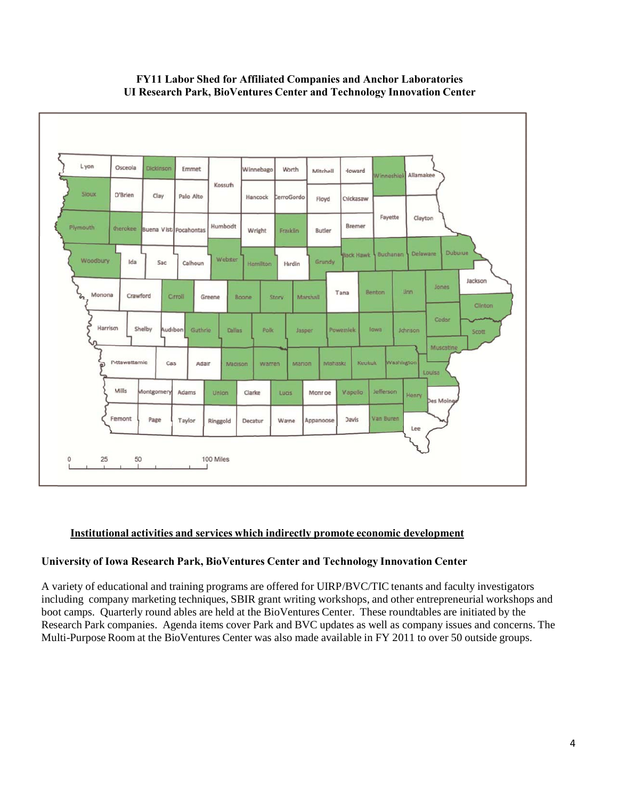

## **FY11 Labor Shed for Affiliated Companies and Anchor Laboratories UI Research Park, BioVentures Center and Technology Innovation Center**

## **Institutional activities and services which indirectly promote economic development**

## **University of Iowa Research Park, BioVentures Center and Technology Innovation Center**

A variety of educational and training programs are offered for UIRP/BVC/TIC tenants and faculty investigators including company marketing techniques, SBIR grant writing workshops, and other entrepreneurial workshops and boot camps. Quarterly round ables are held at the BioVentures Center. These roundtables are initiated by the Research Park companies. Agenda items cover Park and BVC updates as well as company issues and concerns. The Multi-Purpose Room at the BioVentures Center was also made available in FY 2011 to over 50 outside groups.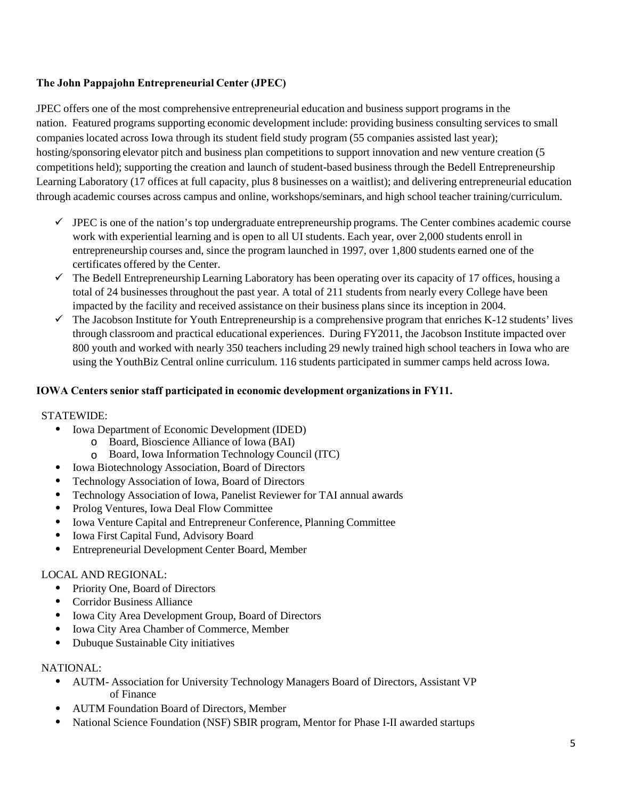## **The John Pappajohn Entrepreneurial Center (JPEC)**

JPEC offers one of the most comprehensive entrepreneurial education and business support programs in the nation. Featured programs supporting economic development include: providing business consulting services to small companies located across Iowa through its student field study program (55 companies assisted last year); hosting/sponsoring elevator pitch and business plan competitions to support innovation and new venture creation (5 competitions held); supporting the creation and launch of student-based business through the Bedell Entrepreneurship Learning Laboratory (17 offices at full capacity, plus 8 businesses on a waitlist); and delivering entrepreneurial education through academic courses across campus and online, workshops/seminars, and high school teacher training/curriculum.

- $\checkmark$  JPEC is one of the nation's top undergraduate entrepreneurship programs. The Center combines academic course work with experiential learning and is open to all UI students. Each year, over 2,000 students enroll in entrepreneurship courses and, since the program launched in 1997, over 1,800 students earned one of the certificates offered by the Center.
- $\checkmark$  The Bedell Entrepreneurship Learning Laboratory has been operating over its capacity of 17 offices, housing a total of 24 businesses throughout the past year. A total of 211 students from nearly every College have been impacted by the facility and received assistance on their business plans since its inception in 2004.
- $\checkmark$  The Jacobson Institute for Youth Entrepreneurship is a comprehensive program that enriches K-12 students' lives through classroom and practical educational experiences. During FY2011, the Jacobson Institute impacted over 800 youth and worked with nearly 350 teachers including 29 newly trained high school teachers in Iowa who are using the YouthBiz Central online curriculum. 116 students participated in summer camps held across Iowa.

## **IOWA Centers senior staff participated in economic development organizations in FY11.**

## STATEWIDE:

- Iowa Department of Economic Development (IDED)
	- o Board, Bioscience Alliance of Iowa (BAI)
	- o Board, Iowa Information Technology Council (ITC)
- Iowa Biotechnology Association, Board of Directors
- Technology Association of Iowa, Board of Directors
- Technology Association of Iowa, Panelist Reviewer for TAI annual awards
- Prolog Ventures, Iowa Deal Flow Committee
- Iowa Venture Capital and Entrepreneur Conference, Planning Committee
- Iowa First Capital Fund, Advisory Board
- Entrepreneurial Development Center Board, Member

## LOCAL AND REGIONAL:

- Priority One, Board of Directors
- Corridor Business Alliance
- Iowa City Area Development Group, Board of Directors
- Iowa City Area Chamber of Commerce, Member
- Dubuque Sustainable City initiatives

## NATIONAL:

- AUTM- Association for University Technology Managers Board of Directors, Assistant VP of Finance
- AUTM Foundation Board of Directors, Member
- National Science Foundation (NSF) SBIR program, Mentor for Phase I-II awarded startups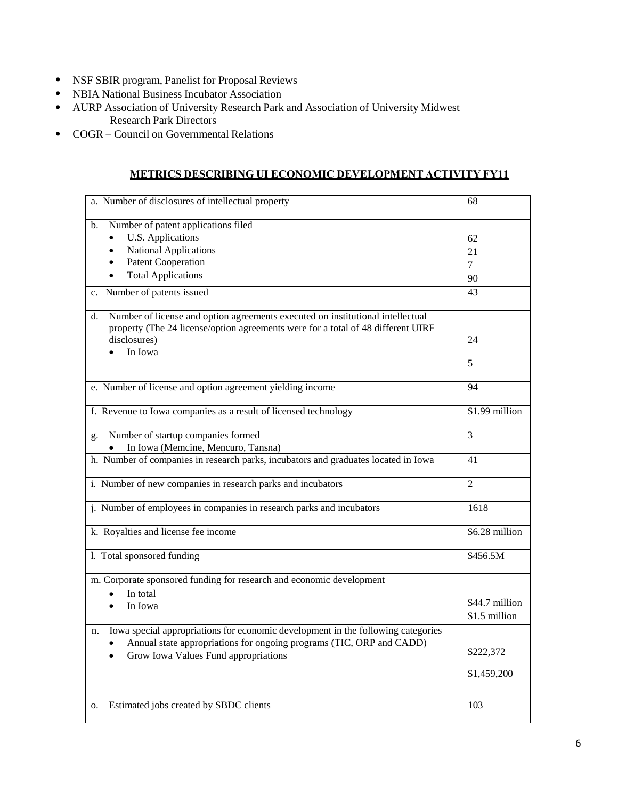- NSF SBIR program, Panelist for Proposal Reviews
- NBIA National Business Incubator Association
- AURP Association of University Research Park and Association of University Midwest Research Park Directors
- COGR Council on Governmental Relations

## **METRICS DESCRIBING UI ECONOMIC DEVELOPMENT ACTIVITY FY11**

| a. Number of disclosures of intellectual property                                                                                                                        | 68                              |
|--------------------------------------------------------------------------------------------------------------------------------------------------------------------------|---------------------------------|
| Number of patent applications filed<br>b.                                                                                                                                |                                 |
| U.S. Applications                                                                                                                                                        | 62                              |
| <b>National Applications</b>                                                                                                                                             | 21                              |
| <b>Patent Cooperation</b>                                                                                                                                                | $\overline{1}$                  |
| <b>Total Applications</b>                                                                                                                                                | 90                              |
| c. Number of patents issued                                                                                                                                              | 43                              |
| Number of license and option agreements executed on institutional intellectual<br>d.<br>property (The 24 license/option agreements were for a total of 48 different UIRF |                                 |
| disclosures)<br>In Iowa                                                                                                                                                  | 24                              |
|                                                                                                                                                                          | 5                               |
| e. Number of license and option agreement yielding income                                                                                                                | 94                              |
| f. Revenue to Iowa companies as a result of licensed technology                                                                                                          | \$1.99 million                  |
| Number of startup companies formed<br>g.                                                                                                                                 | 3                               |
| In Iowa (Memcine, Mencuro, Tansna)                                                                                                                                       |                                 |
| h. Number of companies in research parks, incubators and graduates located in Iowa                                                                                       | 41                              |
| i. Number of new companies in research parks and incubators                                                                                                              | 2                               |
| j. Number of employees in companies in research parks and incubators                                                                                                     | 1618                            |
| k. Royalties and license fee income                                                                                                                                      | \$6.28 million                  |
| 1. Total sponsored funding                                                                                                                                               | \$456.5M                        |
| m. Corporate sponsored funding for research and economic development                                                                                                     |                                 |
| In total                                                                                                                                                                 |                                 |
| In Iowa                                                                                                                                                                  | \$44.7 million<br>\$1.5 million |
| Iowa special appropriations for economic development in the following categories<br>n.                                                                                   |                                 |
| Annual state appropriations for ongoing programs (TIC, ORP and CADD)                                                                                                     | \$222,372                       |
| Grow Iowa Values Fund appropriations                                                                                                                                     |                                 |
|                                                                                                                                                                          | \$1,459,200                     |
| Estimated jobs created by SBDC clients                                                                                                                                   |                                 |
| 0.                                                                                                                                                                       | 103                             |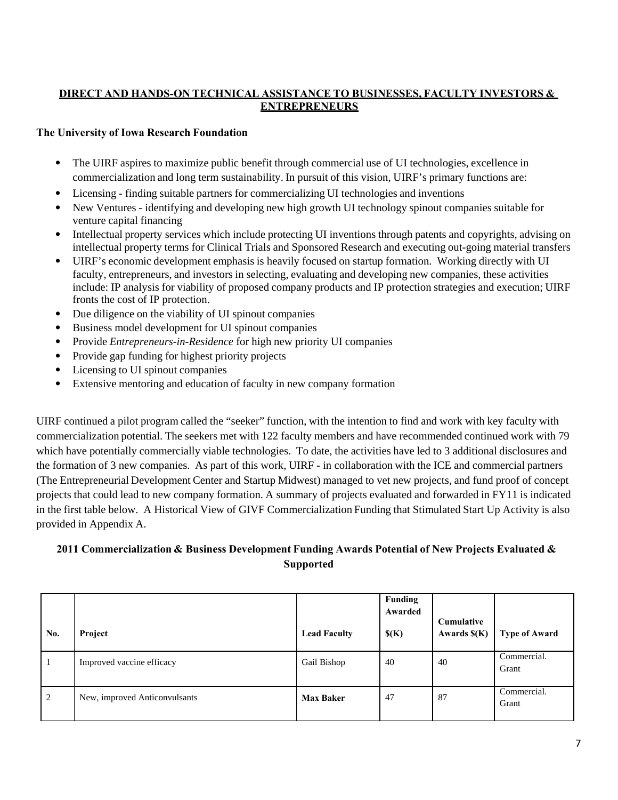## **DIRECT AND HANDS-ON TECHNICAL ASSISTANCE TO BUSINESSES, FACULTY INVESTORS & ENTREPRENEURS**

## **The University of Iowa Research Foundation**

- The UIRF aspires to maximize public benefit through commercial use of UI technologies, excellence in commercialization and long term sustainability. In pursuit of this vision, UIRF's primary functions are:
- Licensing finding suitable partners for commercializing UI technologies and inventions
- New Ventures identifying and developing new high growth UI technology spinout companies suitable for venture capital financing
- Intellectual property services which include protecting UI inventions through patents and copyrights, advising on intellectual property terms for Clinical Trials and Sponsored Research and executing out-going material transfers
- UIRF's economic development emphasis is heavily focused on startup formation. Working directly with UI faculty, entrepreneurs, and investors in selecting, evaluating and developing new companies, these activities include: IP analysis for viability of proposed company products and IP protection strategies and execution; UIRF fronts the cost of IP protection.
- Due diligence on the viability of UI spinout companies
- Business model development for UI spinout companies
- Provide *Entrepreneurs-in-Residence* for high new priority UI companies
- Provide gap funding for highest priority projects
- Licensing to UI spinout companies
- Extensive mentoring and education of faculty in new company formation

UIRF continued a pilot program called the "seeker" function, with the intention to find and work with key faculty with commercialization potential. The seekers met with 122 faculty members and have recommended continued work with 79 which have potentially commercially viable technologies. To date, the activities have led to 3 additional disclosures and the formation of 3 new companies. As part of this work, UIRF - in collaboration with the ICE and commercial partners (The Entrepreneurial Development Center and Startup Midwest) managed to vet new projects, and fund proof of concept projects that could lead to new company formation. A summary of projects evaluated and forwarded in FY11 is indicated in the first table below. A Historical View of GIVF Commercialization Funding that Stimulated Start Up Activity is also provided in Appendix A.

## **2011 Commercialization & Business Development Funding Awards Potential of New Projects Evaluated & Supported**

| No. | Project                       | <b>Lead Faculty</b> | <b>Funding</b><br>Awarded<br>\$(K) | Cumulative<br>Awards $S(K)$ | <b>Type of Award</b> |
|-----|-------------------------------|---------------------|------------------------------------|-----------------------------|----------------------|
|     | Improved vaccine efficacy     | Gail Bishop         | 40                                 | 40                          | Commercial.<br>Grant |
| 2   | New, improved Anticonvulsants | <b>Max Baker</b>    | 47                                 | 87                          | Commercial.<br>Grant |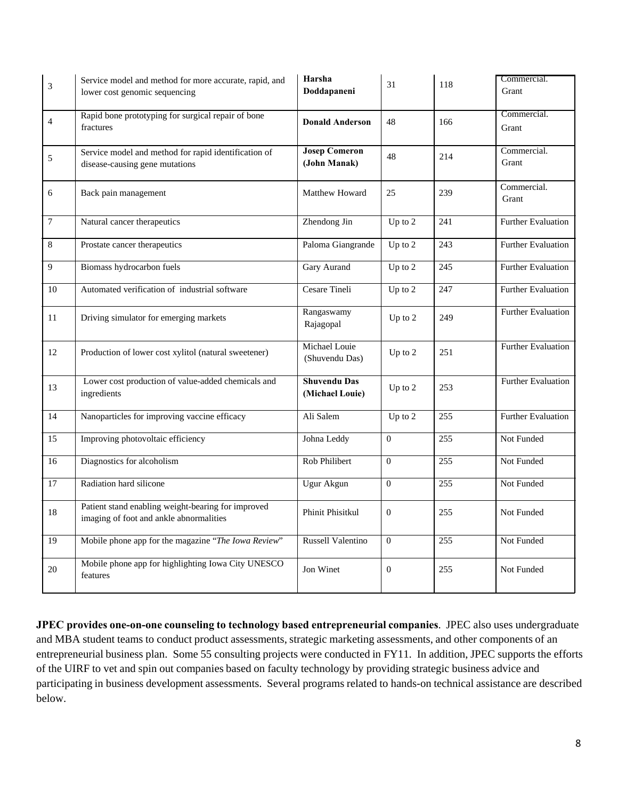| $\mathfrak{Z}$   | Service model and method for more accurate, rapid, and<br>lower cost genomic sequencing       | Harsha<br>Doddapaneni                  | 31           | 118              | Commercial.<br>Grant      |
|------------------|-----------------------------------------------------------------------------------------------|----------------------------------------|--------------|------------------|---------------------------|
| $\overline{4}$   | Rapid bone prototyping for surgical repair of bone<br>fractures                               | <b>Donald Anderson</b>                 | 48           | 166              | Commercial.<br>Grant      |
| 5                | Service model and method for rapid identification of<br>disease-causing gene mutations        | <b>Josep Comeron</b><br>(John Manak)   | 48           | 214              | Commercial.<br>Grant      |
| 6                | Back pain management                                                                          | Matthew Howard                         | 25           | 239              | Commercial.<br>Grant      |
| $\boldsymbol{7}$ | Natural cancer therapeutics                                                                   | Zhendong Jin                           | Up to 2      | 241              | <b>Further Evaluation</b> |
| $\overline{8}$   | Prostate cancer therapeutics                                                                  | Paloma Giangrande                      | Up to $2$    | 243              | <b>Further Evaluation</b> |
| $\overline{9}$   | Biomass hydrocarbon fuels                                                                     | Gary Aurand                            | Up to 2      | 245              | Further Evaluation        |
| 10               | Automated verification of industrial software                                                 | Cesare Tineli                          | Up to 2      | 247              | <b>Further Evaluation</b> |
| 11               | Driving simulator for emerging markets                                                        | Rangaswamy<br>Rajagopal                | Up to 2      | 249              | Further Evaluation        |
| 12               | Production of lower cost xylitol (natural sweetener)                                          | Michael Louie<br>(Shuvendu Das)        | Up to 2      | 251              | Further Evaluation        |
| 13               | Lower cost production of value-added chemicals and<br>ingredients                             | <b>Shuvendu Das</b><br>(Michael Louie) | Up to 2      | 253              | <b>Further Evaluation</b> |
| 14               | Nanoparticles for improving vaccine efficacy                                                  | Ali Salem                              | Up to $2$    | 255              | Further Evaluation        |
| 15               | Improving photovoltaic efficiency                                                             | Johna Leddy                            | $\Omega$     | 255              | Not Funded                |
| 16               | Diagnostics for alcoholism                                                                    | Rob Philibert                          | $\mathbf{0}$ | 255              | Not Funded                |
| 17               | Radiation hard silicone                                                                       | <b>Ugur Akgun</b>                      | $\mathbf{0}$ | 255              | Not Funded                |
| 18               | Patient stand enabling weight-bearing for improved<br>imaging of foot and ankle abnormalities | Phinit Phisitkul                       | $\Omega$     | 255              | Not Funded                |
| 19               | Mobile phone app for the magazine "The Iowa Review"                                           | <b>Russell Valentino</b>               | $\mathbf{0}$ | $\overline{255}$ | Not Funded                |
| 20               | Mobile phone app for highlighting Iowa City UNESCO<br>features                                | Jon Winet                              | $\mathbf{0}$ | 255              | Not Funded                |

**JPEC provides one-on-one counseling to technology based entrepreneurial companies**. JPEC also uses undergraduate and MBA student teams to conduct product assessments, strategic marketing assessments, and other components of an entrepreneurial business plan. Some 55 consulting projects were conducted in FY11. In addition, JPEC supports the efforts of the UIRF to vet and spin out companies based on faculty technology by providing strategic business advice and participating in business development assessments. Several programs related to hands-on technical assistance are described below.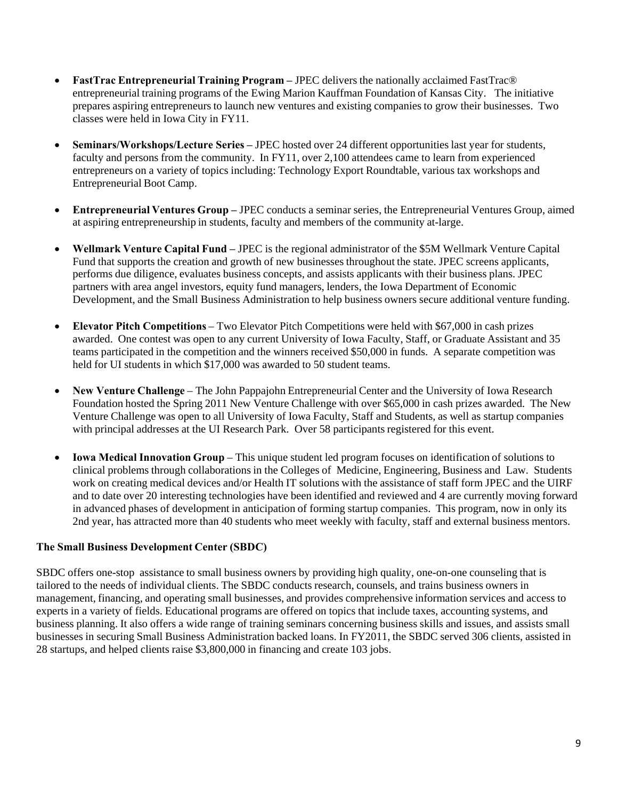- **FastTrac Entrepreneurial Training Program JPEC delivers the nationally acclaimed FastTrac®** entrepreneurial training programs of the Ewing Marion Kauffman Foundation of Kansas City. The initiative prepares aspiring entrepreneurs to launch new ventures and existing companies to grow their businesses. Two classes were held in Iowa City in FY11.
- **Seminars/Workshops/Lecture Series** JPEC hosted over 24 different opportunities last year for students, faculty and persons from the community. In FY11, over 2,100 attendees came to learn from experienced entrepreneurs on a variety of topics including: Technology Export Roundtable, various tax workshops and Entrepreneurial Boot Camp.
- **Entrepreneurial Ventures Group** JPEC conducts a seminar series, the Entrepreneurial Ventures Group, aimed at aspiring entrepreneurship in students, faculty and members of the community at-large.
- **Wellmark Venture Capital Fund** JPEC is the regional administrator of the \$5M Wellmark Venture Capital Fund that supports the creation and growth of new businesses throughout the state. JPEC screens applicants, performs due diligence, evaluates business concepts, and assists applicants with their business plans. JPEC partners with area angel investors, equity fund managers, lenders, the Iowa Department of Economic Development, and the Small Business Administration to help business owners secure additional venture funding.
- **Elevator Pitch Competitions**  Two Elevator Pitch Competitions were held with \$67,000 in cash prizes awarded. One contest was open to any current University of Iowa Faculty, Staff, or Graduate Assistant and 35 teams participated in the competition and the winners received \$50,000 in funds. A separate competition was held for UI students in which \$17,000 was awarded to 50 student teams.
- **New Venture Challenge**  The John Pappajohn Entrepreneurial Center and the University of Iowa Research Foundation hosted the Spring 2011 New Venture Challenge with over \$65,000 in cash prizes awarded. The New Venture Challenge was open to all University of Iowa Faculty, Staff and Students, as well as startup companies with principal addresses at the UI Research Park. Over 58 participants registered for this event.
- **Iowa Medical Innovation Group**  This unique student led program focuses on identification of solutions to clinical problems through collaborations in the Colleges of Medicine, Engineering, Business and Law. Students work on creating medical devices and/or Health IT solutions with the assistance of staff form JPEC and the UIRF and to date over 20 interesting technologies have been identified and reviewed and 4 are currently moving forward in advanced phases of development in anticipation of forming startup companies. This program, now in only its 2nd year, has attracted more than 40 students who meet weekly with faculty, staff and external business mentors.

## **The Small Business Development Center (SBDC)**

SBDC offers one-stop assistance to small business owners by providing high quality, one-on-one counseling that is tailored to the needs of individual clients. The SBDC conducts research, counsels, and trains business owners in management, financing, and operating small businesses, and provides comprehensive information services and access to experts in a variety of fields. Educational programs are offered on topics that include taxes, accounting systems, and business planning. It also offers a wide range of training seminars concerning business skills and issues, and assists small businesses in securing Small Business Administration backed loans. In FY2011, the SBDC served 306 clients, assisted in 28 startups, and helped clients raise \$3,800,000 in financing and create 103 jobs.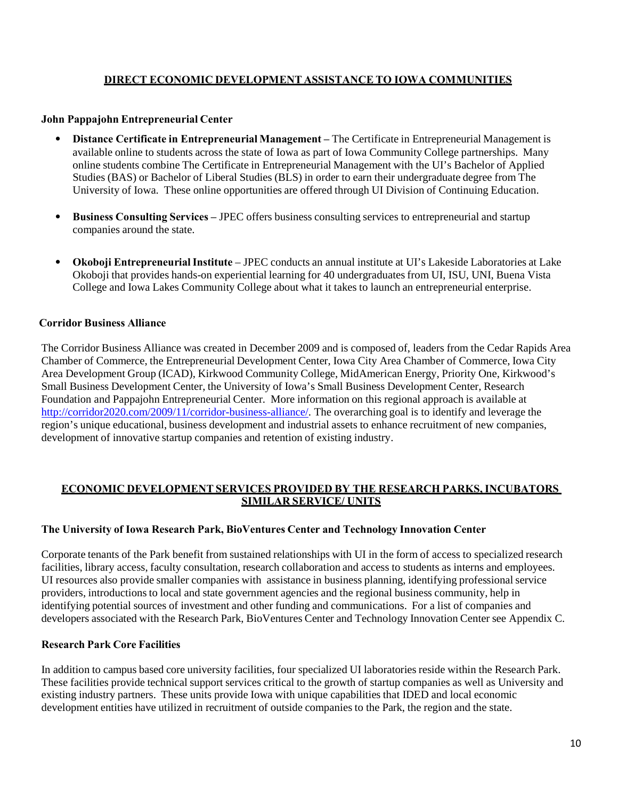## **DIRECT ECONOMIC DEVELOPMENT ASSISTANCE TO IOWA COMMUNITIES**

## **John Pappajohn Entrepreneurial Center**

- **Distance Certificate in Entrepreneurial Management** The Certificate in Entrepreneurial Management is available online to students across the state of Iowa as part of Iowa Community College partnerships. Many online students combine The Certificate in Entrepreneurial Management with the UI's Bachelor of Applied Studies (BAS) or Bachelor of Liberal Studies (BLS) in order to earn their undergraduate degree from The University of Iowa. These online opportunities are offered through UI Division of Continuing Education.
- **Business Consulting Services** JPEC offers business consulting services to entrepreneurial and startup companies around the state.
- **Okoboji Entrepreneurial Institute**  JPEC conducts an annual institute at UI's Lakeside Laboratories at Lake Okoboji that provides hands-on experiential learning for 40 undergraduates from UI, ISU, UNI, Buena Vista College and Iowa Lakes Community College about what it takes to launch an entrepreneurial enterprise.

#### **Corridor Business Alliance**

The Corridor Business Alliance was created in December 2009 and is composed of, leaders from the Cedar Rapids Area Chamber of Commerce, the Entrepreneurial Development Center, Iowa City Area Chamber of Commerce, Iowa City Area Development Group (ICAD), Kirkwood Community College, MidAmerican Energy, Priority One, Kirkwood's Small Business Development Center, the University of Iowa's Small Business Development Center, Research Foundation and Pappajohn Entrepreneurial Center. More information on this regional approach is available at http://corridor2020.com/2009/11/corridor-business-alliance/. The overarching goal is to identify and leverage the region's unique educational, business development and industrial assets to enhance recruitment of new companies, development of innovative startup companies and retention of existing industry.

#### **ECONOMIC DEVELOPMENT SERVICES PROVIDED BY THE RESEARCH PARKS, INCUBATORS SIMILAR SERVICE/ UNITS**

## **The University of Iowa Research Park, BioVentures Center and Technology Innovation Center**

Corporate tenants of the Park benefit from sustained relationships with UI in the form of access to specialized research facilities, library access, faculty consultation, research collaboration and access to students as interns and employees. UI resources also provide smaller companies with assistance in business planning, identifying professional service providers, introductions to local and state government agencies and the regional business community, help in identifying potential sources of investment and other funding and communications. For a list of companies and developers associated with the Research Park, BioVentures Center and Technology Innovation Center see Appendix C.

#### **Research Park Core Facilities**

In addition to campus based core university facilities, four specialized UI laboratories reside within the Research Park. These facilities provide technical support services critical to the growth of startup companies as well as University and existing industry partners. These units provide Iowa with unique capabilities that IDED and local economic development entities have utilized in recruitment of outside companies to the Park, the region and the state.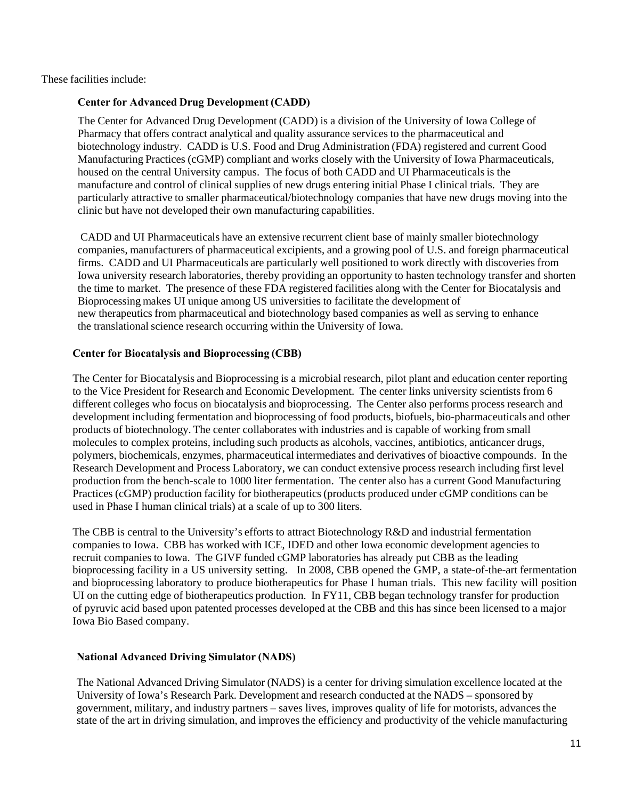These facilities include:

#### **Center for Advanced Drug Development (CADD)**

The Center for Advanced Drug Development (CADD) is a division of the University of Iowa College of Pharmacy that offers contract analytical and quality assurance services to the pharmaceutical and biotechnology industry. CADD is U.S. Food and Drug Administration (FDA) registered and current Good Manufacturing Practices (cGMP) compliant and works closely with the University of Iowa Pharmaceuticals, housed on the central University campus. The focus of both CADD and UI Pharmaceuticals is the manufacture and control of clinical supplies of new drugs entering initial Phase I clinical trials. They are particularly attractive to smaller pharmaceutical/biotechnology companies that have new drugs moving into the clinic but have not developed their own manufacturing capabilities.

CADD and UI Pharmaceuticals have an extensive recurrent client base of mainly smaller biotechnology companies, manufacturers of pharmaceutical excipients, and a growing pool of U.S. and foreign pharmaceutical firms. CADD and UI Pharmaceuticals are particularly well positioned to work directly with discoveries from Iowa university research laboratories, thereby providing an opportunity to hasten technology transfer and shorten the time to market. The presence of these FDA registered facilities along with the Center for Biocatalysis and Bioprocessing makes UI unique among US universities to facilitate the development of new therapeutics from pharmaceutical and biotechnology based companies as well as serving to enhance the translational science research occurring within the University of Iowa.

## **Center for Biocatalysis and Bioprocessing (CBB)**

The Center for Biocatalysis and Bioprocessing is a microbial research, pilot plant and education center reporting to the Vice President for Research and Economic Development. The center links university scientists from 6 different colleges who focus on biocatalysis and bioprocessing. The Center also performs process research and development including fermentation and bioprocessing of food products, biofuels, bio-pharmaceuticals and other products of biotechnology. The center collaborates with industries and is capable of working from small molecules to complex proteins, including such products as alcohols, vaccines, antibiotics, anticancer drugs, polymers, biochemicals, enzymes, pharmaceutical intermediates and derivatives of bioactive compounds. In the Research Development and Process Laboratory, we can conduct extensive process research including first level production from the bench-scale to 1000 liter fermentation. The center also has a current Good Manufacturing Practices (cGMP) production facility for biotherapeutics (products produced under cGMP conditions can be used in Phase I human clinical trials) at a scale of up to 300 liters.

The CBB is central to the University's efforts to attract Biotechnology R&D and industrial fermentation companies to Iowa. CBB has worked with ICE, IDED and other Iowa economic development agencies to recruit companies to Iowa. The GIVF funded cGMP laboratories has already put CBB as the leading bioprocessing facility in a US university setting. In 2008, CBB opened the GMP, a state-of-the-art fermentation and bioprocessing laboratory to produce biotherapeutics for Phase I human trials. This new facility will position UI on the cutting edge of biotherapeutics production. In FY11, CBB began technology transfer for production of pyruvic acid based upon patented processes developed at the CBB and this has since been licensed to a major Iowa Bio Based company.

#### **National Advanced Driving Simulator (NADS)**

The National Advanced Driving Simulator (NADS) is a center for driving simulation excellence located at the University of Iowa's Research Park. Development and research conducted at the NADS – sponsored by government, military, and industry partners – saves lives, improves quality of life for motorists, advances the state of the art in driving simulation, and improves the efficiency and productivity of the vehicle manufacturing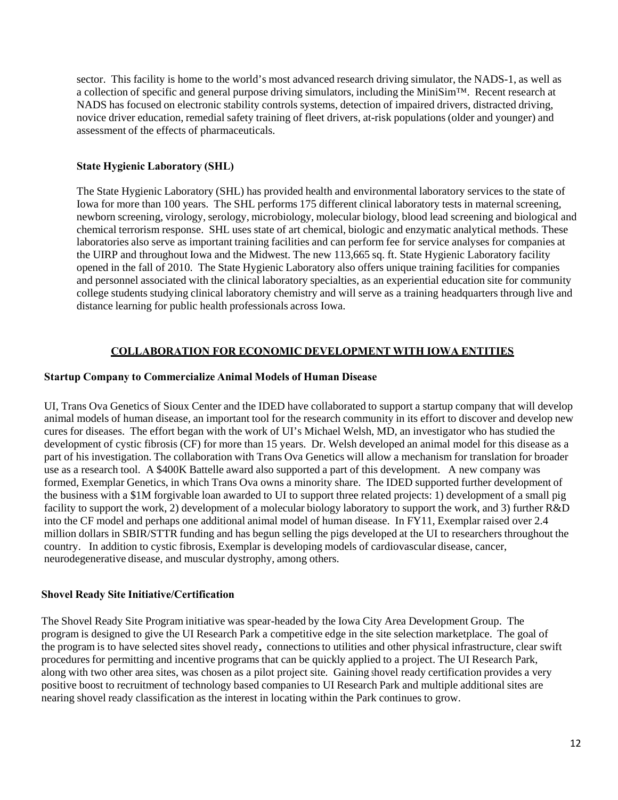sector. This facility is home to the world's most advanced research driving simulator, the NADS-1, as well as a collection of specific and general purpose driving simulators, including the MiniSim™. Recent research at NADS has focused on electronic stability controls systems, detection of impaired drivers, distracted driving, novice driver education, remedial safety training of fleet drivers, at-risk populations (older and younger) and assessment of the effects of pharmaceuticals.

#### **State Hygienic Laboratory (SHL)**

The State Hygienic Laboratory (SHL) has provided health and environmental laboratory services to the state of Iowa for more than 100 years. The SHL performs 175 different clinical laboratory tests in maternal screening, newborn screening, virology, serology, microbiology, molecular biology, blood lead screening and biological and chemical terrorism response. SHL uses state of art chemical, biologic and enzymatic analytical methods. These laboratories also serve as important training facilities and can perform fee for service analyses for companies at the UIRP and throughout Iowa and the Midwest. The new 113,665 sq. ft. State Hygienic Laboratory facility opened in the fall of 2010. The State Hygienic Laboratory also offers unique training facilities for companies and personnel associated with the clinical laboratory specialties, as an experiential education site for community college students studying clinical laboratory chemistry and will serve as a training headquarters through live and distance learning for public health professionals across Iowa.

## **COLLABORATION FOR ECONOMIC DEVELOPMENT WITH IOWA ENTITIES**

#### **Startup Company to Commercialize Animal Models of Human Disease**

UI, Trans Ova Genetics of Sioux Center and the IDED have collaborated to support a startup company that will develop animal models of human disease, an important tool for the research community in its effort to discover and develop new cures for diseases. The effort began with the work of UI's Michael Welsh, MD, an investigator who has studied the development of cystic fibrosis (CF) for more than 15 years. Dr. Welsh developed an animal model for this disease as a part of his investigation. The collaboration with Trans Ova Genetics will allow a mechanism for translation for broader use as a research tool. A \$400K Battelle award also supported a part of this development. A new company was formed, Exemplar Genetics, in which Trans Ova owns a minority share. The IDED supported further development of the business with a \$1M forgivable loan awarded to UI to support three related projects: 1) development of a small pig facility to support the work, 2) development of a molecular biology laboratory to support the work, and 3) further R&D into the CF model and perhaps one additional animal model of human disease. In FY11, Exemplar raised over 2.4 million dollars in SBIR/STTR funding and has begun selling the pigs developed at the UI to researchers throughout the country. In addition to cystic fibrosis, Exemplar is developing models of cardiovascular disease, cancer, neurodegenerative disease, and muscular dystrophy, among others.

## **Shovel Ready Site Initiative/Certification**

The Shovel Ready Site Program initiative was spear-headed by the Iowa City Area Development Group. The program is designed to give the UI Research Park a competitive edge in the site selection marketplace. The goal of the program is to have selected sites shovel ready, connections to utilities and other physical infrastructure, clear swift procedures for permitting and incentive programs that can be quickly applied to a project. The UI Research Park, along with two other area sites, was chosen as a pilot project site. Gaining shovel ready certification provides a very positive boost to recruitment of technology based companies to UI Research Park and multiple additional sites are nearing shovel ready classification as the interest in locating within the Park continues to grow.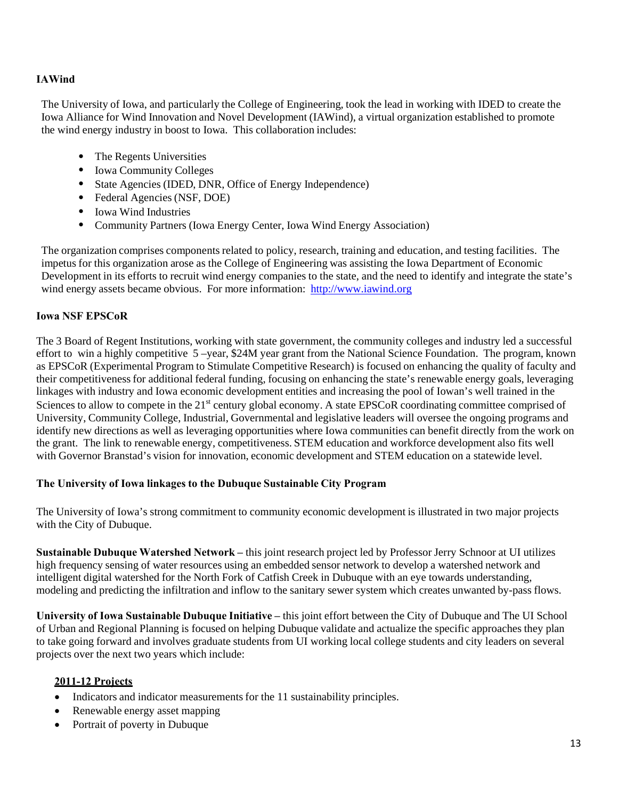## **IAWind**

The University of Iowa, and particularly the College of Engineering, took the lead in working with IDED to create the Iowa Alliance for Wind Innovation and Novel Development (IAWind), a virtual organization established to promote the wind energy industry in boost to Iowa. This collaboration includes:

- The Regents Universities
- Iowa Community Colleges
- State Agencies (IDED, DNR, Office of Energy Independence)
- Federal Agencies (NSF, DOE)
- Iowa Wind Industries
- Community Partners (Iowa Energy Center, Iowa Wind Energy Association)

The organization comprises components related to policy, research, training and education, and testing facilities. The impetus for this organization arose as the College of Engineering was assisting the Iowa Department of Economic Development in its efforts to recruit wind energy companies to the state, and the need to identify and integrate the state's wind energy assets became obvious. For more information: http://www.iawind.org

## **Iowa NSF EPSCoR**

The 3 Board of Regent Institutions, working with state government, the community colleges and industry led a successful effort to win a highly competitive 5 –year, \$24M year grant from the National Science Foundation. The program, known as EPSCoR (Experimental Program to Stimulate Competitive Research) is focused on enhancing the quality of faculty and their competitiveness for additional federal funding, focusing on enhancing the state's renewable energy goals, leveraging linkages with industry and Iowa economic development entities and increasing the pool of Iowan's well trained in the Sciences to allow to compete in the 21<sup>st</sup> century global economy. A state EPSCoR coordinating committee comprised of University, Community College, Industrial, Governmental and legislative leaders will oversee the ongoing programs and identify new directions as well as leveraging opportunities where Iowa communities can benefit directly from the work on the grant. The link to renewable energy, competitiveness. STEM education and workforce development also fits well with Governor Branstad's vision for innovation, economic development and STEM education on a statewide level.

## **The University of Iowa linkages to the Dubuque Sustainable City Program**

The University of Iowa's strong commitment to community economic development is illustrated in two major projects with the City of Dubuque.

**Sustainable Dubuque Watershed Network –** this joint research project led by Professor Jerry Schnoor at UI utilizes high frequency sensing of water resources using an embedded sensor network to develop a watershed network and intelligent digital watershed for the North Fork of Catfish Creek in Dubuque with an eye towards understanding, modeling and predicting the infiltration and inflow to the sanitary sewer system which creates unwanted by-pass flows.

**University of Iowa Sustainable Dubuque Initiative –** this joint effort between the City of Dubuque and The UI School of Urban and Regional Planning is focused on helping Dubuque validate and actualize the specific approaches they plan to take going forward and involves graduate students from UI working local college students and city leaders on several projects over the next two years which include:

#### **2011-12 Projects**

- Indicators and indicator measurements for the 11 sustainability principles.
- Renewable energy asset mapping
- Portrait of poverty in Dubuque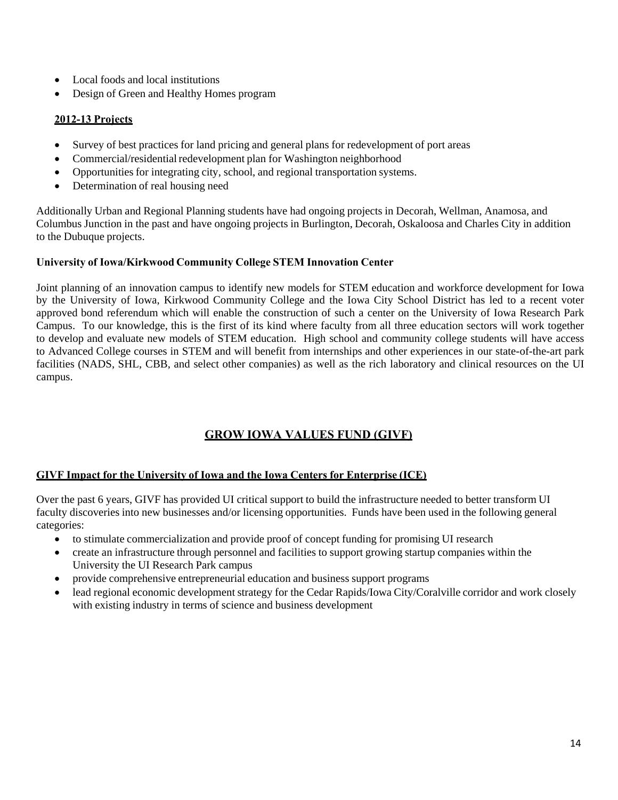- Local foods and local institutions
- Design of Green and Healthy Homes program

## **2012-13 Projects**

- Survey of best practices for land pricing and general plans for redevelopment of port areas
- Commercial/residential redevelopment plan for Washington neighborhood
- Opportunities for integrating city, school, and regional transportation systems.
- Determination of real housing need

Additionally Urban and Regional Planning students have had ongoing projects in Decorah, Wellman, Anamosa, and Columbus Junction in the past and have ongoing projects in Burlington, Decorah, Oskaloosa and Charles City in addition to the Dubuque projects.

#### **University of Iowa/Kirkwood Community College STEM Innovation Center**

Joint planning of an innovation campus to identify new models for STEM education and workforce development for Iowa by the University of Iowa, Kirkwood Community College and the Iowa City School District has led to a recent voter approved bond referendum which will enable the construction of such a center on the University of Iowa Research Park Campus. To our knowledge, this is the first of its kind where faculty from all three education sectors will work together to develop and evaluate new models of STEM education. High school and community college students will have access to Advanced College courses in STEM and will benefit from internships and other experiences in our state-of-the-art park facilities (NADS, SHL, CBB, and select other companies) as well as the rich laboratory and clinical resources on the UI campus.

## **GROW IOWA VALUES FUND (GIVF)**

## **GIVF Impact for the University of Iowa and the Iowa Centers for Enterprise (ICE)**

Over the past 6 years, GIVF has provided UI critical support to build the infrastructure needed to better transform UI faculty discoveries into new businesses and/or licensing opportunities. Funds have been used in the following general categories:

- to stimulate commercialization and provide proof of concept funding for promising UI research
- create an infrastructure through personnel and facilities to support growing startup companies within the University the UI Research Park campus
- provide comprehensive entrepreneurial education and business support programs
- lead regional economic development strategy for the Cedar Rapids/Iowa City/Coralville corridor and work closely with existing industry in terms of science and business development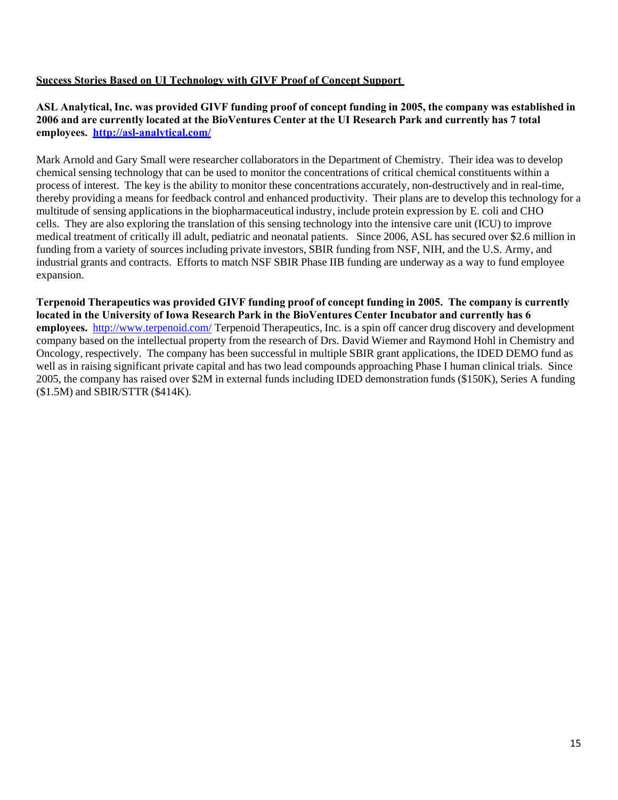## **Success Stories Based on UI Technology with GIVF Proof of Concept Support**

#### **ASL Analytical, Inc. was provided GIVF funding proof of concept funding in 2005, the company was established in 2006 and are currently located at the BioVentures Center at the UI Research Park and currently has 7 total employees. http://asl-analytical.com/**

Mark Arnold and Gary Small were researcher collaborators in the Department of Chemistry. Their idea was to develop chemical sensing technology that can be used to monitor the concentrations of critical chemical constituents within a process of interest. The key is the ability to monitor these concentrations accurately, non-destructively and in real-time, thereby providing a means for feedback control and enhanced productivity. Their plans are to develop this technology for a multitude of sensing applications in the biopharmaceutical industry, include protein expression by E. coli and CHO cells. They are also exploring the translation of this sensing technology into the intensive care unit (ICU) to improve medical treatment of critically ill adult, pediatric and neonatal patients. Since 2006, ASL has secured over \$2.6 million in funding from a variety of sources including private investors, SBIR funding from NSF, NIH, and the U.S. Army, and industrial grants and contracts. Efforts to match NSF SBIR Phase IIB funding are underway as a way to fund employee expansion.

**Terpenoid Therapeutics was provided GIVF funding proof of concept funding in 2005. The company is currently located in the University of Iowa Research Park in the BioVentures Center Incubator and currently has 6 employees.** http://www.terpenoid.com/ Terpenoid Therapeutics, Inc. is a spin off cancer drug discovery and development company based on the intellectual property from the research of Drs. David Wiemer and Raymond Hohl in Chemistry and Oncology, respectively. The company has been successful in multiple SBIR grant applications, the IDED DEMO fund as well as in raising significant private capital and has two lead compounds approaching Phase I human clinical trials. Since 2005, the company has raised over \$2M in external funds including IDED demonstration funds (\$150K), Series A funding (\$1.5M) and SBIR/STTR (\$414K).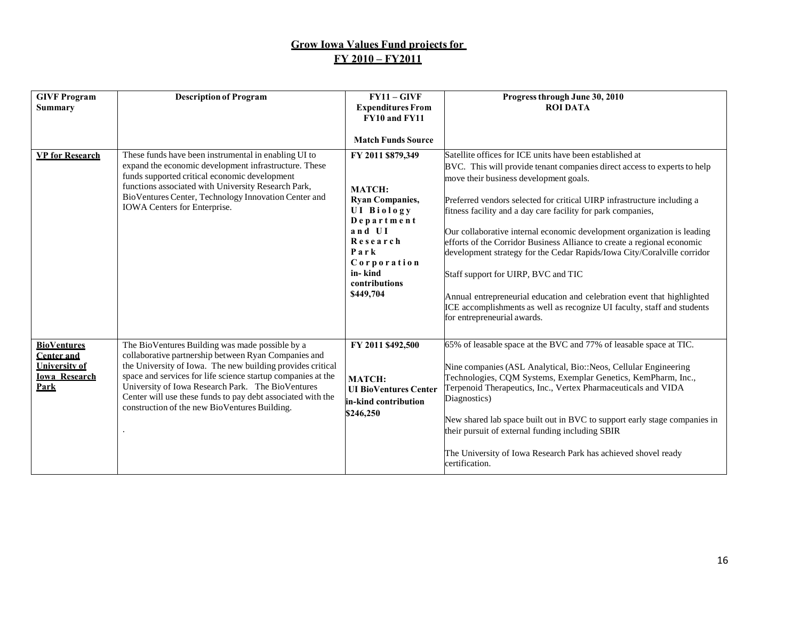## **Grow Iowa Values Fund projects for FY 2010 – FY2011**

| <b>GIVF Program</b><br><b>Summary</b>                                                    | <b>Description of Program</b>                                                                                                                                                                                                                                                                                                                                                                              | $FY11 - GIVF$<br><b>Expenditures From</b>                                                                                                                                      | Progress through June 30, 2010<br><b>ROI DATA</b>                                                                                                                                                                                                                                                                                                                                                                                                                                                                                                                                                                                                                                                                                                                                      |
|------------------------------------------------------------------------------------------|------------------------------------------------------------------------------------------------------------------------------------------------------------------------------------------------------------------------------------------------------------------------------------------------------------------------------------------------------------------------------------------------------------|--------------------------------------------------------------------------------------------------------------------------------------------------------------------------------|----------------------------------------------------------------------------------------------------------------------------------------------------------------------------------------------------------------------------------------------------------------------------------------------------------------------------------------------------------------------------------------------------------------------------------------------------------------------------------------------------------------------------------------------------------------------------------------------------------------------------------------------------------------------------------------------------------------------------------------------------------------------------------------|
|                                                                                          |                                                                                                                                                                                                                                                                                                                                                                                                            | FY10 and FY11                                                                                                                                                                  |                                                                                                                                                                                                                                                                                                                                                                                                                                                                                                                                                                                                                                                                                                                                                                                        |
|                                                                                          |                                                                                                                                                                                                                                                                                                                                                                                                            | <b>Match Funds Source</b>                                                                                                                                                      |                                                                                                                                                                                                                                                                                                                                                                                                                                                                                                                                                                                                                                                                                                                                                                                        |
| <b>VP</b> for Research                                                                   | These funds have been instrumental in enabling UI to<br>expand the economic development infrastructure. These<br>funds supported critical economic development<br>functions associated with University Research Park,<br>BioVentures Center, Technology Innovation Center and<br>IOWA Centers for Enterprise.                                                                                              | FY 2011 \$879,349<br><b>MATCH:</b><br><b>Ryan Companies,</b><br>UI Biology<br>Department<br>and UI<br>Research<br>Park<br>Corporation<br>in-kind<br>contributions<br>\$449,704 | Satellite offices for ICE units have been established at<br>BVC. This will provide tenant companies direct access to experts to help<br>move their business development goals.<br>Preferred vendors selected for critical UIRP infrastructure including a<br>fitness facility and a day care facility for park companies,<br>Our collaborative internal economic development organization is leading<br>efforts of the Corridor Business Alliance to create a regional economic<br>development strategy for the Cedar Rapids/Iowa City/Coralville corridor<br>Staff support for UIRP, BVC and TIC<br>Annual entrepreneurial education and celebration event that highlighted<br>ICE accomplishments as well as recognize UI faculty, staff and students<br>for entrepreneurial awards. |
| <b>BioVentures</b><br><b>Center and</b><br>University of<br><b>Iowa Research</b><br>Park | The BioVentures Building was made possible by a<br>collaborative partnership between Ryan Companies and<br>the University of Iowa. The new building provides critical<br>space and services for life science startup companies at the<br>University of Iowa Research Park. The BioVentures<br>Center will use these funds to pay debt associated with the<br>construction of the new BioVentures Building. | FY 2011 \$492,500<br><b>MATCH:</b><br><b>UI BioVentures Center</b><br>in-kind contribution<br>\$246,250                                                                        | 65% of leasable space at the BVC and 77% of leasable space at TIC.<br>Nine companies (ASL Analytical, Bio::Neos, Cellular Engineering<br>Technologies, CQM Systems, Exemplar Genetics, KemPharm, Inc.,<br>Terpenoid Therapeutics, Inc., Vertex Pharmaceuticals and VIDA<br>Diagnostics)<br>New shared lab space built out in BVC to support early stage companies in<br>their pursuit of external funding including SBIR<br>The University of Iowa Research Park has achieved shovel ready<br>certification.                                                                                                                                                                                                                                                                           |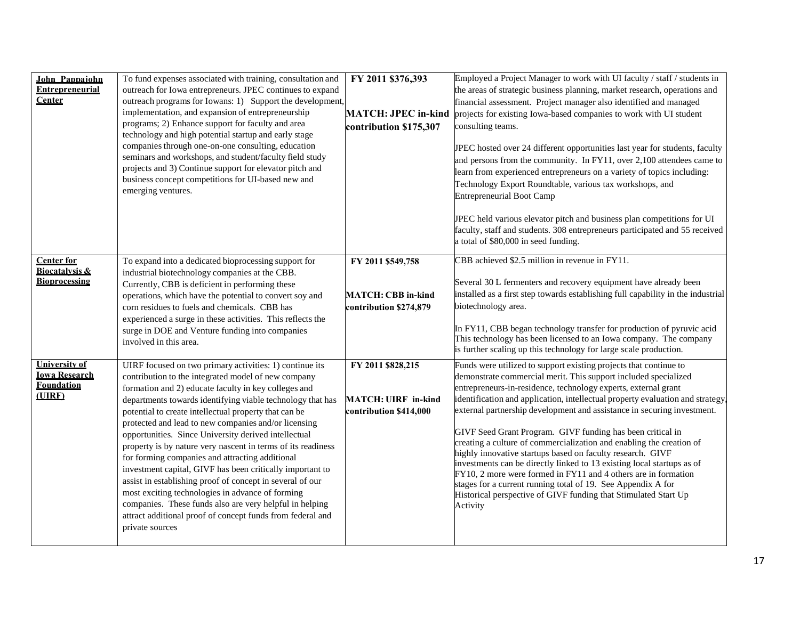| John Pappaiohn<br><b>Entrepreneurial</b><br>Center                          | To fund expenses associated with training, consultation and<br>outreach for Iowa entrepreneurs. JPEC continues to expand<br>outreach programs for Iowans: 1) Support the development,<br>implementation, and expansion of entrepreneurship<br>programs; 2) Enhance support for faculty and area<br>technology and high potential startup and early stage<br>companies through one-on-one consulting, education<br>seminars and workshops, and student/faculty field study<br>projects and 3) Continue support for elevator pitch and<br>business concept competitions for UI-based new and<br>emerging ventures.                                                                                                                                                                                                                                           | FY 2011 \$376,393<br><b>MATCH: JPEC in-kind</b><br>contribution \$175,307 | Employed a Project Manager to work with UI faculty / staff / students in<br>the areas of strategic business planning, market research, operations and<br>financial assessment. Project manager also identified and managed<br>projects for existing Iowa-based companies to work with UI student<br>consulting teams.<br>JPEC hosted over 24 different opportunities last year for students, faculty<br>and persons from the community. In FY11, over 2,100 attendees came to<br>learn from experienced entrepreneurs on a variety of topics including:<br>Technology Export Roundtable, various tax workshops, and<br><b>Entrepreneurial Boot Camp</b>                                                                                                                                                                                                           |
|-----------------------------------------------------------------------------|------------------------------------------------------------------------------------------------------------------------------------------------------------------------------------------------------------------------------------------------------------------------------------------------------------------------------------------------------------------------------------------------------------------------------------------------------------------------------------------------------------------------------------------------------------------------------------------------------------------------------------------------------------------------------------------------------------------------------------------------------------------------------------------------------------------------------------------------------------|---------------------------------------------------------------------------|-------------------------------------------------------------------------------------------------------------------------------------------------------------------------------------------------------------------------------------------------------------------------------------------------------------------------------------------------------------------------------------------------------------------------------------------------------------------------------------------------------------------------------------------------------------------------------------------------------------------------------------------------------------------------------------------------------------------------------------------------------------------------------------------------------------------------------------------------------------------|
|                                                                             |                                                                                                                                                                                                                                                                                                                                                                                                                                                                                                                                                                                                                                                                                                                                                                                                                                                            |                                                                           | JPEC held various elevator pitch and business plan competitions for UI<br>faculty, staff and students. 308 entrepreneurs participated and 55 received<br>a total of \$80,000 in seed funding.                                                                                                                                                                                                                                                                                                                                                                                                                                                                                                                                                                                                                                                                     |
| <b>Center for</b><br><b>Biocatalysis &amp;</b><br><b>Bioprocessing</b>      | To expand into a dedicated bioprocessing support for<br>industrial biotechnology companies at the CBB.<br>Currently, CBB is deficient in performing these<br>operations, which have the potential to convert soy and<br>corn residues to fuels and chemicals. CBB has<br>experienced a surge in these activities. This reflects the<br>surge in DOE and Venture funding into companies<br>involved in this area.                                                                                                                                                                                                                                                                                                                                                                                                                                           | FY 2011 \$549,758<br><b>MATCH: CBB in-kind</b><br>contribution \$274,879  | CBB achieved \$2.5 million in revenue in FY11.<br>Several 30 L fermenters and recovery equipment have already been<br>installed as a first step towards establishing full capability in the industrial<br>biotechnology area.<br>In FY11, CBB began technology transfer for production of pyruvic acid<br>This technology has been licensed to an Iowa company. The company<br>is further scaling up this technology for large scale production.                                                                                                                                                                                                                                                                                                                                                                                                                  |
| <b>University of</b><br><b>Iowa Research</b><br><b>Foundation</b><br>(UIRF) | UIRF focused on two primary activities: 1) continue its<br>contribution to the integrated model of new company<br>formation and 2) educate faculty in key colleges and<br>departments towards identifying viable technology that has<br>potential to create intellectual property that can be<br>protected and lead to new companies and/or licensing<br>opportunities. Since University derived intellectual<br>property is by nature very nascent in terms of its readiness<br>for forming companies and attracting additional<br>investment capital, GIVF has been critically important to<br>assist in establishing proof of concept in several of our<br>most exciting technologies in advance of forming<br>companies. These funds also are very helpful in helping<br>attract additional proof of concept funds from federal and<br>private sources | FY 2011 \$828,215<br><b>MATCH: UIRF in-kind</b><br>contribution \$414,000 | Funds were utilized to support existing projects that continue to<br>demonstrate commercial merit. This support included specialized<br>entrepreneurs-in-residence, technology experts, external grant<br>identification and application, intellectual property evaluation and strategy<br>external partnership development and assistance in securing investment.<br>GIVF Seed Grant Program. GIVF funding has been critical in<br>creating a culture of commercialization and enabling the creation of<br>highly innovative startups based on faculty research. GIVF<br>investments can be directly linked to 13 existing local startups as of<br>FY10, 2 more were formed in FY11 and 4 others are in formation<br>stages for a current running total of 19. See Appendix A for<br>Historical perspective of GIVF funding that Stimulated Start Up<br>Activity |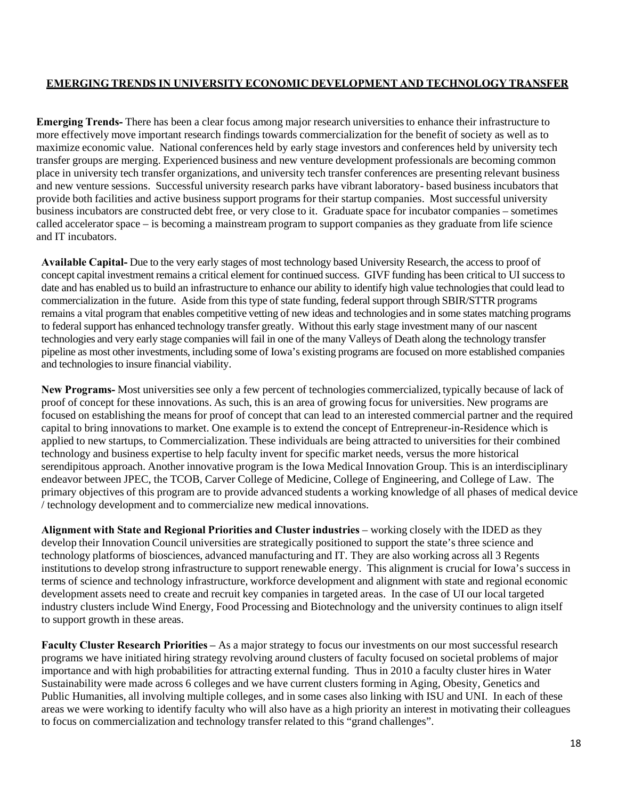#### **EMERGING TRENDS IN UNIVERSITY ECONOMIC DEVELOPMENT AND TECHNOLOGY TRANSFER**

**Emerging Trends-** There has been a clear focus among major research universities to enhance their infrastructure to more effectively move important research findings towards commercialization for the benefit of society as well as to maximize economic value. National conferences held by early stage investors and conferences held by university tech transfer groups are merging. Experienced business and new venture development professionals are becoming common place in university tech transfer organizations, and university tech transfer conferences are presenting relevant business and new venture sessions. Successful university research parks have vibrant laboratory- based business incubators that provide both facilities and active business support programs for their startup companies. Most successful university business incubators are constructed debt free, or very close to it. Graduate space for incubator companies – sometimes called accelerator space – is becoming a mainstream program to support companies as they graduate from life science and IT incubators.

**Available Capital-** Due to the very early stages of most technology based University Research, the access to proof of concept capital investment remains a critical element for continued success. GIVF funding has been critical to UI success to date and has enabled us to build an infrastructure to enhance our ability to identify high value technologies that could lead to commercialization in the future. Aside from this type of state funding, federal support through SBIR/STTR programs remains a vital program that enables competitive vetting of new ideas and technologies and in some states matching programs to federal support has enhanced technology transfer greatly. Without this early stage investment many of our nascent technologies and very early stage companies will fail in one of the many Valleys of Death along the technology transfer pipeline as most other investments, including some of Iowa's existing programs are focused on more established companies and technologies to insure financial viability.

**New Programs-** Most universities see only a few percent of technologies commercialized, typically because of lack of proof of concept for these innovations. As such, this is an area of growing focus for universities. New programs are focused on establishing the means for proof of concept that can lead to an interested commercial partner and the required capital to bring innovations to market. One example is to extend the concept of Entrepreneur-in-Residence which is applied to new startups, to Commercialization. These individuals are being attracted to universities for their combined technology and business expertise to help faculty invent for specific market needs, versus the more historical serendipitous approach. Another innovative program is the Iowa Medical Innovation Group. This is an interdisciplinary endeavor between JPEC, the TCOB, Carver College of Medicine, College of Engineering, and College of Law. The primary objectives of this program are to provide advanced students a working knowledge of all phases of medical device / technology development and to commercialize new medical innovations.

**Alignment with State and Regional Priorities and Cluster industries** – working closely with the IDED as they develop their Innovation Council universities are strategically positioned to support the state's three science and technology platforms of biosciences, advanced manufacturing and IT. They are also working across all 3 Regents institutions to develop strong infrastructure to support renewable energy. This alignment is crucial for Iowa's success in terms of science and technology infrastructure, workforce development and alignment with state and regional economic development assets need to create and recruit key companies in targeted areas. In the case of UI our local targeted industry clusters include Wind Energy, Food Processing and Biotechnology and the university continues to align itself to support growth in these areas.

**Faculty Cluster Research Priorities –** As a major strategy to focus our investments on our most successful research programs we have initiated hiring strategy revolving around clusters of faculty focused on societal problems of major importance and with high probabilities for attracting external funding. Thus in 2010 a faculty cluster hires in Water Sustainability were made across 6 colleges and we have current clusters forming in Aging, Obesity, Genetics and Public Humanities, all involving multiple colleges, and in some cases also linking with ISU and UNI. In each of these areas we were working to identify faculty who will also have as a high priority an interest in motivating their colleagues to focus on commercialization and technology transfer related to this "grand challenges".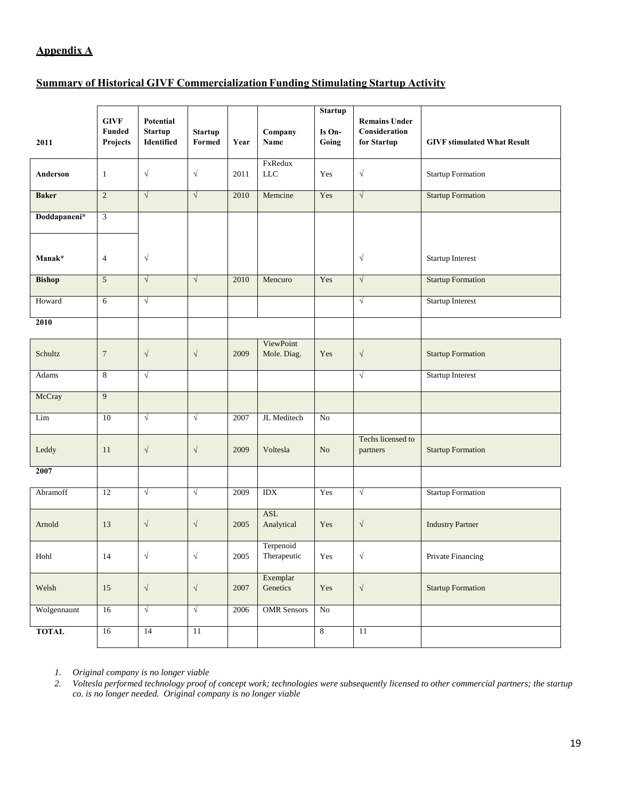## **Appendix A**

## **Summary of Historical GIVF Commercialization Funding Stimulating Startup Activity**

|               |                                          |                                           |                                 |      |                          | <b>Startup</b>       |                                                      |                                    |
|---------------|------------------------------------------|-------------------------------------------|---------------------------------|------|--------------------------|----------------------|------------------------------------------------------|------------------------------------|
| 2011          | <b>GIVF</b><br><b>Funded</b><br>Projects | Potential<br><b>Startup</b><br>Identified | <b>Startup</b><br><b>Formed</b> | Year | Company<br><b>Name</b>   | Is On-<br>Going      | <b>Remains Under</b><br>Consideration<br>for Startup | <b>GIVF stimulated What Result</b> |
| Anderson      | 1                                        | $\sqrt{}$                                 | $\sqrt{}$                       | 2011 | FxRedux<br>${\rm LLC}$   | Yes                  | $\sqrt{ }$                                           | <b>Startup Formation</b>           |
| <b>Baker</b>  | $\overline{c}$                           | $\sqrt{ }$                                | $\sqrt{}$                       | 2010 | Memcine                  | Yes                  | $\sqrt{ }$                                           | <b>Startup Formation</b>           |
| Doddapaneni*  | $\mathfrak{Z}$                           |                                           |                                 |      |                          |                      |                                                      |                                    |
| Manak*        | $\overline{4}$                           | $\sqrt{ }$                                |                                 |      |                          |                      | $\sqrt{ }$                                           | <b>Startup Interest</b>            |
| <b>Bishop</b> | $\mathfrak{S}$                           | $\sqrt{ }$                                | $\sqrt{ }$                      | 2010 | Mencuro                  | Yes                  | $\sqrt{ }$                                           | <b>Startup Formation</b>           |
| Howard        | 6                                        | $\sqrt{ }$                                |                                 |      |                          |                      | $\sqrt{ }$                                           | <b>Startup Interest</b>            |
| 2010          |                                          |                                           |                                 |      |                          |                      |                                                      |                                    |
| Schultz       | $\overline{7}$                           | $\sqrt{ }$                                | $\sqrt{}$                       | 2009 | ViewPoint<br>Mole. Diag. | Yes                  | $\sqrt{ }$                                           | <b>Startup Formation</b>           |
| Adams         | 8                                        | $\sqrt{ }$                                |                                 |      |                          |                      | $\sqrt{ }$                                           | <b>Startup Interest</b>            |
| McCray        | 9                                        |                                           |                                 |      |                          |                      |                                                      |                                    |
| Lim           | 10                                       | $\sqrt{ }$                                | $\sqrt{}$                       | 2007 | JL Meditech              | No                   |                                                      |                                    |
| Leddy         | 11                                       | $\sqrt{}$                                 | $\sqrt{\phantom{a}}$            | 2009 | Voltesla                 | $\rm No$             | Techs licensed to<br>partners                        | <b>Startup Formation</b>           |
| 2007          |                                          |                                           |                                 |      |                          |                      |                                                      |                                    |
| Abramoff      | 12                                       | $\sqrt{ }$                                | $\sqrt{}$                       | 2009 | IDX                      | Yes                  | $\sqrt{}$                                            | <b>Startup Formation</b>           |
| Arnold        | 13                                       | $\sqrt{}$                                 | $\sqrt{}$                       | 2005 | <b>ASL</b><br>Analytical | Yes                  | $\sqrt{ }$                                           | <b>Industry Partner</b>            |
| Hohl          | 14                                       | $\sqrt{}$                                 |                                 | 2005 | Terpenoid<br>Therapeutic | $\operatorname{Yes}$ | $\sqrt{}$                                            | Private Financing                  |
| Welsh         | $15\,$                                   | $\sqrt{\phantom{a}}$                      | $\sqrt{}$                       | 2007 | Exemplar<br>Genetics     | $\operatorname{Yes}$ | $\sqrt{\phantom{a}}$                                 | <b>Startup Formation</b>           |
| Wolgennaunt   | 16                                       | $\sqrt{}$                                 | $\sqrt{ }$                      | 2006 | <b>OMR</b> Sensors       | $\rm No$             |                                                      |                                    |
| <b>TOTAL</b>  | 16                                       | 14                                        | 11                              |      |                          | $\,8\,$              | $\overline{11}$                                      |                                    |

*1. Original company is no longer viable*

*2. Voltesla performed technology proof of concept work; technologies were subsequently licensed to other commercial partners; the startup co. is no longer needed. Original company is no longer viable*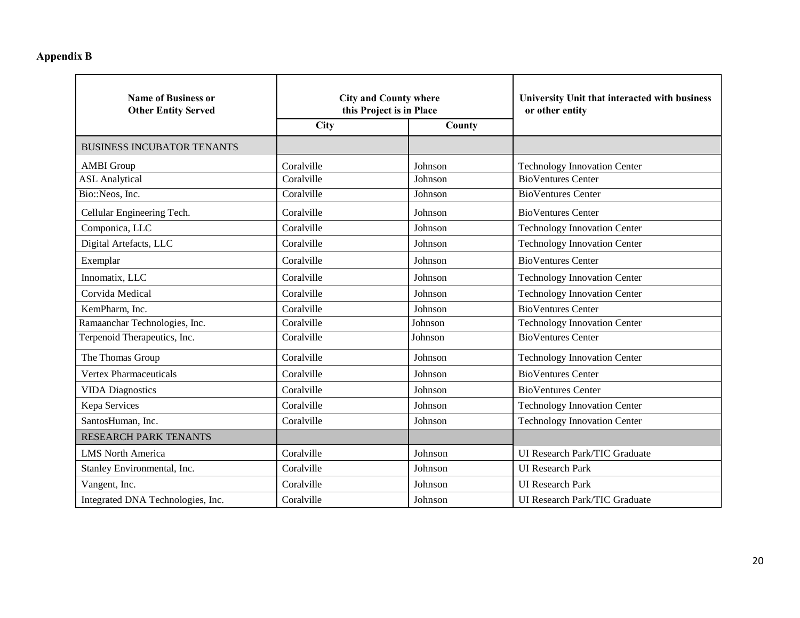# **Appendix B**

| <b>Name of Business or</b><br><b>Other Entity Served</b> |            | <b>City and County where</b><br>this Project is in Place | University Unit that interacted with business<br>or other entity |  |
|----------------------------------------------------------|------------|----------------------------------------------------------|------------------------------------------------------------------|--|
|                                                          | City       | County                                                   |                                                                  |  |
| <b>BUSINESS INCUBATOR TENANTS</b>                        |            |                                                          |                                                                  |  |
| <b>AMBI</b> Group                                        | Coralville | Johnson                                                  | <b>Technology Innovation Center</b>                              |  |
| <b>ASL</b> Analytical                                    | Coralville | Johnson                                                  | <b>BioVentures Center</b>                                        |  |
| Bio::Neos, Inc.                                          | Coralville | Johnson                                                  | <b>BioVentures Center</b>                                        |  |
| Cellular Engineering Tech.                               | Coralville | Johnson                                                  | <b>BioVentures Center</b>                                        |  |
| Componica, LLC                                           | Coralville | Johnson                                                  | Technology Innovation Center                                     |  |
| Digital Artefacts, LLC                                   | Coralville | Johnson                                                  | <b>Technology Innovation Center</b>                              |  |
| Exemplar                                                 | Coralville | Johnson                                                  | <b>BioVentures Center</b>                                        |  |
| Innomatix, LLC                                           | Coralville | Johnson                                                  | <b>Technology Innovation Center</b>                              |  |
| Corvida Medical                                          | Coralville | Johnson                                                  | <b>Technology Innovation Center</b>                              |  |
| KemPharm, Inc.                                           | Coralville | Johnson                                                  | <b>BioVentures Center</b>                                        |  |
| Ramaanchar Technologies, Inc.                            | Coralville | Johnson                                                  | <b>Technology Innovation Center</b>                              |  |
| Terpenoid Therapeutics, Inc.                             | Coralville | Johnson                                                  | <b>BioVentures Center</b>                                        |  |
| The Thomas Group                                         | Coralville | Johnson                                                  | <b>Technology Innovation Center</b>                              |  |
| <b>Vertex Pharmaceuticals</b>                            | Coralville | Johnson                                                  | <b>BioVentures Center</b>                                        |  |
| <b>VIDA Diagnostics</b>                                  | Coralville | Johnson                                                  | <b>BioVentures Center</b>                                        |  |
| Kepa Services                                            | Coralville | Johnson                                                  | <b>Technology Innovation Center</b>                              |  |
| SantosHuman, Inc.                                        | Coralville | Johnson                                                  | <b>Technology Innovation Center</b>                              |  |
| <b>RESEARCH PARK TENANTS</b>                             |            |                                                          |                                                                  |  |
| <b>LMS</b> North America                                 | Coralville | Johnson                                                  | UI Research Park/TIC Graduate                                    |  |
| Stanley Environmental, Inc.                              | Coralville | Johnson                                                  | <b>UI</b> Research Park                                          |  |
| Vangent, Inc.                                            | Coralville | Johnson                                                  | <b>UI</b> Research Park                                          |  |
| Integrated DNA Technologies, Inc.                        | Coralville | Johnson                                                  | UI Research Park/TIC Graduate                                    |  |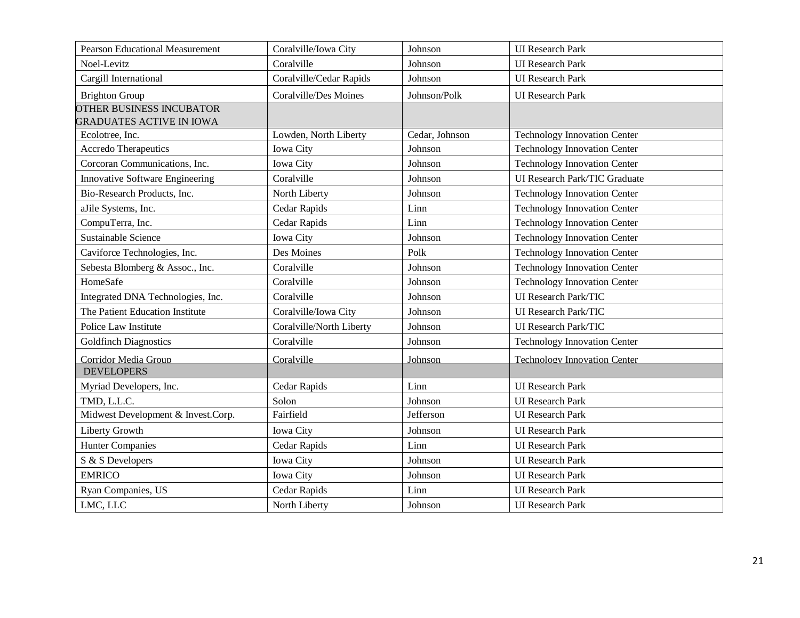| <b>Pearson Educational Measurement</b> | Coralville/Iowa City         | Johnson        | <b>UI</b> Research Park              |
|----------------------------------------|------------------------------|----------------|--------------------------------------|
| Noel-Levitz                            | Coralville                   | Johnson        | <b>UI</b> Research Park              |
| Cargill International                  | Coralville/Cedar Rapids      | Johnson        | <b>UI</b> Research Park              |
| <b>Brighton Group</b>                  | <b>Coralville/Des Moines</b> | Johnson/Polk   | <b>UI</b> Research Park              |
| <b>OTHER BUSINESS INCUBATOR</b>        |                              |                |                                      |
| <b>GRADUATES ACTIVE IN IOWA</b>        |                              |                |                                      |
| Ecolotree, Inc.                        | Lowden, North Liberty        | Cedar, Johnson | <b>Technology Innovation Center</b>  |
| Accredo Therapeutics                   | Iowa City                    | Johnson        | <b>Technology Innovation Center</b>  |
| Corcoran Communications, Inc.          | Iowa City                    | Johnson        | <b>Technology Innovation Center</b>  |
| Innovative Software Engineering        | Coralville                   | Johnson        | <b>UI Research Park/TIC Graduate</b> |
| Bio-Research Products, Inc.            | North Liberty                | Johnson        | <b>Technology Innovation Center</b>  |
| aJile Systems, Inc.                    | Cedar Rapids                 | Linn           | <b>Technology Innovation Center</b>  |
| CompuTerra, Inc.                       | Cedar Rapids                 | Linn           | <b>Technology Innovation Center</b>  |
| Sustainable Science                    | Iowa City                    | Johnson        | <b>Technology Innovation Center</b>  |
| Caviforce Technologies, Inc.           | Des Moines                   | Polk           | <b>Technology Innovation Center</b>  |
| Sebesta Blomberg & Assoc., Inc.        | Coralville                   | Johnson        | <b>Technology Innovation Center</b>  |
| HomeSafe                               | Coralville                   | Johnson        | <b>Technology Innovation Center</b>  |
| Integrated DNA Technologies, Inc.      | Coralville                   | Johnson        | UI Research Park/TIC                 |
| The Patient Education Institute        | Coralville/Iowa City         | Johnson        | <b>UI Research Park/TIC</b>          |
| Police Law Institute                   | Coralville/North Liberty     | Johnson        | <b>UI Research Park/TIC</b>          |
| <b>Goldfinch Diagnostics</b>           | Coralville                   | Johnson        | <b>Technology Innovation Center</b>  |
| Corridor Media Group                   | Coralville                   | Johnson        | <b>Technology Innovation Center</b>  |
| <b>DEVELOPERS</b>                      |                              |                |                                      |
| Myriad Developers, Inc.                | Cedar Rapids                 | Linn           | <b>UI</b> Research Park              |
| TMD, L.L.C.                            | Solon                        | Johnson        | <b>UI</b> Research Park              |
| Midwest Development & Invest.Corp.     | Fairfield                    | Jefferson      | <b>UI</b> Research Park              |
| <b>Liberty Growth</b>                  | Iowa City                    | Johnson        | <b>UI</b> Research Park              |
| <b>Hunter Companies</b>                | Cedar Rapids                 | Linn           | <b>UI</b> Research Park              |
| S & S Developers                       | Iowa City                    | Johnson        | <b>UI</b> Research Park              |
| <b>EMRICO</b>                          | Iowa City                    | Johnson        | <b>UI</b> Research Park              |
| Ryan Companies, US                     | Cedar Rapids                 | Linn           | <b>UI</b> Research Park              |
| LMC, LLC                               | North Liberty                | Johnson        | <b>UI</b> Research Park              |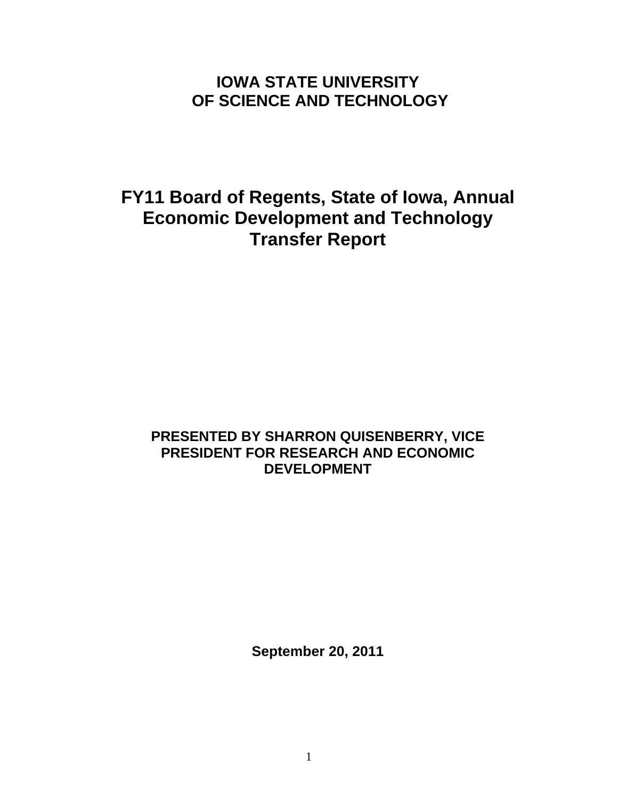# **IOWA STATE UNIVERSITY OF SCIENCE AND TECHNOLOGY**

# **FY11 Board of Regents, State of Iowa, Annual Economic Development and Technology Transfer Report**

# **PRESENTED BY SHARRON QUISENBERRY, VICE PRESIDENT FOR RESEARCH AND ECONOMIC DEVELOPMENT**

**September 20, 2011**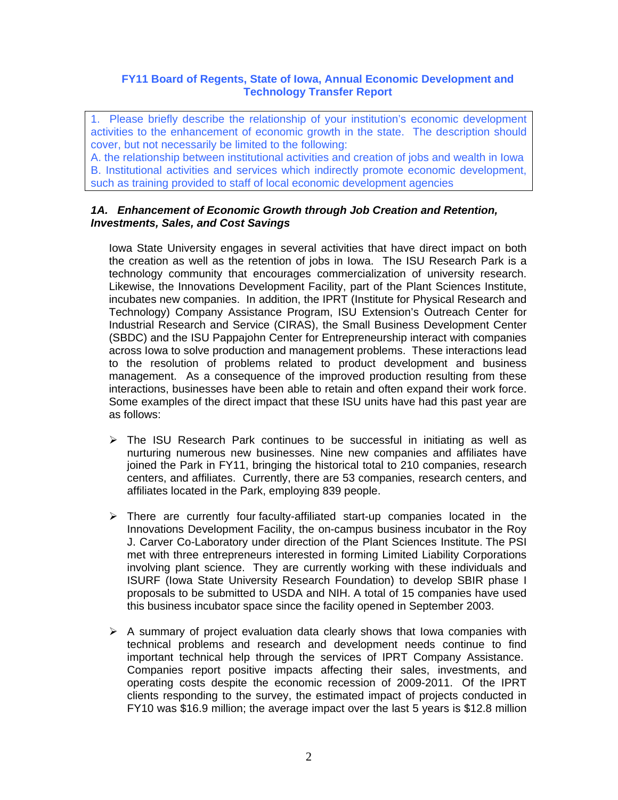## **FY11 Board of Regents, State of Iowa, Annual Economic Development and Technology Transfer Report**

1. Please briefly describe the relationship of your institution's economic development activities to the enhancement of economic growth in the state. The description should cover, but not necessarily be limited to the following:

A. the relationship between institutional activities and creation of jobs and wealth in Iowa B. Institutional activities and services which indirectly promote economic development, such as training provided to staff of local economic development agencies

#### *1A. Enhancement of Economic Growth through Job Creation and Retention, Investments, Sales, and Cost Savings*

Iowa State University engages in several activities that have direct impact on both the creation as well as the retention of jobs in Iowa. The ISU Research Park is a technology community that encourages commercialization of university research. Likewise, the Innovations Development Facility, part of the Plant Sciences Institute, incubates new companies. In addition, the IPRT (Institute for Physical Research and Technology) Company Assistance Program, ISU Extension's Outreach Center for Industrial Research and Service (CIRAS), the Small Business Development Center (SBDC) and the ISU Pappajohn Center for Entrepreneurship interact with companies across Iowa to solve production and management problems. These interactions lead to the resolution of problems related to product development and business management. As a consequence of the improved production resulting from these interactions, businesses have been able to retain and often expand their work force. Some examples of the direct impact that these ISU units have had this past year are as follows:

- $\triangleright$  The ISU Research Park continues to be successful in initiating as well as nurturing numerous new businesses. Nine new companies and affiliates have joined the Park in FY11, bringing the historical total to 210 companies, research centers, and affiliates. Currently, there are 53 companies, research centers, and affiliates located in the Park, employing 839 people.
- $\triangleright$  There are currently four faculty-affiliated start-up companies located in the Innovations Development Facility, the on-campus business incubator in the Roy J. Carver Co-Laboratory under direction of the Plant Sciences Institute. The PSI met with three entrepreneurs interested in forming Limited Liability Corporations involving plant science. They are currently working with these individuals and ISURF (Iowa State University Research Foundation) to develop SBIR phase I proposals to be submitted to USDA and NIH. A total of 15 companies have used this business incubator space since the facility opened in September 2003.
- $\triangleright$  A summary of project evaluation data clearly shows that Iowa companies with technical problems and research and development needs continue to find important technical help through the services of IPRT Company Assistance. Companies report positive impacts affecting their sales, investments, and operating costs despite the economic recession of 2009-2011. Of the IPRT clients responding to the survey, the estimated impact of projects conducted in FY10 was \$16.9 million; the average impact over the last 5 years is \$12.8 million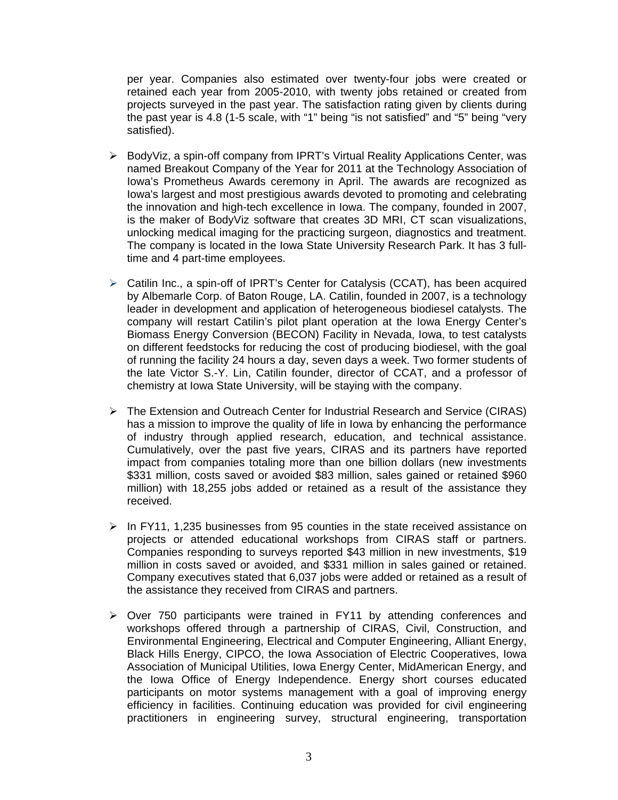per year. Companies also estimated over twenty-four jobs were created or retained each year from 2005-2010, with twenty jobs retained or created from projects surveyed in the past year. The satisfaction rating given by clients during the past year is 4.8 (1-5 scale, with "1" being "is not satisfied" and "5" being "very satisfied).

- ▶ BodyViz, a spin-off company from IPRT's Virtual Reality Applications Center, was named Breakout Company of the Year for 2011 at the Technology Association of Iowa's Prometheus Awards ceremony in April. The awards are recognized as Iowa's largest and most prestigious awards devoted to promoting and celebrating the innovation and high-tech excellence in Iowa. The company, founded in 2007, is the maker of BodyViz software that creates 3D MRI, CT scan visualizations, unlocking medical imaging for the practicing surgeon, diagnostics and treatment. The company is located in the Iowa State University Research Park. It has 3 fulltime and 4 part-time employees.
- Catilin Inc., a spin-off of IPRT's Center for Catalysis (CCAT), has been acquired by Albemarle Corp. of Baton Rouge, LA. Catilin, founded in 2007, is a technology leader in development and application of heterogeneous biodiesel catalysts. The company will restart Catilin's pilot plant operation at the Iowa Energy Center's Biomass Energy Conversion (BECON) Facility in Nevada, Iowa, to test catalysts on different feedstocks for reducing the cost of producing biodiesel, with the goal of running the facility 24 hours a day, seven days a week. Two former students of the late Victor S.-Y. Lin, Catilin founder, director of CCAT, and a professor of chemistry at Iowa State University, will be staying with the company.
- The Extension and Outreach Center for Industrial Research and Service (CIRAS) has a mission to improve the quality of life in Iowa by enhancing the performance of industry through applied research, education, and technical assistance. Cumulatively, over the past five years, CIRAS and its partners have reported impact from companies totaling more than one billion dollars (new investments \$331 million, costs saved or avoided \$83 million, sales gained or retained \$960 million) with 18,255 jobs added or retained as a result of the assistance they received.
- $\triangleright$  In FY11, 1,235 businesses from 95 counties in the state received assistance on projects or attended educational workshops from CIRAS staff or partners. Companies responding to surveys reported \$43 million in new investments, \$19 million in costs saved or avoided, and \$331 million in sales gained or retained. Company executives stated that 6,037 jobs were added or retained as a result of the assistance they received from CIRAS and partners.
- $\triangleright$  Over 750 participants were trained in FY11 by attending conferences and workshops offered through a partnership of CIRAS, Civil, Construction, and Environmental Engineering, Electrical and Computer Engineering, Alliant Energy, Black Hills Energy, CIPCO, the Iowa Association of Electric Cooperatives, Iowa Association of Municipal Utilities, Iowa Energy Center, MidAmerican Energy, and the Iowa Office of Energy Independence. Energy short courses educated participants on motor systems management with a goal of improving energy efficiency in facilities. Continuing education was provided for civil engineering practitioners in engineering survey, structural engineering, transportation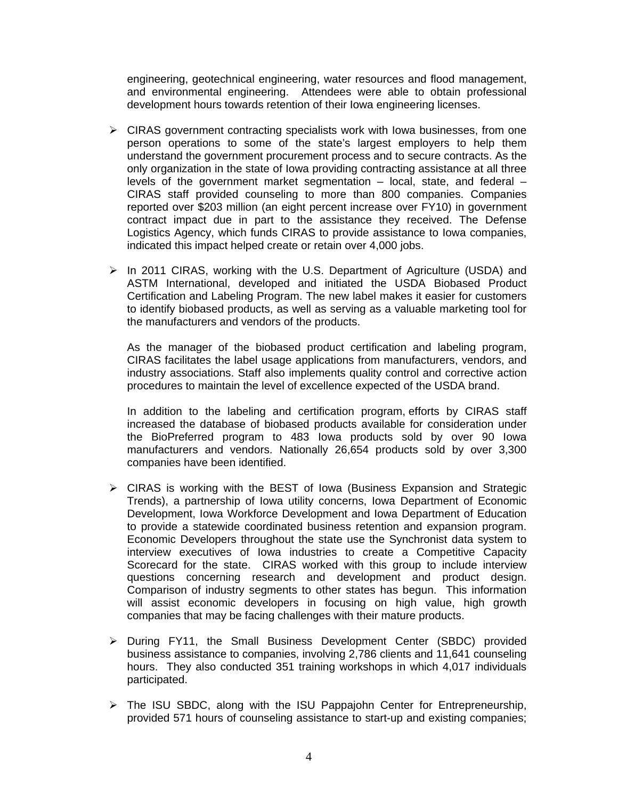engineering, geotechnical engineering, water resources and flood management, and environmental engineering. Attendees were able to obtain professional development hours towards retention of their Iowa engineering licenses.

- > CIRAS government contracting specialists work with Iowa businesses, from one person operations to some of the state's largest employers to help them understand the government procurement process and to secure contracts. As the only organization in the state of Iowa providing contracting assistance at all three levels of the government market segmentation – local, state, and federal – CIRAS staff provided counseling to more than 800 companies. Companies reported over \$203 million (an eight percent increase over FY10) in government contract impact due in part to the assistance they received. The Defense Logistics Agency, which funds CIRAS to provide assistance to Iowa companies, indicated this impact helped create or retain over 4,000 jobs.
- $\triangleright$  In 2011 CIRAS, working with the U.S. Department of Agriculture (USDA) and ASTM International, developed and initiated the USDA Biobased Product Certification and Labeling Program. The new label makes it easier for customers to identify biobased products, as well as serving as a valuable marketing tool for the manufacturers and vendors of the products.

As the manager of the biobased product certification and labeling program, CIRAS facilitates the label usage applications from manufacturers, vendors, and industry associations. Staff also implements quality control and corrective action procedures to maintain the level of excellence expected of the USDA brand.

In addition to the labeling and certification program, efforts by CIRAS staff increased the database of biobased products available for consideration under the BioPreferred program to 483 Iowa products sold by over 90 Iowa manufacturers and vendors. Nationally 26,654 products sold by over 3,300 companies have been identified.

- CIRAS is working with the BEST of Iowa (Business Expansion and Strategic Trends), a partnership of Iowa utility concerns, Iowa Department of Economic Development, Iowa Workforce Development and Iowa Department of Education to provide a statewide coordinated business retention and expansion program. Economic Developers throughout the state use the Synchronist data system to interview executives of Iowa industries to create a Competitive Capacity Scorecard for the state. CIRAS worked with this group to include interview questions concerning research and development and product design. Comparison of industry segments to other states has begun. This information will assist economic developers in focusing on high value, high growth companies that may be facing challenges with their mature products.
- During FY11, the Small Business Development Center (SBDC) provided business assistance to companies, involving 2,786 clients and 11,641 counseling hours. They also conducted 351 training workshops in which 4,017 individuals participated.
- The ISU SBDC, along with the ISU Pappajohn Center for Entrepreneurship, provided 571 hours of counseling assistance to start-up and existing companies;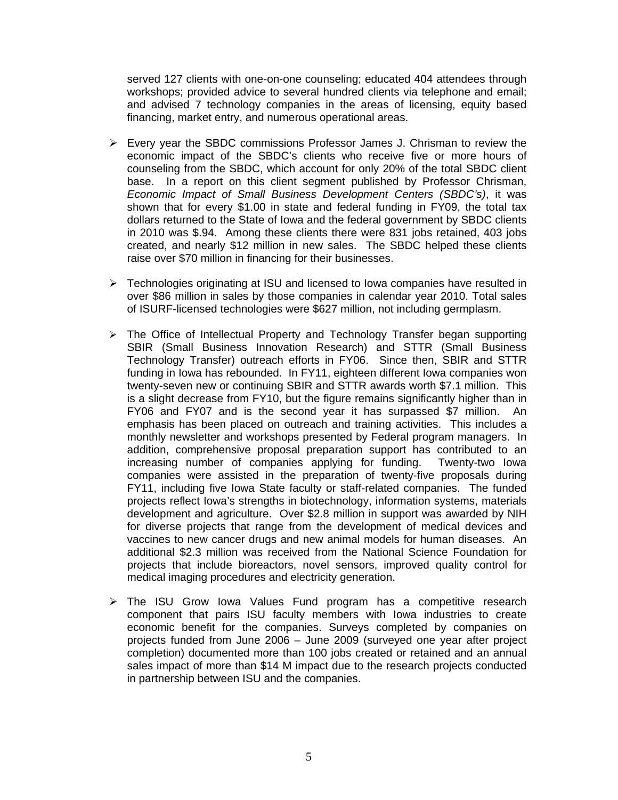served 127 clients with one-on-one counseling; educated 404 attendees through workshops; provided advice to several hundred clients via telephone and email; and advised 7 technology companies in the areas of licensing, equity based financing, market entry, and numerous operational areas.

- $\triangleright$  Every year the SBDC commissions Professor James J. Chrisman to review the economic impact of the SBDC's clients who receive five or more hours of counseling from the SBDC, which account for only 20% of the total SBDC client base. In a report on this client segment published by Professor Chrisman, *Economic Impact of Small Business Development Centers (SBDC's)*, it was shown that for every \$1.00 in state and federal funding in FY09, the total tax dollars returned to the State of Iowa and the federal government by SBDC clients in 2010 was \$.94. Among these clients there were 831 jobs retained, 403 jobs created, and nearly \$12 million in new sales. The SBDC helped these clients raise over \$70 million in financing for their businesses.
- Fechnologies originating at ISU and licensed to Iowa companies have resulted in over \$86 million in sales by those companies in calendar year 2010. Total sales of ISURF-licensed technologies were \$627 million, not including germplasm.
- $\triangleright$  The Office of Intellectual Property and Technology Transfer began supporting SBIR (Small Business Innovation Research) and STTR (Small Business Technology Transfer) outreach efforts in FY06. Since then, SBIR and STTR funding in Iowa has rebounded. In FY11, eighteen different Iowa companies won twenty-seven new or continuing SBIR and STTR awards worth \$7.1 million. This is a slight decrease from FY10, but the figure remains significantly higher than in FY06 and FY07 and is the second year it has surpassed \$7 million. An emphasis has been placed on outreach and training activities. This includes a monthly newsletter and workshops presented by Federal program managers. In addition, comprehensive proposal preparation support has contributed to an increasing number of companies applying for funding. Twenty-two Iowa companies were assisted in the preparation of twenty-five proposals during FY11, including five Iowa State faculty or staff-related companies. The funded projects reflect Iowa's strengths in biotechnology, information systems, materials development and agriculture. Over \$2.8 million in support was awarded by NIH for diverse projects that range from the development of medical devices and vaccines to new cancer drugs and new animal models for human diseases. An additional \$2.3 million was received from the National Science Foundation for projects that include bioreactors, novel sensors, improved quality control for medical imaging procedures and electricity generation.
- $\triangleright$  The ISU Grow Iowa Values Fund program has a competitive research component that pairs ISU faculty members with Iowa industries to create economic benefit for the companies. Surveys completed by companies on projects funded from June 2006 – June 2009 (surveyed one year after project completion) documented more than 100 jobs created or retained and an annual sales impact of more than \$14 M impact due to the research projects conducted in partnership between ISU and the companies.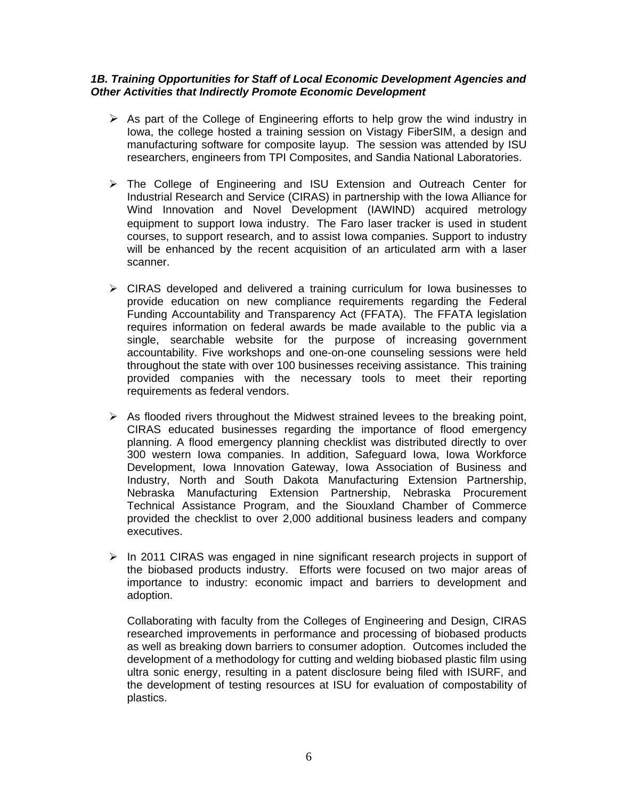#### 1B. Training Opportunities for Staff of Local Economic Development Agencies and *Other Activities that Indirectly Promote Economic Development*

- $\triangleright$  As part of the College of Engineering efforts to help grow the wind industry in Iowa, the college hosted a training session on Vistagy FiberSIM, a design and manufacturing software for composite layup. The session was attended by ISU researchers, engineers from TPI Composites, and Sandia National Laboratories.
- The College of Engineering and ISU Extension and Outreach Center for Industrial Research and Service (CIRAS) in partnership with the Iowa Alliance for Wind Innovation and Novel Development (IAWIND) acquired metrology equipment to support Iowa industry. The Faro laser tracker is used in student courses, to support research, and to assist Iowa companies. Support to industry will be enhanced by the recent acquisition of an articulated arm with a laser scanner.
- CIRAS developed and delivered a training curriculum for Iowa businesses to provide education on new compliance requirements regarding the Federal Funding Accountability and Transparency Act (FFATA). The FFATA legislation requires information on federal awards be made available to the public via a single, searchable website for the purpose of increasing government accountability. Five workshops and one-on-one counseling sessions were held throughout the state with over 100 businesses receiving assistance. This training provided companies with the necessary tools to meet their reporting requirements as federal vendors.
- $\triangleright$  As flooded rivers throughout the Midwest strained levees to the breaking point, CIRAS educated businesses regarding the importance of flood emergency planning. A flood emergency planning checklist was distributed directly to over 300 western Iowa companies. In addition, Safeguard Iowa, Iowa Workforce Development, Iowa Innovation Gateway, Iowa Association of Business and Industry, North and South Dakota Manufacturing Extension Partnership, Nebraska Manufacturing Extension Partnership, Nebraska Procurement Technical Assistance Program, and the Siouxland Chamber of Commerce provided the checklist to over 2,000 additional business leaders and company executives.
- $\triangleright$  In 2011 CIRAS was engaged in nine significant research projects in support of the biobased products industry. Efforts were focused on two major areas of importance to industry: economic impact and barriers to development and adoption.

Collaborating with faculty from the Colleges of Engineering and Design, CIRAS researched improvements in performance and processing of biobased products as well as breaking down barriers to consumer adoption. Outcomes included the development of a methodology for cutting and welding biobased plastic film using ultra sonic energy, resulting in a patent disclosure being filed with ISURF, and the development of testing resources at ISU for evaluation of compostability of plastics.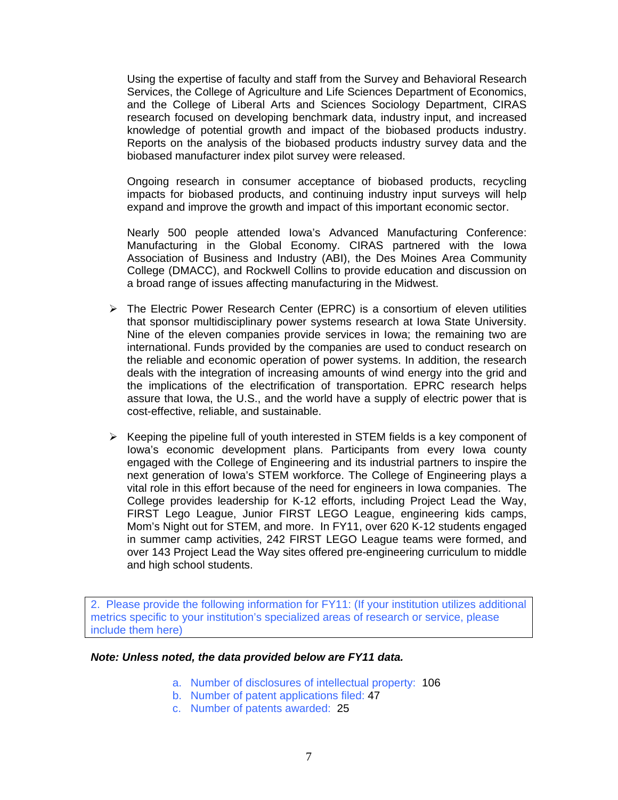Using the expertise of faculty and staff from the Survey and Behavioral Research Services, the College of Agriculture and Life Sciences Department of Economics, and the College of Liberal Arts and Sciences Sociology Department, CIRAS research focused on developing benchmark data, industry input, and increased knowledge of potential growth and impact of the biobased products industry. Reports on the analysis of the biobased products industry survey data and the biobased manufacturer index pilot survey were released.

Ongoing research in consumer acceptance of biobased products, recycling impacts for biobased products, and continuing industry input surveys will help expand and improve the growth and impact of this important economic sector.

Nearly 500 people attended Iowa's Advanced Manufacturing Conference: Manufacturing in the Global Economy. CIRAS partnered with the Iowa Association of Business and Industry (ABI), the Des Moines Area Community College (DMACC), and Rockwell Collins to provide education and discussion on a broad range of issues affecting manufacturing in the Midwest.

- $\triangleright$  The Electric Power Research Center (EPRC) is a consortium of eleven utilities that sponsor multidisciplinary power systems research at Iowa State University. Nine of the eleven companies provide services in Iowa; the remaining two are international. Funds provided by the companies are used to conduct research on the reliable and economic operation of power systems. In addition, the research deals with the integration of increasing amounts of wind energy into the grid and the implications of the electrification of transportation. EPRC research helps assure that Iowa, the U.S., and the world have a supply of electric power that is cost-effective, reliable, and sustainable.
- $\triangleright$  Keeping the pipeline full of youth interested in STEM fields is a key component of Iowa's economic development plans. Participants from every Iowa county engaged with the College of Engineering and its industrial partners to inspire the next generation of Iowa's STEM workforce. The College of Engineering plays a vital role in this effort because of the need for engineers in Iowa companies. The College provides leadership for K-12 efforts, including Project Lead the Way, FIRST Lego League, Junior FIRST LEGO League, engineering kids camps, Mom's Night out for STEM, and more. In FY11, over 620 K-12 students engaged in summer camp activities, 242 FIRST LEGO League teams were formed, and over 143 Project Lead the Way sites offered pre-engineering curriculum to middle and high school students.

2. Please provide the following information for FY11: (If your institution utilizes additional metrics specific to your institution's specialized areas of research or service, please include them here)

#### *Note: Unless noted, the data provided below are FY11 data.*

- a. Number of disclosures of intellectual property: 106
- b. Number of patent applications filed: 47
- c. Number of patents awarded: 25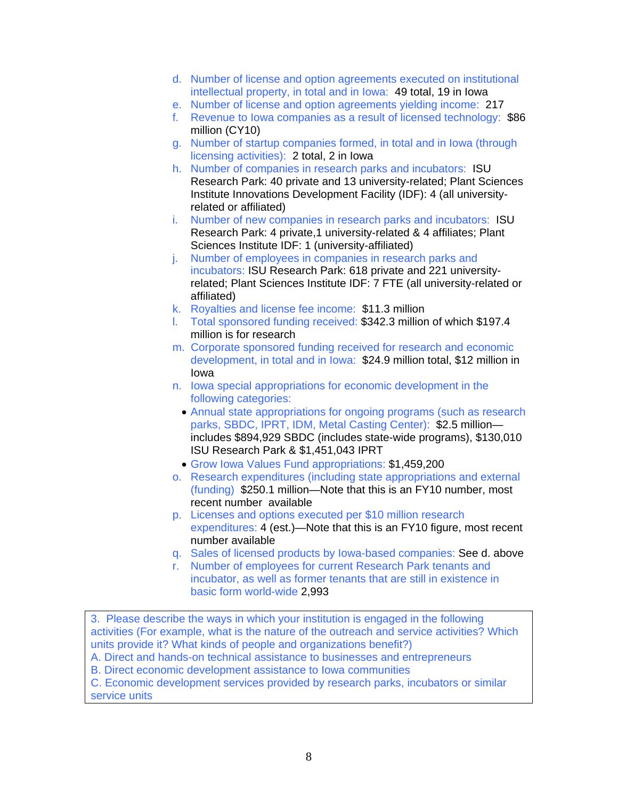- d. Number of license and option agreements executed on institutional intellectual property, in total and in Iowa: 49 total, 19 in Iowa
- e. Number of license and option agreements yielding income: 217
- f. Revenue to Iowa companies as a result of licensed technology: \$86 million (CY10)
- g. Number of startup companies formed, in total and in Iowa (through licensing activities): 2 total, 2 in Iowa
- h. Number of companies in research parks and incubators: ISU Research Park: 40 private and 13 university-related; Plant Sciences Institute Innovations Development Facility (IDF): 4 (all universityrelated or affiliated)
- i. Number of new companies in research parks and incubators: ISU Research Park: 4 private,1 university-related & 4 affiliates; Plant Sciences Institute IDF: 1 (university-affiliated)
- j. Number of employees in companies in research parks and incubators: ISU Research Park: 618 private and 221 universityrelated; Plant Sciences Institute IDF: 7 FTE (all university-related or affiliated)
- k. Royalties and license fee income: \$11.3 million
- l. Total sponsored funding received: \$342.3 million of which \$197.4 million is for research
- m. Corporate sponsored funding received for research and economic development, in total and in Iowa: \$24.9 million total, \$12 million in Iowa
- n. Iowa special appropriations for economic development in the following categories:
	- Annual state appropriations for ongoing programs (such as research parks, SBDC, IPRT, IDM, Metal Casting Center): \$2.5 million includes \$894,929 SBDC (includes state-wide programs), \$130,010 ISU Research Park & \$1,451,043 IPRT
- Grow Iowa Values Fund appropriations: \$1,459,200
- o. Research expenditures (including state appropriations and external (funding) \$250.1 million—Note that this is an FY10 number, most recent number available
- p. Licenses and options executed per \$10 million research expenditures: 4 (est.)—Note that this is an FY10 figure, most recent number available
- q. Sales of licensed products by Iowa-based companies: See d. above
- r. Number of employees for current Research Park tenants and incubator, as well as former tenants that are still in existence in basic form world-wide 2,993

3. Please describe the ways in which your institution is engaged in the following activities (For example, what is the nature of the outreach and service activities? Which units provide it? What kinds of people and organizations benefit?)

A. Direct and hands-on technical assistance to businesses and entrepreneurs

B. Direct economic development assistance to Iowa communities

C. Economic development services provided by research parks, incubators or similar service units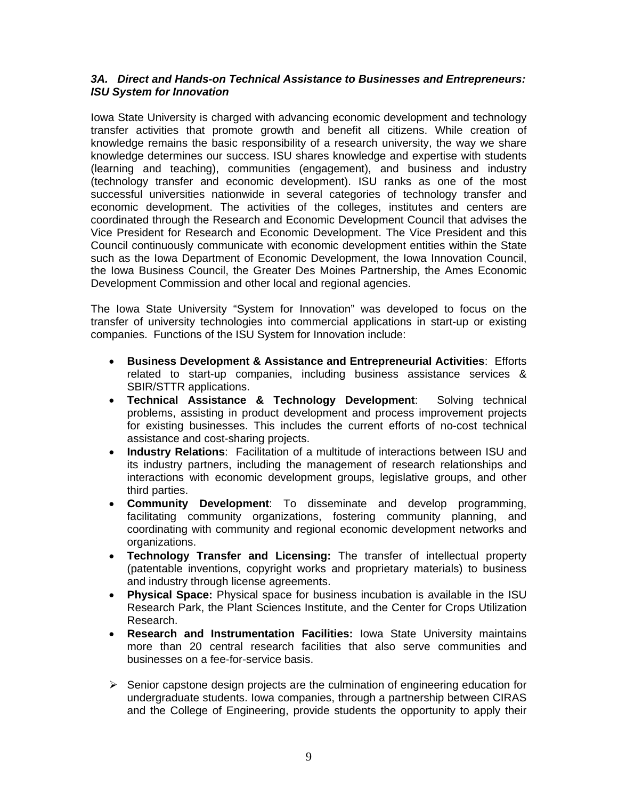#### *3A. Direct and Hands-on Technical Assistance to Businesses and Entrepreneurs: ISU System for Innovation*

Iowa State University is charged with advancing economic development and technology transfer activities that promote growth and benefit all citizens. While creation of knowledge remains the basic responsibility of a research university, the way we share knowledge determines our success. ISU shares knowledge and expertise with students (learning and teaching), communities (engagement), and business and industry (technology transfer and economic development). ISU ranks as one of the most successful universities nationwide in several categories of technology transfer and economic development. The activities of the colleges, institutes and centers are coordinated through the Research and Economic Development Council that advises the Vice President for Research and Economic Development. The Vice President and this Council continuously communicate with economic development entities within the State such as the Iowa Department of Economic Development, the Iowa Innovation Council, the Iowa Business Council, the Greater Des Moines Partnership, the Ames Economic Development Commission and other local and regional agencies.

The Iowa State University "System for Innovation" was developed to focus on the transfer of university technologies into commercial applications in start-up or existing companies. Functions of the ISU System for Innovation include:

- **Business Development & Assistance and Entrepreneurial Activities**: Efforts related to start-up companies, including business assistance services & SBIR/STTR applications.
- **Technical Assistance & Technology Development**: Solving technical problems, assisting in product development and process improvement projects for existing businesses. This includes the current efforts of no-cost technical assistance and cost-sharing projects.
- **Industry Relations**: Facilitation of a multitude of interactions between ISU and its industry partners, including the management of research relationships and interactions with economic development groups, legislative groups, and other third parties.
- **Community Development**: To disseminate and develop programming, facilitating community organizations, fostering community planning, and coordinating with community and regional economic development networks and organizations.
- **Technology Transfer and Licensing:** The transfer of intellectual property (patentable inventions, copyright works and proprietary materials) to business and industry through license agreements.
- **Physical Space:** Physical space for business incubation is available in the ISU Research Park, the Plant Sciences Institute, and the Center for Crops Utilization Research.
- **Research and Instrumentation Facilities:** Iowa State University maintains more than 20 central research facilities that also serve communities and businesses on a fee-for-service basis.
- $\triangleright$  Senior capstone design projects are the culmination of engineering education for undergraduate students. Iowa companies, through a partnership between CIRAS and the College of Engineering, provide students the opportunity to apply their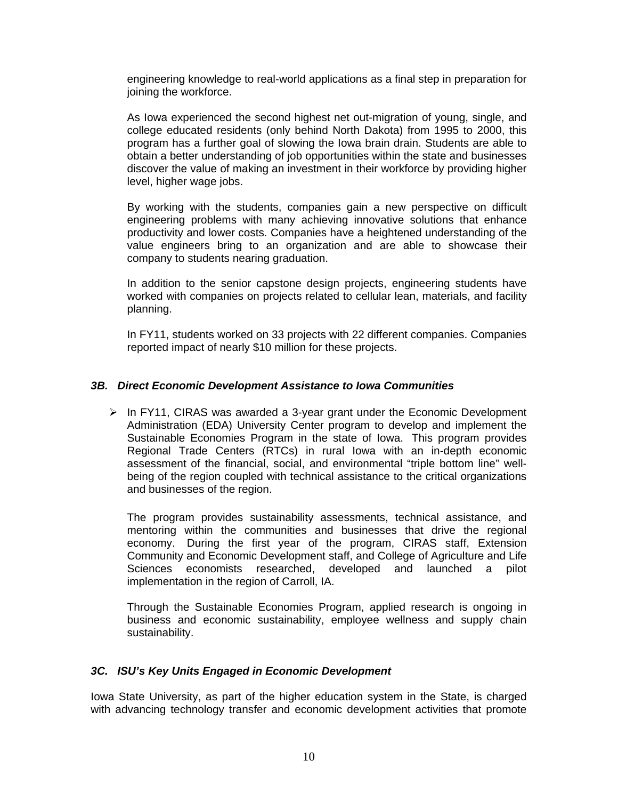engineering knowledge to real-world applications as a final step in preparation for joining the workforce.

As Iowa experienced the second highest net out-migration of young, single, and college educated residents (only behind North Dakota) from 1995 to 2000, this program has a further goal of slowing the Iowa brain drain. Students are able to obtain a better understanding of job opportunities within the state and businesses discover the value of making an investment in their workforce by providing higher level, higher wage jobs.

By working with the students, companies gain a new perspective on difficult engineering problems with many achieving innovative solutions that enhance productivity and lower costs. Companies have a heightened understanding of the value engineers bring to an organization and are able to showcase their company to students nearing graduation.

In addition to the senior capstone design projects, engineering students have worked with companies on projects related to cellular lean, materials, and facility planning.

In FY11, students worked on 33 projects with 22 different companies. Companies reported impact of nearly \$10 million for these projects.

#### *3B. Direct Economic Development Assistance to Iowa Communities*

 $\triangleright$  In FY11, CIRAS was awarded a 3-year grant under the Economic Development Administration (EDA) University Center program to develop and implement the Sustainable Economies Program in the state of Iowa. This program provides Regional Trade Centers (RTCs) in rural Iowa with an in-depth economic assessment of the financial, social, and environmental "triple bottom line" wellbeing of the region coupled with technical assistance to the critical organizations and businesses of the region.

The program provides sustainability assessments, technical assistance, and mentoring within the communities and businesses that drive the regional economy. During the first year of the program, CIRAS staff, Extension Community and Economic Development staff, and College of Agriculture and Life Sciences economists researched, developed and launched a pilot implementation in the region of Carroll, IA.

Through the Sustainable Economies Program, applied research is ongoing in business and economic sustainability, employee wellness and supply chain sustainability.

#### *3C. ISU's Key Units Engaged in Economic Development*

Iowa State University, as part of the higher education system in the State, is charged with advancing technology transfer and economic development activities that promote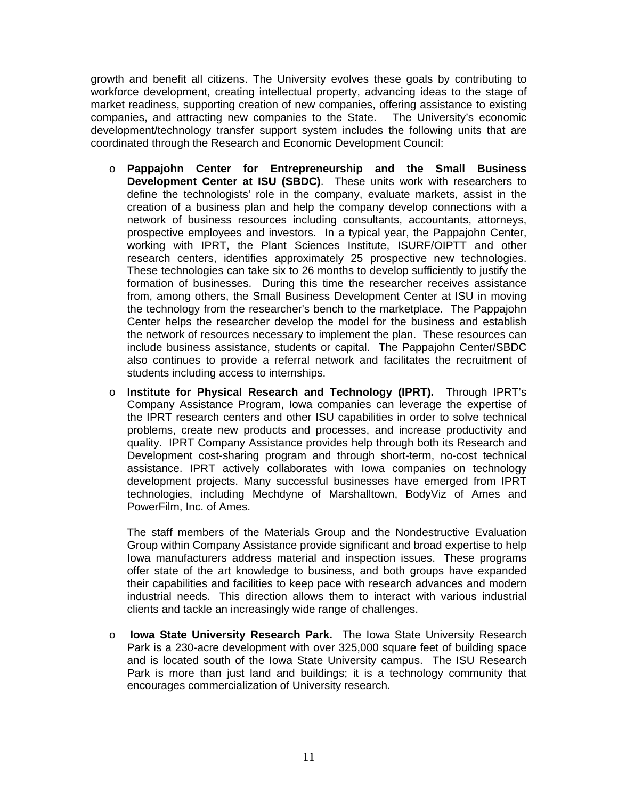growth and benefit all citizens. The University evolves these goals by contributing to workforce development, creating intellectual property, advancing ideas to the stage of market readiness, supporting creation of new companies, offering assistance to existing companies, and attracting new companies to the State. The University's economic development/technology transfer support system includes the following units that are coordinated through the Research and Economic Development Council:

- o **Pappajohn Center for Entrepreneurship and the Small Business Development Center at ISU (SBDC)**. These units work with researchers to define the technologists' role in the company, evaluate markets, assist in the creation of a business plan and help the company develop connections with a network of business resources including consultants, accountants, attorneys, prospective employees and investors. In a typical year, the Pappajohn Center, working with IPRT, the Plant Sciences Institute, ISURF/OIPTT and other research centers, identifies approximately 25 prospective new technologies. These technologies can take six to 26 months to develop sufficiently to justify the formation of businesses. During this time the researcher receives assistance from, among others, the Small Business Development Center at ISU in moving the technology from the researcher's bench to the marketplace. The Pappajohn Center helps the researcher develop the model for the business and establish the network of resources necessary to implement the plan. These resources can include business assistance, students or capital. The Pappajohn Center/SBDC also continues to provide a referral network and facilitates the recruitment of students including access to internships.
- o **Institute for Physical Research and Technology (IPRT).** Through IPRT's Company Assistance Program, Iowa companies can leverage the expertise of the IPRT research centers and other ISU capabilities in order to solve technical problems, create new products and processes, and increase productivity and quality. IPRT Company Assistance provides help through both its Research and Development cost-sharing program and through short-term, no-cost technical assistance. IPRT actively collaborates with Iowa companies on technology development projects. Many successful businesses have emerged from IPRT technologies, including Mechdyne of Marshalltown, BodyViz of Ames and PowerFilm, Inc. of Ames.

The staff members of the Materials Group and the Nondestructive Evaluation Group within Company Assistance provide significant and broad expertise to help Iowa manufacturers address material and inspection issues. These programs offer state of the art knowledge to business, and both groups have expanded their capabilities and facilities to keep pace with research advances and modern industrial needs. This direction allows them to interact with various industrial clients and tackle an increasingly wide range of challenges.

o **Iowa State University Research Park.** The Iowa State University Research Park is a 230-acre development with over 325,000 square feet of building space and is located south of the Iowa State University campus. The ISU Research Park is more than just land and buildings; it is a technology community that encourages commercialization of University research.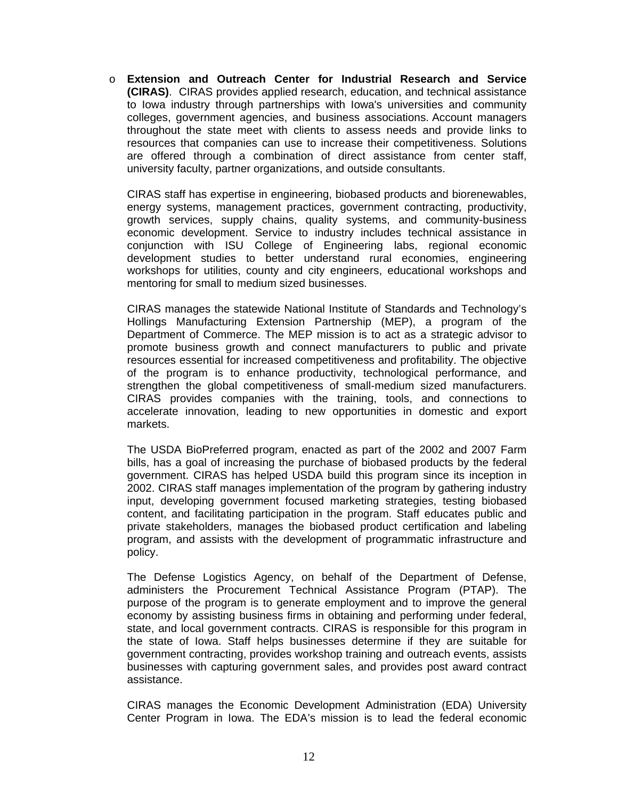o **Extension and Outreach Center for Industrial Research and Service (CIRAS)**. CIRAS provides applied research, education, and technical assistance to Iowa industry through partnerships with Iowa's universities and community colleges, government agencies, and business associations. Account managers throughout the state meet with clients to assess needs and provide links to resources that companies can use to increase their competitiveness. Solutions are offered through a combination of direct assistance from center staff, university faculty, partner organizations, and outside consultants.

CIRAS staff has expertise in engineering, biobased products and biorenewables, energy systems, management practices, government contracting, productivity, growth services, supply chains, quality systems, and community-business economic development. Service to industry includes technical assistance in conjunction with ISU College of Engineering labs, regional economic development studies to better understand rural economies, engineering workshops for utilities, county and city engineers, educational workshops and mentoring for small to medium sized businesses.

CIRAS manages the statewide National Institute of Standards and Technology's Hollings Manufacturing Extension Partnership (MEP), a program of the Department of Commerce. The MEP mission is to act as a strategic advisor to promote business growth and connect manufacturers to public and private resources essential for increased competitiveness and profitability. The objective of the program is to enhance productivity, technological performance, and strengthen the global competitiveness of small-medium sized manufacturers. CIRAS provides companies with the training, tools, and connections to accelerate innovation, leading to new opportunities in domestic and export markets.

The USDA BioPreferred program, enacted as part of the 2002 and 2007 Farm bills, has a goal of increasing the purchase of biobased products by the federal government. CIRAS has helped USDA build this program since its inception in 2002. CIRAS staff manages implementation of the program by gathering industry input, developing government focused marketing strategies, testing biobased content, and facilitating participation in the program. Staff educates public and private stakeholders, manages the biobased product certification and labeling program, and assists with the development of programmatic infrastructure and policy.

The Defense Logistics Agency, on behalf of the Department of Defense, administers the Procurement Technical Assistance Program (PTAP). The purpose of the program is to generate employment and to improve the general economy by assisting business firms in obtaining and performing under federal, state, and local government contracts. CIRAS is responsible for this program in the state of Iowa. Staff helps businesses determine if they are suitable for government contracting, provides workshop training and outreach events, assists businesses with capturing government sales, and provides post award contract assistance.

CIRAS manages the Economic Development Administration (EDA) University Center Program in Iowa. The EDA's mission is to lead the federal economic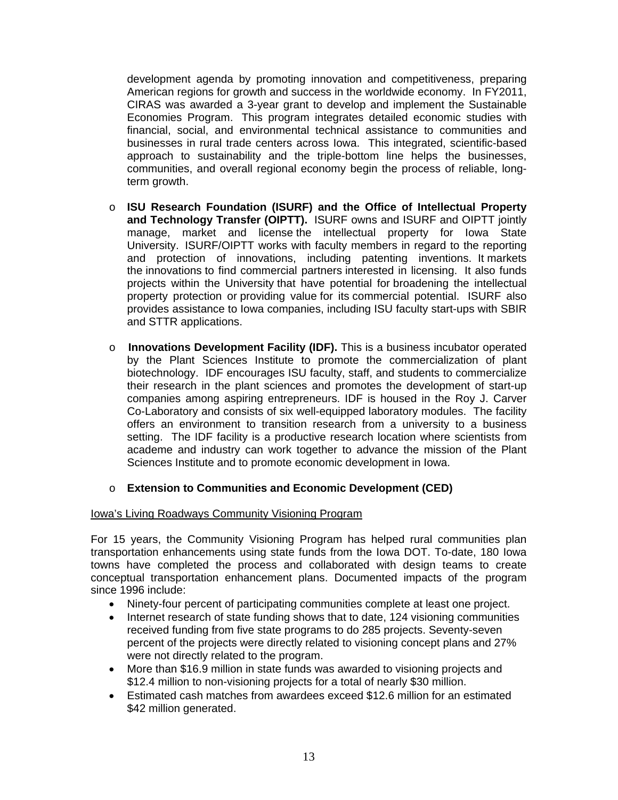development agenda by promoting innovation and competitiveness, preparing American regions for growth and success in the worldwide economy. In FY2011, CIRAS was awarded a 3-year grant to develop and implement the Sustainable Economies Program. This program integrates detailed economic studies with financial, social, and environmental technical assistance to communities and businesses in rural trade centers across Iowa. This integrated, scientific-based approach to sustainability and the triple-bottom line helps the businesses, communities, and overall regional economy begin the process of reliable, longterm growth.

- o **ISU Research Foundation (ISURF) and the Office of Intellectual Property and Technology Transfer (OIPTT).** ISURF owns and ISURF and OIPTT jointly manage, market and license the intellectual property for Iowa State University. ISURF/OIPTT works with faculty members in regard to the reporting and protection of innovations, including patenting inventions. It markets the innovations to find commercial partners interested in licensing. It also funds projects within the University that have potential for broadening the intellectual property protection or providing value for its commercial potential. ISURF also provides assistance to Iowa companies, including ISU faculty start-ups with SBIR and STTR applications.
- o **Innovations Development Facility (IDF).** This is a business incubator operated by the Plant Sciences Institute to promote the commercialization of plant biotechnology. IDF encourages ISU faculty, staff, and students to commercialize their research in the plant sciences and promotes the development of start-up companies among aspiring entrepreneurs. IDF is housed in the Roy J. Carver Co-Laboratory and consists of six well-equipped laboratory modules. The facility offers an environment to transition research from a university to a business setting. The IDF facility is a productive research location where scientists from academe and industry can work together to advance the mission of the Plant Sciences Institute and to promote economic development in Iowa.

## o **Extension to Communities and Economic Development (CED)**

## Iowa's Living Roadways Community Visioning Program

For 15 years, the Community Visioning Program has helped rural communities plan transportation enhancements using state funds from the Iowa DOT. To-date, 180 Iowa towns have completed the process and collaborated with design teams to create conceptual transportation enhancement plans. Documented impacts of the program since 1996 include:

- Ninety-four percent of participating communities complete at least one project.
- Internet research of state funding shows that to date, 124 visioning communities received funding from five state programs to do 285 projects. Seventy-seven percent of the projects were directly related to visioning concept plans and 27% were not directly related to the program.
- More than \$16.9 million in state funds was awarded to visioning projects and \$12.4 million to non-visioning projects for a total of nearly \$30 million.
- Estimated cash matches from awardees exceed \$12.6 million for an estimated \$42 million generated.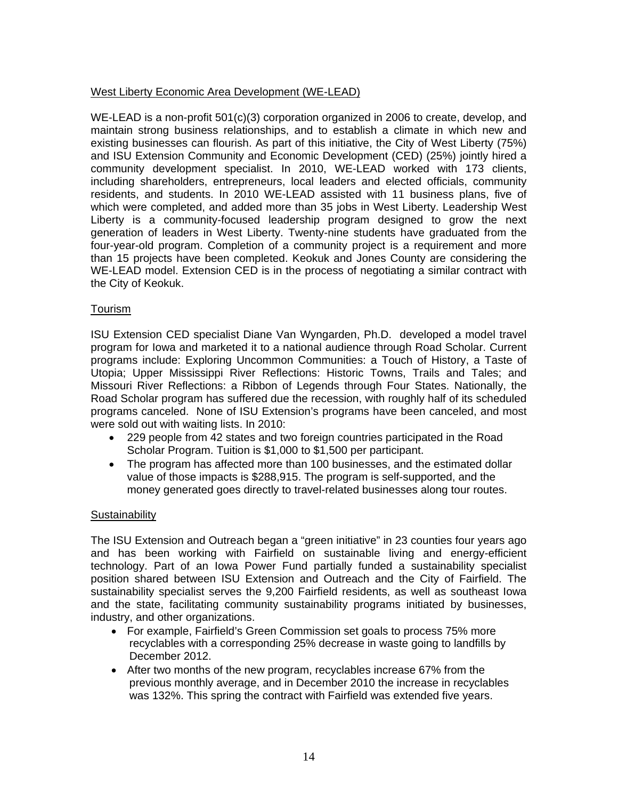## West Liberty Economic Area Development (WE-LEAD)

WE-LEAD is a non-profit 501(c)(3) corporation organized in 2006 to create, develop, and maintain strong business relationships, and to establish a climate in which new and existing businesses can flourish. As part of this initiative, the City of West Liberty (75%) and ISU Extension Community and Economic Development (CED) (25%) jointly hired a community development specialist. In 2010, WE-LEAD worked with 173 clients, including shareholders, entrepreneurs, local leaders and elected officials, community residents, and students. In 2010 WE-LEAD assisted with 11 business plans, five of which were completed, and added more than 35 jobs in West Liberty. Leadership West Liberty is a community-focused leadership program designed to grow the next generation of leaders in West Liberty. Twenty-nine students have graduated from the four-year-old program. Completion of a community project is a requirement and more than 15 projects have been completed. Keokuk and Jones County are considering the WE-LEAD model. Extension CED is in the process of negotiating a similar contract with the City of Keokuk.

## Tourism

ISU Extension CED specialist Diane Van Wyngarden, Ph.D. developed a model travel program for Iowa and marketed it to a national audience through Road Scholar. Current programs include: Exploring Uncommon Communities: a Touch of History, a Taste of Utopia; Upper Mississippi River Reflections: Historic Towns, Trails and Tales; and Missouri River Reflections: a Ribbon of Legends through Four States. Nationally, the Road Scholar program has suffered due the recession, with roughly half of its scheduled programs canceled. None of ISU Extension's programs have been canceled, and most were sold out with waiting lists. In 2010:

- 229 people from 42 states and two foreign countries participated in the Road Scholar Program. Tuition is \$1,000 to \$1,500 per participant.
- The program has affected more than 100 businesses, and the estimated dollar value of those impacts is \$288,915. The program is self-supported, and the money generated goes directly to travel-related businesses along tour routes.

## **Sustainability**

The ISU Extension and Outreach began a "green initiative" in 23 counties four years ago and has been working with Fairfield on sustainable living and energy-efficient technology. Part of an Iowa Power Fund partially funded a sustainability specialist position shared between ISU Extension and Outreach and the City of Fairfield. The sustainability specialist serves the 9,200 Fairfield residents, as well as southeast Iowa and the state, facilitating community sustainability programs initiated by businesses, industry, and other organizations.

- For example, Fairfield's Green Commission set goals to process 75% more recyclables with a corresponding 25% decrease in waste going to landfills by December 2012.
- After two months of the new program, recyclables increase 67% from the previous monthly average, and in December 2010 the increase in recyclables was 132%. This spring the contract with Fairfield was extended five years.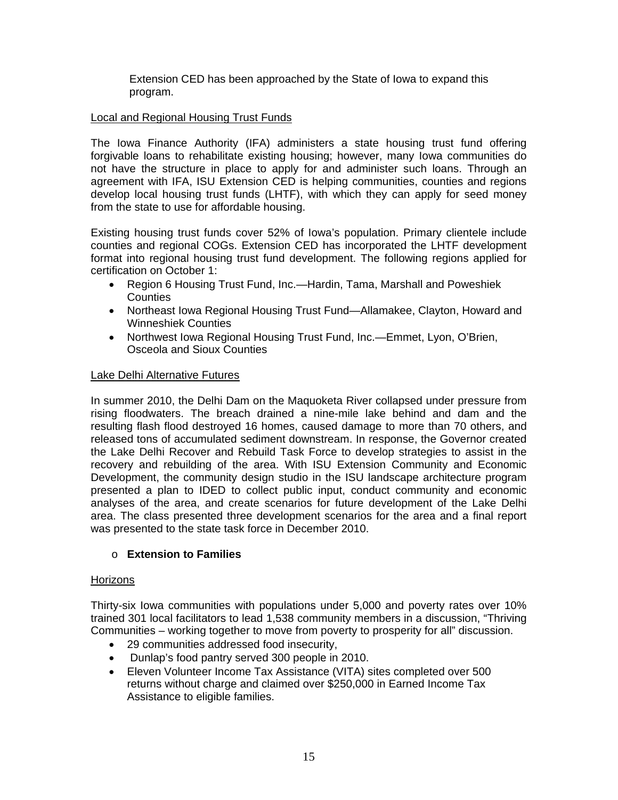Extension CED has been approached by the State of Iowa to expand this program.

## Local and Regional Housing Trust Funds

The Iowa Finance Authority (IFA) administers a state housing trust fund offering forgivable loans to rehabilitate existing housing; however, many Iowa communities do not have the structure in place to apply for and administer such loans. Through an agreement with IFA, ISU Extension CED is helping communities, counties and regions develop local housing trust funds (LHTF), with which they can apply for seed money from the state to use for affordable housing.

Existing housing trust funds cover 52% of Iowa's population. Primary clientele include counties and regional COGs. Extension CED has incorporated the LHTF development format into regional housing trust fund development. The following regions applied for certification on October 1:

- Region 6 Housing Trust Fund, Inc.—Hardin, Tama, Marshall and Poweshiek Counties
- Northeast Iowa Regional Housing Trust Fund—Allamakee, Clayton, Howard and Winneshiek Counties
- Northwest Iowa Regional Housing Trust Fund, Inc.—Emmet, Lyon, O'Brien, Osceola and Sioux Counties

## Lake Delhi Alternative Futures

In summer 2010, the Delhi Dam on the Maquoketa River collapsed under pressure from rising floodwaters. The breach drained a nine-mile lake behind and dam and the resulting flash flood destroyed 16 homes, caused damage to more than 70 others, and released tons of accumulated sediment downstream. In response, the Governor created the Lake Delhi Recover and Rebuild Task Force to develop strategies to assist in the recovery and rebuilding of the area. With ISU Extension Community and Economic Development, the community design studio in the ISU landscape architecture program presented a plan to IDED to collect public input, conduct community and economic analyses of the area, and create scenarios for future development of the Lake Delhi area. The class presented three development scenarios for the area and a final report was presented to the state task force in December 2010.

## o **Extension to Families**

## Horizons

Thirty-six Iowa communities with populations under 5,000 and poverty rates over 10% trained 301 local facilitators to lead 1,538 community members in a discussion, "Thriving Communities – working together to move from poverty to prosperity for all" discussion.

- 29 communities addressed food insecurity,
- Dunlap's food pantry served 300 people in 2010.
- Eleven Volunteer Income Tax Assistance (VITA) sites completed over 500 returns without charge and claimed over \$250,000 in Earned Income Tax Assistance to eligible families.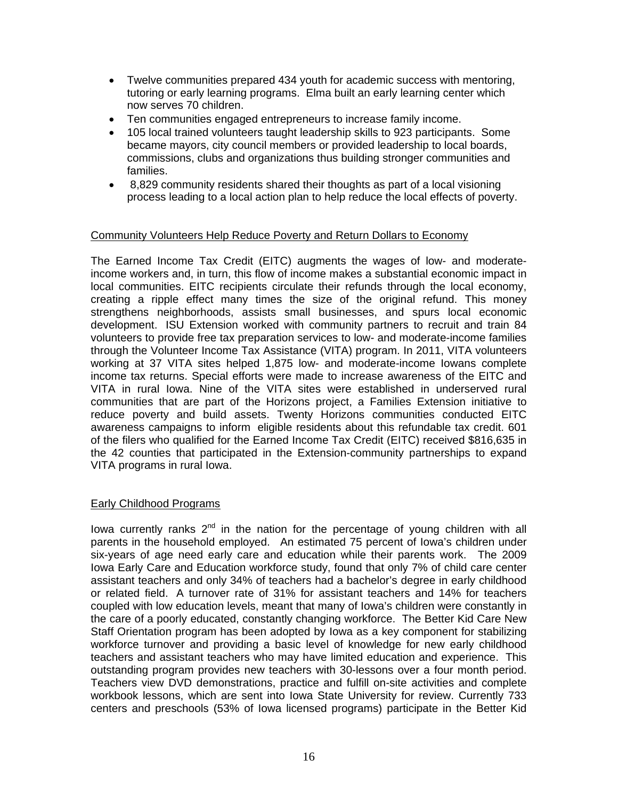- Twelve communities prepared 434 youth for academic success with mentoring, tutoring or early learning programs. Elma built an early learning center which now serves 70 children.
- Ten communities engaged entrepreneurs to increase family income.
- 105 local trained volunteers taught leadership skills to 923 participants. Some became mayors, city council members or provided leadership to local boards, commissions, clubs and organizations thus building stronger communities and families.
- 8,829 community residents shared their thoughts as part of a local visioning process leading to a local action plan to help reduce the local effects of poverty.

# Community Volunteers Help Reduce Poverty and Return Dollars to Economy

The Earned Income Tax Credit (EITC) augments the wages of low- and moderateincome workers and, in turn, this flow of income makes a substantial economic impact in local communities. EITC recipients circulate their refunds through the local economy, creating a ripple effect many times the size of the original refund. This money strengthens neighborhoods, assists small businesses, and spurs local economic development. ISU Extension worked with community partners to recruit and train 84 volunteers to provide free tax preparation services to low- and moderate-income families through the Volunteer Income Tax Assistance (VITA) program. In 2011, VITA volunteers working at 37 VITA sites helped 1,875 low- and moderate-income Iowans complete income tax returns. Special efforts were made to increase awareness of the EITC and VITA in rural Iowa. Nine of the VITA sites were established in underserved rural communities that are part of the Horizons project, a Families Extension initiative to reduce poverty and build assets. Twenty Horizons communities conducted EITC awareness campaigns to inform eligible residents about this refundable tax credit. 601 of the filers who qualified for the Earned Income Tax Credit (EITC) received \$816,635 in the 42 counties that participated in the Extension-community partnerships to expand VITA programs in rural Iowa.

# Early Childhood Programs

Iowa currently ranks  $2<sup>nd</sup>$  in the nation for the percentage of young children with all parents in the household employed. An estimated 75 percent of Iowa's children under six-years of age need early care and education while their parents work. The 2009 Iowa Early Care and Education workforce study, found that only 7% of child care center assistant teachers and only 34% of teachers had a bachelor's degree in early childhood or related field. A turnover rate of 31% for assistant teachers and 14% for teachers coupled with low education levels, meant that many of Iowa's children were constantly in the care of a poorly educated, constantly changing workforce. The Better Kid Care New Staff Orientation program has been adopted by Iowa as a key component for stabilizing workforce turnover and providing a basic level of knowledge for new early childhood teachers and assistant teachers who may have limited education and experience. This outstanding program provides new teachers with 30-lessons over a four month period. Teachers view DVD demonstrations, practice and fulfill on-site activities and complete workbook lessons, which are sent into Iowa State University for review. Currently 733 centers and preschools (53% of Iowa licensed programs) participate in the Better Kid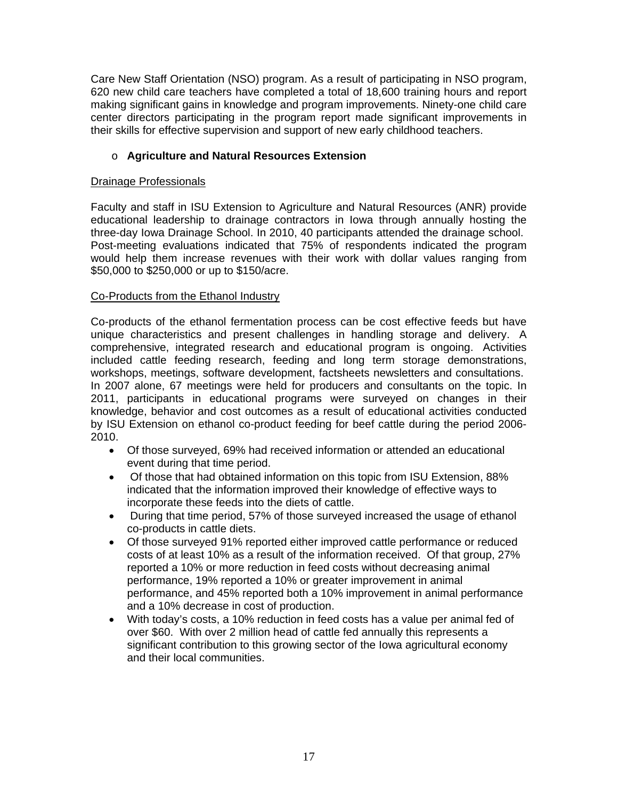Care New Staff Orientation (NSO) program. As a result of participating in NSO program, 620 new child care teachers have completed a total of 18,600 training hours and report making significant gains in knowledge and program improvements. Ninety-one child care center directors participating in the program report made significant improvements in their skills for effective supervision and support of new early childhood teachers.

# o **Agriculture and Natural Resources Extension**

# Drainage Professionals

Faculty and staff in ISU Extension to Agriculture and Natural Resources (ANR) provide educational leadership to drainage contractors in Iowa through annually hosting the three-day Iowa Drainage School. In 2010, 40 participants attended the drainage school. Post-meeting evaluations indicated that 75% of respondents indicated the program would help them increase revenues with their work with dollar values ranging from \$50,000 to \$250,000 or up to \$150/acre.

# Co-Products from the Ethanol Industry

Co-products of the ethanol fermentation process can be cost effective feeds but have unique characteristics and present challenges in handling storage and delivery. A comprehensive, integrated research and educational program is ongoing. Activities included cattle feeding research, feeding and long term storage demonstrations, workshops, meetings, software development, factsheets newsletters and consultations. In 2007 alone, 67 meetings were held for producers and consultants on the topic. In 2011, participants in educational programs were surveyed on changes in their knowledge, behavior and cost outcomes as a result of educational activities conducted by ISU Extension on ethanol co-product feeding for beef cattle during the period 2006- 2010.

- Of those surveyed, 69% had received information or attended an educational event during that time period.
- Of those that had obtained information on this topic from ISU Extension, 88% indicated that the information improved their knowledge of effective ways to incorporate these feeds into the diets of cattle.
- During that time period, 57% of those surveyed increased the usage of ethanol co-products in cattle diets.
- Of those surveyed 91% reported either improved cattle performance or reduced costs of at least 10% as a result of the information received. Of that group, 27% reported a 10% or more reduction in feed costs without decreasing animal performance, 19% reported a 10% or greater improvement in animal performance, and 45% reported both a 10% improvement in animal performance and a 10% decrease in cost of production.
- With today's costs, a 10% reduction in feed costs has a value per animal fed of over \$60. With over 2 million head of cattle fed annually this represents a significant contribution to this growing sector of the Iowa agricultural economy and their local communities.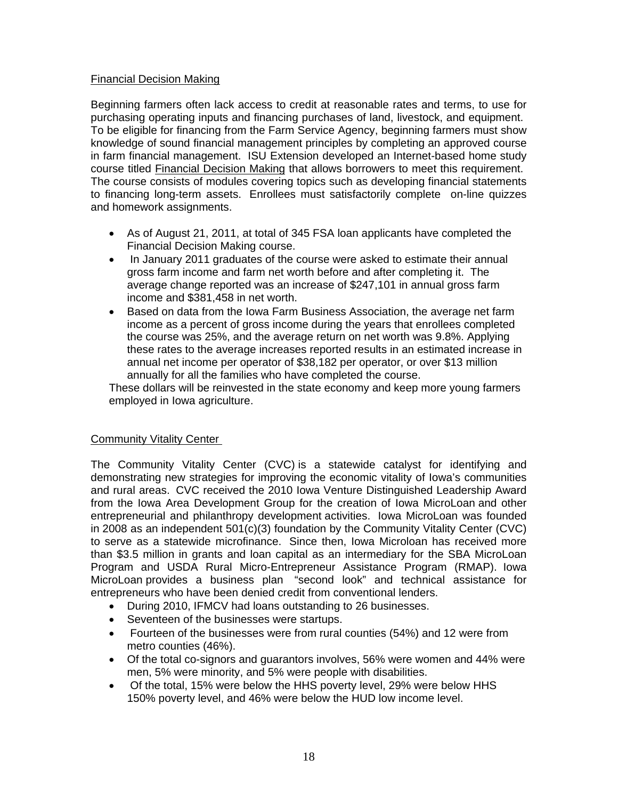# Financial Decision Making

Beginning farmers often lack access to credit at reasonable rates and terms, to use for purchasing operating inputs and financing purchases of land, livestock, and equipment. To be eligible for financing from the Farm Service Agency, beginning farmers must show knowledge of sound financial management principles by completing an approved course in farm financial management. ISU Extension developed an Internet-based home study course titled Financial Decision Making that allows borrowers to meet this requirement. The course consists of modules covering topics such as developing financial statements to financing long-term assets. Enrollees must satisfactorily complete on-line quizzes and homework assignments.

- As of August 21, 2011, at total of 345 FSA loan applicants have completed the Financial Decision Making course.
- In January 2011 graduates of the course were asked to estimate their annual gross farm income and farm net worth before and after completing it. The average change reported was an increase of \$247,101 in annual gross farm income and \$381,458 in net worth.
- Based on data from the Iowa Farm Business Association, the average net farm income as a percent of gross income during the years that enrollees completed the course was 25%, and the average return on net worth was 9.8%. Applying these rates to the average increases reported results in an estimated increase in annual net income per operator of \$38,182 per operator, or over \$13 million annually for all the families who have completed the course.

These dollars will be reinvested in the state economy and keep more young farmers employed in Iowa agriculture.

# Community Vitality Center

The Community Vitality Center (CVC) is a statewide catalyst for identifying and demonstrating new strategies for improving the economic vitality of Iowa's communities and rural areas. CVC received the 2010 Iowa Venture Distinguished Leadership Award from the Iowa Area Development Group for the creation of Iowa MicroLoan and other entrepreneurial and philanthropy development activities. Iowa MicroLoan was founded in 2008 as an independent 501(c)(3) foundation by the Community Vitality Center (CVC) to serve as a statewide microfinance. Since then, Iowa Microloan has received more than \$3.5 million in grants and loan capital as an intermediary for the SBA MicroLoan Program and USDA Rural Micro-Entrepreneur Assistance Program (RMAP). Iowa MicroLoan provides a business plan "second look" and technical assistance for entrepreneurs who have been denied credit from conventional lenders.

- During 2010, IFMCV had loans outstanding to 26 businesses.
- Seventeen of the businesses were startups.
- Fourteen of the businesses were from rural counties (54%) and 12 were from metro counties (46%).
- Of the total co-signors and guarantors involves, 56% were women and 44% were men, 5% were minority, and 5% were people with disabilities.
- Of the total, 15% were below the HHS poverty level, 29% were below HHS 150% poverty level, and 46% were below the HUD low income level.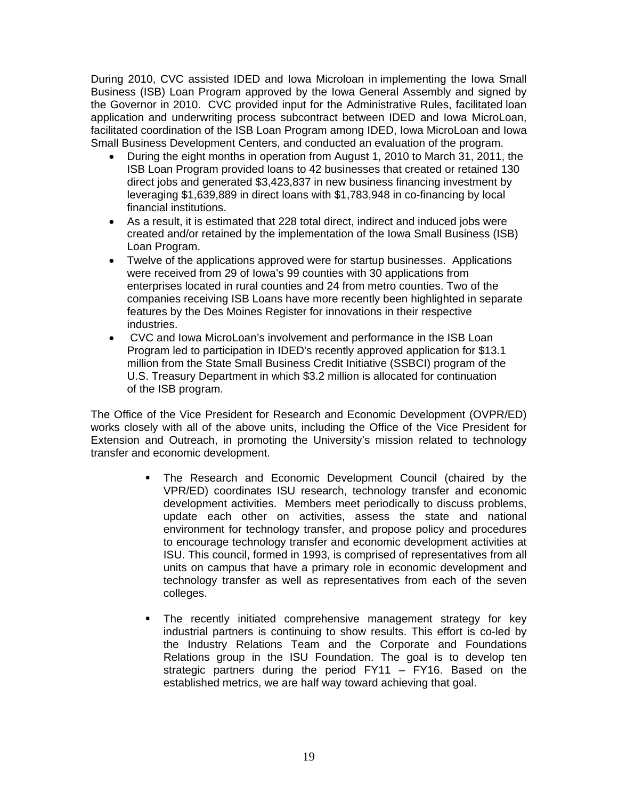During 2010, CVC assisted IDED and Iowa Microloan in implementing the Iowa Small Business (ISB) Loan Program approved by the Iowa General Assembly and signed by the Governor in 2010. CVC provided input for the Administrative Rules, facilitated loan application and underwriting process subcontract between IDED and Iowa MicroLoan, facilitated coordination of the ISB Loan Program among IDED, Iowa MicroLoan and Iowa Small Business Development Centers, and conducted an evaluation of the program.

- During the eight months in operation from August 1, 2010 to March 31, 2011, the ISB Loan Program provided loans to 42 businesses that created or retained 130 direct jobs and generated \$3,423,837 in new business financing investment by leveraging \$1,639,889 in direct loans with \$1,783,948 in co-financing by local financial institutions.
- As a result, it is estimated that 228 total direct, indirect and induced jobs were created and/or retained by the implementation of the Iowa Small Business (ISB) Loan Program.
- Twelve of the applications approved were for startup businesses. Applications were received from 29 of Iowa's 99 counties with 30 applications from enterprises located in rural counties and 24 from metro counties. Two of the companies receiving ISB Loans have more recently been highlighted in separate features by the Des Moines Register for innovations in their respective industries.
- CVC and Iowa MicroLoan's involvement and performance in the ISB Loan Program led to participation in IDED's recently approved application for \$13.1 million from the State Small Business Credit Initiative (SSBCI) program of the U.S. Treasury Department in which \$3.2 million is allocated for continuation of the ISB program.

The Office of the Vice President for Research and Economic Development (OVPR/ED) works closely with all of the above units, including the Office of the Vice President for Extension and Outreach, in promoting the University's mission related to technology transfer and economic development.

- The Research and Economic Development Council (chaired by the VPR/ED) coordinates ISU research, technology transfer and economic development activities. Members meet periodically to discuss problems, update each other on activities, assess the state and national environment for technology transfer, and propose policy and procedures to encourage technology transfer and economic development activities at ISU. This council, formed in 1993, is comprised of representatives from all units on campus that have a primary role in economic development and technology transfer as well as representatives from each of the seven colleges.
- The recently initiated comprehensive management strategy for key industrial partners is continuing to show results. This effort is co-led by the Industry Relations Team and the Corporate and Foundations Relations group in the ISU Foundation. The goal is to develop ten strategic partners during the period FY11 – FY16. Based on the established metrics, we are half way toward achieving that goal.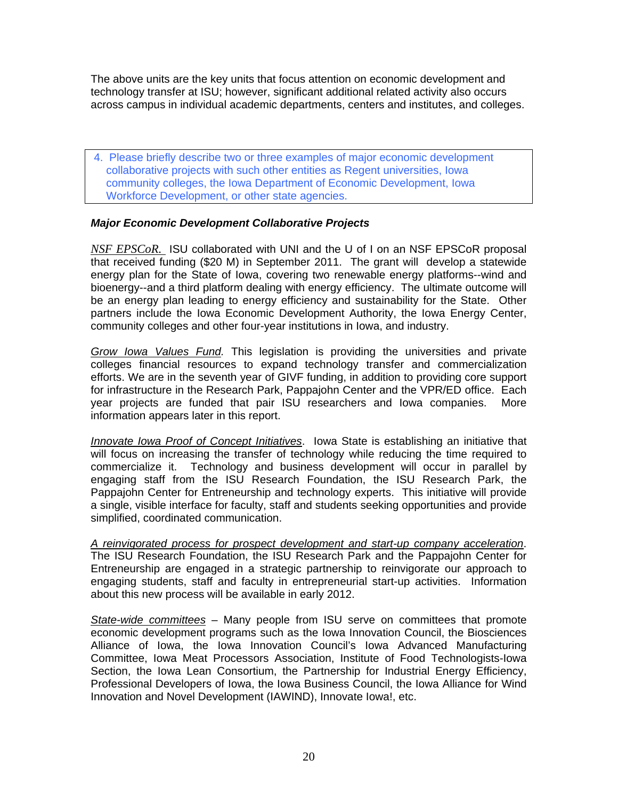The above units are the key units that focus attention on economic development and technology transfer at ISU; however, significant additional related activity also occurs across campus in individual academic departments, centers and institutes, and colleges.

4. Please briefly describe two or three examples of major economic development collaborative projects with such other entities as Regent universities, Iowa community colleges, the Iowa Department of Economic Development, Iowa Workforce Development, or other state agencies.

# *Major Economic Development Collaborative Projects*

*NSF EPSCoR.* ISU collaborated with UNI and the U of I on an NSF EPSCoR proposal that received funding (\$20 M) in September 2011. The grant will develop a statewide energy plan for the State of Iowa, covering two renewable energy platforms--wind and bioenergy--and a third platform dealing with energy efficiency. The ultimate outcome will be an energy plan leading to energy efficiency and sustainability for the State. Other partners include the Iowa Economic Development Authority, the Iowa Energy Center, community colleges and other four-year institutions in Iowa, and industry.

*Grow Iowa Values Fund.* This legislation is providing the universities and private colleges financial resources to expand technology transfer and commercialization efforts. We are in the seventh year of GIVF funding, in addition to providing core support for infrastructure in the Research Park, Pappajohn Center and the VPR/ED office. Each year projects are funded that pair ISU researchers and Iowa companies. More information appears later in this report.

*Innovate Iowa Proof of Concept Initiatives*. Iowa State is establishing an initiative that will focus on increasing the transfer of technology while reducing the time required to commercialize it. Technology and business development will occur in parallel by engaging staff from the ISU Research Foundation, the ISU Research Park, the Pappajohn Center for Entreneurship and technology experts. This initiative will provide a single, visible interface for faculty, staff and students seeking opportunities and provide simplified, coordinated communication.

*A reinvigorated process for prospect development and start-up company acceleration*. The ISU Research Foundation, the ISU Research Park and the Pappajohn Center for Entreneurship are engaged in a strategic partnership to reinvigorate our approach to engaging students, staff and faculty in entrepreneurial start-up activities. Information about this new process will be available in early 2012.

*State-wide committees* – Many people from ISU serve on committees that promote economic development programs such as the Iowa Innovation Council, the Biosciences Alliance of Iowa, the Iowa Innovation Council's Iowa Advanced Manufacturing Committee, Iowa Meat Processors Association, Institute of Food Technologists-Iowa Section, the Iowa Lean Consortium, the Partnership for Industrial Energy Efficiency, Professional Developers of Iowa, the Iowa Business Council, the Iowa Alliance for Wind Innovation and Novel Development (IAWIND), Innovate Iowa!, etc.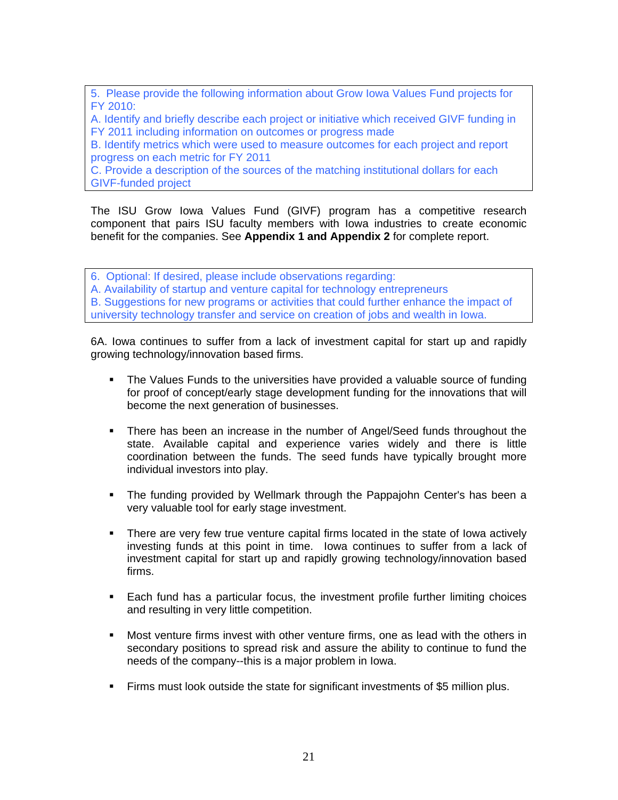5. Please provide the following information about Grow Iowa Values Fund projects for FY 2010:

A. Identify and briefly describe each project or initiative which received GIVF funding in FY 2011 including information on outcomes or progress made

B. Identify metrics which were used to measure outcomes for each project and report progress on each metric for FY 2011

C. Provide a description of the sources of the matching institutional dollars for each GIVF-funded project

The ISU Grow Iowa Values Fund (GIVF) program has a competitive research component that pairs ISU faculty members with Iowa industries to create economic benefit for the companies. See **Appendix 1 and Appendix 2** for complete report.

6. Optional: If desired, please include observations regarding: A. Availability of startup and venture capital for technology entrepreneurs B. Suggestions for new programs or activities that could further enhance the impact of university technology transfer and service on creation of jobs and wealth in Iowa.

6A. Iowa continues to suffer from a lack of investment capital for start up and rapidly growing technology/innovation based firms.

- The Values Funds to the universities have provided a valuable source of funding for proof of concept/early stage development funding for the innovations that will become the next generation of businesses.
- There has been an increase in the number of Angel/Seed funds throughout the state. Available capital and experience varies widely and there is little coordination between the funds. The seed funds have typically brought more individual investors into play.
- The funding provided by Wellmark through the Pappajohn Center's has been a very valuable tool for early stage investment.
- There are very few true venture capital firms located in the state of Iowa actively investing funds at this point in time. Iowa continues to suffer from a lack of investment capital for start up and rapidly growing technology/innovation based firms.
- Each fund has a particular focus, the investment profile further limiting choices and resulting in very little competition.
- Most venture firms invest with other venture firms, one as lead with the others in secondary positions to spread risk and assure the ability to continue to fund the needs of the company--this is a major problem in Iowa.
- Firms must look outside the state for significant investments of \$5 million plus.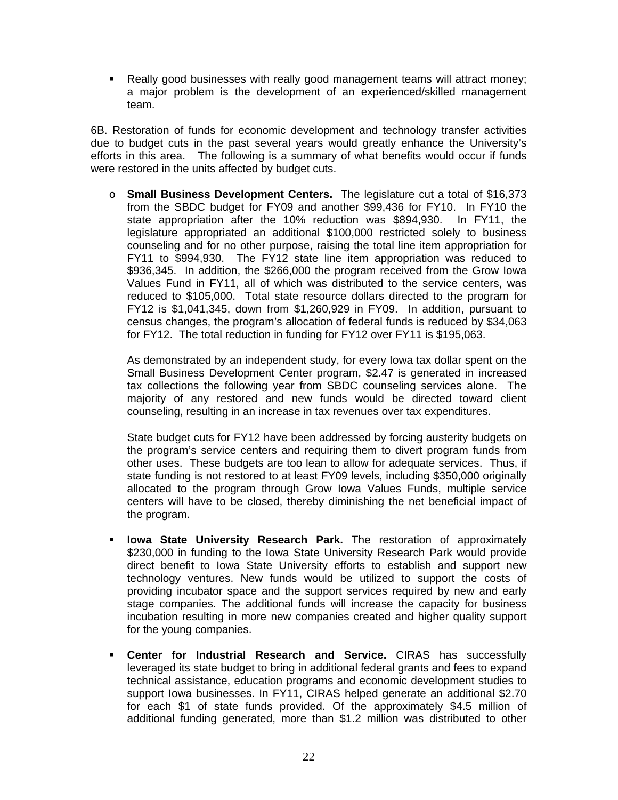Really good businesses with really good management teams will attract money; a major problem is the development of an experienced/skilled management team.

6B. Restoration of funds for economic development and technology transfer activities due to budget cuts in the past several years would greatly enhance the University's efforts in this area. The following is a summary of what benefits would occur if funds were restored in the units affected by budget cuts.

o **Small Business Development Centers.** The legislature cut a total of \$16,373 from the SBDC budget for FY09 and another \$99,436 for FY10. In FY10 the state appropriation after the 10% reduction was \$894,930. In FY11, the legislature appropriated an additional \$100,000 restricted solely to business counseling and for no other purpose, raising the total line item appropriation for FY11 to \$994,930. The FY12 state line item appropriation was reduced to \$936,345. In addition, the \$266,000 the program received from the Grow Iowa Values Fund in FY11, all of which was distributed to the service centers, was reduced to \$105,000. Total state resource dollars directed to the program for FY12 is \$1,041,345, down from \$1,260,929 in FY09. In addition, pursuant to census changes, the program's allocation of federal funds is reduced by \$34,063 for FY12. The total reduction in funding for FY12 over FY11 is \$195,063.

As demonstrated by an independent study, for every Iowa tax dollar spent on the Small Business Development Center program, \$2.47 is generated in increased tax collections the following year from SBDC counseling services alone. The majority of any restored and new funds would be directed toward client counseling, resulting in an increase in tax revenues over tax expenditures.

State budget cuts for FY12 have been addressed by forcing austerity budgets on the program's service centers and requiring them to divert program funds from other uses. These budgets are too lean to allow for adequate services. Thus, if state funding is not restored to at least FY09 levels, including \$350,000 originally allocated to the program through Grow Iowa Values Funds, multiple service centers will have to be closed, thereby diminishing the net beneficial impact of the program.

- **Iowa State University Research Park.** The restoration of approximately \$230,000 in funding to the Iowa State University Research Park would provide direct benefit to Iowa State University efforts to establish and support new technology ventures. New funds would be utilized to support the costs of providing incubator space and the support services required by new and early stage companies. The additional funds will increase the capacity for business incubation resulting in more new companies created and higher quality support for the young companies.
- **Center for Industrial Research and Service.** CIRAS has successfully leveraged its state budget to bring in additional federal grants and fees to expand technical assistance, education programs and economic development studies to support Iowa businesses. In FY11, CIRAS helped generate an additional \$2.70 for each \$1 of state funds provided. Of the approximately \$4.5 million of additional funding generated, more than \$1.2 million was distributed to other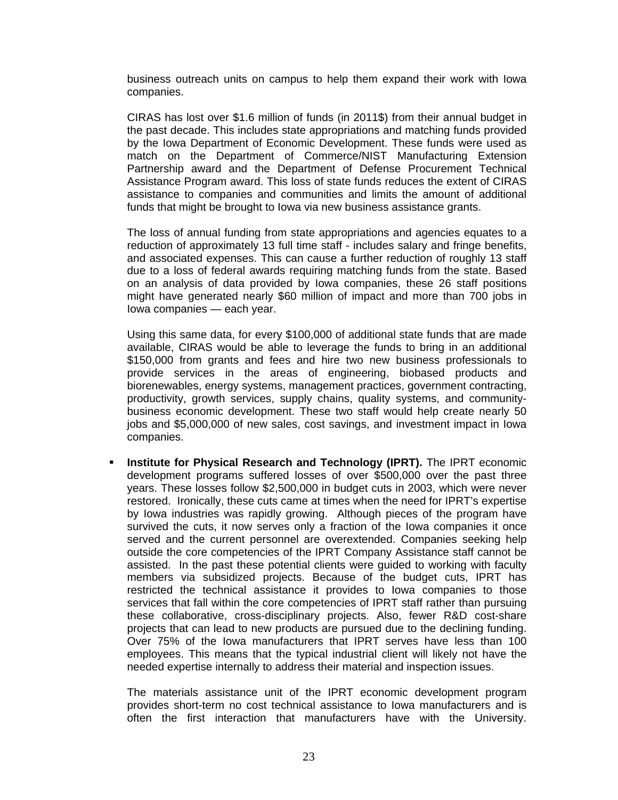business outreach units on campus to help them expand their work with Iowa companies.

CIRAS has lost over \$1.6 million of funds (in 2011\$) from their annual budget in the past decade. This includes state appropriations and matching funds provided by the Iowa Department of Economic Development. These funds were used as match on the Department of Commerce/NIST Manufacturing Extension Partnership award and the Department of Defense Procurement Technical Assistance Program award. This loss of state funds reduces the extent of CIRAS assistance to companies and communities and limits the amount of additional funds that might be brought to Iowa via new business assistance grants.

The loss of annual funding from state appropriations and agencies equates to a reduction of approximately 13 full time staff - includes salary and fringe benefits, and associated expenses. This can cause a further reduction of roughly 13 staff due to a loss of federal awards requiring matching funds from the state. Based on an analysis of data provided by Iowa companies, these 26 staff positions might have generated nearly \$60 million of impact and more than 700 jobs in Iowa companies — each year.

Using this same data, for every \$100,000 of additional state funds that are made available, CIRAS would be able to leverage the funds to bring in an additional \$150,000 from grants and fees and hire two new business professionals to provide services in the areas of engineering, biobased products and biorenewables, energy systems, management practices, government contracting, productivity, growth services, supply chains, quality systems, and communitybusiness economic development. These two staff would help create nearly 50 jobs and \$5,000,000 of new sales, cost savings, and investment impact in Iowa companies.

**Institute for Physical Research and Technology (IPRT).** The IPRT economic development programs suffered losses of over \$500,000 over the past three years. These losses follow \$2,500,000 in budget cuts in 2003, which were never restored. Ironically, these cuts came at times when the need for IPRT's expertise by Iowa industries was rapidly growing. Although pieces of the program have survived the cuts, it now serves only a fraction of the Iowa companies it once served and the current personnel are overextended. Companies seeking help outside the core competencies of the IPRT Company Assistance staff cannot be assisted. In the past these potential clients were guided to working with faculty members via subsidized projects. Because of the budget cuts, IPRT has restricted the technical assistance it provides to Iowa companies to those services that fall within the core competencies of IPRT staff rather than pursuing these collaborative, cross-disciplinary projects. Also, fewer R&D cost-share projects that can lead to new products are pursued due to the declining funding. Over 75% of the Iowa manufacturers that IPRT serves have less than 100 employees. This means that the typical industrial client will likely not have the needed expertise internally to address their material and inspection issues.

The materials assistance unit of the IPRT economic development program provides short-term no cost technical assistance to Iowa manufacturers and is often the first interaction that manufacturers have with the University.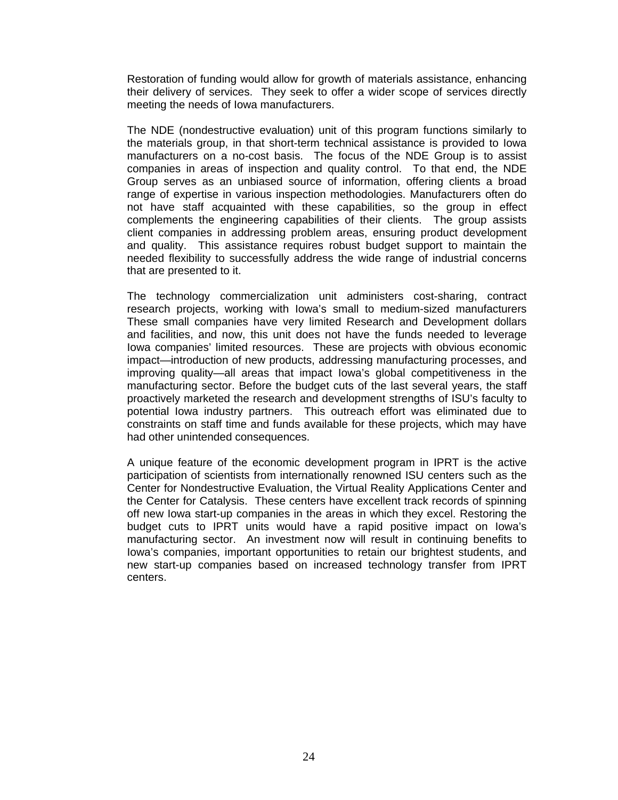Restoration of funding would allow for growth of materials assistance, enhancing their delivery of services. They seek to offer a wider scope of services directly meeting the needs of Iowa manufacturers.

The NDE (nondestructive evaluation) unit of this program functions similarly to the materials group, in that short-term technical assistance is provided to Iowa manufacturers on a no-cost basis. The focus of the NDE Group is to assist companies in areas of inspection and quality control. To that end, the NDE Group serves as an unbiased source of information, offering clients a broad range of expertise in various inspection methodologies. Manufacturers often do not have staff acquainted with these capabilities, so the group in effect complements the engineering capabilities of their clients. The group assists client companies in addressing problem areas, ensuring product development and quality. This assistance requires robust budget support to maintain the needed flexibility to successfully address the wide range of industrial concerns that are presented to it.

The technology commercialization unit administers cost-sharing, contract research projects, working with Iowa's small to medium-sized manufacturers These small companies have very limited Research and Development dollars and facilities, and now, this unit does not have the funds needed to leverage Iowa companies' limited resources. These are projects with obvious economic impact—introduction of new products, addressing manufacturing processes, and improving quality—all areas that impact Iowa's global competitiveness in the manufacturing sector. Before the budget cuts of the last several years, the staff proactively marketed the research and development strengths of ISU's faculty to potential Iowa industry partners. This outreach effort was eliminated due to constraints on staff time and funds available for these projects, which may have had other unintended consequences.

A unique feature of the economic development program in IPRT is the active participation of scientists from internationally renowned ISU centers such as the Center for Nondestructive Evaluation, the Virtual Reality Applications Center and the Center for Catalysis. These centers have excellent track records of spinning off new Iowa start-up companies in the areas in which they excel. Restoring the budget cuts to IPRT units would have a rapid positive impact on Iowa's manufacturing sector. An investment now will result in continuing benefits to Iowa's companies, important opportunities to retain our brightest students, and new start-up companies based on increased technology transfer from IPRT centers.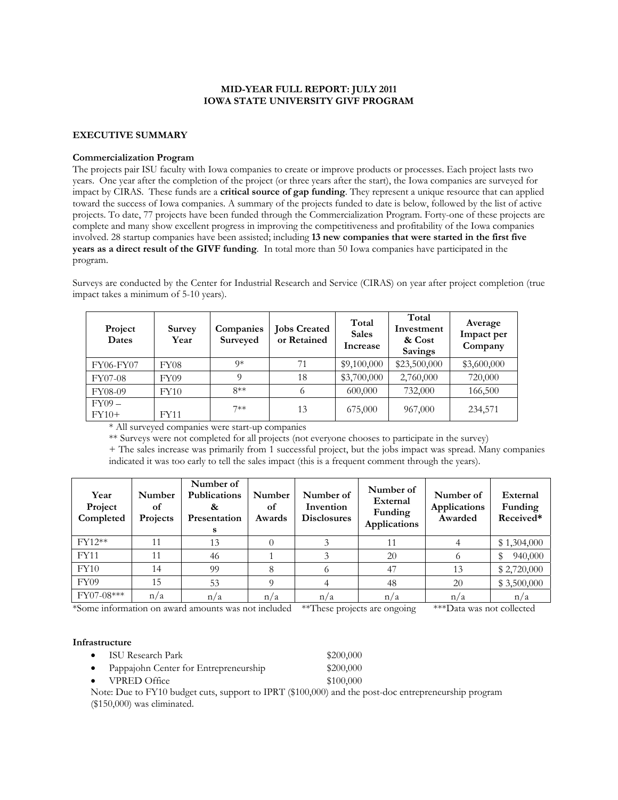## **MID-YEAR FULL REPORT: JULY 2011 IOWA STATE UNIVERSITY GIVF PROGRAM**

#### **EXECUTIVE SUMMARY**

#### **Commercialization Program**

The projects pair ISU faculty with Iowa companies to create or improve products or processes. Each project lasts two years. One year after the completion of the project (or three years after the start), the Iowa companies are surveyed for impact by CIRAS. These funds are a **critical source of gap funding**. They represent a unique resource that can applied toward the success of Iowa companies. A summary of the projects funded to date is below, followed by the list of active projects. To date, 77 projects have been funded through the Commercialization Program. Forty-one of these projects are complete and many show excellent progress in improving the competitiveness and profitability of the Iowa companies involved. 28 startup companies have been assisted; including **13 new companies that were started in the first five years as a direct result of the GIVF funding**. In total more than 50 Iowa companies have participated in the program.

Surveys are conducted by the Center for Industrial Research and Service (CIRAS) on year after project completion (true impact takes a minimum of 5-10 years).

| Project<br>Dates   | Survey<br>Year | Companies<br>Surveyed | <b>Jobs Created</b><br>or Retained | Total<br><b>Sales</b><br>Increase | Total<br>Investment<br>& Cost<br><b>Savings</b> | Average<br>Impact per<br>Company |
|--------------------|----------------|-----------------------|------------------------------------|-----------------------------------|-------------------------------------------------|----------------------------------|
| FY06-FY07          | FY08           | $Q*$                  |                                    | \$9,100,000                       | \$23,500,000                                    | \$3,600,000                      |
| FY07-08            | FY09           | 9                     | 18                                 | \$3,700,000                       | 2,760,000                                       | 720,000                          |
| FY08-09            | FY10           | $8**$                 | 6                                  | 600,000                           | 732,000                                         | 166,500                          |
| $FY09-$<br>$FY10+$ | <b>FY11</b>    | $7**$                 | 13                                 | 675,000                           | 967,000                                         | 234,571                          |

\* All surveyed companies were start-up companies

\*\* Surveys were not completed for all projects (not everyone chooses to participate in the survey)

+ The sales increase was primarily from 1 successful project, but the jobs impact was spread. Many companies indicated it was too early to tell the sales impact (this is a frequent comment through the years).

| Year<br>Project<br>Completed | Number<br>of<br><b>Projects</b> | Number of<br><b>Publications</b><br>&<br>Presentation<br>s | Number<br>of<br>Awards | Number of<br>Invention<br><b>Disclosures</b> | Number of<br>External<br>Funding<br>Applications | Number of<br>Applications<br>Awarded | External<br>Funding<br>Received* |
|------------------------------|---------------------------------|------------------------------------------------------------|------------------------|----------------------------------------------|--------------------------------------------------|--------------------------------------|----------------------------------|
| $FY12**$                     | 11                              | 13                                                         |                        |                                              | 11                                               |                                      | \$1,304,000                      |
| FY11                         | 11                              | 46                                                         |                        |                                              | 20                                               | $\Omega$                             | 940,000                          |
| FY10                         | 14                              | 99                                                         |                        | $^{\circ}$                                   | 47                                               | 13                                   | \$2,720,000                      |
| FY09                         | 15                              | 53                                                         |                        |                                              | 48                                               | 20                                   | \$3,500,000                      |
| $FY07-08***$                 | n/a                             | n/a                                                        | n/a                    | n/a                                          | n/a                                              | n/a                                  | n/a                              |

\*Some information on award amounts was not included \*\*These projects are ongoing \*\*\*Data was not collected

#### **Infrastructure**

| $\bullet$ | ISU Research Park                       | \$200,000 |
|-----------|-----------------------------------------|-----------|
|           | • Pappajohn Center for Entrepreneurship | \$200,000 |
| $\bullet$ | <b>VPRED Office</b>                     | \$100,000 |

Note: Due to FY10 budget cuts, support to IPRT (\$100,000) and the post-doc entrepreneurship program (\$150,000) was eliminated.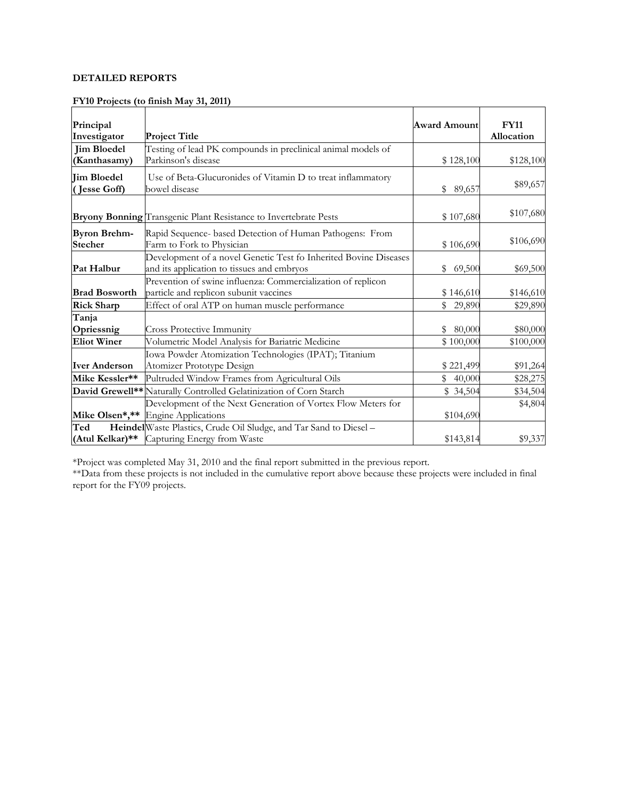# **DETAILED REPORTS**

| Principal            |                                                                         | <b>Award Amount</b>    | <b>FY11</b> |
|----------------------|-------------------------------------------------------------------------|------------------------|-------------|
| Investigator         | <b>Project Title</b>                                                    |                        | Allocation  |
| <b>Jim Bloedel</b>   | Testing of lead PK compounds in preclinical animal models of            |                        |             |
| (Kanthasamy)         | Parkinson's disease                                                     | \$128,100              | \$128,100   |
| <b>Jim Bloedel</b>   | Use of Beta-Glucuronides of Vitamin D to treat inflammatory             |                        |             |
| (Jesse Goff)         | bowel disease                                                           | \$<br>89,657           | \$89,657    |
|                      | <b>Bryony Bonning</b> Transgenic Plant Resistance to Invertebrate Pests | \$107,680              | \$107,680   |
| <b>Byron Brehm-</b>  | Rapid Sequence- based Detection of Human Pathogens: From                |                        |             |
| <b>Stecher</b>       | Farm to Fork to Physician                                               | \$106,690              | \$106,690   |
|                      | Development of a novel Genetic Test fo Inherited Bovine Diseases        |                        |             |
| Pat Halbur           | and its application to tissues and embryos                              | 69,500<br>\$           | \$69,500    |
|                      | Prevention of swine influenza: Commercialization of replicon            |                        |             |
| <b>Brad Bosworth</b> | particle and replicon subunit vaccines                                  | \$146,610              | \$146,610   |
| <b>Rick Sharp</b>    | Effect of oral ATP on human muscle performance                          | \$<br>29,890           | \$29,890    |
| Tanja                |                                                                         |                        |             |
| Opriessnig           | Cross Protective Immunity                                               | 80,000<br>$\mathbb{S}$ | \$80,000    |
| <b>Eliot Winer</b>   | Volumetric Model Analysis for Bariatric Medicine                        | \$100,000              | \$100,000   |
|                      | Iowa Powder Atomization Technologies (IPAT); Titanium                   |                        |             |
| <b>Iver Anderson</b> | Atomizer Prototype Design                                               | \$221,499              | \$91,264    |
| Mike Kessler**       | Pultruded Window Frames from Agricultural Oils                          | \$<br>40,000           | \$28,275    |
|                      | David Grewell** Naturally Controlled Gelatinization of Corn Starch      | \$34,504               | \$34,504    |
|                      | Development of the Next Generation of Vortex Flow Meters for            |                        | \$4,804     |
|                      | Mike Olsen*,** Engine Applications                                      | \$104,690              |             |
| Ted                  | HeindelWaste Plastics, Crude Oil Sludge, and Tar Sand to Diesel -       |                        |             |
|                      | (Atul Kelkar)** Capturing Energy from Waste                             | \$143,814              | \$9,337     |

## **FY10 Projects (to finish May 31, 2011)**

\*Project was completed May 31, 2010 and the final report submitted in the previous report.

\*\*Data from these projects is not included in the cumulative report above because these projects were included in final report for the FY09 projects.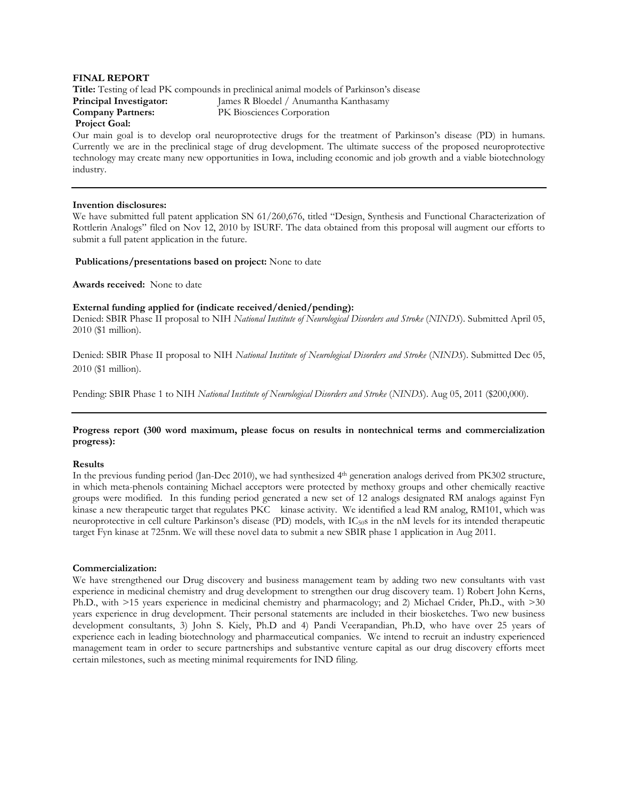**Title:** Testing of lead PK compounds in preclinical animal models of Parkinson's disease **Principal Investigator:** James R Bloedel / Anumantha Kanthasamy **Company Partners:** PK Biosciences Corporation **Project Goal:** 

Our main goal is to develop oral neuroprotective drugs for the treatment of Parkinson's disease (PD) in humans. Currently we are in the preclinical stage of drug development. The ultimate success of the proposed neuroprotective technology may create many new opportunities in Iowa, including economic and job growth and a viable biotechnology industry.

#### **Invention disclosures:**

We have submitted full patent application SN 61/260,676, titled "Design, Synthesis and Functional Characterization of Rottlerin Analogs" filed on Nov 12, 2010 by ISURF. The data obtained from this proposal will augment our efforts to submit a full patent application in the future.

**Publications/presentations based on project:** None to date

**Awards received:** None to date

#### **External funding applied for (indicate received/denied/pending):**

Denied: SBIR Phase II proposal to NIH *National Institute of Neurological Disorders and Stroke* (*NINDS*). Submitted April 05, 2010 (\$1 million).

Denied: SBIR Phase II proposal to NIH *National Institute of Neurological Disorders and Stroke* (*NINDS*). Submitted Dec 05, 2010 (\$1 million).

Pending: SBIR Phase 1 to NIH *National Institute of Neurological Disorders and Stroke* (*NINDS*). Aug 05, 2011 (\$200,000).

#### **Progress report (300 word maximum, please focus on results in nontechnical terms and commercialization progress):**

#### **Results**

In the previous funding period (Jan-Dec 2010), we had synthesized 4th generation analogs derived from PK302 structure, in which meta-phenols containing Michael acceptors were protected by methoxy groups and other chemically reactive groups were modified. In this funding period generated a new set of 12 analogs designated RM analogs against Fyn kinase a new therapeutic target that regulates PKC kinase activity. We identified a lead RM analog, RM101, which was neuroprotective in cell culture Parkinson's disease (PD) models, with IC<sub>50</sub>s in the nM levels for its intended therapeutic target Fyn kinase at 725nm. We will these novel data to submit a new SBIR phase 1 application in Aug 2011.

#### **Commercialization:**

We have strengthened our Drug discovery and business management team by adding two new consultants with vast experience in medicinal chemistry and drug development to strengthen our drug discovery team. 1) Robert John Kerns, Ph.D., with >15 years experience in medicinal chemistry and pharmacology; and 2) Michael Crider, Ph.D., with >30 years experience in drug development. Their personal statements are included in their biosketches. Two new business development consultants, 3) John S. Kiely, Ph.D and 4) Pandi Veerapandian, Ph.D, who have over 25 years of experience each in leading biotechnology and pharmaceutical companies. We intend to recruit an industry experienced management team in order to secure partnerships and substantive venture capital as our drug discovery efforts meet certain milestones, such as meeting minimal requirements for IND filing.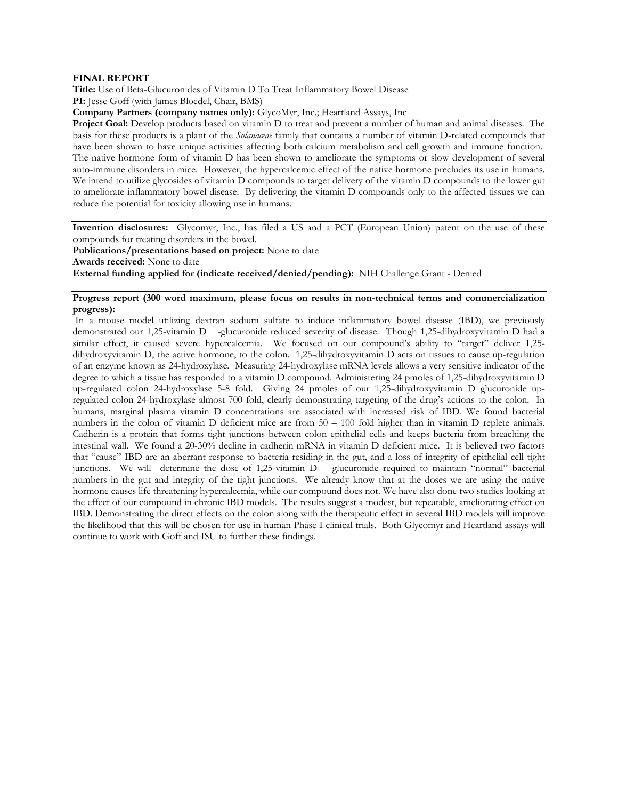**Title:** Use of Beta-Glucuronides of Vitamin D To Treat Inflammatory Bowel Disease PI: Jesse Goff (with James Bloedel, Chair, BMS)

**Company Partners (company names only):** GlycoMyr, Inc.; Heartland Assays, Inc

**Project Goal:** Develop products based on vitamin D to treat and prevent a number of human and animal diseases. The basis for these products is a plant of the *Solanaceae* family that contains a number of vitamin D-related compounds that have been shown to have unique activities affecting both calcium metabolism and cell growth and immune function. The native hormone form of vitamin D has been shown to ameliorate the symptoms or slow development of several auto-immune disorders in mice. However, the hypercalcemic effect of the native hormone precludes its use in humans. We intend to utilize glycosides of vitamin D compounds to target delivery of the vitamin D compounds to the lower gut to ameliorate inflammatory bowel disease. By delivering the vitamin D compounds only to the affected tissues we can reduce the potential for toxicity allowing use in humans.

**Invention disclosures:** Glycomyr, Inc., has filed a US and a PCT (European Union) patent on the use of these compounds for treating disorders in the bowel.

**Publications/presentations based on project:** None to date

**Awards received:** None to date

**External funding applied for (indicate received/denied/pending):** NIH Challenge Grant - Denied

#### **Progress report (300 word maximum, please focus on results in non-technical terms and commercialization progress):**

 In a mouse model utilizing dextran sodium sulfate to induce inflammatory bowel disease (IBD), we previously demonstrated our 1,25-vitamin D -glucuronide reduced severity of disease. Though 1,25-dihydroxyvitamin D had a similar effect, it caused severe hypercalcemia. We focused on our compound's ability to "target" deliver 1,25dihydroxyvitamin D, the active hormone, to the colon. 1,25-dihydroxyvitamin D acts on tissues to cause up-regulation of an enzyme known as 24-hydroxylase. Measuring 24-hydroxylase mRNA levels allows a very sensitive indicator of the degree to which a tissue has responded to a vitamin D compound. Administering 24 pmoles of 1,25-dihydroxyvitamin D up-regulated colon 24-hydroxylase 5-8 fold. Giving 24 pmoles of our 1,25-dihydroxyvitamin D glucuronide upregulated colon 24-hydroxylase almost 700 fold, clearly demonstrating targeting of the drug's actions to the colon. In humans, marginal plasma vitamin D concentrations are associated with increased risk of IBD. We found bacterial numbers in the colon of vitamin D deficient mice are from 50 – 100 fold higher than in vitamin D replete animals. Cadherin is a protein that forms tight junctions between colon epithelial cells and keeps bacteria from breaching the intestinal wall. We found a 20-30% decline in cadherin mRNA in vitamin D deficient mice. It is believed two factors that "cause" IBD are an aberrant response to bacteria residing in the gut, and a loss of integrity of epithelial cell tight junctions. We will determine the dose of 1,25-vitamin D -glucuronide required to maintain "normal" bacterial numbers in the gut and integrity of the tight junctions. We already know that at the doses we are using the native hormone causes life threatening hypercalcemia, while our compound does not. We have also done two studies looking at the effect of our compound in chronic IBD models. The results suggest a modest, but repeatable, ameliorating effect on IBD. Demonstrating the direct effects on the colon along with the therapeutic effect in several IBD models will improve the likelihood that this will be chosen for use in human Phase I clinical trials. Both Glycomyr and Heartland assays will continue to work with Goff and ISU to further these findings.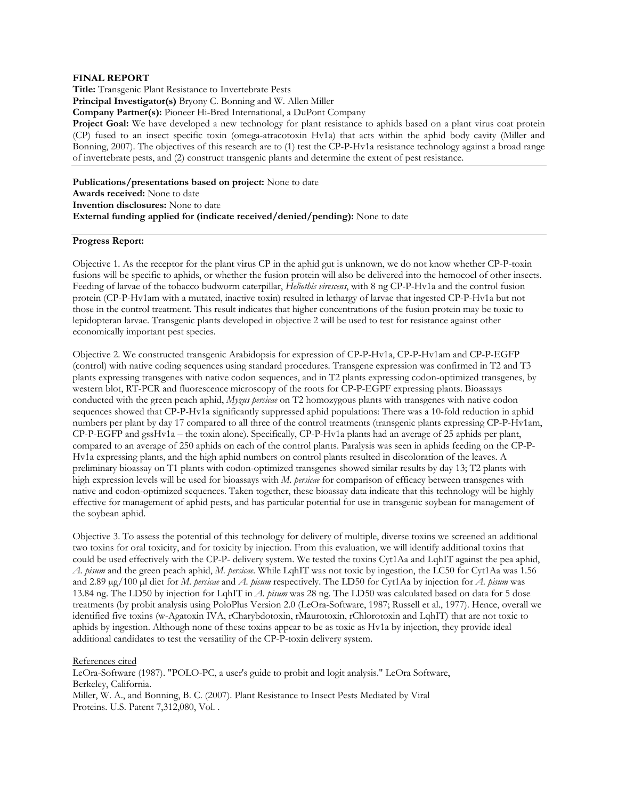**Title:** Transgenic Plant Resistance to Invertebrate Pests **Principal Investigator(s)** Bryony C. Bonning and W. Allen Miller **Company Partner(s):** Pioneer Hi-Bred International, a DuPont Company **Project Goal:** We have developed a new technology for plant resistance to aphids based on a plant virus coat protein (CP) fused to an insect specific toxin (omega-atracotoxin Hv1a) that acts within the aphid body cavity (Miller and Bonning, 2007). The objectives of this research are to (1) test the CP-P-Hv1a resistance technology against a broad range of invertebrate pests, and (2) construct transgenic plants and determine the extent of pest resistance.

**Publications/presentations based on project:** None to date **Awards received:** None to date **Invention disclosures:** None to date **External funding applied for (indicate received/denied/pending):** None to date

### **Progress Report:**

Objective 1. As the receptor for the plant virus CP in the aphid gut is unknown, we do not know whether CP-P-toxin fusions will be specific to aphids, or whether the fusion protein will also be delivered into the hemocoel of other insects. Feeding of larvae of the tobacco budworm caterpillar, *Heliothis virescens*, with 8 ng CP-P-Hv1a and the control fusion protein (CP-P-Hv1am with a mutated, inactive toxin) resulted in lethargy of larvae that ingested CP-P-Hv1a but not those in the control treatment. This result indicates that higher concentrations of the fusion protein may be toxic to lepidopteran larvae. Transgenic plants developed in objective 2 will be used to test for resistance against other economically important pest species.

Objective 2. We constructed transgenic Arabidopsis for expression of CP-P-Hv1a, CP-P-Hv1am and CP-P-EGFP (control) with native coding sequences using standard procedures. Transgene expression was confirmed in T2 and T3 plants expressing transgenes with native codon sequences, and in T2 plants expressing codon-optimized transgenes, by western blot, RT-PCR and fluorescence microscopy of the roots for CP-P-EGPF expressing plants. Bioassays conducted with the green peach aphid, *Myzus persicae* on T2 homozygous plants with transgenes with native codon sequences showed that CP-P-Hv1a significantly suppressed aphid populations: There was a 10-fold reduction in aphid numbers per plant by day 17 compared to all three of the control treatments (transgenic plants expressing CP-P-Hv1am, CP-P-EGFP and gssHv1a – the toxin alone). Specifically, CP-P-Hv1a plants had an average of 25 aphids per plant, compared to an average of 250 aphids on each of the control plants. Paralysis was seen in aphids feeding on the CP-P-Hv1a expressing plants, and the high aphid numbers on control plants resulted in discoloration of the leaves. A preliminary bioassay on T1 plants with codon-optimized transgenes showed similar results by day 13; T2 plants with high expression levels will be used for bioassays with *M. persicae* for comparison of efficacy between transgenes with native and codon-optimized sequences. Taken together, these bioassay data indicate that this technology will be highly effective for management of aphid pests, and has particular potential for use in transgenic soybean for management of the soybean aphid.

Objective 3. To assess the potential of this technology for delivery of multiple, diverse toxins we screened an additional two toxins for oral toxicity, and for toxicity by injection. From this evaluation, we will identify additional toxins that could be used effectively with the CP-P- delivery system. We tested the toxins Cyt1Aa and LqhIT against the pea aphid, *A. pisum* and the green peach aphid, *M. persicae*. While LqhIT was not toxic by ingestion, the LC50 for Cyt1Aa was 1.56 and 2.89 µg/100 µl diet for *M. persicae* and *A. pisum* respectively. The LD50 for Cyt1Aa by injection for *A. pisum* was 13.84 ng. The LD50 by injection for LqhIT in *A. pisum* was 28 ng. The LD50 was calculated based on data for 5 dose treatments (by probit analysis using PoloPlus Version 2.0 (LeOra-Software, 1987; Russell et al., 1977). Hence, overall we identified five toxins (w-Agatoxin IVA, rCharybdotoxin, rMaurotoxin, rChlorotoxin and LqhIT) that are not toxic to aphids by ingestion. Although none of these toxins appear to be as toxic as Hv1a by injection, they provide ideal additional candidates to test the versatility of the CP-P-toxin delivery system.

#### References cited

LeOra-Software (1987). "POLO-PC, a user's guide to probit and logit analysis." LeOra Software, Berkeley, California. Miller, W. A., and Bonning, B. C. (2007). Plant Resistance to Insect Pests Mediated by Viral Proteins. U.S. Patent 7,312,080, Vol. .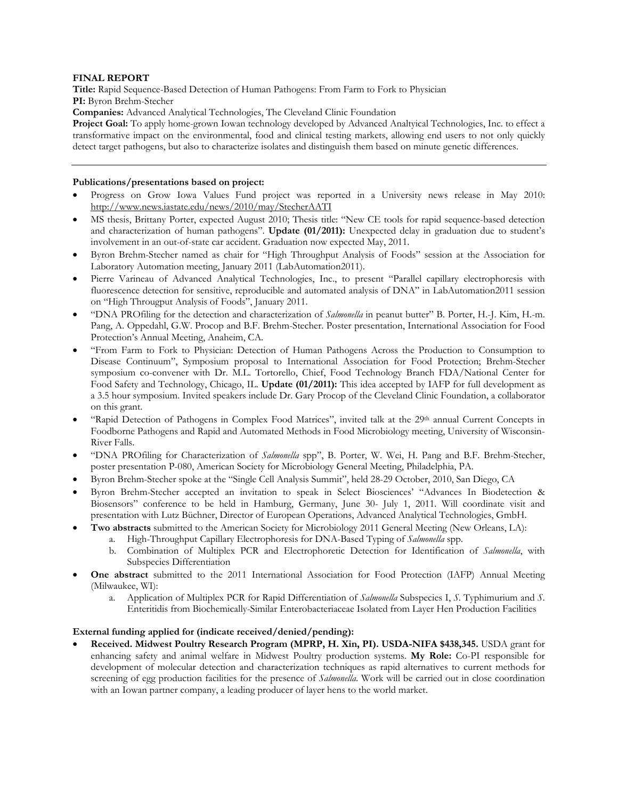**Title:** Rapid Sequence-Based Detection of Human Pathogens: From Farm to Fork to Physician **PI:** Byron Brehm-Stecher

**Companies:** Advanced Analytical Technologies, The Cleveland Clinic Foundation

**Project Goal:** To apply home-grown Iowan technology developed by Advanced Analtyical Technologies, Inc. to effect a transformative impact on the environmental, food and clinical testing markets, allowing end users to not only quickly detect target pathogens, but also to characterize isolates and distinguish them based on minute genetic differences.

#### **Publications/presentations based on project:**

- Progress on Grow Iowa Values Fund project was reported in a University news release in May 2010: http://www.news.iastate.edu/news/2010/may/StecherAATI
- MS thesis, Brittany Porter, expected August 2010; Thesis title: "New CE tools for rapid sequence-based detection and characterization of human pathogens". **Update (01/2011):** Unexpected delay in graduation due to student's involvement in an out-of-state car accident. Graduation now expected May, 2011.
- Byron Brehm-Stecher named as chair for "High Throughput Analysis of Foods" session at the Association for Laboratory Automation meeting, January 2011 (LabAutomation2011).
- Pierre Varineau of Advanced Analytical Technologies, Inc., to present "Parallel capillary electrophoresis with fluorescence detection for sensitive, reproducible and automated analysis of DNA" in LabAutomation2011 session on "High Througput Analysis of Foods", January 2011.
- "DNA PROfiling for the detection and characterization of *Salmonella* in peanut butter" B. Porter, H.-J. Kim, H.-m. Pang, A. Oppedahl, G.W. Procop and B.F. Brehm-Stecher. Poster presentation, International Association for Food Protection's Annual Meeting, Anaheim, CA.
- "From Farm to Fork to Physician: Detection of Human Pathogens Across the Production to Consumption to Disease Continuum", Symposium proposal to International Association for Food Protection; Brehm-Stecher symposium co-convener with Dr. M.L. Tortorello, Chief, Food Technology Branch FDA/National Center for Food Safety and Technology, Chicago, IL. **Update (01/2011):** This idea accepted by IAFP for full development as a 3.5 hour symposium. Invited speakers include Dr. Gary Procop of the Cleveland Clinic Foundation, a collaborator on this grant.
- "Rapid Detection of Pathogens in Complex Food Matrices", invited talk at the 29<sup>th</sup> annual Current Concepts in Foodborne Pathogens and Rapid and Automated Methods in Food Microbiology meeting, University of Wisconsin-River Falls.
- "DNA PROfiling for Characterization of *Salmonella* spp", B. Porter, W. Wei, H. Pang and B.F. Brehm-Stecher, poster presentation P-080, American Society for Microbiology General Meeting, Philadelphia, PA.
- Byron Brehm-Stecher spoke at the "Single Cell Analysis Summit", held 28-29 October, 2010, San Diego, CA
- Byron Brehm-Stecher accepted an invitation to speak in Select Biosciences' "Advances In Biodetection & Biosensors" conference to be held in Hamburg, Germany, June 30- July 1, 2011. Will coordinate visit and presentation with Lutz Büchner, Director of European Operations, Advanced Analytical Technologies, GmbH.
- **Two abstracts** submitted to the American Society for Microbiology 2011 General Meeting (New Orleans, LA):
	- a. High-Throughput Capillary Electrophoresis for DNA-Based Typing of *Salmonella* spp.
	- b. Combination of Multiplex PCR and Electrophoretic Detection for Identification of *Salmonella*, with Subspecies Differentiation
- **One abstract** submitted to the 2011 International Association for Food Protection (IAFP) Annual Meeting (Milwaukee, WI):
	- a. Application of Multiplex PCR for Rapid Differentiation of *Salmonella* Subspecies I, *S*. Typhimurium and *S*. Enteritidis from Biochemically-Similar Enterobacteriaceae Isolated from Layer Hen Production Facilities

#### **External funding applied for (indicate received/denied/pending):**

 **Received. Midwest Poultry Research Program (MPRP, H. Xin, PI). USDA-NIFA \$438,345.** USDA grant for enhancing safety and animal welfare in Midwest Poultry production systems. **My Role:** Co-PI responsible for development of molecular detection and characterization techniques as rapid alternatives to current methods for screening of egg production facilities for the presence of *Salmonella*. Work will be carried out in close coordination with an Iowan partner company, a leading producer of layer hens to the world market.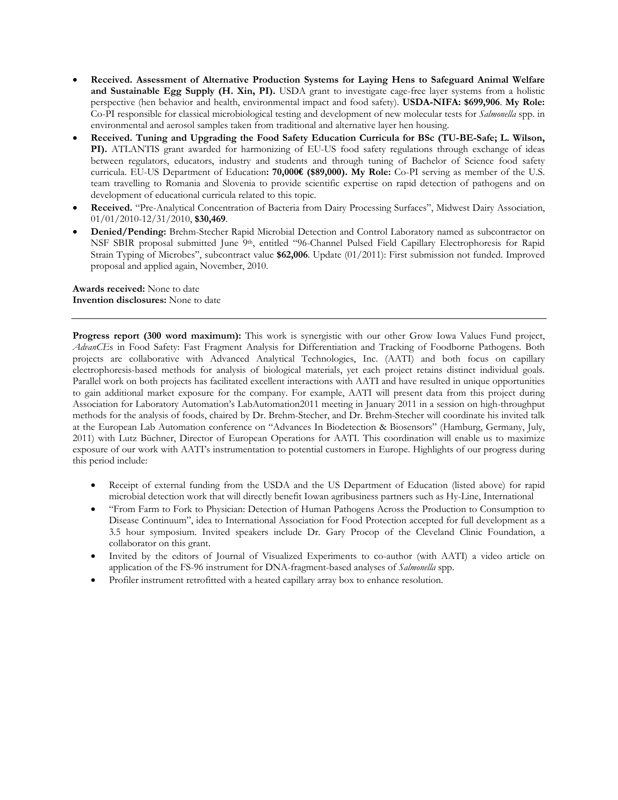- **Received. Assessment of Alternative Production Systems for Laying Hens to Safeguard Animal Welfare and Sustainable Egg Supply (H. Xin, PI).** USDA grant to investigate cage-free layer systems from a holistic perspective (hen behavior and health, environmental impact and food safety). **USDA-NIFA: \$699,906**. **My Role:** Co-PI responsible for classical microbiological testing and development of new molecular tests for *Salmonella* spp. in environmental and aerosol samples taken from traditional and alternative layer hen housing.
- **Received. Tuning and Upgrading the Food Safety Education Curricula for BSc (TU-BE-Safe; L. Wilson, PI).** ATLANTIS grant awarded for harmonizing of EU-US food safety regulations through exchange of ideas between regulators, educators, industry and students and through tuning of Bachelor of Science food safety curricula. EU-US Department of Education**: 70,000€ (\$89,000). My Role:** Co-PI serving as member of the U.S. team travelling to Romania and Slovenia to provide scientific expertise on rapid detection of pathogens and on development of educational curricula related to this topic.
- **Received.** "Pre-Analytical Concentration of Bacteria from Dairy Processing Surfaces", Midwest Dairy Association, 01/01/2010-12/31/2010, **\$30,469**.
- **Denied/Pending:** Brehm-Stecher Rapid Microbial Detection and Control Laboratory named as subcontractor on NSF SBIR proposal submitted June 9<sup>th</sup>, entitled "96-Channel Pulsed Field Capillary Electrophoresis for Rapid Strain Typing of Microbes", subcontract value **\$62,006**. Update (01/2011): First submission not funded. Improved proposal and applied again, November, 2010.

**Awards received:** None to date **Invention disclosures:** None to date

**Progress report (300 word maximum):** This work is synergistic with our other Grow Iowa Values Fund project, *AdvanCE*s in Food Safety: Fast Fragment Analysis for Differentiation and Tracking of Foodborne Pathogens. Both projects are collaborative with Advanced Analytical Technologies, Inc. (AATI) and both focus on capillary electrophoresis-based methods for analysis of biological materials, yet each project retains distinct individual goals. Parallel work on both projects has facilitated excellent interactions with AATI and have resulted in unique opportunities to gain additional market exposure for the company. For example, AATI will present data from this project during Association for Laboratory Automation's LabAutomation2011 meeting in January 2011 in a session on high-throughput methods for the analysis of foods, chaired by Dr. Brehm-Stecher, and Dr. Brehm-Stecher will coordinate his invited talk at the European Lab Automation conference on "Advances In Biodetection & Biosensors" (Hamburg, Germany, July, 2011) with Lutz Büchner, Director of European Operations for AATI. This coordination will enable us to maximize exposure of our work with AATI's instrumentation to potential customers in Europe. Highlights of our progress during this period include:

- Receipt of external funding from the USDA and the US Department of Education (listed above) for rapid microbial detection work that will directly benefit Iowan agribusiness partners such as Hy-Line, International
- "From Farm to Fork to Physician: Detection of Human Pathogens Across the Production to Consumption to Disease Continuum", idea to International Association for Food Protection accepted for full development as a 3.5 hour symposium. Invited speakers include Dr. Gary Procop of the Cleveland Clinic Foundation, a collaborator on this grant.
- Invited by the editors of Journal of Visualized Experiments to co-author (with AATI) a video article on application of the FS-96 instrument for DNA-fragment-based analyses of *Salmonella* spp.
- Profiler instrument retrofitted with a heated capillary array box to enhance resolution.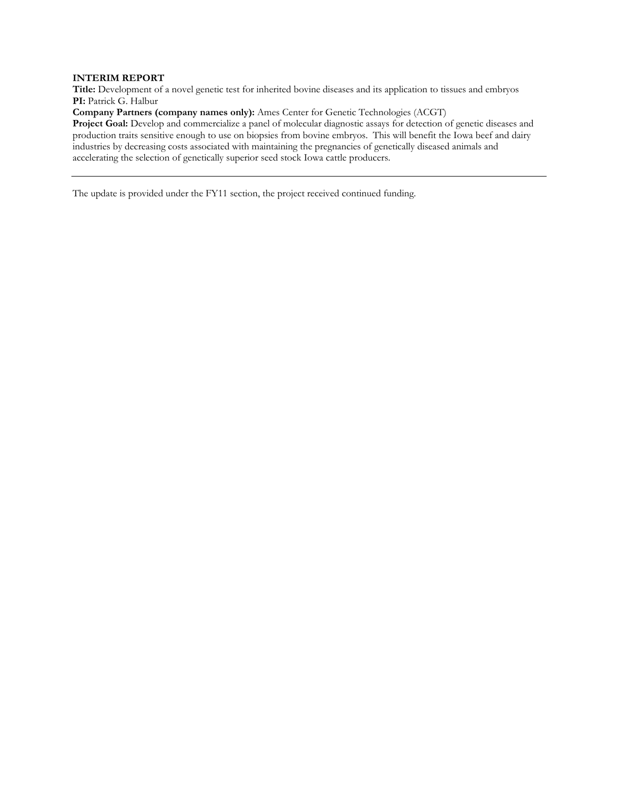#### **INTERIM REPORT**

**Title:** Development of a novel genetic test for inherited bovine diseases and its application to tissues and embryos **PI:** Patrick G. Halbur

**Company Partners (company names only):** Ames Center for Genetic Technologies (ACGT)

Project Goal: Develop and commercialize a panel of molecular diagnostic assays for detection of genetic diseases and production traits sensitive enough to use on biopsies from bovine embryos. This will benefit the Iowa beef and dairy industries by decreasing costs associated with maintaining the pregnancies of genetically diseased animals and accelerating the selection of genetically superior seed stock Iowa cattle producers.

The update is provided under the FY11 section, the project received continued funding.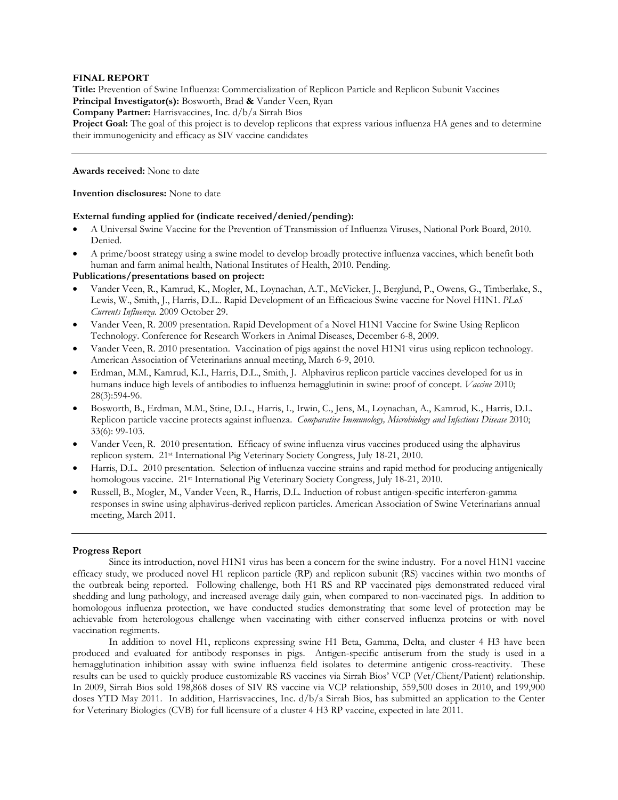**Title:** Prevention of Swine Influenza: Commercialization of Replicon Particle and Replicon Subunit Vaccines **Principal Investigator(s):** Bosworth, Brad **&** Vander Veen, Ryan

**Company Partner:** Harrisvaccines, Inc. d/b/a Sirrah Bios

**Project Goal:** The goal of this project is to develop replicons that express various influenza HA genes and to determine their immunogenicity and efficacy as SIV vaccine candidates

#### **Awards received:** None to date

**Invention disclosures:** None to date

#### **External funding applied for (indicate received/denied/pending):**

- A Universal Swine Vaccine for the Prevention of Transmission of Influenza Viruses, National Pork Board, 2010. Denied.
- A prime/boost strategy using a swine model to develop broadly protective influenza vaccines, which benefit both human and farm animal health, National Institutes of Health, 2010. Pending.

#### **Publications/presentations based on project:**

- Vander Veen, R., Kamrud, K., Mogler, M., Loynachan, A.T., McVicker, J., Berglund, P., Owens, G., Timberlake, S., Lewis, W., Smith, J., Harris, D.L.. Rapid Development of an Efficacious Swine vaccine for Novel H1N1. *PLoS Currents Influenza*. 2009 October 29.
- Vander Veen, R. 2009 presentation. Rapid Development of a Novel H1N1 Vaccine for Swine Using Replicon Technology. Conference for Research Workers in Animal Diseases, December 6-8, 2009.
- Vander Veen, R. 2010 presentation. Vaccination of pigs against the novel H1N1 virus using replicon technology. American Association of Veterinarians annual meeting, March 6-9, 2010.
- Erdman, M.M., Kamrud, K.I., Harris, D.L., Smith, J. Alphavirus replicon particle vaccines developed for us in humans induce high levels of antibodies to influenza hemagglutinin in swine: proof of concept. *Vaccine* 2010; 28(3):594-96.
- Bosworth, B., Erdman, M.M., Stine, D.L., Harris, I., Irwin, C., Jens, M., Loynachan, A., Kamrud, K., Harris, D.L. Replicon particle vaccine protects against influenza. *Comparative Immunology, Microbiology and Infectious Disease* 2010; 33(6): 99-103.
- Vander Veen, R. 2010 presentation. Efficacy of swine influenza virus vaccines produced using the alphavirus replicon system. 21st International Pig Veterinary Society Congress, July 18-21, 2010.
- Harris, D.L. 2010 presentation. Selection of influenza vaccine strains and rapid method for producing antigenically homologous vaccine. 21<sup>st</sup> International Pig Veterinary Society Congress, July 18-21, 2010.
- Russell, B., Mogler, M., Vander Veen, R., Harris, D.L. Induction of robust antigen-specific interferon-gamma responses in swine using alphavirus-derived replicon particles. American Association of Swine Veterinarians annual meeting, March 2011.

#### **Progress Report**

 Since its introduction, novel H1N1 virus has been a concern for the swine industry. For a novel H1N1 vaccine efficacy study, we produced novel H1 replicon particle (RP) and replicon subunit (RS) vaccines within two months of the outbreak being reported. Following challenge, both H1 RS and RP vaccinated pigs demonstrated reduced viral shedding and lung pathology, and increased average daily gain, when compared to non-vaccinated pigs. In addition to homologous influenza protection, we have conducted studies demonstrating that some level of protection may be achievable from heterologous challenge when vaccinating with either conserved influenza proteins or with novel vaccination regiments.

 In addition to novel H1, replicons expressing swine H1 Beta, Gamma, Delta, and cluster 4 H3 have been produced and evaluated for antibody responses in pigs. Antigen-specific antiserum from the study is used in a hemagglutination inhibition assay with swine influenza field isolates to determine antigenic cross-reactivity. These results can be used to quickly produce customizable RS vaccines via Sirrah Bios' VCP (Vet/Client/Patient) relationship. In 2009, Sirrah Bios sold 198,868 doses of SIV RS vaccine via VCP relationship, 559,500 doses in 2010, and 199,900 doses YTD May 2011. In addition, Harrisvaccines, Inc. d/b/a Sirrah Bios, has submitted an application to the Center for Veterinary Biologics (CVB) for full licensure of a cluster 4 H3 RP vaccine, expected in late 2011.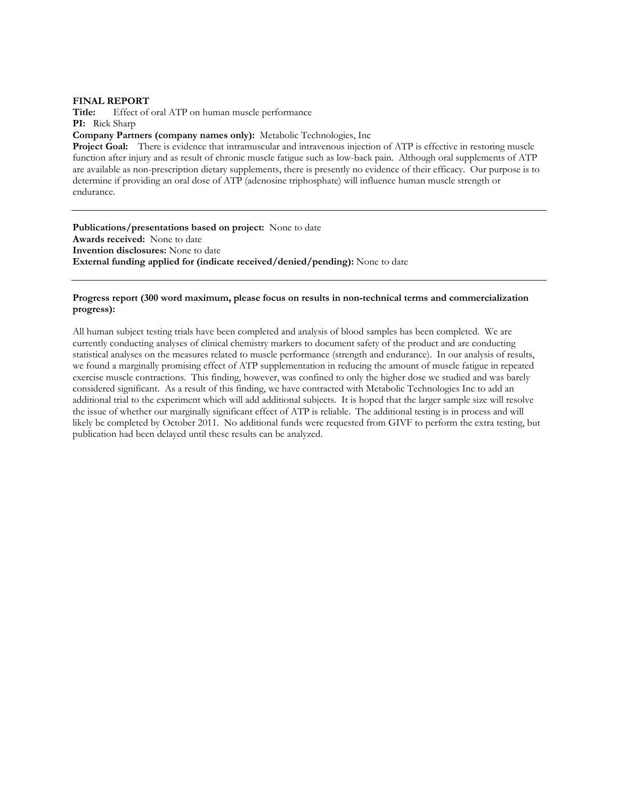**Title:** Effect of oral ATP on human muscle performance **PI:** Rick Sharp

**Company Partners (company names only):** Metabolic Technologies, Inc

**Project Goal:** There is evidence that intramuscular and intravenous injection of ATP is effective in restoring muscle function after injury and as result of chronic muscle fatigue such as low-back pain. Although oral supplements of ATP are available as non-prescription dietary supplements, there is presently no evidence of their efficacy. Our purpose is to determine if providing an oral dose of ATP (adenosine triphosphate) will influence human muscle strength or endurance.

**Publications/presentations based on project:** None to date **Awards received:** None to date **Invention disclosures:** None to date **External funding applied for (indicate received/denied/pending):** None to date

#### **Progress report (300 word maximum, please focus on results in non-technical terms and commercialization progress):**

All human subject testing trials have been completed and analysis of blood samples has been completed. We are currently conducting analyses of clinical chemistry markers to document safety of the product and are conducting statistical analyses on the measures related to muscle performance (strength and endurance). In our analysis of results, we found a marginally promising effect of ATP supplementation in reducing the amount of muscle fatigue in repeated exercise muscle contractions. This finding, however, was confined to only the higher dose we studied and was barely considered significant. As a result of this finding, we have contracted with Metabolic Technologies Inc to add an additional trial to the experiment which will add additional subjects. It is hoped that the larger sample size will resolve the issue of whether our marginally significant effect of ATP is reliable. The additional testing is in process and will likely be completed by October 2011. No additional funds were requested from GIVF to perform the extra testing, but publication had been delayed until these results can be analyzed.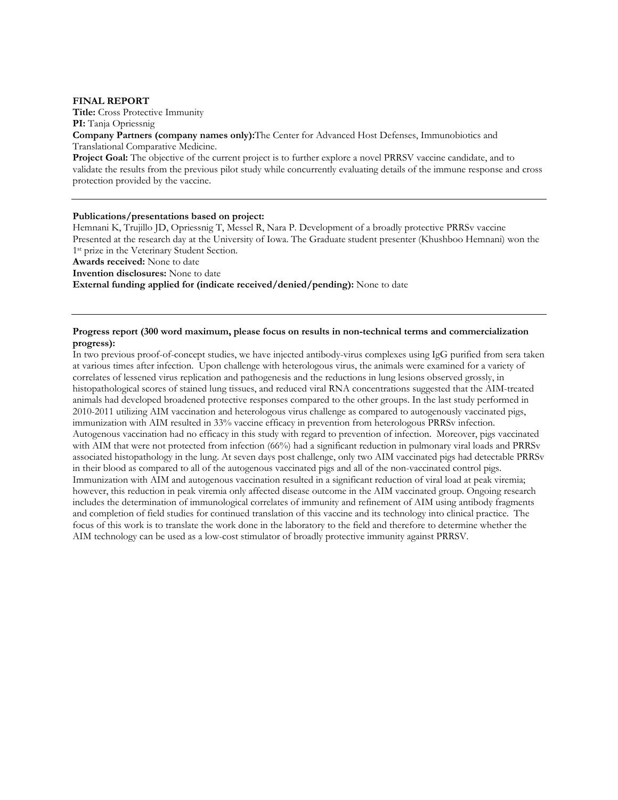**Title:** Cross Protective Immunity **PI:** Tanja Opriessnig **Company Partners (company names only):**The Center for Advanced Host Defenses, Immunobiotics and Translational Comparative Medicine.

**Project Goal:** The objective of the current project is to further explore a novel PRRSV vaccine candidate, and to validate the results from the previous pilot study while concurrently evaluating details of the immune response and cross protection provided by the vaccine.

#### **Publications/presentations based on project:**

Hemnani K, Trujillo JD, Opriessnig T, Messel R, Nara P. Development of a broadly protective PRRSv vaccine Presented at the research day at the University of Iowa. The Graduate student presenter (Khushboo Hemnani) won the 1<sup>st</sup> prize in the Veterinary Student Section.

**Awards received:** None to date

**Invention disclosures:** None to date

**External funding applied for (indicate received/denied/pending):** None to date

#### **Progress report (300 word maximum, please focus on results in non-technical terms and commercialization progress):**

In two previous proof-of-concept studies, we have injected antibody-virus complexes using IgG purified from sera taken at various times after infection. Upon challenge with heterologous virus, the animals were examined for a variety of correlates of lessened virus replication and pathogenesis and the reductions in lung lesions observed grossly, in histopathological scores of stained lung tissues, and reduced viral RNA concentrations suggested that the AIM-treated animals had developed broadened protective responses compared to the other groups. In the last study performed in 2010-2011 utilizing AIM vaccination and heterologous virus challenge as compared to autogenously vaccinated pigs, immunization with AIM resulted in 33% vaccine efficacy in prevention from heterologous PRRSv infection. Autogenous vaccination had no efficacy in this study with regard to prevention of infection. Moreover, pigs vaccinated with AIM that were not protected from infection (66%) had a significant reduction in pulmonary viral loads and PRRSv associated histopathology in the lung. At seven days post challenge, only two AIM vaccinated pigs had detectable PRRSv in their blood as compared to all of the autogenous vaccinated pigs and all of the non-vaccinated control pigs. Immunization with AIM and autogenous vaccination resulted in a significant reduction of viral load at peak viremia; however, this reduction in peak viremia only affected disease outcome in the AIM vaccinated group. Ongoing research includes the determination of immunological correlates of immunity and refinement of AIM using antibody fragments and completion of field studies for continued translation of this vaccine and its technology into clinical practice. The focus of this work is to translate the work done in the laboratory to the field and therefore to determine whether the AIM technology can be used as a low-cost stimulator of broadly protective immunity against PRRSV.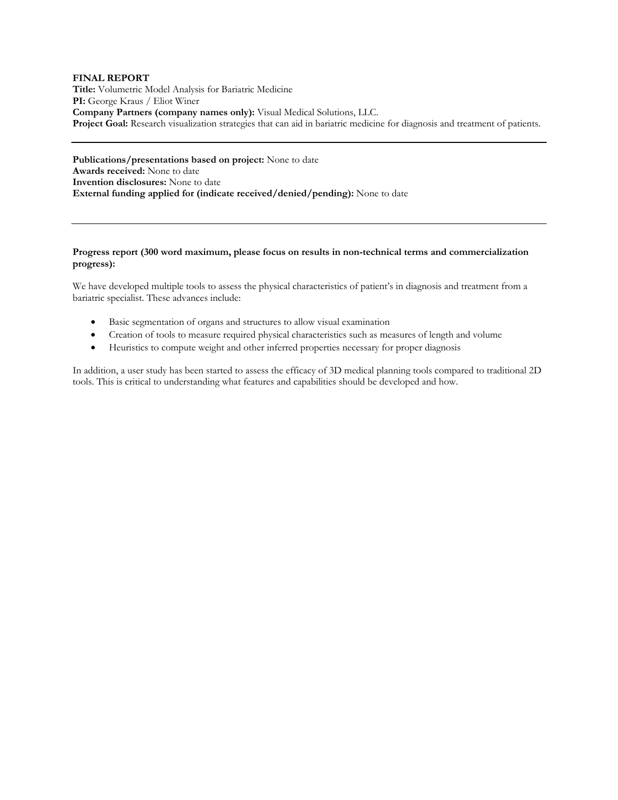**Title:** Volumetric Model Analysis for Bariatric Medicine **PI:** George Kraus / Eliot Winer **Company Partners (company names only):** Visual Medical Solutions, LLC. **Project Goal:** Research visualization strategies that can aid in bariatric medicine for diagnosis and treatment of patients.

**Publications/presentations based on project:** None to date **Awards received:** None to date **Invention disclosures:** None to date **External funding applied for (indicate received/denied/pending):** None to date

#### **Progress report (300 word maximum, please focus on results in non-technical terms and commercialization progress):**

We have developed multiple tools to assess the physical characteristics of patient's in diagnosis and treatment from a bariatric specialist. These advances include:

- Basic segmentation of organs and structures to allow visual examination
- Creation of tools to measure required physical characteristics such as measures of length and volume
- Heuristics to compute weight and other inferred properties necessary for proper diagnosis

In addition, a user study has been started to assess the efficacy of 3D medical planning tools compared to traditional 2D tools. This is critical to understanding what features and capabilities should be developed and how.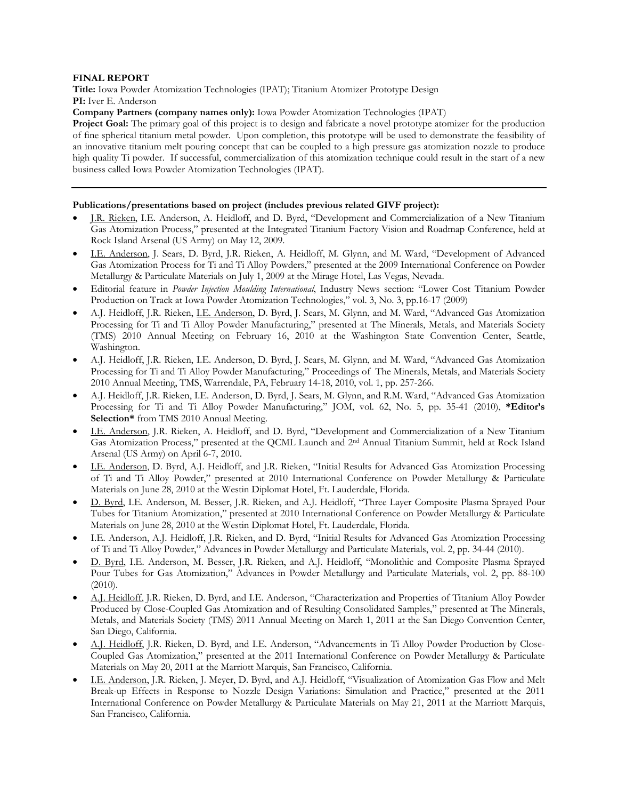**Title:** Iowa Powder Atomization Technologies (IPAT); Titanium Atomizer Prototype Design **PI:** Iver E. Anderson

**Company Partners (company names only):** Iowa Powder Atomization Technologies (IPAT)

**Project Goal:** The primary goal of this project is to design and fabricate a novel prototype atomizer for the production of fine spherical titanium metal powder. Upon completion, this prototype will be used to demonstrate the feasibility of an innovative titanium melt pouring concept that can be coupled to a high pressure gas atomization nozzle to produce high quality Ti powder. If successful, commercialization of this atomization technique could result in the start of a new business called Iowa Powder Atomization Technologies (IPAT).

#### **Publications/presentations based on project (includes previous related GIVF project):**

- J.R. Rieken, I.E. Anderson, A. Heidloff, and D. Byrd, "Development and Commercialization of a New Titanium Gas Atomization Process," presented at the Integrated Titanium Factory Vision and Roadmap Conference, held at Rock Island Arsenal (US Army) on May 12, 2009.
- I.E. Anderson, J. Sears, D. Byrd, J.R. Rieken, A. Heidloff, M. Glynn, and M. Ward, "Development of Advanced Gas Atomization Process for Ti and Ti Alloy Powders," presented at the 2009 International Conference on Powder Metallurgy & Particulate Materials on July 1, 2009 at the Mirage Hotel, Las Vegas, Nevada.
- Editorial feature in *Powder Injection Moulding International*, Industry News section: "Lower Cost Titanium Powder Production on Track at Iowa Powder Atomization Technologies," vol. 3, No. 3, pp.16-17 (2009)
- A.J. Heidloff, J.R. Rieken, I.E. Anderson, D. Byrd, J. Sears, M. Glynn, and M. Ward, "Advanced Gas Atomization Processing for Ti and Ti Alloy Powder Manufacturing," presented at The Minerals, Metals, and Materials Society (TMS) 2010 Annual Meeting on February 16, 2010 at the Washington State Convention Center, Seattle, Washington.
- A.J. Heidloff, J.R. Rieken, I.E. Anderson, D. Byrd, J. Sears, M. Glynn, and M. Ward, "Advanced Gas Atomization Processing for Ti and Ti Alloy Powder Manufacturing," Proceedings of The Minerals, Metals, and Materials Society 2010 Annual Meeting, TMS, Warrendale, PA, February 14-18, 2010, vol. 1, pp. 257-266.
- A.J. Heidloff, J.R. Rieken, I.E. Anderson, D. Byrd, J. Sears, M. Glynn, and R.M. Ward, "Advanced Gas Atomization Processing for Ti and Ti Alloy Powder Manufacturing," JOM, vol. 62, No. 5, pp. 35-41 (2010), **\*Editor's Selection\*** from TMS 2010 Annual Meeting.
- I.E. Anderson, J.R. Rieken, A. Heidloff, and D. Byrd, "Development and Commercialization of a New Titanium Gas Atomization Process," presented at the QCML Launch and 2nd Annual Titanium Summit, held at Rock Island Arsenal (US Army) on April 6-7, 2010.
- I.E. Anderson, D. Byrd, A.J. Heidloff, and J.R. Rieken, "Initial Results for Advanced Gas Atomization Processing of Ti and Ti Alloy Powder," presented at 2010 International Conference on Powder Metallurgy & Particulate Materials on June 28, 2010 at the Westin Diplomat Hotel, Ft. Lauderdale, Florida.
- D. Byrd, I.E. Anderson, M. Besser, J.R. Rieken, and A.J. Heidloff, "Three Layer Composite Plasma Sprayed Pour Tubes for Titanium Atomization," presented at 2010 International Conference on Powder Metallurgy & Particulate Materials on June 28, 2010 at the Westin Diplomat Hotel, Ft. Lauderdale, Florida.
- I.E. Anderson, A.J. Heidloff, J.R. Rieken, and D. Byrd, "Initial Results for Advanced Gas Atomization Processing of Ti and Ti Alloy Powder," Advances in Powder Metallurgy and Particulate Materials, vol. 2, pp. 34-44 (2010).
- D. Byrd, I.E. Anderson, M. Besser, J.R. Rieken, and A.J. Heidloff, "Monolithic and Composite Plasma Sprayed Pour Tubes for Gas Atomization," Advances in Powder Metallurgy and Particulate Materials, vol. 2, pp. 88-100 (2010).
- A.J. Heidloff, J.R. Rieken, D. Byrd, and I.E. Anderson, "Characterization and Properties of Titanium Alloy Powder Produced by Close-Coupled Gas Atomization and of Resulting Consolidated Samples," presented at The Minerals, Metals, and Materials Society (TMS) 2011 Annual Meeting on March 1, 2011 at the San Diego Convention Center, San Diego, California.
- A.J. Heidloff, J.R. Rieken, D. Byrd, and I.E. Anderson, "Advancements in Ti Alloy Powder Production by Close-Coupled Gas Atomization," presented at the 2011 International Conference on Powder Metallurgy & Particulate Materials on May 20, 2011 at the Marriott Marquis, San Francisco, California.
- I.E. Anderson, J.R. Rieken, J. Meyer, D. Byrd, and A.J. Heidloff, "Visualization of Atomization Gas Flow and Melt Break-up Effects in Response to Nozzle Design Variations: Simulation and Practice," presented at the 2011 International Conference on Powder Metallurgy & Particulate Materials on May 21, 2011 at the Marriott Marquis, San Francisco, California.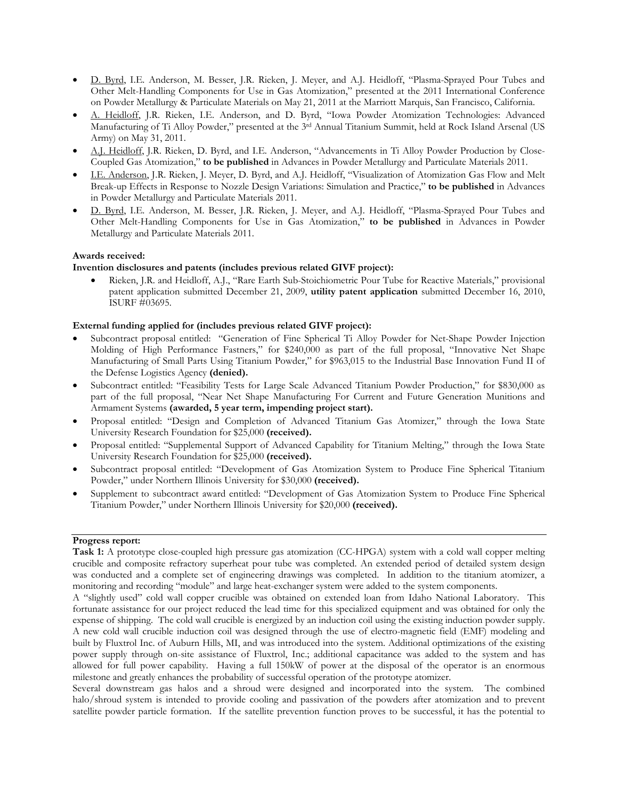- D. Byrd, I.E. Anderson, M. Besser, J.R. Rieken, J. Meyer, and A.J. Heidloff, "Plasma-Sprayed Pour Tubes and Other Melt-Handling Components for Use in Gas Atomization," presented at the 2011 International Conference on Powder Metallurgy & Particulate Materials on May 21, 2011 at the Marriott Marquis, San Francisco, California.
- A. Heidloff, J.R. Rieken, I.E. Anderson, and D. Byrd, "Iowa Powder Atomization Technologies: Advanced Manufacturing of Ti Alloy Powder," presented at the 3rd Annual Titanium Summit, held at Rock Island Arsenal (US Army) on May 31, 2011.
- A.J. Heidloff, J.R. Rieken, D. Byrd, and I.E. Anderson, "Advancements in Ti Alloy Powder Production by Close-Coupled Gas Atomization," **to be published** in Advances in Powder Metallurgy and Particulate Materials 2011.
- I.E. Anderson, J.R. Rieken, J. Meyer, D. Byrd, and A.J. Heidloff, "Visualization of Atomization Gas Flow and Melt Break-up Effects in Response to Nozzle Design Variations: Simulation and Practice," **to be published** in Advances in Powder Metallurgy and Particulate Materials 2011.
- D. Byrd, I.E. Anderson, M. Besser, J.R. Rieken, J. Meyer, and A.J. Heidloff, "Plasma-Sprayed Pour Tubes and Other Melt-Handling Components for Use in Gas Atomization," **to be published** in Advances in Powder Metallurgy and Particulate Materials 2011.

#### **Awards received:**

#### **Invention disclosures and patents (includes previous related GIVF project):**

 Rieken, J.R. and Heidloff, A.J., "Rare Earth Sub-Stoichiometric Pour Tube for Reactive Materials," provisional patent application submitted December 21, 2009, **utility patent application** submitted December 16, 2010, ISURF #03695.

#### **External funding applied for (includes previous related GIVF project):**

- Subcontract proposal entitled: "Generation of Fine Spherical Ti Alloy Powder for Net-Shape Powder Injection Molding of High Performance Fastners," for \$240,000 as part of the full proposal, "Innovative Net Shape Manufacturing of Small Parts Using Titanium Powder," for \$963,015 to the Industrial Base Innovation Fund II of the Defense Logistics Agency **(denied).**
- Subcontract entitled: "Feasibility Tests for Large Scale Advanced Titanium Powder Production," for \$830,000 as part of the full proposal, "Near Net Shape Manufacturing For Current and Future Generation Munitions and Armament Systems **(awarded, 5 year term, impending project start).**
- Proposal entitled: "Design and Completion of Advanced Titanium Gas Atomizer," through the Iowa State University Research Foundation for \$25,000 **(received).**
- Proposal entitled: "Supplemental Support of Advanced Capability for Titanium Melting," through the Iowa State University Research Foundation for \$25,000 **(received).**
- Subcontract proposal entitled: "Development of Gas Atomization System to Produce Fine Spherical Titanium Powder," under Northern Illinois University for \$30,000 **(received).**
- Supplement to subcontract award entitled: "Development of Gas Atomization System to Produce Fine Spherical Titanium Powder," under Northern Illinois University for \$20,000 **(received).**

#### **Progress report:**

**Task 1:** A prototype close-coupled high pressure gas atomization (CC-HPGA) system with a cold wall copper melting crucible and composite refractory superheat pour tube was completed. An extended period of detailed system design was conducted and a complete set of engineering drawings was completed. In addition to the titanium atomizer, a monitoring and recording "module" and large heat-exchanger system were added to the system components.

A "slightly used" cold wall copper crucible was obtained on extended loan from Idaho National Laboratory. This fortunate assistance for our project reduced the lead time for this specialized equipment and was obtained for only the expense of shipping. The cold wall crucible is energized by an induction coil using the existing induction powder supply. A new cold wall crucible induction coil was designed through the use of electro-magnetic field (EMF) modeling and built by Fluxtrol Inc. of Auburn Hills, MI, and was introduced into the system. Additional optimizations of the existing power supply through on-site assistance of Fluxtrol, Inc.; additional capacitance was added to the system and has allowed for full power capability. Having a full 150kW of power at the disposal of the operator is an enormous milestone and greatly enhances the probability of successful operation of the prototype atomizer.

Several downstream gas halos and a shroud were designed and incorporated into the system. The combined halo/shroud system is intended to provide cooling and passivation of the powders after atomization and to prevent satellite powder particle formation. If the satellite prevention function proves to be successful, it has the potential to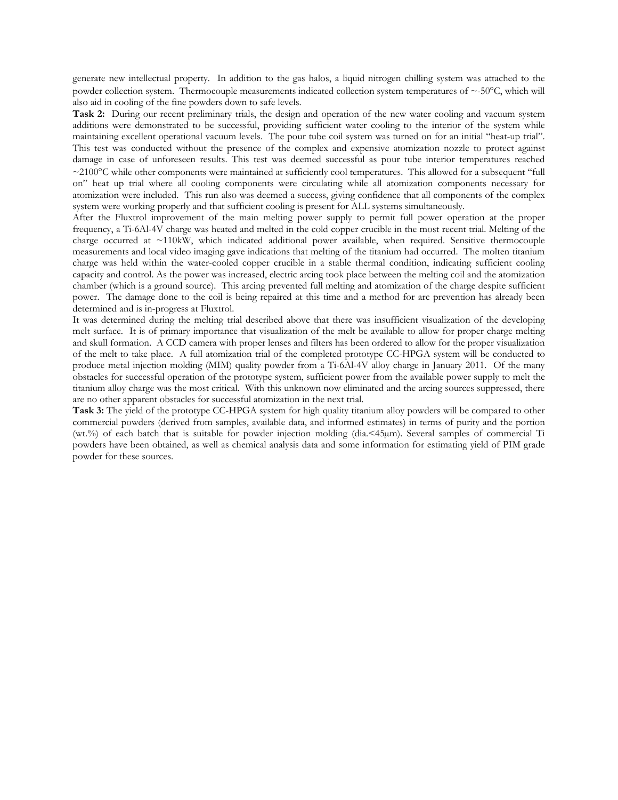generate new intellectual property. In addition to the gas halos, a liquid nitrogen chilling system was attached to the powder collection system. Thermocouple measurements indicated collection system temperatures of  $\sim$ -50°C, which will also aid in cooling of the fine powders down to safe levels.

**Task 2:** During our recent preliminary trials, the design and operation of the new water cooling and vacuum system additions were demonstrated to be successful, providing sufficient water cooling to the interior of the system while maintaining excellent operational vacuum levels. The pour tube coil system was turned on for an initial "heat-up trial". This test was conducted without the presence of the complex and expensive atomization nozzle to protect against damage in case of unforeseen results. This test was deemed successful as pour tube interior temperatures reached  $\sim$ 2100°C while other components were maintained at sufficiently cool temperatures. This allowed for a subsequent "full on" heat up trial where all cooling components were circulating while all atomization components necessary for atomization were included. This run also was deemed a success, giving confidence that all components of the complex system were working properly and that sufficient cooling is present for ALL systems simultaneously.

After the Fluxtrol improvement of the main melting power supply to permit full power operation at the proper frequency, a Ti-6Al-4V charge was heated and melted in the cold copper crucible in the most recent trial. Melting of the charge occurred at ~110kW, which indicated additional power available, when required. Sensitive thermocouple measurements and local video imaging gave indications that melting of the titanium had occurred. The molten titanium charge was held within the water-cooled copper crucible in a stable thermal condition, indicating sufficient cooling capacity and control. As the power was increased, electric arcing took place between the melting coil and the atomization chamber (which is a ground source). This arcing prevented full melting and atomization of the charge despite sufficient power. The damage done to the coil is being repaired at this time and a method for arc prevention has already been determined and is in-progress at Fluxtrol.

It was determined during the melting trial described above that there was insufficient visualization of the developing melt surface. It is of primary importance that visualization of the melt be available to allow for proper charge melting and skull formation. A CCD camera with proper lenses and filters has been ordered to allow for the proper visualization of the melt to take place. A full atomization trial of the completed prototype CC-HPGA system will be conducted to produce metal injection molding (MIM) quality powder from a Ti-6Al-4V alloy charge in January 2011. Of the many obstacles for successful operation of the prototype system, sufficient power from the available power supply to melt the titanium alloy charge was the most critical. With this unknown now eliminated and the arcing sources suppressed, there are no other apparent obstacles for successful atomization in the next trial.

**Task 3:** The yield of the prototype CC-HPGA system for high quality titanium alloy powders will be compared to other commercial powders (derived from samples, available data, and informed estimates) in terms of purity and the portion (wt.%) of each batch that is suitable for powder injection molding (dia.<45µm). Several samples of commercial Ti powders have been obtained, as well as chemical analysis data and some information for estimating yield of PIM grade powder for these sources.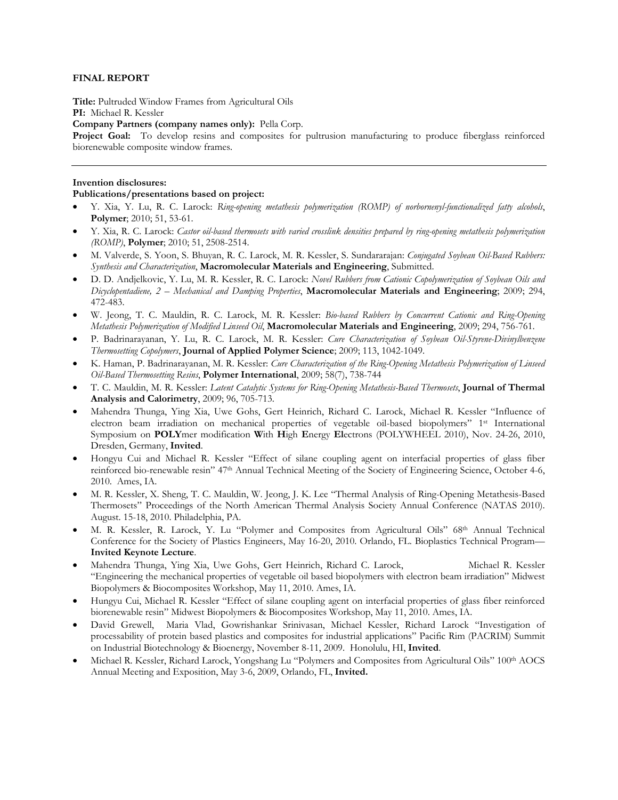**Title:** Pultruded Window Frames from Agricultural Oils **PI:** Michael R. Kessler

**Company Partners (company names only):** Pella Corp.

**Project Goal:** To develop resins and composites for pultrusion manufacturing to produce fiberglass reinforced biorenewable composite window frames.

#### **Invention disclosures:**

#### **Publications/presentations based on project:**

- Y. Xia, Y. Lu, R. C. Larock: *Ring-opening metathesis polymerization (ROMP) of norbornenyl-functionalized fatty alcohols*, **Polymer**; 2010; 51, 53-61.
- Y. Xia, R. C. Larock: *Castor oil-based thermosets with varied crosslink densities prepared by ring-opening metathesis polymerization (ROMP)*, **Polymer**; 2010; 51, 2508-2514.
- M. Valverde, S. Yoon, S. Bhuyan, R. C. Larock, M. R. Kessler, S. Sundararajan: *Conjugated Soybean Oil-Based Rubbers: Synthesis and Characterization*, **Macromolecular Materials and Engineering**, Submitted.
- D. D. Andjelkovic, Y. Lu, M. R. Kessler, R. C. Larock: *Novel Rubbers from Cationic Copolymerization of Soybean Oils and Dicyclopentadiene, 2* – *Mechanical and Damping Properties*, **Macromolecular Materials and Engineering**; 2009; 294, 472-483.
- W. Jeong, T. C. Mauldin, R. C. Larock, M. R. Kessler: *Bio-based Rubbers by Concurrent Cationic and Ring-Opening Metathesis Polymerization of Modified Linseed Oil*, **Macromolecular Materials and Engineering**, 2009; 294, 756-761.
- P. Badrinarayanan, Y. Lu, R. C. Larock, M. R. Kessler: *Cure Characterization of Soybean Oil-Styrene-Divinylbenzene Thermosetting Copolymers*, **Journal of Applied Polymer Science**; 2009; 113, 1042-1049.
- K. Haman, P. Badrinarayanan, M. R. Kessler: *Cure Characterization of the Ring-Opening Metathesis Polymerization of Linseed Oil-Based Thermosetting Resins*, **Polymer International**, 2009; 58(7), 738-744
- T. C. Mauldin, M. R. Kessler: *Latent Catalytic Systems for Ring-Opening Metathesis-Based Thermosets*, **Journal of Thermal Analysis and Calorimetry**, 2009; 96, 705-713.
- Mahendra Thunga, Ying Xia, Uwe Gohs, Gert Heinrich, Richard C. Larock, Michael R. Kessler "Influence of electron beam irradiation on mechanical properties of vegetable oil-based biopolymers" 1st International Symposium on **POLY**mer modification **W**ith **H**igh **E**nergy **El**ectrons (POLYWHEEL 2010), Nov. 24-26, 2010, Dresden, Germany, **Invited**.
- Hongyu Cui and Michael R. Kessler "Effect of silane coupling agent on interfacial properties of glass fiber reinforced bio-renewable resin" 47th Annual Technical Meeting of the Society of Engineering Science, October 4-6, 2010. Ames, IA.
- M. R. Kessler, X. Sheng, T. C. Mauldin, W. Jeong, J. K. Lee "Thermal Analysis of Ring-Opening Metathesis-Based Thermosets" Proceedings of the North American Thermal Analysis Society Annual Conference (NATAS 2010). August. 15-18, 2010. Philadelphia, PA.
- M. R. Kessler, R. Larock, Y. Lu "Polymer and Composites from Agricultural Oils" 68th Annual Technical Conference for the Society of Plastics Engineers, May 16-20, 2010. Orlando, FL. Bioplastics Technical Program— **Invited Keynote Lecture**.
- Mahendra Thunga, Ying Xia, Uwe Gohs, Gert Heinrich, Richard C. Larock, Michael R. Kessler "Engineering the mechanical properties of vegetable oil based biopolymers with electron beam irradiation" Midwest Biopolymers & Biocomposites Workshop, May 11, 2010. Ames, IA.
- Hungyu Cui, Michael R. Kessler "Effect of silane coupling agent on interfacial properties of glass fiber reinforced biorenewable resin" Midwest Biopolymers & Biocomposites Workshop, May 11, 2010. Ames, IA.
- David Grewell, Maria Vlad, Gowrishankar Srinivasan, Michael Kessler, Richard Larock "Investigation of processability of protein based plastics and composites for industrial applications" Pacific Rim (PACRIM) Summit on Industrial Biotechnology & Bioenergy, November 8-11, 2009. Honolulu, HI, **Invited**.
- Michael R. Kessler, Richard Larock, Yongshang Lu "Polymers and Composites from Agricultural Oils" 100th AOCS Annual Meeting and Exposition, May 3-6, 2009, Orlando, FL, **Invited.**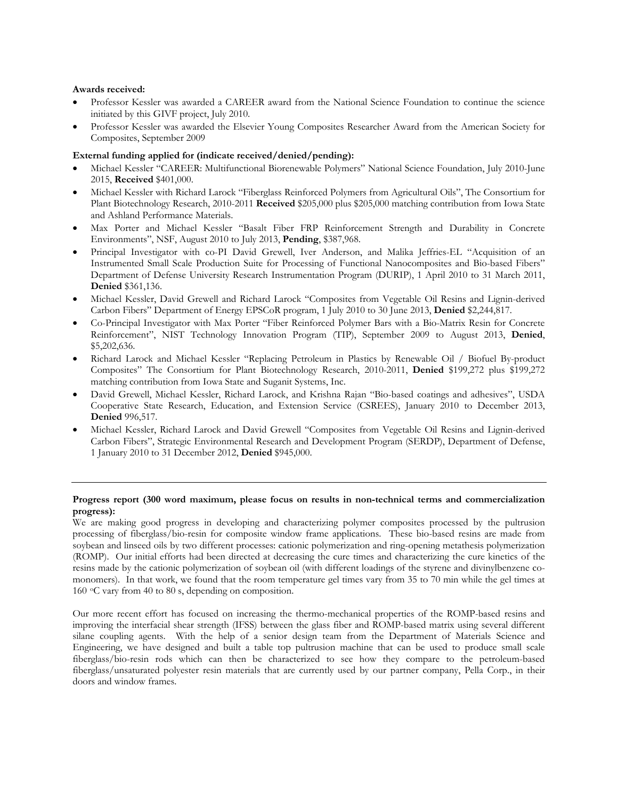#### **Awards received:**

- Professor Kessler was awarded a CAREER award from the National Science Foundation to continue the science initiated by this GIVF project, July 2010.
- Professor Kessler was awarded the Elsevier Young Composites Researcher Award from the American Society for Composites, September 2009

## **External funding applied for (indicate received/denied/pending):**

- Michael Kessler "CAREER: Multifunctional Biorenewable Polymers" National Science Foundation, July 2010-June 2015, **Received** \$401,000.
- Michael Kessler with Richard Larock "Fiberglass Reinforced Polymers from Agricultural Oils", The Consortium for Plant Biotechnology Research, 2010-2011 **Received** \$205,000 plus \$205,000 matching contribution from Iowa State and Ashland Performance Materials.
- Max Porter and Michael Kessler "Basalt Fiber FRP Reinforcement Strength and Durability in Concrete Environments", NSF, August 2010 to July 2013, **Pending**, \$387,968.
- Principal Investigator with co-PI David Grewell, Iver Anderson, and Malika Jeffries-EL "Acquisition of an Instrumented Small Scale Production Suite for Processing of Functional Nanocomposites and Bio-based Fibers" Department of Defense University Research Instrumentation Program (DURIP), 1 April 2010 to 31 March 2011, **Denied** \$361,136.
- Michael Kessler, David Grewell and Richard Larock "Composites from Vegetable Oil Resins and Lignin-derived Carbon Fibers" Department of Energy EPSCoR program, 1 July 2010 to 30 June 2013, **Denied** \$2,244,817.
- Co-Principal Investigator with Max Porter "Fiber Reinforced Polymer Bars with a Bio-Matrix Resin for Concrete Reinforcement", NIST Technology Innovation Program (TIP), September 2009 to August 2013, **Denied**, \$5,202,636.
- Richard Larock and Michael Kessler "Replacing Petroleum in Plastics by Renewable Oil / Biofuel By-product Composites" The Consortium for Plant Biotechnology Research, 2010-2011, **Denied** \$199,272 plus \$199,272 matching contribution from Iowa State and Suganit Systems, Inc.
- David Grewell, Michael Kessler, Richard Larock, and Krishna Rajan "Bio-based coatings and adhesives", USDA Cooperative State Research, Education, and Extension Service (CSREES), January 2010 to December 2013, **Denied** 996,517.
- Michael Kessler, Richard Larock and David Grewell "Composites from Vegetable Oil Resins and Lignin-derived Carbon Fibers", Strategic Environmental Research and Development Program (SERDP), Department of Defense, 1 January 2010 to 31 December 2012, **Denied** \$945,000.

#### **Progress report (300 word maximum, please focus on results in non-technical terms and commercialization progress):**

We are making good progress in developing and characterizing polymer composites processed by the pultrusion processing of fiberglass/bio-resin for composite window frame applications. These bio-based resins are made from soybean and linseed oils by two different processes: cationic polymerization and ring-opening metathesis polymerization (ROMP). Our initial efforts had been directed at decreasing the cure times and characterizing the cure kinetics of the resins made by the cationic polymerization of soybean oil (with different loadings of the styrene and divinylbenzene comonomers). In that work, we found that the room temperature gel times vary from 35 to 70 min while the gel times at 160 °C vary from 40 to 80 s, depending on composition.

Our more recent effort has focused on increasing the thermo-mechanical properties of the ROMP-based resins and improving the interfacial shear strength (IFSS) between the glass fiber and ROMP-based matrix using several different silane coupling agents. With the help of a senior design team from the Department of Materials Science and Engineering, we have designed and built a table top pultrusion machine that can be used to produce small scale fiberglass/bio-resin rods which can then be characterized to see how they compare to the petroleum-based fiberglass/unsaturated polyester resin materials that are currently used by our partner company, Pella Corp., in their doors and window frames.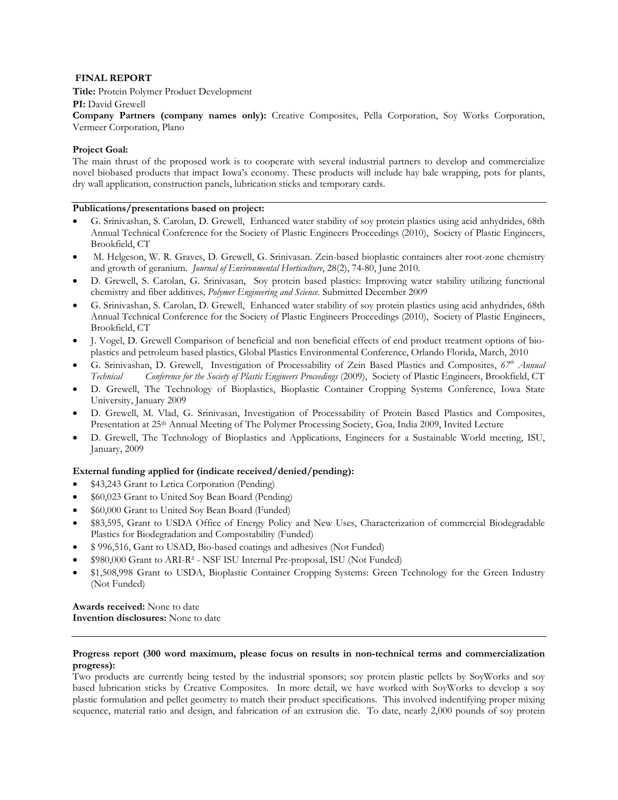**Title:** Protein Polymer Product Development

#### **PI:** David Grewell

**Company Partners (company names only):** Creative Composites, Pella Corporation, Soy Works Corporation, Vermeer Corporation, Plano

# **Project Goal:**

The main thrust of the proposed work is to cooperate with several industrial partners to develop and commercialize novel biobased products that impact Iowa's economy. These products will include hay bale wrapping, pots for plants, dry wall application, construction panels, lubrication sticks and temporary cards.

## **Publications/presentations based on project:**

- G. Srinivashan, S. Carolan, D. Grewell, Enhanced water stability of soy protein plastics using acid anhydrides, 68th Annual Technical Conference for the Society of Plastic Engineers Proceedings (2010), Society of Plastic Engineers, Brookfield, CT
- M. Helgeson, W. R. Graves, D. Grewell, G. Srinivasan. Zein-based bioplastic containers alter root-zone chemistry and growth of geranium. *Journal of Environmental Horticulture*, 28(2), 74-80, June 2010.
- D. Grewell, S. Carolan, G. Srinivasan, Soy protein based plastics: Improving water stability utilizing functional chemistry and fiber additives*, Polymer Engineering and Science*. Submitted December 2009
- G. Srinivashan, S. Carolan, D. Grewell, Enhanced water stability of soy protein plastics using acid anhydrides, 68th Annual Technical Conference for the Society of Plastic Engineers Proceedings (2010), Society of Plastic Engineers, Brookfield, CT
- J. Vogel, D. Grewell Comparison of beneficial and non beneficial effects of end product treatment options of bioplastics and petroleum based plastics, Global Plastics Environmental Conference, Orlando Florida, March, 2010
- G. Srinivashan, D. Grewell, Investigation of Processability of Zein Based Plastics and Composites, *67th Annual Technical Conference for the Society of Plastic Engineers Proceedings* (2009), Society of Plastic Engineers, Brookfield, CT
- D. Grewell, The Technology of Bioplastics, Bioplastic Container Cropping Systems Conference, Iowa State University, January 2009
- D. Grewell, M. Vlad, G. Srinivasan, Investigation of Processability of Protein Based Plastics and Composites, Presentation at 25th Annual Meeting of The Polymer Processing Society, Goa, India 2009, Invited Lecture
- D. Grewell, The Technology of Bioplastics and Applications, Engineers for a Sustainable World meeting, ISU, January, 2009

## **External funding applied for (indicate received/denied/pending):**

- \$43,243 Grant to Letica Corporation (Pending)
- \$60,023 Grant to United Soy Bean Board (Pending)
- \$60,000 Grant to United Soy Bean Board (Funded)
- \$83,595, Grant to USDA Office of Energy Policy and New Uses, Characterization of commercial Biodegradable Plastics for Biodegradation and Compostability (Funded)
- \$ 996,516, Gant to USAD, Bio-based coatings and adhesives (Not Funded)
- \$980,000 Grant to ARI-R² NSF ISU Internal Pre-proposal, ISU (Not Funded)
- \$1,508,998 Grant to USDA, Bioplastic Container Cropping Systems: Green Technology for the Green Industry (Not Funded)

**Awards received:** None to date **Invention disclosures:** None to date

#### **Progress report (300 word maximum, please focus on results in non-technical terms and commercialization progress):**

Two products are currently being tested by the industrial sponsors; soy protein plastic pellets by SoyWorks and soy based lubrication sticks by Creative Composites. In more detail, we have worked with SoyWorks to develop a soy plastic formulation and pellet geometry to match their product specifications. This involved indentifying proper mixing sequence, material ratio and design, and fabrication of an extrusion die. To date, nearly 2,000 pounds of soy protein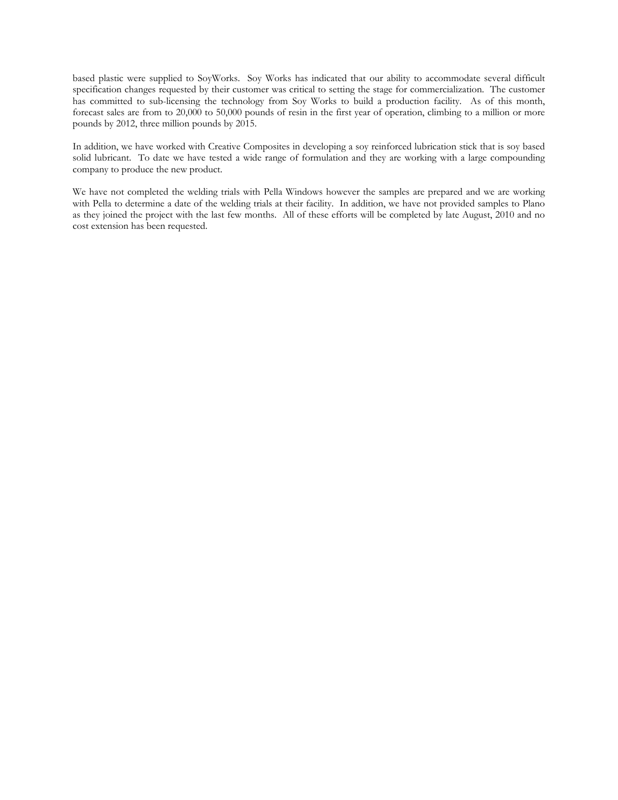based plastic were supplied to SoyWorks. Soy Works has indicated that our ability to accommodate several difficult specification changes requested by their customer was critical to setting the stage for commercialization. The customer has committed to sub-licensing the technology from Soy Works to build a production facility. As of this month, forecast sales are from to 20,000 to 50,000 pounds of resin in the first year of operation, climbing to a million or more pounds by 2012, three million pounds by 2015.

In addition, we have worked with Creative Composites in developing a soy reinforced lubrication stick that is soy based solid lubricant. To date we have tested a wide range of formulation and they are working with a large compounding company to produce the new product.

We have not completed the welding trials with Pella Windows however the samples are prepared and we are working with Pella to determine a date of the welding trials at their facility. In addition, we have not provided samples to Plano as they joined the project with the last few months. All of these efforts will be completed by late August, 2010 and no cost extension has been requested.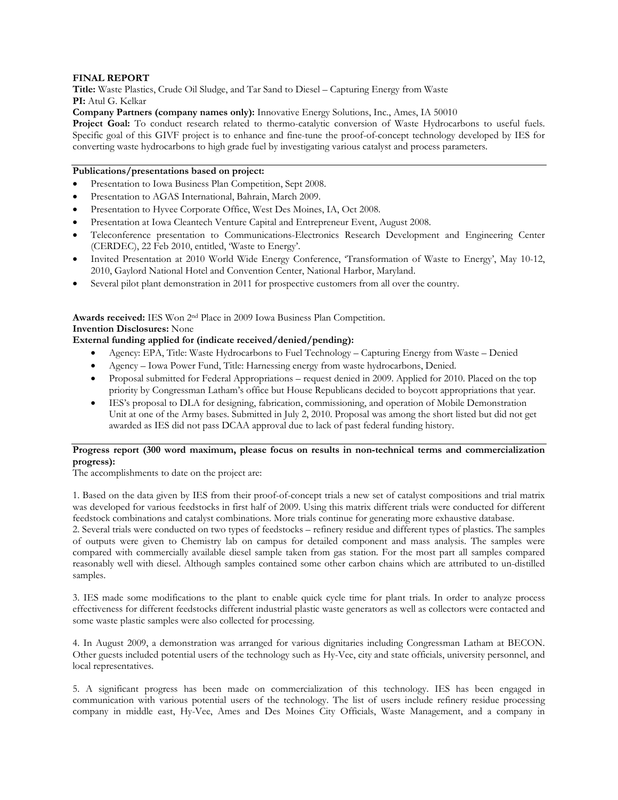**Title:** Waste Plastics, Crude Oil Sludge, and Tar Sand to Diesel – Capturing Energy from Waste **PI:** Atul G. Kelkar

**Company Partners (company names only):** Innovative Energy Solutions, Inc., Ames, IA 50010

Project Goal: To conduct research related to thermo-catalytic conversion of Waste Hydrocarbons to useful fuels. Specific goal of this GIVF project is to enhance and fine-tune the proof-of-concept technology developed by IES for converting waste hydrocarbons to high grade fuel by investigating various catalyst and process parameters.

#### **Publications/presentations based on project:**

- Presentation to Iowa Business Plan Competition, Sept 2008.
- Presentation to AGAS International, Bahrain, March 2009.
- Presentation to Hyvee Corporate Office, West Des Moines, IA, Oct 2008.
- Presentation at Iowa Cleantech Venture Capital and Entrepreneur Event, August 2008.
- Teleconference presentation to Communications-Electronics Research Development and Engineering Center (CERDEC), 22 Feb 2010, entitled, 'Waste to Energy'.
- Invited Presentation at 2010 World Wide Energy Conference, 'Transformation of Waste to Energy', May 10-12, 2010, Gaylord National Hotel and Convention Center, National Harbor, Maryland.
- Several pilot plant demonstration in 2011 for prospective customers from all over the country.

**Awards received:** IES Won 2nd Place in 2009 Iowa Business Plan Competition. **Invention Disclosures:** None

# **External funding applied for (indicate received/denied/pending):**

- Agency: EPA, Title: Waste Hydrocarbons to Fuel Technology Capturing Energy from Waste Denied
- Agency Iowa Power Fund, Title: Harnessing energy from waste hydrocarbons, Denied.
- Proposal submitted for Federal Appropriations request denied in 2009. Applied for 2010. Placed on the top priority by Congressman Latham's office but House Republicans decided to boycott appropriations that year.
- IES's proposal to DLA for designing, fabrication, commissioning, and operation of Mobile Demonstration Unit at one of the Army bases. Submitted in July 2, 2010. Proposal was among the short listed but did not get awarded as IES did not pass DCAA approval due to lack of past federal funding history.

## **Progress report (300 word maximum, please focus on results in non-technical terms and commercialization progress):**

The accomplishments to date on the project are:

1. Based on the data given by IES from their proof-of-concept trials a new set of catalyst compositions and trial matrix was developed for various feedstocks in first half of 2009. Using this matrix different trials were conducted for different feedstock combinations and catalyst combinations. More trials continue for generating more exhaustive database.

2. Several trials were conducted on two types of feedstocks – refinery residue and different types of plastics. The samples of outputs were given to Chemistry lab on campus for detailed component and mass analysis. The samples were compared with commercially available diesel sample taken from gas station. For the most part all samples compared reasonably well with diesel. Although samples contained some other carbon chains which are attributed to un-distilled samples.

3. IES made some modifications to the plant to enable quick cycle time for plant trials. In order to analyze process effectiveness for different feedstocks different industrial plastic waste generators as well as collectors were contacted and some waste plastic samples were also collected for processing.

4. In August 2009, a demonstration was arranged for various dignitaries including Congressman Latham at BECON. Other guests included potential users of the technology such as Hy-Vee, city and state officials, university personnel, and local representatives.

5. A significant progress has been made on commercialization of this technology. IES has been engaged in communication with various potential users of the technology. The list of users include refinery residue processing company in middle east, Hy-Vee, Ames and Des Moines City Officials, Waste Management, and a company in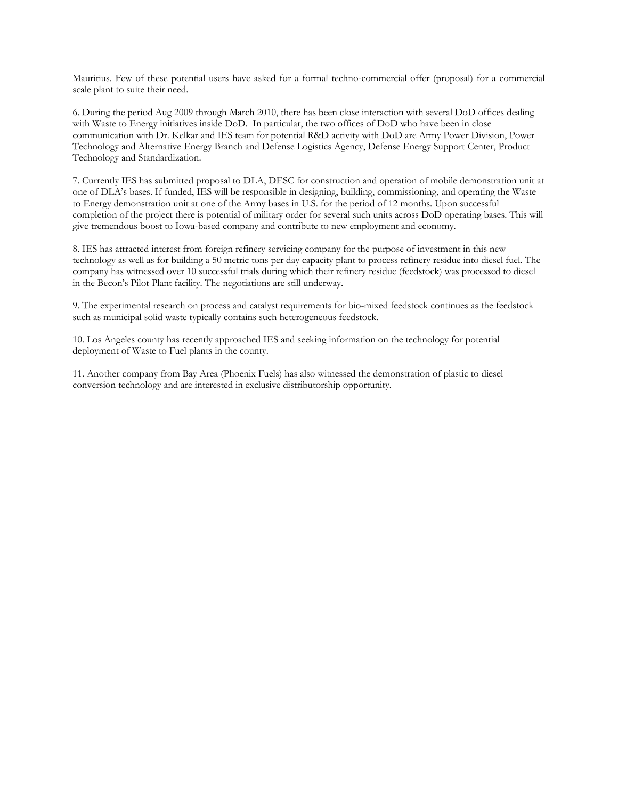Mauritius. Few of these potential users have asked for a formal techno-commercial offer (proposal) for a commercial scale plant to suite their need.

6. During the period Aug 2009 through March 2010, there has been close interaction with several DoD offices dealing with Waste to Energy initiatives inside DoD. In particular, the two offices of DoD who have been in close communication with Dr. Kelkar and IES team for potential R&D activity with DoD are Army Power Division, Power Technology and Alternative Energy Branch and Defense Logistics Agency, Defense Energy Support Center, Product Technology and Standardization.

7. Currently IES has submitted proposal to DLA, DESC for construction and operation of mobile demonstration unit at one of DLA's bases. If funded, IES will be responsible in designing, building, commissioning, and operating the Waste to Energy demonstration unit at one of the Army bases in U.S. for the period of 12 months. Upon successful completion of the project there is potential of military order for several such units across DoD operating bases. This will give tremendous boost to Iowa-based company and contribute to new employment and economy.

8. IES has attracted interest from foreign refinery servicing company for the purpose of investment in this new technology as well as for building a 50 metric tons per day capacity plant to process refinery residue into diesel fuel. The company has witnessed over 10 successful trials during which their refinery residue (feedstock) was processed to diesel in the Becon's Pilot Plant facility. The negotiations are still underway.

9. The experimental research on process and catalyst requirements for bio-mixed feedstock continues as the feedstock such as municipal solid waste typically contains such heterogeneous feedstock.

10. Los Angeles county has recently approached IES and seeking information on the technology for potential deployment of Waste to Fuel plants in the county.

11. Another company from Bay Area (Phoenix Fuels) has also witnessed the demonstration of plastic to diesel conversion technology and are interested in exclusive distributorship opportunity.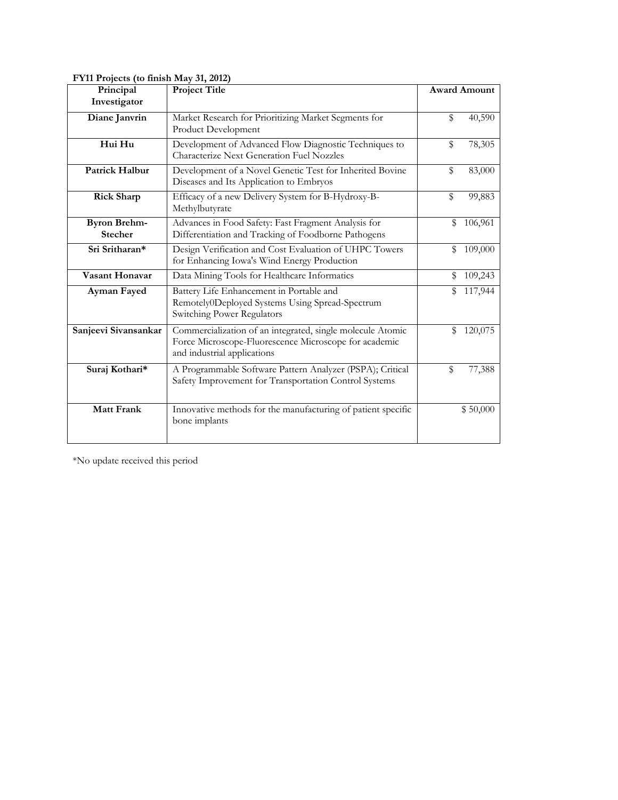# **FY11 Projects (to finish May 31, 2012)**

| Principal<br>Investigator             | <b>Project Title</b>                                                                                                                               | <b>Award Amount</b> |          |
|---------------------------------------|----------------------------------------------------------------------------------------------------------------------------------------------------|---------------------|----------|
| Diane Janvrin                         | Market Research for Prioritizing Market Segments for<br>Product Development                                                                        | \$                  | 40,590   |
| Hui Hu                                | Development of Advanced Flow Diagnostic Techniques to<br>Characterize Next Generation Fuel Nozzles                                                 |                     | 78,305   |
| Patrick Halbur                        | Development of a Novel Genetic Test for Inherited Bovine<br>Diseases and Its Application to Embryos                                                | \$                  | 83,000   |
| <b>Rick Sharp</b>                     | Efficacy of a new Delivery System for B-Hydroxy-B-<br>Methylbutyrate                                                                               | \$                  | 99,883   |
| <b>Byron Brehm-</b><br><b>Stecher</b> | Advances in Food Safety: Fast Fragment Analysis for<br>Differentiation and Tracking of Foodborne Pathogens                                         | \$                  | 106,961  |
| Sri Sritharan*                        | Design Verification and Cost Evaluation of UHPC Towers<br>for Enhancing Iowa's Wind Energy Production                                              | \$                  | 109,000  |
| Vasant Honavar                        | Data Mining Tools for Healthcare Informatics                                                                                                       | \$                  | 109,243  |
| Ayman Fayed                           | Battery Life Enhancement in Portable and<br>Remotely0Deployed Systems Using Spread-Spectrum<br>Switching Power Regulators                          | \$                  | 117,944  |
| Sanjeevi Sivansankar                  | Commercialization of an integrated, single molecule Atomic<br>Force Microscope-Fluorescence Microscope for academic<br>and industrial applications | \$                  | 120,075  |
| Suraj Kothari*                        | A Programmable Software Pattern Analyzer (PSPA); Critical<br>Safety Improvement for Transportation Control Systems                                 | \$                  | 77,388   |
| <b>Matt Frank</b>                     | Innovative methods for the manufacturing of patient specific<br>bone implants                                                                      |                     | \$50,000 |

\*No update received this period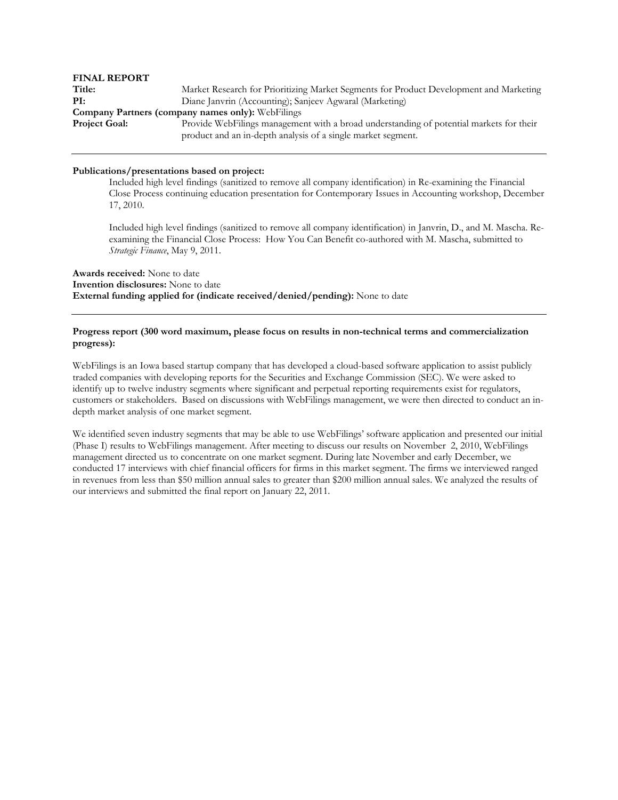## **FINAL REPORT Title:** Market Research for Prioritizing Market Segments for Product Development and Marketing Diane Ianyrin (Accounting): Sanieev Agwaral (Marketing) Diane Janvrin (Accounting); Sanjeev Agwaral (Marketing) **Company Partners (company names only):** WebFilings **Project Goal:** Provide WebFilings management with a broad understanding of potential markets for their product and an in-depth analysis of a single market segment.

#### **Publications/presentations based on project:**

Included high level findings (sanitized to remove all company identification) in Re-examining the Financial Close Process continuing education presentation for Contemporary Issues in Accounting workshop, December 17, 2010.

Included high level findings (sanitized to remove all company identification) in Janvrin, D., and M. Mascha. Reexamining the Financial Close Process: How You Can Benefit co-authored with M. Mascha, submitted to *Strategic Finance*, May 9, 2011.

**Awards received:** None to date **Invention disclosures:** None to date **External funding applied for (indicate received/denied/pending):** None to date

#### **Progress report (300 word maximum, please focus on results in non-technical terms and commercialization progress):**

WebFilings is an Iowa based startup company that has developed a cloud-based software application to assist publicly traded companies with developing reports for the Securities and Exchange Commission (SEC). We were asked to identify up to twelve industry segments where significant and perpetual reporting requirements exist for regulators, customers or stakeholders. Based on discussions with WebFilings management, we were then directed to conduct an indepth market analysis of one market segment.

We identified seven industry segments that may be able to use WebFilings' software application and presented our initial (Phase I) results to WebFilings management. After meeting to discuss our results on November 2, 2010, WebFilings management directed us to concentrate on one market segment. During late November and early December, we conducted 17 interviews with chief financial officers for firms in this market segment. The firms we interviewed ranged in revenues from less than \$50 million annual sales to greater than \$200 million annual sales. We analyzed the results of our interviews and submitted the final report on January 22, 2011.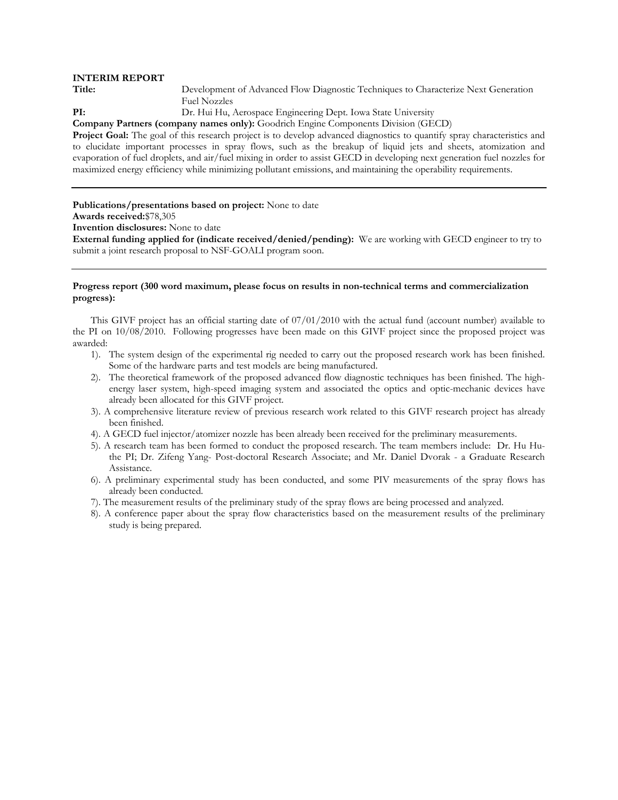# **INTERIM REPORT**

Development of Advanced Flow Diagnostic Techniques to Characterize Next Generation Fuel Nozzles **PI:** Dr. Hui Hu, Aerospace Engineering Dept. Iowa State University

**Company Partners (company names only):** Goodrich Engine Components Division (GECD)

**Project Goal:** The goal of this research project is to develop advanced diagnostics to quantify spray characteristics and to elucidate important processes in spray flows, such as the breakup of liquid jets and sheets, atomization and evaporation of fuel droplets, and air/fuel mixing in order to assist GECD in developing next generation fuel nozzles for maximized energy efficiency while minimizing pollutant emissions, and maintaining the operability requirements.

**Publications/presentations based on project:** None to date **Awards received:** \$78,305 **Invention disclosures:** None to date

**External funding applied for (indicate received/denied/pending):** We are working with GECD engineer to try to submit a joint research proposal to NSF-GOALI program soon.

#### **Progress report (300 word maximum, please focus on results in non-technical terms and commercialization progress):**

This GIVF project has an official starting date of 07/01/2010 with the actual fund (account number) available to the PI on 10/08/2010. Following progresses have been made on this GIVF project since the proposed project was awarded:

- 1). The system design of the experimental rig needed to carry out the proposed research work has been finished. Some of the hardware parts and test models are being manufactured.
- 2). The theoretical framework of the proposed advanced flow diagnostic techniques has been finished. The highenergy laser system, high-speed imaging system and associated the optics and optic-mechanic devices have already been allocated for this GIVF project.
- 3). A comprehensive literature review of previous research work related to this GIVF research project has already been finished.
- 4). A GECD fuel injector/atomizer nozzle has been already been received for the preliminary measurements.
- 5). A research team has been formed to conduct the proposed research. The team members include: Dr. Hu Huthe PI; Dr. Zifeng Yang- Post-doctoral Research Associate; and Mr. Daniel Dvorak - a Graduate Research Assistance.
- 6). A preliminary experimental study has been conducted, and some PIV measurements of the spray flows has already been conducted.
- 7). The measurement results of the preliminary study of the spray flows are being processed and analyzed.
- 8). A conference paper about the spray flow characteristics based on the measurement results of the preliminary study is being prepared.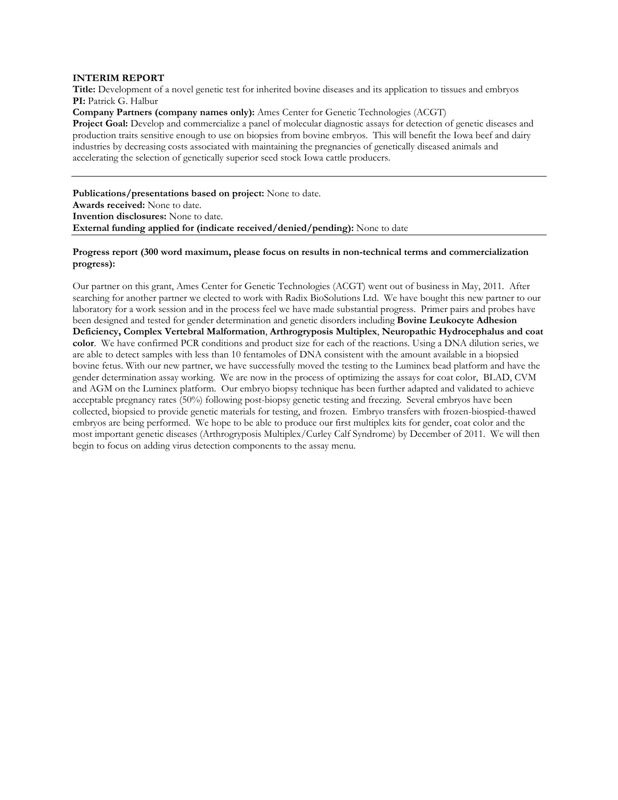#### **INTERIM REPORT**

**Title:** Development of a novel genetic test for inherited bovine diseases and its application to tissues and embryos PI: Patrick G. Halbur

**Company Partners (company names only):** Ames Center for Genetic Technologies (ACGT)

**Project Goal:** Develop and commercialize a panel of molecular diagnostic assays for detection of genetic diseases and production traits sensitive enough to use on biopsies from bovine embryos. This will benefit the Iowa beef and dairy industries by decreasing costs associated with maintaining the pregnancies of genetically diseased animals and accelerating the selection of genetically superior seed stock Iowa cattle producers.

**Publications/presentations based on project:** None to date. **Awards received:** None to date. **Invention disclosures:** None to date. **External funding applied for (indicate received/denied/pending):** None to date

#### **Progress report (300 word maximum, please focus on results in non-technical terms and commercialization progress):**

Our partner on this grant, Ames Center for Genetic Technologies (ACGT) went out of business in May, 2011. After searching for another partner we elected to work with Radix BioSolutions Ltd. We have bought this new partner to our laboratory for a work session and in the process feel we have made substantial progress.Primer pairs and probes have been designed and tested for gender determination and genetic disorders including **Bovine Leukocyte Adhesion Deficiency, Complex Vertebral Malformation**, **Arthrogryposis Multiplex**, **Neuropathic Hydrocephalus and coat color**. We have confirmed PCR conditions and product size for each of the reactions. Using a DNA dilution series, we are able to detect samples with less than 10 fentamoles of DNA consistent with the amount available in a biopsied bovine fetus. With our new partner, we have successfully moved the testing to the Luminex bead platform and have the gender determination assay working. We are now in the process of optimizing the assays for coat color, BLAD, CVM and AGM on the Luminex platform. Our embryo biopsy technique has been further adapted and validated to achieve acceptable pregnancy rates (50%) following post-biopsy genetic testing and freezing. Several embryos have been collected, biopsied to provide genetic materials for testing, and frozen. Embryo transfers with frozen-biospied-thawed embryos are being performed. We hope to be able to produce our first multiplex kits for gender, coat color and the most important genetic diseases (Arthrogryposis Multiplex/Curley Calf Syndrome) by December of 2011. We will then begin to focus on adding virus detection components to the assay menu.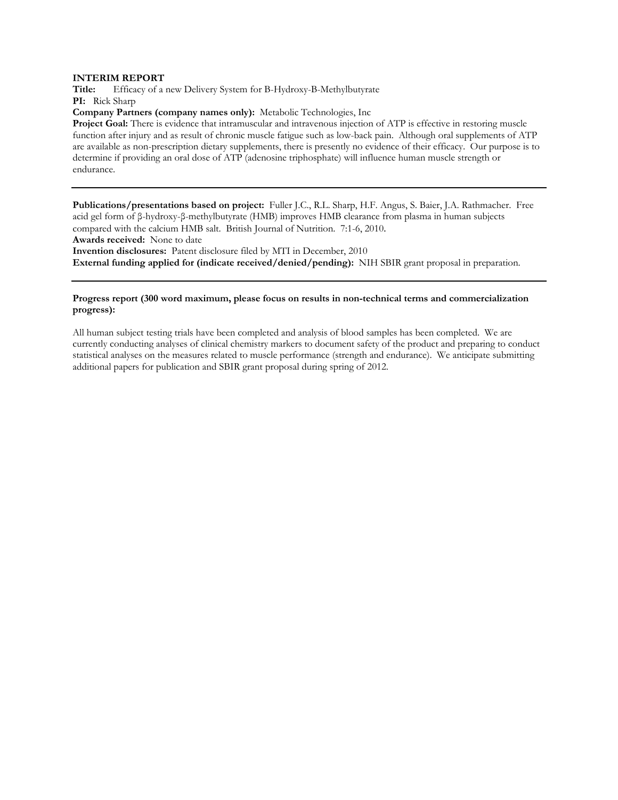# **INTERIM REPORT**<br>**Title:** Efficacy of a

**Title:** Efficacy of a new Delivery System for B-Hydroxy-B-Methylbutyrate **PI:** Rick Sharp

**Company Partners (company names only):** Metabolic Technologies, Inc

**Project Goal:** There is evidence that intramuscular and intravenous injection of ATP is effective in restoring muscle function after injury and as result of chronic muscle fatigue such as low-back pain. Although oral supplements of ATP are available as non-prescription dietary supplements, there is presently no evidence of their efficacy. Our purpose is to determine if providing an oral dose of ATP (adenosine triphosphate) will influence human muscle strength or endurance.

**Publications/presentations based on project:** Fuller J.C., R.L. Sharp, H.F. Angus, S. Baier, J.A. Rathmacher. Free acid gel form of β-hydroxy-β-methylbutyrate (HMB) improves HMB clearance from plasma in human subjects compared with the calcium HMB salt. British Journal of Nutrition. 7:1-6, 2010. **Awards received:** None to date **Invention disclosures:** Patent disclosure filed by MTI in December, 2010 **External funding applied for (indicate received/denied/pending):** NIH SBIR grant proposal in preparation.

#### **Progress report (300 word maximum, please focus on results in non-technical terms and commercialization progress):**

All human subject testing trials have been completed and analysis of blood samples has been completed. We are currently conducting analyses of clinical chemistry markers to document safety of the product and preparing to conduct statistical analyses on the measures related to muscle performance (strength and endurance). We anticipate submitting additional papers for publication and SBIR grant proposal during spring of 2012.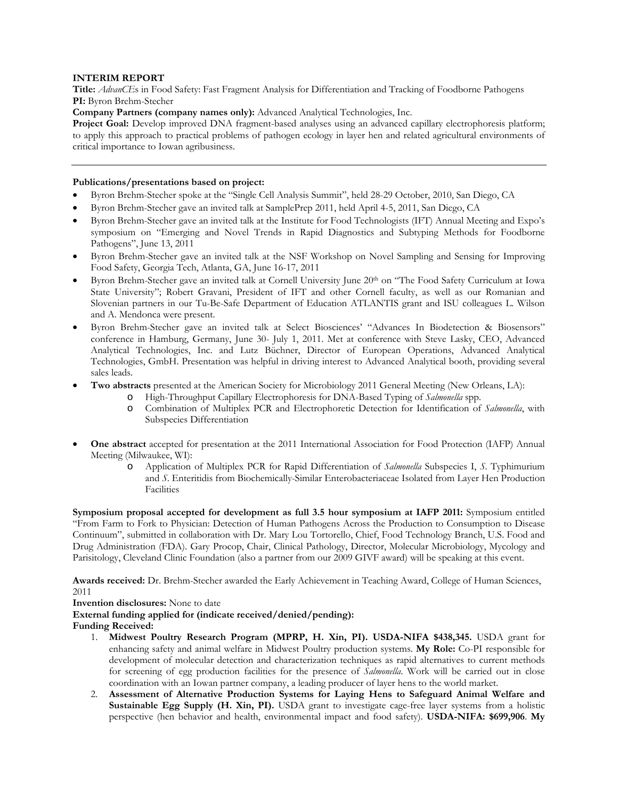**Title:** *AdvanCE*s in Food Safety: Fast Fragment Analysis for Differentiation and Tracking of Foodborne Pathogens **PI:** Byron Brehm-Stecher

**Company Partners (company names only):** Advanced Analytical Technologies, Inc.

**Project Goal:** Develop improved DNA fragment-based analyses using an advanced capillary electrophoresis platform; to apply this approach to practical problems of pathogen ecology in layer hen and related agricultural environments of critical importance to Iowan agribusiness.

#### **Publications/presentations based on project:**

- Byron Brehm-Stecher spoke at the "Single Cell Analysis Summit", held 28-29 October, 2010, San Diego, CA
- Byron Brehm-Stecher gave an invited talk at SamplePrep 2011, held April 4-5, 2011, San Diego, CA
- Byron Brehm-Stecher gave an invited talk at the Institute for Food Technologists (IFT) Annual Meeting and Expo's symposium on "Emerging and Novel Trends in Rapid Diagnostics and Subtyping Methods for Foodborne Pathogens", June 13, 2011
- Byron Brehm-Stecher gave an invited talk at the NSF Workshop on Novel Sampling and Sensing for Improving Food Safety, Georgia Tech, Atlanta, GA, June 16-17, 2011
- Byron Brehm-Stecher gave an invited talk at Cornell University June 20<sup>th</sup> on "The Food Safety Curriculum at Iowa State University"; Robert Gravani, President of IFT and other Cornell faculty, as well as our Romanian and Slovenian partners in our Tu-Be-Safe Department of Education ATLANTIS grant and ISU colleagues L. Wilson and A. Mendonca were present.
- Byron Brehm-Stecher gave an invited talk at Select Biosciences' "Advances In Biodetection & Biosensors" conference in Hamburg, Germany, June 30- July 1, 2011. Met at conference with Steve Lasky, CEO, Advanced Analytical Technologies, Inc. and Lutz Büchner, Director of European Operations, Advanced Analytical Technologies, GmbH. Presentation was helpful in driving interest to Advanced Analytical booth, providing several sales leads.
- **Two abstracts** presented at the American Society for Microbiology 2011 General Meeting (New Orleans, LA):
	- o High-Throughput Capillary Electrophoresis for DNA-Based Typing of *Salmonella* spp.
	- o Combination of Multiplex PCR and Electrophoretic Detection for Identification of *Salmonella*, with Subspecies Differentiation
- **One abstract** accepted for presentation at the 2011 International Association for Food Protection (IAFP) Annual Meeting (Milwaukee, WI):
	- o Application of Multiplex PCR for Rapid Differentiation of *Salmonella* Subspecies I, *S*. Typhimurium and *S*. Enteritidis from Biochemically-Similar Enterobacteriaceae Isolated from Layer Hen Production Facilities

**Symposium proposal accepted for development as full 3.5 hour symposium at IAFP 2011:** Symposium entitled "From Farm to Fork to Physician: Detection of Human Pathogens Across the Production to Consumption to Disease Continuum", submitted in collaboration with Dr. Mary Lou Tortorello, Chief, Food Technology Branch, U.S. Food and Drug Administration (FDA). Gary Procop, Chair, Clinical Pathology, Director, Molecular Microbiology, Mycology and Parisitology, Cleveland Clinic Foundation (also a partner from our 2009 GIVF award) will be speaking at this event.

**Awards received:** Dr. Brehm-Stecher awarded the Early Achievement in Teaching Award, College of Human Sciences, 2011

**Invention disclosures:** None to date

**External funding applied for (indicate received/denied/pending): Funding Received:** 

- 1. **Midwest Poultry Research Program (MPRP, H. Xin, PI). USDA-NIFA \$438,345.** USDA grant for enhancing safety and animal welfare in Midwest Poultry production systems. **My Role:** Co-PI responsible for development of molecular detection and characterization techniques as rapid alternatives to current methods for screening of egg production facilities for the presence of *Salmonella*. Work will be carried out in close coordination with an Iowan partner company, a leading producer of layer hens to the world market.
- 2. **Assessment of Alternative Production Systems for Laying Hens to Safeguard Animal Welfare and Sustainable Egg Supply (H. Xin, PI).** USDA grant to investigate cage-free layer systems from a holistic perspective (hen behavior and health, environmental impact and food safety). **USDA-NIFA: \$699,906**. **My**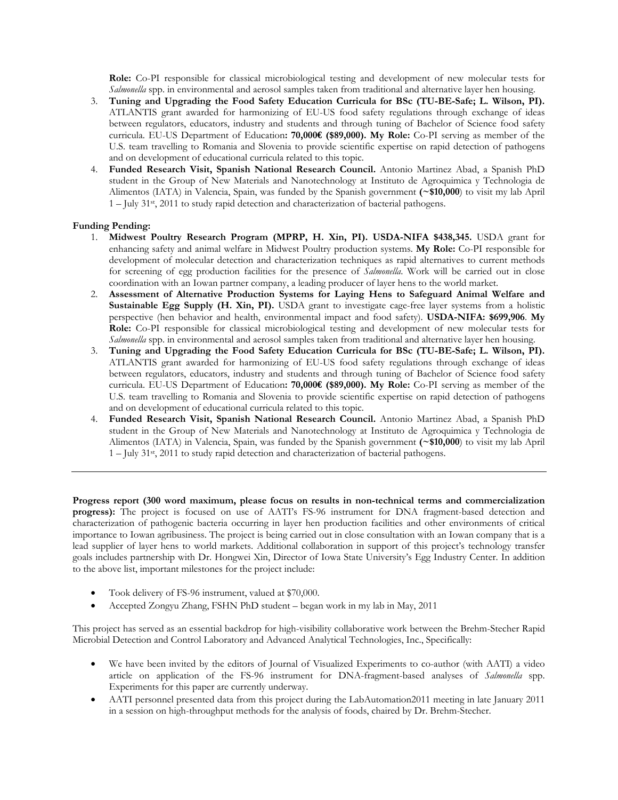**Role:** Co-PI responsible for classical microbiological testing and development of new molecular tests for *Salmonella* spp. in environmental and aerosol samples taken from traditional and alternative layer hen housing.

- 3. **Tuning and Upgrading the Food Safety Education Curricula for BSc (TU-BE-Safe; L. Wilson, PI).** ATLANTIS grant awarded for harmonizing of EU-US food safety regulations through exchange of ideas between regulators, educators, industry and students and through tuning of Bachelor of Science food safety curricula. EU-US Department of Education**: 70,000€ (\$89,000). My Role:** Co-PI serving as member of the U.S. team travelling to Romania and Slovenia to provide scientific expertise on rapid detection of pathogens and on development of educational curricula related to this topic.
- 4. **Funded Research Visit, Spanish National Research Council.** Antonio Martinez Abad, a Spanish PhD student in the Group of New Materials and Nanotechnology at Instituto de Agroquimica y Technologia de Alimentos (IATA) in Valencia, Spain, was funded by the Spanish government **(~\$10,000**) to visit my lab April  $1 -$  July 31<sup>st</sup>, 2011 to study rapid detection and characterization of bacterial pathogens.

#### **Funding Pending:**

- 1. **Midwest Poultry Research Program (MPRP, H. Xin, PI). USDA-NIFA \$438,345.** USDA grant for enhancing safety and animal welfare in Midwest Poultry production systems. **My Role:** Co-PI responsible for development of molecular detection and characterization techniques as rapid alternatives to current methods for screening of egg production facilities for the presence of *Salmonella*. Work will be carried out in close coordination with an Iowan partner company, a leading producer of layer hens to the world market.
- 2. **Assessment of Alternative Production Systems for Laying Hens to Safeguard Animal Welfare and Sustainable Egg Supply (H. Xin, PI).** USDA grant to investigate cage-free layer systems from a holistic perspective (hen behavior and health, environmental impact and food safety). **USDA-NIFA: \$699,906**. **My Role:** Co-PI responsible for classical microbiological testing and development of new molecular tests for *Salmonella* spp. in environmental and aerosol samples taken from traditional and alternative layer hen housing.
- 3. **Tuning and Upgrading the Food Safety Education Curricula for BSc (TU-BE-Safe; L. Wilson, PI).** ATLANTIS grant awarded for harmonizing of EU-US food safety regulations through exchange of ideas between regulators, educators, industry and students and through tuning of Bachelor of Science food safety curricula. EU-US Department of Education**: 70,000€ (\$89,000). My Role:** Co-PI serving as member of the U.S. team travelling to Romania and Slovenia to provide scientific expertise on rapid detection of pathogens and on development of educational curricula related to this topic.
- 4. **Funded Research Visit, Spanish National Research Council.** Antonio Martinez Abad, a Spanish PhD student in the Group of New Materials and Nanotechnology at Instituto de Agroquimica y Technologia de Alimentos (IATA) in Valencia, Spain, was funded by the Spanish government **(~\$10,000**) to visit my lab April  $1 -$  July 31<sup>st</sup>, 2011 to study rapid detection and characterization of bacterial pathogens.

**Progress report (300 word maximum, please focus on results in non-technical terms and commercialization progress):** The project is focused on use of AATI's FS-96 instrument for DNA fragment-based detection and characterization of pathogenic bacteria occurring in layer hen production facilities and other environments of critical importance to Iowan agribusiness. The project is being carried out in close consultation with an Iowan company that is a lead supplier of layer hens to world markets. Additional collaboration in support of this project's technology transfer goals includes partnership with Dr. Hongwei Xin, Director of Iowa State University's Egg Industry Center. In addition to the above list, important milestones for the project include:

- Took delivery of FS-96 instrument, valued at \$70,000.
- Accepted Zongyu Zhang, FSHN PhD student began work in my lab in May, 2011

This project has served as an essential backdrop for high-visibility collaborative work between the Brehm-Stecher Rapid Microbial Detection and Control Laboratory and Advanced Analytical Technologies, Inc., Specifically:

- We have been invited by the editors of Journal of Visualized Experiments to co-author (with AATI) a video article on application of the FS-96 instrument for DNA-fragment-based analyses of *Salmonella* spp. Experiments for this paper are currently underway.
- AATI personnel presented data from this project during the LabAutomation2011 meeting in late January 2011 in a session on high-throughput methods for the analysis of foods, chaired by Dr. Brehm-Stecher.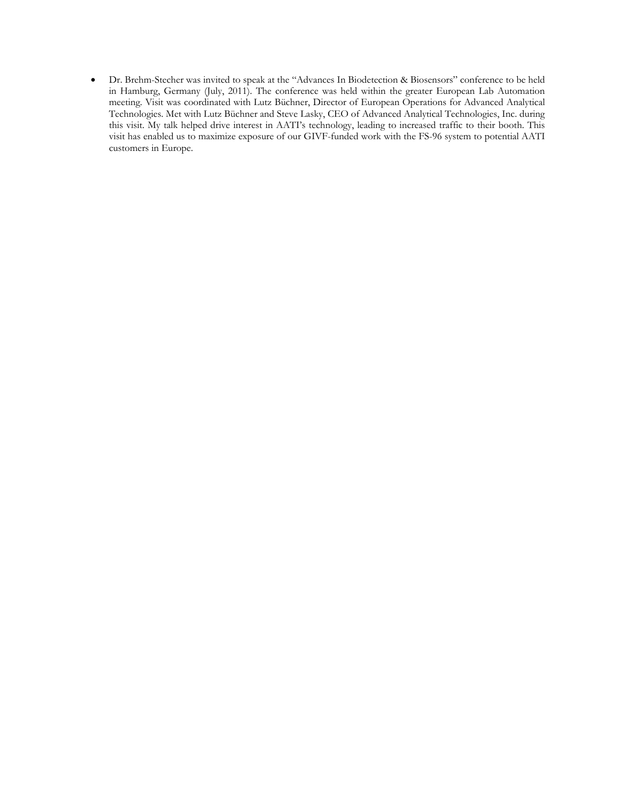Dr. Brehm-Stecher was invited to speak at the "Advances In Biodetection & Biosensors" conference to be held in Hamburg, Germany (July, 2011). The conference was held within the greater European Lab Automation meeting. Visit was coordinated with Lutz Büchner, Director of European Operations for Advanced Analytical Technologies. Met with Lutz Büchner and Steve Lasky, CEO of Advanced Analytical Technologies, Inc. during this visit. My talk helped drive interest in AATI's technology, leading to increased traffic to their booth. This visit has enabled us to maximize exposure of our GIVF-funded work with the FS-96 system to potential AATI customers in Europe.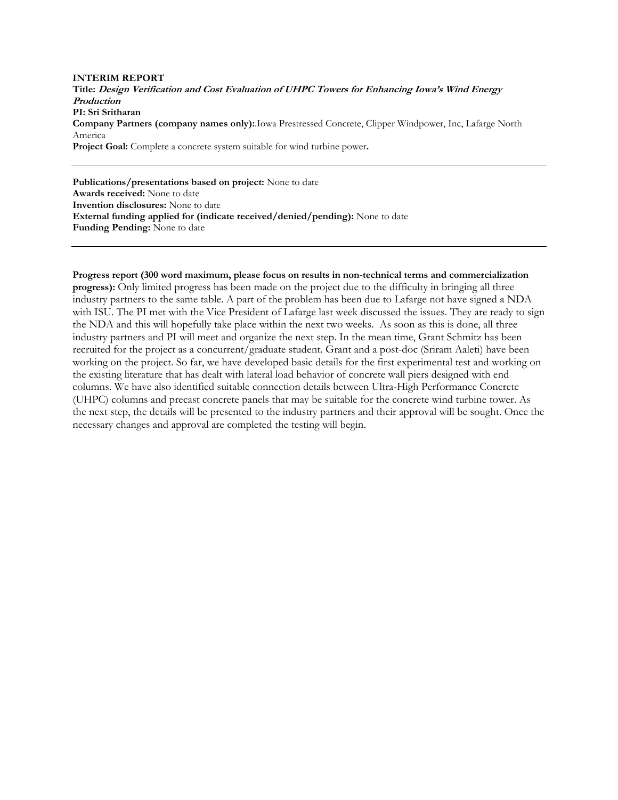**Title: Design Verification and Cost Evaluation of UHPC Towers for Enhancing Iowa's Wind Energy Production PI: Sri Sritharan Company Partners (company names only):**.Iowa Prestressed Concrete, Clipper Windpower, Inc, Lafarge North America **Project Goal:** Complete a concrete system suitable for wind turbine power**.**

**Publications/presentations based on project:** None to date **Awards received:** None to date **Invention disclosures:** None to date **External funding applied for (indicate received/denied/pending):** None to date **Funding Pending:** None to date

**Progress report (300 word maximum, please focus on results in non-technical terms and commercialization progress):** Only limited progress has been made on the project due to the difficulty in bringing all three industry partners to the same table. A part of the problem has been due to Lafarge not have signed a NDA with ISU. The PI met with the Vice President of Lafarge last week discussed the issues. They are ready to sign the NDA and this will hopefully take place within the next two weeks. As soon as this is done, all three industry partners and PI will meet and organize the next step. In the mean time, Grant Schmitz has been recruited for the project as a concurrent/graduate student. Grant and a post-doc (Sriram Aaleti) have been working on the project. So far, we have developed basic details for the first experimental test and working on the existing literature that has dealt with lateral load behavior of concrete wall piers designed with end columns. We have also identified suitable connection details between Ultra-High Performance Concrete (UHPC) columns and precast concrete panels that may be suitable for the concrete wind turbine tower. As the next step, the details will be presented to the industry partners and their approval will be sought. Once the necessary changes and approval are completed the testing will begin.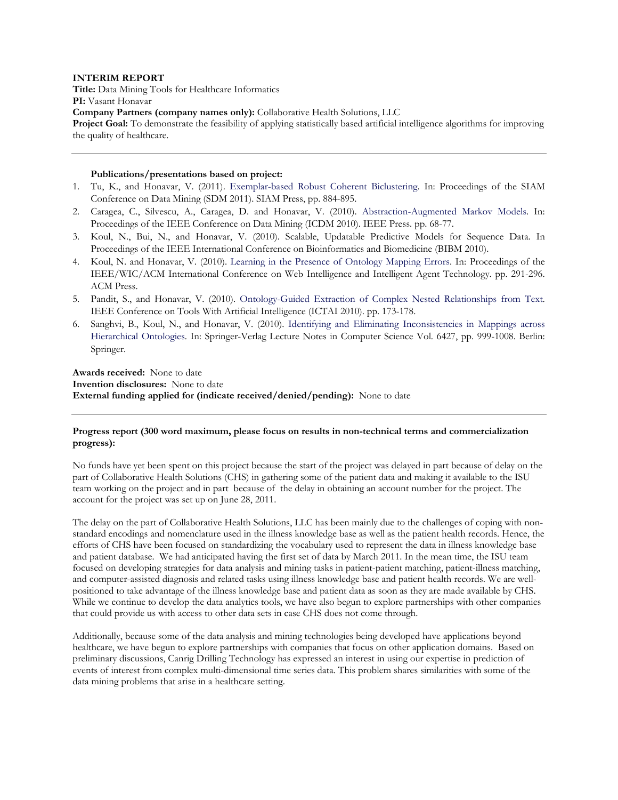**Title:** Data Mining Tools for Healthcare Informatics **PI:** Vasant Honavar

**Company Partners (company names only):** Collaborative Health Solutions, LLC

**Project Goal:** To demonstrate the feasibility of applying statistically based artificial intelligence algorithms for improving the quality of healthcare.

#### **Publications/presentations based on project:**

- 1. Tu, K., and Honavar, V. (2011). Exemplar-based Robust Coherent Biclustering. In: Proceedings of the SIAM Conference on Data Mining (SDM 2011). SIAM Press, pp. 884-895.
- 2. Caragea, C., Silvescu, A., Caragea, D. and Honavar, V. (2010). Abstraction-Augmented Markov Models. In: Proceedings of the IEEE Conference on Data Mining (ICDM 2010). IEEE Press. pp. 68-77.
- 3. Koul, N., Bui, N., and Honavar, V. (2010). Scalable, Updatable Predictive Models for Sequence Data. In Proceedings of the IEEE International Conference on Bioinformatics and Biomedicine (BIBM 2010).
- 4. Koul, N. and Honavar, V. (2010). Learning in the Presence of Ontology Mapping Errors. In: Proceedings of the IEEE/WIC/ACM International Conference on Web Intelligence and Intelligent Agent Technology. pp. 291-296. ACM Press.
- 5. Pandit, S., and Honavar, V. (2010). Ontology-Guided Extraction of Complex Nested Relationships from Text. IEEE Conference on Tools With Artificial Intelligence (ICTAI 2010). pp. 173-178.
- 6. Sanghvi, B., Koul, N., and Honavar, V. (2010). Identifying and Eliminating Inconsistencies in Mappings across Hierarchical Ontologies. In: Springer-Verlag Lecture Notes in Computer Science Vol. 6427, pp. 999-1008. Berlin: Springer.

**Awards received:** None to date **Invention disclosures:** None to date **External funding applied for (indicate received/denied/pending):** None to date

#### **Progress report (300 word maximum, please focus on results in non-technical terms and commercialization progress):**

No funds have yet been spent on this project because the start of the project was delayed in part because of delay on the part of Collaborative Health Solutions (CHS) in gathering some of the patient data and making it available to the ISU team working on the project and in part because of the delay in obtaining an account number for the project. The account for the project was set up on June 28, 2011.

The delay on the part of Collaborative Health Solutions, LLC has been mainly due to the challenges of coping with nonstandard encodings and nomenclature used in the illness knowledge base as well as the patient health records. Hence, the efforts of CHS have been focused on standardizing the vocabulary used to represent the data in illness knowledge base and patient database. We had anticipated having the first set of data by March 2011. In the mean time, the ISU team focused on developing strategies for data analysis and mining tasks in patient-patient matching, patient-illness matching, and computer-assisted diagnosis and related tasks using illness knowledge base and patient health records. We are wellpositioned to take advantage of the illness knowledge base and patient data as soon as they are made available by CHS. While we continue to develop the data analytics tools, we have also begun to explore partnerships with other companies that could provide us with access to other data sets in case CHS does not come through.

Additionally, because some of the data analysis and mining technologies being developed have applications beyond healthcare, we have begun to explore partnerships with companies that focus on other application domains. Based on preliminary discussions, Canrig Drilling Technology has expressed an interest in using our expertise in prediction of events of interest from complex multi-dimensional time series data. This problem shares similarities with some of the data mining problems that arise in a healthcare setting.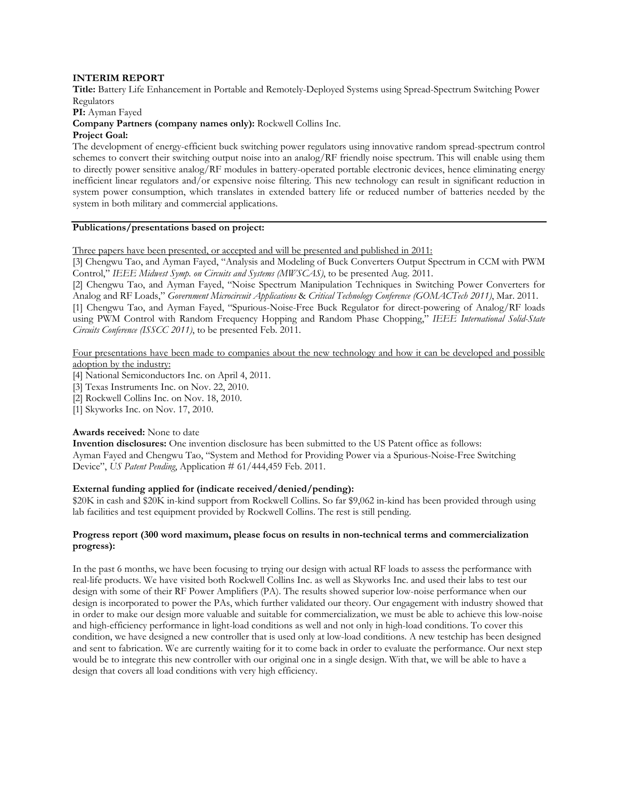**Title:** Battery Life Enhancement in Portable and Remotely-Deployed Systems using Spread-Spectrum Switching Power Regulators

PI: Ayman Fayed

**Company Partners (company names only):** Rockwell Collins Inc.

#### **Project Goal:**

The development of energy-efficient buck switching power regulators using innovative random spread-spectrum control schemes to convert their switching output noise into an analog/RF friendly noise spectrum. This will enable using them to directly power sensitive analog/RF modules in battery-operated portable electronic devices, hence eliminating energy inefficient linear regulators and/or expensive noise filtering. This new technology can result in significant reduction in system power consumption, which translates in extended battery life or reduced number of batteries needed by the system in both military and commercial applications.

#### **Publications/presentations based on project:**

Three papers have been presented, or accepted and will be presented and published in 2011:

[3] Chengwu Tao, and Ayman Fayed, "Analysis and Modeling of Buck Converters Output Spectrum in CCM with PWM Control," *IEEE Midwest Symp. on Circuits and Systems (MWSCAS)*, to be presented Aug. 2011.

[2] Chengwu Tao, and Ayman Fayed, "Noise Spectrum Manipulation Techniques in Switching Power Converters for Analog and RF Loads," *Government Microcircuit Applications* & *Critical Technology Conference (GOMACTech 2011)*, Mar. 2011.

[1] Chengwu Tao, and Ayman Fayed, "Spurious-Noise-Free Buck Regulator for direct-powering of Analog/RF loads using PWM Control with Random Frequency Hopping and Random Phase Chopping," *IEEE International Solid-State Circuits Conference (ISSCC 2011)*, to be presented Feb. 2011.

Four presentations have been made to companies about the new technology and how it can be developed and possible adoption by the industry:

[4] National Semiconductors Inc. on April 4, 2011.

- [3] Texas Instruments Inc. on Nov. 22, 2010.
- [2] Rockwell Collins Inc. on Nov. 18, 2010.

[1] Skyworks Inc. on Nov. 17, 2010.

#### **Awards received:** None to date

**Invention disclosures:** One invention disclosure has been submitted to the US Patent office as follows: Ayman Fayed and Chengwu Tao, "System and Method for Providing Power via a Spurious-Noise-Free Switching Device", *US Patent Pending*, Application # 61/444,459 Feb. 2011.

#### **External funding applied for (indicate received/denied/pending):**

\$20K in cash and \$20K in-kind support from Rockwell Collins. So far \$9,062 in-kind has been provided through using lab facilities and test equipment provided by Rockwell Collins. The rest is still pending.

#### **Progress report (300 word maximum, please focus on results in non-technical terms and commercialization progress):**

In the past 6 months, we have been focusing to trying our design with actual RF loads to assess the performance with real-life products. We have visited both Rockwell Collins Inc. as well as Skyworks Inc. and used their labs to test our design with some of their RF Power Amplifiers (PA). The results showed superior low-noise performance when our design is incorporated to power the PAs, which further validated our theory. Our engagement with industry showed that in order to make our design more valuable and suitable for commercialization, we must be able to achieve this low-noise and high-efficiency performance in light-load conditions as well and not only in high-load conditions. To cover this condition, we have designed a new controller that is used only at low-load conditions. A new testchip has been designed and sent to fabrication. We are currently waiting for it to come back in order to evaluate the performance. Our next step would be to integrate this new controller with our original one in a single design. With that, we will be able to have a design that covers all load conditions with very high efficiency.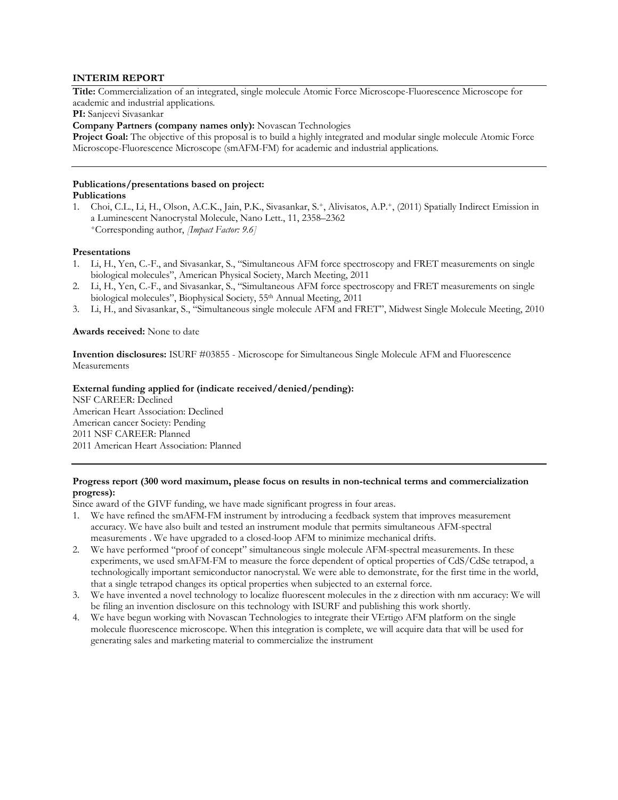**Title:** Commercialization of an integrated, single molecule Atomic Force Microscope-Fluorescence Microscope for academic and industrial applications.

**PI:** Sanjeevi Sivasankar

**Company Partners (company names only):** Novascan Technologies

**Project Goal:** The objective of this proposal is to build a highly integrated and modular single molecule Atomic Force Microscope-Fluorescence Microscope (smAFM-FM) for academic and industrial applications.

#### **Publications/presentations based on project: Publications**

1. Choi, C.L., Li, H., Olson, A.C.K., Jain, P.K., Sivasankar, S.+, Alivisatos, A.P.+, (2011) Spatially Indirect Emission in a Luminescent Nanocrystal Molecule, Nano Lett., 11, 2358–2362 +Corresponding author, *[Impact Factor: 9.6]* 

#### **Presentations**

- 1. Li, H., Yen, C.-F., and Sivasankar, S., "Simultaneous AFM force spectroscopy and FRET measurements on single biological molecules", American Physical Society, March Meeting, 2011
- 2. Li, H., Yen, C.-F., and Sivasankar, S., "Simultaneous AFM force spectroscopy and FRET measurements on single biological molecules", Biophysical Society, 55<sup>th</sup> Annual Meeting, 2011
- 3. Li, H., and Sivasankar, S., "Simultaneous single molecule AFM and FRET", Midwest Single Molecule Meeting, 2010

#### **Awards received:** None to date

**Invention disclosures:** ISURF #03855 - Microscope for Simultaneous Single Molecule AFM and Fluorescence Measurements

#### **External funding applied for (indicate received/denied/pending):**

NSF CAREER: Declined American Heart Association: Declined American cancer Society: Pending 2011 NSF CAREER: Planned 2011 American Heart Association: Planned

#### **Progress report (300 word maximum, please focus on results in non-technical terms and commercialization progress):**

Since award of the GIVF funding, we have made significant progress in four areas.

- 1. We have refined the smAFM-FM instrument by introducing a feedback system that improves measurement accuracy. We have also built and tested an instrument module that permits simultaneous AFM-spectral measurements . We have upgraded to a closed-loop AFM to minimize mechanical drifts.
- 2. We have performed "proof of concept" simultaneous single molecule AFM-spectral measurements. In these experiments, we used smAFM-FM to measure the force dependent of optical properties of CdS/CdSe tetrapod, a technologically important semiconductor nanocrystal. We were able to demonstrate, for the first time in the world, that a single tetrapod changes its optical properties when subjected to an external force.
- 3. We have invented a novel technology to localize fluorescent molecules in the z direction with nm accuracy: We will be filing an invention disclosure on this technology with ISURF and publishing this work shortly.
- 4. We have begun working with Novascan Technologies to integrate their VErtigo AFM platform on the single molecule fluorescence microscope. When this integration is complete, we will acquire data that will be used for generating sales and marketing material to commercialize the instrument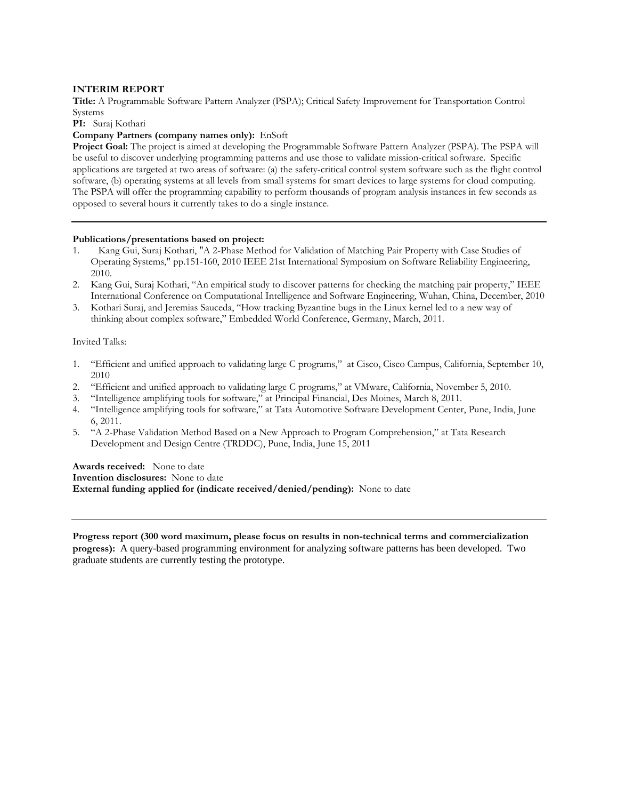**Title:** A Programmable Software Pattern Analyzer (PSPA); Critical Safety Improvement for Transportation Control Systems

**PI:** Suraj Kothari

#### **Company Partners (company names only):** EnSoft

**Project Goal:** The project is aimed at developing the Programmable Software Pattern Analyzer (PSPA). The PSPA will be useful to discover underlying programming patterns and use those to validate mission-critical software. Specific applications are targeted at two areas of software: (a) the safety-critical control system software such as the flight control software, (b) operating systems at all levels from small systems for smart devices to large systems for cloud computing. The PSPA will offer the programming capability to perform thousands of program analysis instances in few seconds as opposed to several hours it currently takes to do a single instance.

#### **Publications/presentations based on project:**

- 1.Kang Gui, Suraj Kothari, "A 2-Phase Method for Validation of Matching Pair Property with Case Studies of Operating Systems," pp.151-160, 2010 IEEE 21st International Symposium on Software Reliability Engineering, 2010.
- 2. Kang Gui, Suraj Kothari, "An empirical study to discover patterns for checking the matching pair property," IEEE International Conference on Computational Intelligence and Software Engineering, Wuhan, China, December, 2010
- 3. Kothari Suraj, and Jeremias Sauceda, "How tracking Byzantine bugs in the Linux kernel led to a new way of thinking about complex software," Embedded World Conference, Germany, March, 2011.

Invited Talks:

- 1. "Efficient and unified approach to validating large C programs," at Cisco, Cisco Campus, California, September 10, 2010
- 2. "Efficient and unified approach to validating large C programs," at VMware, California, November 5, 2010.
- 3. "Intelligence amplifying tools for software," at Principal Financial, Des Moines, March 8, 2011.
- 4. "Intelligence amplifying tools for software," at Tata Automotive Software Development Center, Pune, India, June 6, 2011.
- 5. "A 2-Phase Validation Method Based on a New Approach to Program Comprehension," at Tata Research Development and Design Centre (TRDDC), Pune, India, June 15, 2011

**Awards received:** None to date **Invention disclosures:** None to date **External funding applied for (indicate received/denied/pending):** None to date

**Progress report (300 word maximum, please focus on results in non-technical terms and commercialization progress):** A query-based programming environment for analyzing software patterns has been developed. Two graduate students are currently testing the prototype.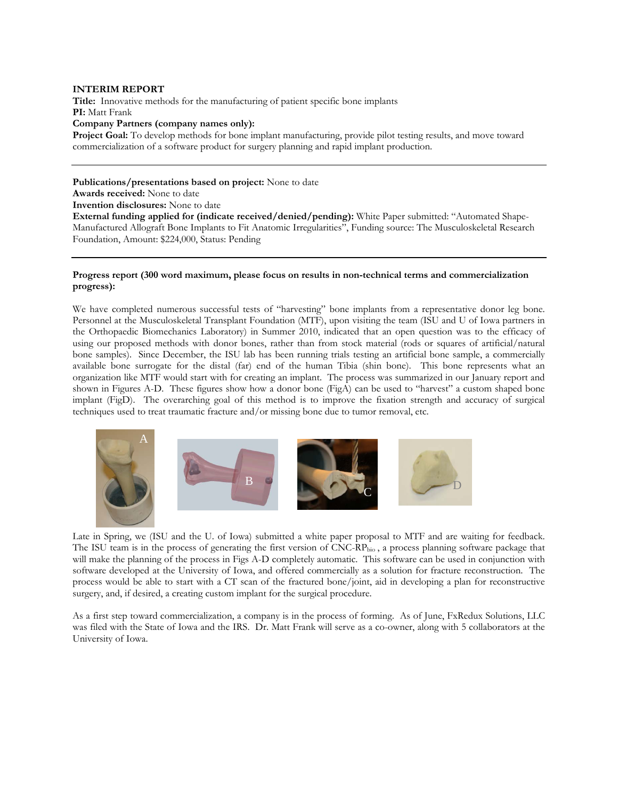**Title:** Innovative methods for the manufacturing of patient specific bone implants **PI:** Matt Frank **Company Partners (company names only):** 

Project Goal: To develop methods for bone implant manufacturing, provide pilot testing results, and move toward commercialization of a software product for surgery planning and rapid implant production.

**Publications/presentations based on project:** None to date

**Awards received:** None to date

**Invention disclosures:** None to date

**External funding applied for (indicate received/denied/pending):** White Paper submitted: "Automated Shape-Manufactured Allograft Bone Implants to Fit Anatomic Irregularities", Funding source: The Musculoskeletal Research Foundation, Amount: \$224,000, Status: Pending

#### **Progress report (300 word maximum, please focus on results in non-technical terms and commercialization progress):**

We have completed numerous successful tests of "harvesting" bone implants from a representative donor leg bone. Personnel at the Musculoskeletal Transplant Foundation (MTF), upon visiting the team (ISU and U of Iowa partners in the Orthopaedic Biomechanics Laboratory) in Summer 2010, indicated that an open question was to the efficacy of using our proposed methods with donor bones, rather than from stock material (rods or squares of artificial/natural bone samples). Since December, the ISU lab has been running trials testing an artificial bone sample, a commercially available bone surrogate for the distal (far) end of the human Tibia (shin bone). This bone represents what an organization like MTF would start with for creating an implant. The process was summarized in our January report and shown in Figures A-D. These figures show how a donor bone (FigA) can be used to "harvest" a custom shaped bone implant (FigD). The overarching goal of this method is to improve the fixation strength and accuracy of surgical techniques used to treat traumatic fracture and/or missing bone due to tumor removal, etc.



Late in Spring, we (ISU and the U. of Iowa) submitted a white paper proposal to MTF and are waiting for feedback. The ISU team is in the process of generating the first version of CNC-RPbio , a process planning software package that will make the planning of the process in Figs A-D completely automatic. This software can be used in conjunction with software developed at the University of Iowa, and offered commercially as a solution for fracture reconstruction. The process would be able to start with a CT scan of the fractured bone/joint, aid in developing a plan for reconstructive surgery, and, if desired, a creating custom implant for the surgical procedure.

As a first step toward commercialization, a company is in the process of forming. As of June, FxRedux Solutions, LLC was filed with the State of Iowa and the IRS. Dr. Matt Frank will serve as a co-owner, along with 5 collaborators at the University of Iowa.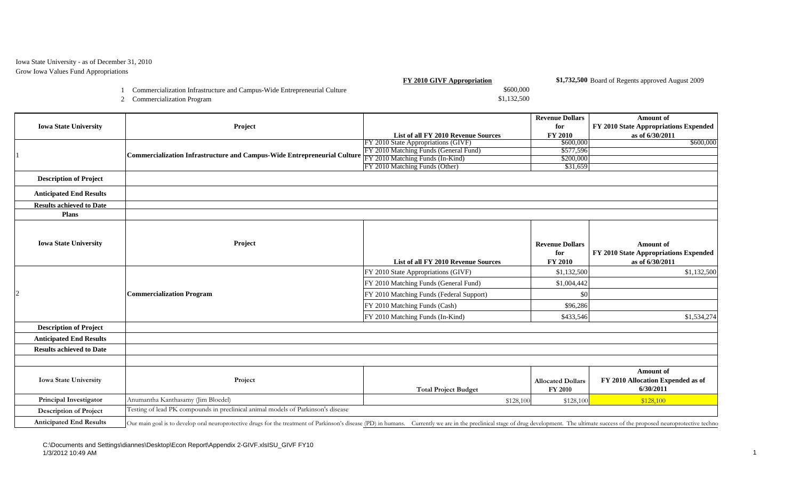#### Grow Iowa Values Fund Appropriations Iowa State University - as of December 31, 2010

|                                                                          | FY 2010 GIVF Appropriation | \$1,732,500 Board of Regents approved August 2009 |
|--------------------------------------------------------------------------|----------------------------|---------------------------------------------------|
| Commercialization Infrastructure and Campus-Wide Entrepreneurial Culture | \$600,000                  |                                                   |
| <b>Commercialization Program</b>                                         | \$1,132,500                |                                                   |
|                                                                          |                            |                                                   |

|                                 |                                                                                                                                                                                                         |                                                   | <b>Revenue Dollars</b>                             | <b>Amount of</b>                      |
|---------------------------------|---------------------------------------------------------------------------------------------------------------------------------------------------------------------------------------------------------|---------------------------------------------------|----------------------------------------------------|---------------------------------------|
| <b>Iowa State University</b>    | Project                                                                                                                                                                                                 |                                                   | for                                                | FY 2010 State Appropriations Expended |
|                                 |                                                                                                                                                                                                         | List of all FY 2010 Revenue Sources               | FY 2010                                            | as of 6/30/2011                       |
|                                 |                                                                                                                                                                                                         | FY 2010 State Appropriations (GIVF)               | \$600,000                                          | \$600,000                             |
|                                 |                                                                                                                                                                                                         | FY 2010 Matching Funds (General Fund)             | \$577,596                                          |                                       |
|                                 | Commercialization Infrastructure and Campus-Wide Entrepreneurial Culture $\frac{1}{[FY 2010 \text{ Matching Fund}]}$ (In-Kind)                                                                          |                                                   | \$200,000                                          |                                       |
|                                 |                                                                                                                                                                                                         | FY 2010 Matching Funds (Other)                    | \$31,659                                           |                                       |
| <b>Description of Project</b>   |                                                                                                                                                                                                         |                                                   |                                                    |                                       |
| <b>Anticipated End Results</b>  |                                                                                                                                                                                                         |                                                   |                                                    |                                       |
| <b>Results achieved to Date</b> |                                                                                                                                                                                                         |                                                   |                                                    |                                       |
| <b>Plans</b>                    |                                                                                                                                                                                                         |                                                   |                                                    |                                       |
|                                 |                                                                                                                                                                                                         |                                                   |                                                    |                                       |
|                                 |                                                                                                                                                                                                         |                                                   |                                                    |                                       |
| <b>Iowa State University</b>    | Project                                                                                                                                                                                                 |                                                   | <b>Revenue Dollars</b>                             | <b>Amount of</b>                      |
|                                 |                                                                                                                                                                                                         |                                                   | for                                                | FY 2010 State Appropriations Expended |
|                                 |                                                                                                                                                                                                         | <b>List of all FY 2010 Revenue Sources</b>        | FY 2010                                            | as of 6/30/2011                       |
|                                 |                                                                                                                                                                                                         | FY 2010 State Appropriations (GIVF)               | \$1,132,500                                        | \$1,132,500                           |
|                                 |                                                                                                                                                                                                         | FY 2010 Matching Funds (General Fund)             | \$1,004,442                                        |                                       |
|                                 | <b>Commercialization Program</b>                                                                                                                                                                        | FY 2010 Matching Funds (Federal Support)          | \$0                                                |                                       |
|                                 |                                                                                                                                                                                                         | FY 2010 Matching Funds (Cash)                     | \$96,286                                           |                                       |
|                                 |                                                                                                                                                                                                         | FY 2010 Matching Funds (In-Kind)                  | \$433,546                                          | \$1,534,274                           |
| <b>Description of Project</b>   |                                                                                                                                                                                                         |                                                   |                                                    |                                       |
| <b>Anticipated End Results</b>  |                                                                                                                                                                                                         |                                                   |                                                    |                                       |
| <b>Results achieved to Date</b> |                                                                                                                                                                                                         |                                                   |                                                    |                                       |
|                                 |                                                                                                                                                                                                         |                                                   |                                                    |                                       |
|                                 |                                                                                                                                                                                                         |                                                   |                                                    | Amount of                             |
| Iowa State University           | Project                                                                                                                                                                                                 |                                                   | <b>Allocated Dollars</b>                           | FY 2010 Allocation Expended as of     |
|                                 |                                                                                                                                                                                                         | <b>Total Project Budget</b>                       | FY 2010                                            | 6/30/2011                             |
| Principal Investigator          | Anumantha Kanthasamy (Jim Bloedel)                                                                                                                                                                      | \$128,100                                         | \$128,100                                          | \$128,100                             |
| <b>Description of Project</b>   | Testing of lead PK compounds in preclinical animal models of Parkinson's disease                                                                                                                        |                                                   |                                                    |                                       |
| Anticipated End December        | the state of the state of the state of the state of the state of the state of the state of the state of the state of<br>the contract of the contract of the contract of the contract of the contract of | .<br>$\sim$ $\sim$ $\sim$ $\sim$<br>$\sim$ $\sim$ | <b>Contract Contract Contract</b><br>$\sim$ $\sim$ |                                       |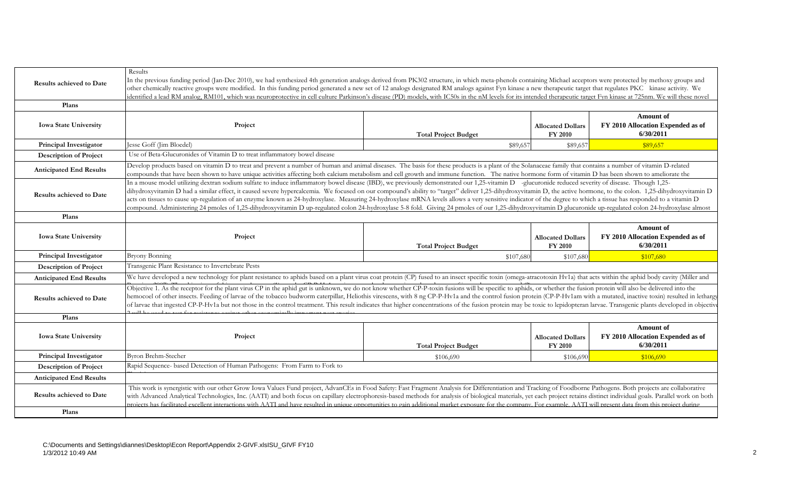| <b>Results achieved to Date</b>   | Results<br>In the previous funding period (Jan-Dec 2010), we had synthesized 4th generation analogs derived from PK302 structure, in which meta-phenols containing Michael acceptors were protected by methoxy groups and<br>other chemically reactive groups were modified. In this funding period generated a new set of 12 analogs designated RM analogs against Fyn kinase a new therapeutic target that regulates PKC kinase activity. We<br>identified a lead RM analog, RM101, which was neuroprotective in cell culture Parkinson's disease (PD) models, with IC50s in the nM levels for its intended therapeutic target Fyn kinase at 725nm. We will these novel                                                                                                                                                                                       |                             |                                            |                                                                    |
|-----------------------------------|-----------------------------------------------------------------------------------------------------------------------------------------------------------------------------------------------------------------------------------------------------------------------------------------------------------------------------------------------------------------------------------------------------------------------------------------------------------------------------------------------------------------------------------------------------------------------------------------------------------------------------------------------------------------------------------------------------------------------------------------------------------------------------------------------------------------------------------------------------------------|-----------------------------|--------------------------------------------|--------------------------------------------------------------------|
| Plans                             |                                                                                                                                                                                                                                                                                                                                                                                                                                                                                                                                                                                                                                                                                                                                                                                                                                                                 |                             |                                            |                                                                    |
| Iowa State University             | Project                                                                                                                                                                                                                                                                                                                                                                                                                                                                                                                                                                                                                                                                                                                                                                                                                                                         | <b>Total Project Budget</b> | <b>Allocated Dollars</b><br><b>FY 2010</b> | <b>Amount of</b><br>FY 2010 Allocation Expended as of<br>6/30/2011 |
| Principal Investigator            | Jesse Goff (Jim Bloedel)                                                                                                                                                                                                                                                                                                                                                                                                                                                                                                                                                                                                                                                                                                                                                                                                                                        | \$89,657                    | \$89,657                                   | \$89,657                                                           |
| <b>Description of Project</b>     | Use of Beta-Glucuronides of Vitamin D to treat inflammatory bowel disease                                                                                                                                                                                                                                                                                                                                                                                                                                                                                                                                                                                                                                                                                                                                                                                       |                             |                                            |                                                                    |
| <b>Anticipated End Results</b>    | Develop products based on vitamin D to treat and prevent a number of human and animal diseases. The basis for these products is a plant of the Solanaceae family that contains a number of vitamin D-related<br>compounds that have been shown to have unique activities affecting both calcium metabolism and cell growth and immune function. The native hormone form of vitamin D has been shown to ameliorate the                                                                                                                                                                                                                                                                                                                                                                                                                                           |                             |                                            |                                                                    |
| <b>Results achieved to Date</b>   | In a mouse model utilizing dextran sodium sulfate to induce inflammatory bowel disease (IBD), we previously demonstrated our 1,25-vitamin D -glucuronide reduced severity of disease. Though 1,25-<br>dihydroxyvitamin D had a similar effect, it caused severe hypercalcemia. We focused on our compound's ability to "target" deliver 1,25-dihydroxyvitamin D, the active hormone, to the colon. 1,25-dihydroxyvitamin D<br>acts on tissues to cause up-regulation of an enzyme known as 24-hydroxylase. Measuring 24-hydroxylase mRNA levels allows a very sensitive indicator of the degree to which a tissue has responded to a vitamin D<br>compound. Administering 24 pmoles of 1,25-dihydroxyvitamin D up-regulated colon 24-hydroxylase 5-8 fold. Giving 24 pmoles of our 1,25-dihydroxyvitamin D glucuronide up-regulated colon 24-hydroxylase almost |                             |                                            |                                                                    |
| Plans                             |                                                                                                                                                                                                                                                                                                                                                                                                                                                                                                                                                                                                                                                                                                                                                                                                                                                                 |                             |                                            |                                                                    |
| <b>Iowa State University</b>      | Project                                                                                                                                                                                                                                                                                                                                                                                                                                                                                                                                                                                                                                                                                                                                                                                                                                                         | <b>Total Project Budget</b> | <b>Allocated Dollars</b><br><b>FY 2010</b> | <b>Amount of</b><br>FY 2010 Allocation Expended as of<br>6/30/2011 |
| Principal Investigator            | <b>Bryony Bonning</b>                                                                                                                                                                                                                                                                                                                                                                                                                                                                                                                                                                                                                                                                                                                                                                                                                                           | \$107,680                   | \$107,680                                  | \$107,680                                                          |
| <b>Description of Project</b>     | Transgenic Plant Resistance to Invertebrate Pests                                                                                                                                                                                                                                                                                                                                                                                                                                                                                                                                                                                                                                                                                                                                                                                                               |                             |                                            |                                                                    |
| <b>Anticipated End Results</b>    | We have developed a new technology for plant resistance to aphids based on a plant virus coat protein (CP) fused to an insect specific toxin (omega-atracotoxin Hv1a) that acts within the aphid body cavity (Miller and                                                                                                                                                                                                                                                                                                                                                                                                                                                                                                                                                                                                                                        |                             |                                            |                                                                    |
| Results achieved to Date          | Objective 1. As the receptor for the plant virus CP in the aphid gut is unknown, we do not know whether CP-P-toxin fusions will be specific to aphids, or whether the fusion protein will also be delivered into the<br>hemocoel of other insects. Feeding of larvae of the tobacco budworm caterpillar, Heliothis virescens, with 8 ng CP-P-Hv1a and the control fusion protein (CP-P-Hv1am with a mutated, inactive toxin) resulted in lethargy<br>of larvae that ingested CP-P-Hv1a but not those in the control treatment. This result indicates that higher concentrations of the fusion protein may be toxic to lepidopteran larvae. Transgenic plants developed in objective                                                                                                                                                                             |                             |                                            |                                                                    |
| Plans                             |                                                                                                                                                                                                                                                                                                                                                                                                                                                                                                                                                                                                                                                                                                                                                                                                                                                                 |                             |                                            |                                                                    |
| <b>Iowa State University</b>      | Project                                                                                                                                                                                                                                                                                                                                                                                                                                                                                                                                                                                                                                                                                                                                                                                                                                                         | <b>Total Project Budget</b> | <b>Allocated Dollars</b><br>FY 2010        | <b>Amount of</b><br>FY 2010 Allocation Expended as of<br>6/30/2011 |
| Principal Investigator            | Byron Brehm-Stecher                                                                                                                                                                                                                                                                                                                                                                                                                                                                                                                                                                                                                                                                                                                                                                                                                                             | \$106,690                   | \$106,690                                  | \$106,690                                                          |
| <b>Description of Project</b>     | Rapid Sequence- based Detection of Human Pathogens: From Farm to Fork to                                                                                                                                                                                                                                                                                                                                                                                                                                                                                                                                                                                                                                                                                                                                                                                        |                             |                                            |                                                                    |
| <b>Anticipated End Results</b>    |                                                                                                                                                                                                                                                                                                                                                                                                                                                                                                                                                                                                                                                                                                                                                                                                                                                                 |                             |                                            |                                                                    |
| Results achieved to Date<br>Plans | This work is synergistic with our other Grow Iowa Values Fund project, AdvanCEs in Food Safety: Fast Fragment Analysis for Differentiation and Tracking of Foodborne Pathogens. Both projects are collaborative<br>with Advanced Analytical Technologies, Inc. (AATI) and both focus on capillary electrophoresis-based methods for analysis of biological materials, yet each project retains distinct individual goals. Parallel work on both<br>projects has facilitated excellent interactions with AATI and have resulted in unique opportunities to eain additional market exposure for the company. For example, AATI will present data from this project during                                                                                                                                                                                         |                             |                                            |                                                                    |
|                                   |                                                                                                                                                                                                                                                                                                                                                                                                                                                                                                                                                                                                                                                                                                                                                                                                                                                                 |                             |                                            |                                                                    |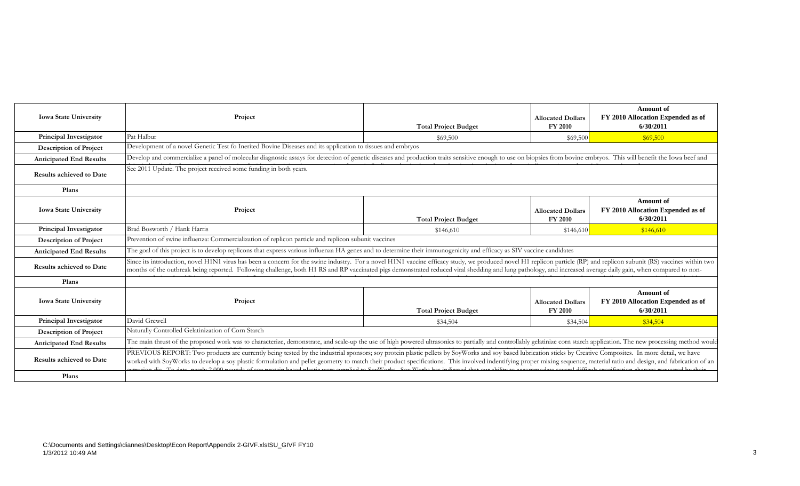| <b>Iowa State University</b>    | Project                                                                                                                                                                                                                                                                                                                                                                                                                                                                                                                                                                                                                                                       | <b>Total Project Budget</b> | <b>Allocated Dollars</b><br><b>FY 2010</b> | <b>Amount of</b><br>FY 2010 Allocation Expended as of<br>6/30/2011 |  |
|---------------------------------|---------------------------------------------------------------------------------------------------------------------------------------------------------------------------------------------------------------------------------------------------------------------------------------------------------------------------------------------------------------------------------------------------------------------------------------------------------------------------------------------------------------------------------------------------------------------------------------------------------------------------------------------------------------|-----------------------------|--------------------------------------------|--------------------------------------------------------------------|--|
| Principal Investigator          | Pat Halbur                                                                                                                                                                                                                                                                                                                                                                                                                                                                                                                                                                                                                                                    | \$69,500                    | \$69,500                                   | \$69,500                                                           |  |
| <b>Description of Project</b>   | Development of a novel Genetic Test fo Inerited Bovine Diseases and its application to tissues and embryos                                                                                                                                                                                                                                                                                                                                                                                                                                                                                                                                                    |                             |                                            |                                                                    |  |
| <b>Anticipated End Results</b>  | Develop and commercialize a panel of molecular diagnostic assays for detection of genetic diseases and production traits sensitive enough to use on biopsies from bovine embryos. This will benefit the Iowa beef and                                                                                                                                                                                                                                                                                                                                                                                                                                         |                             |                                            |                                                                    |  |
| <b>Results achieved to Date</b> | See 2011 Update. The project received some funding in both years.                                                                                                                                                                                                                                                                                                                                                                                                                                                                                                                                                                                             |                             |                                            |                                                                    |  |
| Plans                           |                                                                                                                                                                                                                                                                                                                                                                                                                                                                                                                                                                                                                                                               |                             |                                            |                                                                    |  |
| <b>Iowa State University</b>    | Project                                                                                                                                                                                                                                                                                                                                                                                                                                                                                                                                                                                                                                                       | <b>Total Project Budget</b> | <b>Allocated Dollars</b><br><b>FY 2010</b> | <b>Amount of</b><br>FY 2010 Allocation Expended as of<br>6/30/2011 |  |
| Principal Investigator          | Brad Bosworth / Hank Harris                                                                                                                                                                                                                                                                                                                                                                                                                                                                                                                                                                                                                                   | \$146,610                   | \$146,610                                  | \$146,610                                                          |  |
| <b>Description of Project</b>   | Prevention of swine influenza: Commercialization of replicon particle and replicon subunit vaccines                                                                                                                                                                                                                                                                                                                                                                                                                                                                                                                                                           |                             |                                            |                                                                    |  |
| <b>Anticipated End Results</b>  | The goal of this project is to develop replicons that express various influenza HA genes and to determine their immunogenicity and efficacy as SIV vaccine candidates                                                                                                                                                                                                                                                                                                                                                                                                                                                                                         |                             |                                            |                                                                    |  |
| <b>Results achieved to Date</b> | Since its introduction, novel H1N1 virus has been a concern for the swine industry. For a novel H1N1 vaccine efficacy study, we produced novel H1 replicon particle (RP) and replicon subunit (RS) vaccines within two<br>months of the outbreak being reported. Following challenge, both H1 RS and RP vaccinated pigs demonstrated reduced viral shedding and lung pathology, and increased average daily gain, when compared to non-                                                                                                                                                                                                                       |                             |                                            |                                                                    |  |
| Plans                           |                                                                                                                                                                                                                                                                                                                                                                                                                                                                                                                                                                                                                                                               |                             |                                            |                                                                    |  |
| <b>Iowa State University</b>    | Project                                                                                                                                                                                                                                                                                                                                                                                                                                                                                                                                                                                                                                                       | <b>Total Project Budget</b> | <b>Allocated Dollars</b><br><b>FY 2010</b> | <b>Amount of</b><br>FY 2010 Allocation Expended as of<br>6/30/2011 |  |
| Principal Investigator          | David Grewell                                                                                                                                                                                                                                                                                                                                                                                                                                                                                                                                                                                                                                                 | \$34,504                    | \$34,504                                   | \$34,504                                                           |  |
| <b>Description of Project</b>   | Naturally Controlled Gelatinization of Corn Starch                                                                                                                                                                                                                                                                                                                                                                                                                                                                                                                                                                                                            |                             |                                            |                                                                    |  |
| <b>Anticipated End Results</b>  | The main thrust of the proposed work was to characterize, demonstrate, and scale-up the use of high powered ultrasonics to partially and controllably gelatinize corn starch application. The new processing method would                                                                                                                                                                                                                                                                                                                                                                                                                                     |                             |                                            |                                                                    |  |
| <b>Results achieved to Date</b> | PREVIOUS REPORT: Two products are currently being tested by the industrial sponsors; soy protein plastic pellets by SoyWorks and soy based lubrication sticks by Creative Composites. In more detail, we have<br>worked with SoyWorks to develop a soy plastic formulation and pellet geometry to match their product specifications. This involved indentifying proper mixing sequence, material ratio and design, and fabrication of an<br>rivior die To date nearly 2000 nounds of sou protein besed plastic were supplied to SouWorks. Sou Works has indicated that our ability to accommodate several difficult specification changes requested by their |                             |                                            |                                                                    |  |
| Plans                           |                                                                                                                                                                                                                                                                                                                                                                                                                                                                                                                                                                                                                                                               |                             |                                            |                                                                    |  |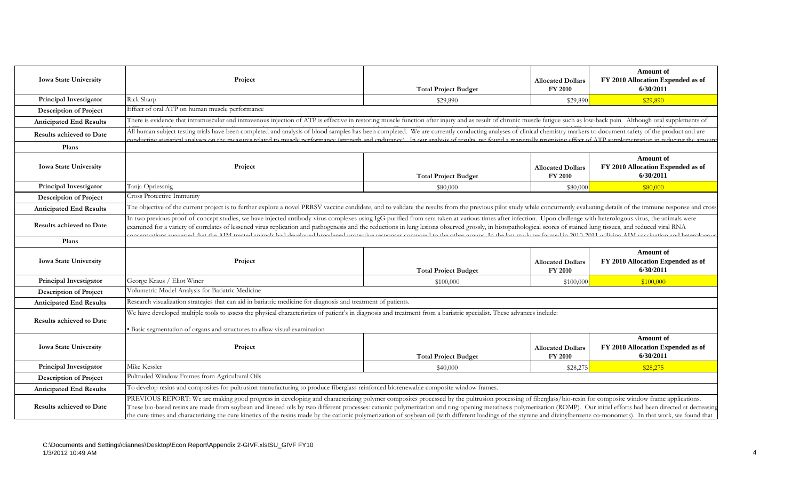| Iowa State University           | Project                                                                                                                                                                                                                                                                                                                                                                                                                                                                                                                                                                                                                                                           | <b>Total Project Budget</b> | <b>Allocated Dollars</b><br>FY 2010        | <b>Amount of</b><br>FY 2010 Allocation Expended as of<br>6/30/2011 |
|---------------------------------|-------------------------------------------------------------------------------------------------------------------------------------------------------------------------------------------------------------------------------------------------------------------------------------------------------------------------------------------------------------------------------------------------------------------------------------------------------------------------------------------------------------------------------------------------------------------------------------------------------------------------------------------------------------------|-----------------------------|--------------------------------------------|--------------------------------------------------------------------|
| Principal Investigator          | Rick Sharp                                                                                                                                                                                                                                                                                                                                                                                                                                                                                                                                                                                                                                                        | \$29,890                    | \$29,890                                   | \$29,890                                                           |
| <b>Description of Project</b>   | Effect of oral ATP on human muscle performance                                                                                                                                                                                                                                                                                                                                                                                                                                                                                                                                                                                                                    |                             |                                            |                                                                    |
| <b>Anticipated End Results</b>  | There is evidence that intramuscular and intravenous injection of ATP is effective in restoring muscle function after injury and as result of chronic muscle fatigue such as low-back pain. Although oral supplements of                                                                                                                                                                                                                                                                                                                                                                                                                                          |                             |                                            |                                                                    |
| <b>Results achieved to Date</b> | All human subject testing trials have been completed and analysis of blood samples has been completed. We are currently conducting analyses of clinical chemistry markers to document safety of the product and are<br>onducting statistical analyses on the measures related to muscle performance (strength and endurance). In our analysis of results, we found a marginally promising effect of ATP supplementation in reducing the amount                                                                                                                                                                                                                    |                             |                                            |                                                                    |
| Plans                           |                                                                                                                                                                                                                                                                                                                                                                                                                                                                                                                                                                                                                                                                   |                             |                                            |                                                                    |
| <b>Iowa State University</b>    | Project                                                                                                                                                                                                                                                                                                                                                                                                                                                                                                                                                                                                                                                           | <b>Total Project Budget</b> | <b>Allocated Dollars</b><br>FY 2010        | <b>Amount of</b><br>FY 2010 Allocation Expended as of<br>6/30/2011 |
| Principal Investigator          | Tanja Opriessnig                                                                                                                                                                                                                                                                                                                                                                                                                                                                                                                                                                                                                                                  | \$80,000                    | \$80,000                                   | \$80,000                                                           |
| <b>Description of Project</b>   | <b>Cross Protective Immunity</b>                                                                                                                                                                                                                                                                                                                                                                                                                                                                                                                                                                                                                                  |                             |                                            |                                                                    |
| <b>Anticipated End Results</b>  | The objective of the current project is to further explore a novel PRRSV vaccine candidate, and to validate the results from the previous pilot study while concurrently evaluating details of the immune response and cross                                                                                                                                                                                                                                                                                                                                                                                                                                      |                             |                                            |                                                                    |
| Results achieved to Date        | In two previous proof-of-concept studies, we have injected antibody-virus complexes using IgG purified from sera taken at various times after infection. Upon challenge with heterologous virus, the animals were<br>examined for a variety of correlates of lessened virus replication and pathogenesis and the reductions in lung lesions observed grossly, in histopathological scores of stained lung tissues, and reduced viral RNA<br>contrations suggested that the AIM treated animals had developed broadened protective responses compared to the other groups. In the lest study performed in 2010-2011 utilizing AIM vaccination and beterology       |                             |                                            |                                                                    |
| Plans                           |                                                                                                                                                                                                                                                                                                                                                                                                                                                                                                                                                                                                                                                                   |                             |                                            |                                                                    |
| <b>Iowa State University</b>    | Project                                                                                                                                                                                                                                                                                                                                                                                                                                                                                                                                                                                                                                                           | <b>Total Project Budget</b> | <b>Allocated Dollars</b><br><b>FY 2010</b> | <b>Amount of</b><br>FY 2010 Allocation Expended as of<br>6/30/2011 |
| Principal Investigator          | George Kraus / Eliot Winer                                                                                                                                                                                                                                                                                                                                                                                                                                                                                                                                                                                                                                        | \$100,000                   | \$100,000                                  | \$100,000                                                          |
| <b>Description of Project</b>   | Volumetric Model Analysis for Bariatric Medicine                                                                                                                                                                                                                                                                                                                                                                                                                                                                                                                                                                                                                  |                             |                                            |                                                                    |
| <b>Anticipated End Results</b>  | Research visualization strategies that can aid in bariatric medicine for diagnosis and treatment of patients.                                                                                                                                                                                                                                                                                                                                                                                                                                                                                                                                                     |                             |                                            |                                                                    |
| <b>Results achieved to Date</b> | We have developed multiple tools to assess the physical characteristics of patient's in diagnosis and treatment from a bariatric specialist. These advances include:<br>Basic segmentation of organs and structures to allow visual examination                                                                                                                                                                                                                                                                                                                                                                                                                   |                             |                                            |                                                                    |
| <b>Iowa State University</b>    | Project                                                                                                                                                                                                                                                                                                                                                                                                                                                                                                                                                                                                                                                           | <b>Total Project Budget</b> | <b>Allocated Dollars</b><br><b>FY 2010</b> | <b>Amount of</b><br>FY 2010 Allocation Expended as of<br>6/30/2011 |
| Principal Investigator          | Mike Kessler                                                                                                                                                                                                                                                                                                                                                                                                                                                                                                                                                                                                                                                      | \$40,000                    | \$28,275                                   | \$28,275                                                           |
| <b>Description of Project</b>   | Pultruded Window Frames from Agricultural Oils                                                                                                                                                                                                                                                                                                                                                                                                                                                                                                                                                                                                                    |                             |                                            |                                                                    |
| <b>Anticipated End Results</b>  | To develop resins and composites for pultrusion manufacturing to produce fiberglass reinforced biorenewable composite window frames.                                                                                                                                                                                                                                                                                                                                                                                                                                                                                                                              |                             |                                            |                                                                    |
| <b>Results achieved to Date</b> | PREVIOUS REPORT: We are making good progress in developing and characterizing polymer composites processed by the pultrusion processing of fiberglass/bio-resin for composite window frame applications.<br>These bio-based resins are made from soybean and linseed oils by two different processes: cationic polymerization and ring-opening metathesis polymerization (ROMP). Our initial efforts had been directed at decreasing<br>the cure times and characterizing the cure kinetics of the resins made by the cationic polymerization of soybean oil (with different loadings of the styrene and divinylbenzene co-monomers). In that work, we found that |                             |                                            |                                                                    |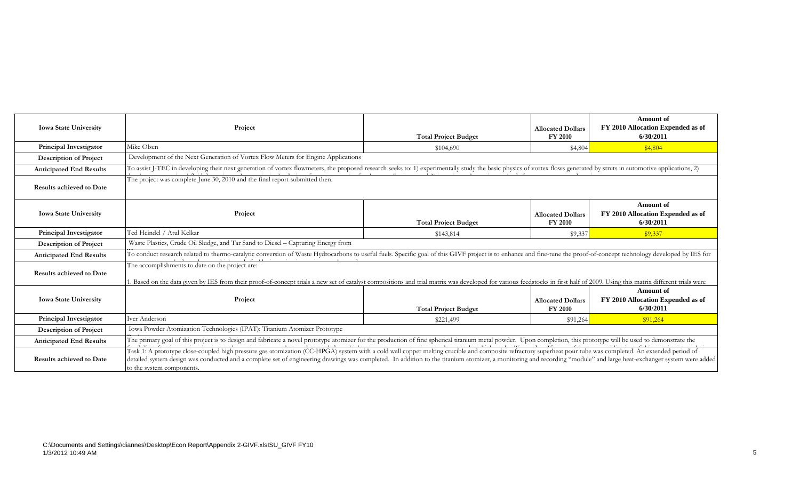| <b>Iowa State University</b>    | Project                                                                                                                                                                                                                                                                                                                                                                                                                                                         | <b>Total Project Budget</b> | <b>Allocated Dollars</b><br><b>FY 2010</b> | <b>Amount of</b><br>FY 2010 Allocation Expended as of<br>6/30/2011 |  |
|---------------------------------|-----------------------------------------------------------------------------------------------------------------------------------------------------------------------------------------------------------------------------------------------------------------------------------------------------------------------------------------------------------------------------------------------------------------------------------------------------------------|-----------------------------|--------------------------------------------|--------------------------------------------------------------------|--|
| <b>Principal Investigator</b>   | Mike Olsen                                                                                                                                                                                                                                                                                                                                                                                                                                                      | \$104,690                   | \$4,804                                    | \$4,804                                                            |  |
| <b>Description of Project</b>   | Development of the Next Generation of Vortex Flow Meters for Engine Applications                                                                                                                                                                                                                                                                                                                                                                                |                             |                                            |                                                                    |  |
| <b>Anticipated End Results</b>  | To assist J-TEC in developing their next generation of vortex flowmeters, the proposed research seeks to: 1) experimentally study the basic physics of vortex flows generated by struts in automotive applications, 2)                                                                                                                                                                                                                                          |                             |                                            |                                                                    |  |
| <b>Results achieved to Date</b> | The project was complete June 30, 2010 and the final report submitted then.                                                                                                                                                                                                                                                                                                                                                                                     |                             |                                            |                                                                    |  |
| <b>Iowa State University</b>    | Project                                                                                                                                                                                                                                                                                                                                                                                                                                                         | <b>Total Project Budget</b> | <b>Allocated Dollars</b><br><b>FY 2010</b> | <b>Amount of</b><br>FY 2010 Allocation Expended as of<br>6/30/2011 |  |
| <b>Principal Investigator</b>   | Ted Heindel / Atul Kelkar                                                                                                                                                                                                                                                                                                                                                                                                                                       | \$143,814                   | \$9,337                                    | \$9,337                                                            |  |
| <b>Description of Project</b>   | Waste Plastics, Crude Oil Sludge, and Tar Sand to Diesel - Capturing Energy from                                                                                                                                                                                                                                                                                                                                                                                |                             |                                            |                                                                    |  |
| <b>Anticipated End Results</b>  | To conduct research related to thermo-catalytic conversion of Waste Hydrocarbons to useful fuels. Specific goal of this GIVF project is to enhance and fine-tune the proof-of-concept technology developed by IES for                                                                                                                                                                                                                                           |                             |                                            |                                                                    |  |
| <b>Results achieved to Date</b> | The accomplishments to date on the project are:<br>1. Based on the data given by IES from their proof-of-concept trials a new set of catalyst compositions and trial matrix was developed for various feedstocks in first half of 2009. Using this matrix different trials were                                                                                                                                                                                 |                             |                                            |                                                                    |  |
| <b>Iowa State University</b>    | Project                                                                                                                                                                                                                                                                                                                                                                                                                                                         | <b>Total Project Budget</b> | <b>Allocated Dollars</b><br><b>FY 2010</b> | Amount of<br>FY 2010 Allocation Expended as of<br>6/30/2011        |  |
| Principal Investigator          | Iver Anderson                                                                                                                                                                                                                                                                                                                                                                                                                                                   | \$221,499                   | \$91,264                                   | \$91,264                                                           |  |
| <b>Description of Project</b>   | Iowa Powder Atomization Technologies (IPAT): Titanium Atomizer Prototype                                                                                                                                                                                                                                                                                                                                                                                        |                             |                                            |                                                                    |  |
| <b>Anticipated End Results</b>  | The primary goal of this project is to design and fabricate a novel prototype atomizer for the production of fine spherical titanium metal powder. Upon completion, this prototype will be used to demonstrate the                                                                                                                                                                                                                                              |                             |                                            |                                                                    |  |
| <b>Results achieved to Date</b> | Task 1: A prototype close-coupled high pressure gas atomization (CC-HPGA) system with a cold wall copper melting crucible and composite refractory superheat pour tube was completed. An extended period of<br>detailed system design was conducted and a complete set of engineering drawings was completed. In addition to the titanium atomizer, a monitoring and recording "module" and large heat-exchanger system were added<br>to the system components. |                             |                                            |                                                                    |  |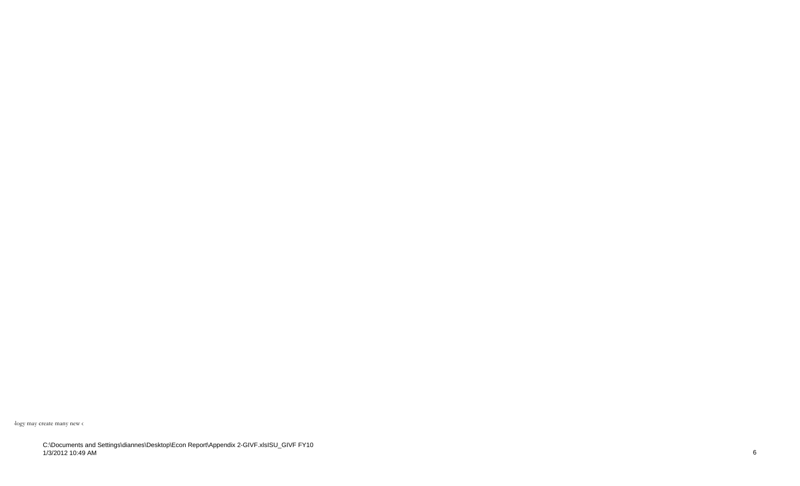logy may create many new o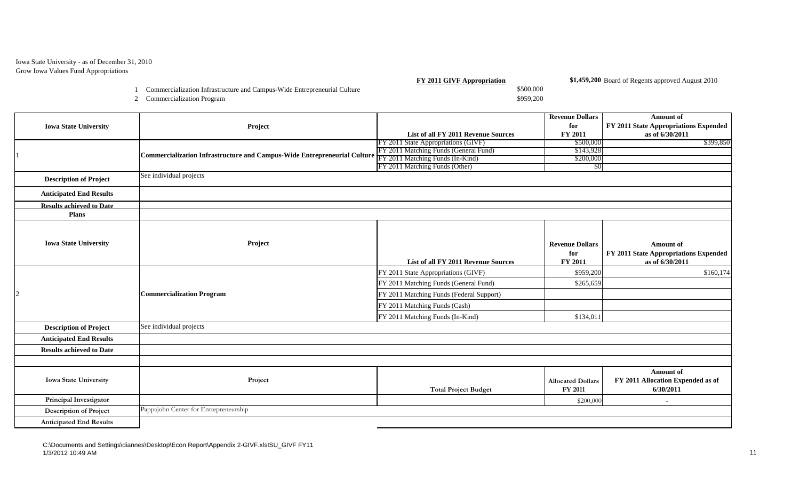### Iowa State University - as of December 31, 2010

Grow Iowa Values Fund Appropriations

**FY 2011 GIVF Appropriation**  $$1,459,200$  Board of Regents approved August 2010

| Commercialization Infrastructure and Campus-Wide Entrepreneurial Culture | \$500.000 |
|--------------------------------------------------------------------------|-----------|
|--------------------------------------------------------------------------|-----------|

<sup>2</sup> Commercialization Program \$959,200

| DUU,UU    |
|-----------|
| \$959,200 |

|                                 |                                                                                                           |                                          | <b>Revenue Dollars</b>              | <b>Amount of</b>                                                   |
|---------------------------------|-----------------------------------------------------------------------------------------------------------|------------------------------------------|-------------------------------------|--------------------------------------------------------------------|
| <b>Iowa State University</b>    | Project                                                                                                   |                                          | for                                 | FY 2011 State Appropriations Expended                              |
|                                 |                                                                                                           | List of all FY 2011 Revenue Sources      | <b>FY 2011</b>                      | as of 6/30/2011                                                    |
|                                 |                                                                                                           | FY 2011 State Appropriations (GIVF)      | \$500,000                           | \$399,850                                                          |
|                                 | Commercialization Infrastructure and Campus-Wide Entrepreneurial Culture FY 2011 Matching Funds (In-Kind) | FY 2011 Matching Funds (General Fund)    | \$143,928                           |                                                                    |
|                                 |                                                                                                           |                                          | \$200,000                           |                                                                    |
|                                 |                                                                                                           | FY 2011 Matching Funds (Other)           | <b>SO</b>                           |                                                                    |
| <b>Description of Project</b>   | See individual projects                                                                                   |                                          |                                     |                                                                    |
| <b>Anticipated End Results</b>  |                                                                                                           |                                          |                                     |                                                                    |
| <b>Results achieved to Date</b> |                                                                                                           |                                          |                                     |                                                                    |
| <b>Plans</b>                    |                                                                                                           |                                          |                                     |                                                                    |
| <b>Iowa State University</b>    | Project                                                                                                   |                                          | <b>Revenue Dollars</b><br>for       | <b>Amount of</b><br>FY 2011 State Appropriations Expended          |
|                                 |                                                                                                           | List of all FY 2011 Revenue Sources      | <b>FY 2011</b>                      | as of 6/30/2011                                                    |
|                                 |                                                                                                           | FY 2011 State Appropriations (GIVF)      | \$959,200                           | \$160,174                                                          |
|                                 |                                                                                                           | FY 2011 Matching Funds (General Fund)    | \$265,659                           |                                                                    |
|                                 | <b>Commercialization Program</b>                                                                          | FY 2011 Matching Funds (Federal Support) |                                     |                                                                    |
|                                 |                                                                                                           | FY 2011 Matching Funds (Cash)            |                                     |                                                                    |
|                                 |                                                                                                           | FY 2011 Matching Funds (In-Kind)         | \$134,011                           |                                                                    |
| <b>Description of Project</b>   | See individual projects                                                                                   |                                          |                                     |                                                                    |
| <b>Anticipated End Results</b>  |                                                                                                           |                                          |                                     |                                                                    |
| <b>Results achieved to Date</b> |                                                                                                           |                                          |                                     |                                                                    |
|                                 |                                                                                                           |                                          |                                     |                                                                    |
| Iowa State University           | Project                                                                                                   | <b>Total Project Budget</b>              | <b>Allocated Dollars</b><br>FY 2011 | <b>Amount of</b><br>FY 2011 Allocation Expended as of<br>6/30/2011 |
| Principal Investigator          |                                                                                                           |                                          | \$200,000                           |                                                                    |
| <b>Description of Project</b>   | Pappajohn Center for Entrepreneurship                                                                     |                                          |                                     |                                                                    |
| <b>Anticipated End Results</b>  |                                                                                                           |                                          |                                     |                                                                    |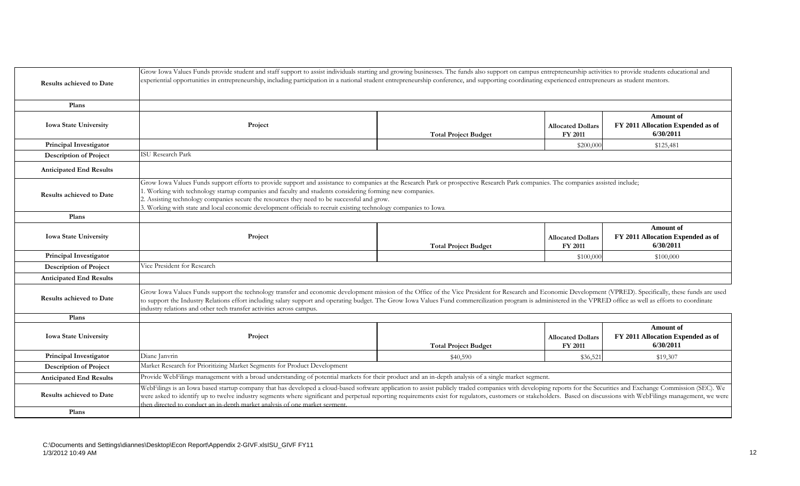| <b>Results achieved to Date</b> | Grow Iowa Values Funds provide student and staff support to assist individuals starting and growing businesses. The funds also support on campus entrepreneurship activities to provide students educational and<br>experiential opportunities in entrepreneurship, including participation in a national student entrepreneurship conference, and supporting coordinating experienced entrepreneurs as student mentors.                                                                                                   |                             |                                            |                                                                    |  |
|---------------------------------|----------------------------------------------------------------------------------------------------------------------------------------------------------------------------------------------------------------------------------------------------------------------------------------------------------------------------------------------------------------------------------------------------------------------------------------------------------------------------------------------------------------------------|-----------------------------|--------------------------------------------|--------------------------------------------------------------------|--|
| Plans                           |                                                                                                                                                                                                                                                                                                                                                                                                                                                                                                                            |                             |                                            |                                                                    |  |
| <b>Iowa State University</b>    | Project                                                                                                                                                                                                                                                                                                                                                                                                                                                                                                                    | <b>Total Project Budget</b> | <b>Allocated Dollars</b><br><b>FY 2011</b> | <b>Amount of</b><br>FY 2011 Allocation Expended as of<br>6/30/2011 |  |
| <b>Principal Investigator</b>   |                                                                                                                                                                                                                                                                                                                                                                                                                                                                                                                            |                             | \$200,000                                  | \$125,481                                                          |  |
| <b>Description of Project</b>   | <b>ISU Research Park</b>                                                                                                                                                                                                                                                                                                                                                                                                                                                                                                   |                             |                                            |                                                                    |  |
| <b>Anticipated End Results</b>  |                                                                                                                                                                                                                                                                                                                                                                                                                                                                                                                            |                             |                                            |                                                                    |  |
| <b>Results achieved to Date</b> | Grow Iowa Values Funds support efforts to provide support and assistance to companies at the Research Park or prospective Research Park companies. The companies assisted include;<br>1. Working with technology startup companies and faculty and students considering forming new companies.<br>2. Assisting technology companies secure the resources they need to be successful and grow.<br>3. Working with state and local economic development officials to recruit existing technology companies to Iowa.          |                             |                                            |                                                                    |  |
| Plans                           |                                                                                                                                                                                                                                                                                                                                                                                                                                                                                                                            |                             |                                            |                                                                    |  |
| <b>Iowa State University</b>    | Project                                                                                                                                                                                                                                                                                                                                                                                                                                                                                                                    | <b>Total Project Budget</b> | <b>Allocated Dollars</b><br>FY 2011        | <b>Amount of</b><br>FY 2011 Allocation Expended as of<br>6/30/2011 |  |
| Principal Investigator          |                                                                                                                                                                                                                                                                                                                                                                                                                                                                                                                            |                             | \$100,000                                  | \$100,000                                                          |  |
| <b>Description of Project</b>   | Vice President for Research                                                                                                                                                                                                                                                                                                                                                                                                                                                                                                |                             |                                            |                                                                    |  |
| <b>Anticipated End Results</b>  |                                                                                                                                                                                                                                                                                                                                                                                                                                                                                                                            |                             |                                            |                                                                    |  |
| <b>Results achieved to Date</b> | Grow Iowa Values Funds support the technology transfer and economic development mission of the Office of the Vice President for Research and Economic Development (VPRED). Specifically, these funds are used<br>to support the Industry Relations effort including salary support and operating budget. The Grow Iowa Values Fund commercilization program is administered in the VPRED office as well as efforts to coordinate<br>industry relations and other tech transfer activities across campus.                   |                             |                                            |                                                                    |  |
| Plans                           |                                                                                                                                                                                                                                                                                                                                                                                                                                                                                                                            |                             |                                            |                                                                    |  |
| <b>Iowa State University</b>    | Project                                                                                                                                                                                                                                                                                                                                                                                                                                                                                                                    | <b>Total Project Budget</b> | <b>Allocated Dollars</b><br>FY 2011        | <b>Amount of</b><br>FY 2011 Allocation Expended as of<br>6/30/2011 |  |
| Principal Investigator          | Diane Janvrin                                                                                                                                                                                                                                                                                                                                                                                                                                                                                                              | \$40,590                    | \$36,521                                   | \$19,307                                                           |  |
| <b>Description of Project</b>   | Market Research for Prioritizing Market Segments for Product Development                                                                                                                                                                                                                                                                                                                                                                                                                                                   |                             |                                            |                                                                    |  |
| <b>Anticipated End Results</b>  | Provide WebFilings management with a broad understanding of potential markets for their product and an in-depth analysis of a single market segment.                                                                                                                                                                                                                                                                                                                                                                       |                             |                                            |                                                                    |  |
| Results achieved to Date        | WebFilings is an Iowa based startup company that has developed a cloud-based software application to assist publicly traded companies with developing reports for the Securities and Exchange Commission (SEC). We<br>were asked to identify up to twelve industry segments where significant and perpetual reporting requirements exist for regulators, customers or stakeholders. Based on discussions with WebFilings management, we were<br>then directed to conduct an in-denth market analysis of one market segment |                             |                                            |                                                                    |  |
| Plans                           |                                                                                                                                                                                                                                                                                                                                                                                                                                                                                                                            |                             |                                            |                                                                    |  |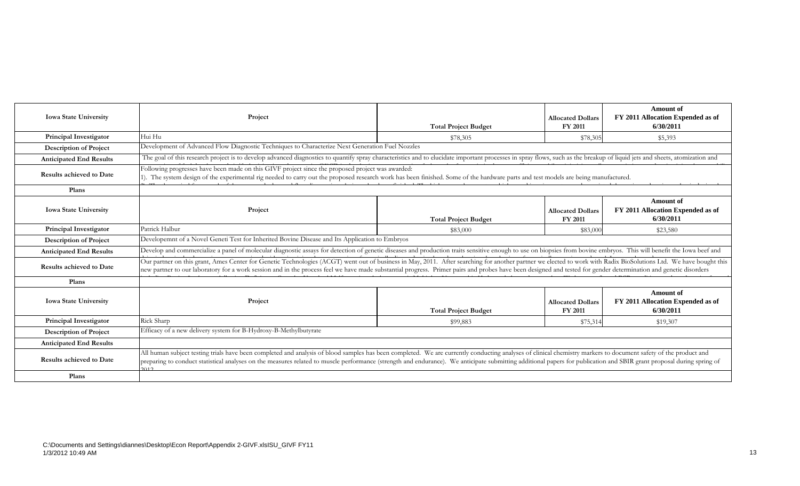| <b>Iowa State University</b>    | Project                                                                                                                                                                                                                                                                                                                                                                                                                                          | <b>Total Project Budget</b> | <b>Allocated Dollars</b><br><b>FY 2011</b> | <b>Amount of</b><br>FY 2011 Allocation Expended as of<br>6/30/2011 |  |
|---------------------------------|--------------------------------------------------------------------------------------------------------------------------------------------------------------------------------------------------------------------------------------------------------------------------------------------------------------------------------------------------------------------------------------------------------------------------------------------------|-----------------------------|--------------------------------------------|--------------------------------------------------------------------|--|
| Principal Investigator          | Hui Hu                                                                                                                                                                                                                                                                                                                                                                                                                                           | \$78,305                    | \$78,305                                   | \$5,393                                                            |  |
| <b>Description of Project</b>   | Development of Advanced Flow Diagnostic Techniques to Characterize Next Generation Fuel Nozzles                                                                                                                                                                                                                                                                                                                                                  |                             |                                            |                                                                    |  |
| <b>Anticipated End Results</b>  | The goal of this research project is to develop advanced diagnostics to quantify spray characteristics and to elucidate important processes in spray flows, such as the breakup of liquid jets and sheets, atomization and                                                                                                                                                                                                                       |                             |                                            |                                                                    |  |
| <b>Results achieved to Date</b> | Following progresses have been made on this GIVF project since the proposed project was awarded:<br>1). The system design of the experimental rig needed to carry out the proposed research work has been finished. Some of the hardware parts and test models are being manufactured.                                                                                                                                                           |                             |                                            |                                                                    |  |
| Plans                           |                                                                                                                                                                                                                                                                                                                                                                                                                                                  |                             |                                            |                                                                    |  |
| <b>Iowa State University</b>    | Project                                                                                                                                                                                                                                                                                                                                                                                                                                          | <b>Total Project Budget</b> | <b>Allocated Dollars</b><br>FY 2011        | <b>Amount of</b><br>FY 2011 Allocation Expended as of<br>6/30/2011 |  |
| Principal Investigator          | Patrick Halbur                                                                                                                                                                                                                                                                                                                                                                                                                                   | \$83,000                    | \$83,000                                   | \$23,580                                                           |  |
| <b>Description of Project</b>   | Developemnt of a Novel Geneti Test for Inherited Bovine Disease and Its Application to Embryos                                                                                                                                                                                                                                                                                                                                                   |                             |                                            |                                                                    |  |
| <b>Anticipated End Results</b>  | Develop and commercialize a panel of molecular diagnostic assays for detection of genetic diseases and production traits sensitive enough to use on biopsies from bovine embryos. This will benefit the Iowa beef and                                                                                                                                                                                                                            |                             |                                            |                                                                    |  |
| <b>Results achieved to Date</b> | Our partner on this grant, Ames Center for Genetic Technologies (ACGT) went out of business in May, 2011. After searching for another partner we elected to work with Radix BioSolutions Ltd. We have bought this<br>new partner to our laboratory for a work session and in the process feel we have made substantial progress. Primer pairs and probes have been designed and tested for gender determination and genetic disorders            |                             |                                            |                                                                    |  |
| Plans                           |                                                                                                                                                                                                                                                                                                                                                                                                                                                  |                             |                                            |                                                                    |  |
| <b>Iowa State University</b>    | Project                                                                                                                                                                                                                                                                                                                                                                                                                                          | <b>Total Project Budget</b> | <b>Allocated Dollars</b><br><b>FY 2011</b> | Amount of<br>FY 2011 Allocation Expended as of<br>6/30/2011        |  |
| Principal Investigator          | Rick Sharp                                                                                                                                                                                                                                                                                                                                                                                                                                       | \$99,883                    | \$75,314                                   | \$19,307                                                           |  |
| <b>Description of Project</b>   | Efficacy of a new delivery system for B-Hydroxy-B-Methylbutyrate                                                                                                                                                                                                                                                                                                                                                                                 |                             |                                            |                                                                    |  |
| <b>Anticipated End Results</b>  |                                                                                                                                                                                                                                                                                                                                                                                                                                                  |                             |                                            |                                                                    |  |
| <b>Results achieved to Date</b> | All human subject testing trials have been completed and analysis of blood samples has been completed. We are currently conducting analyses of clinical chemistry markers to document safety of the product and<br>preparing to conduct statistical analyses on the measures related to muscle performance (strength and endurance). We anticipate submitting additional papers for publication and SBIR grant proposal during spring of<br>2012 |                             |                                            |                                                                    |  |
| Plans                           |                                                                                                                                                                                                                                                                                                                                                                                                                                                  |                             |                                            |                                                                    |  |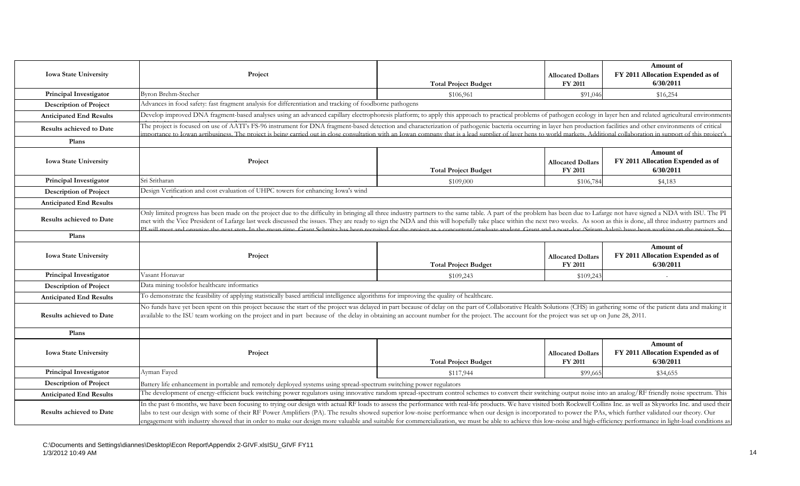| <b>Iowa State University</b>    | Project                                                                                                                                                                                                                                                                                                                                                                                                                                                                                                                                                                                                                                                                     | <b>Total Project Budget</b> | <b>Allocated Dollars</b><br>FY 2011 | <b>Amount of</b><br>FY 2011 Allocation Expended as of<br>6/30/2011 |  |
|---------------------------------|-----------------------------------------------------------------------------------------------------------------------------------------------------------------------------------------------------------------------------------------------------------------------------------------------------------------------------------------------------------------------------------------------------------------------------------------------------------------------------------------------------------------------------------------------------------------------------------------------------------------------------------------------------------------------------|-----------------------------|-------------------------------------|--------------------------------------------------------------------|--|
| Principal Investigator          | Byron Brehm-Stecher                                                                                                                                                                                                                                                                                                                                                                                                                                                                                                                                                                                                                                                         | \$106,961                   | \$91,046                            | \$16,254                                                           |  |
| <b>Description of Project</b>   | Advances in food safety: fast fragment analysis for differentiation and tracking of foodborne pathogens                                                                                                                                                                                                                                                                                                                                                                                                                                                                                                                                                                     |                             |                                     |                                                                    |  |
| <b>Anticipated End Results</b>  | Develop improved DNA fragment-based analyses using an advanced capillary electrophoresis platform; to apply this approach to practical problems of pathogen ecology in layer hen and related agricultural environment                                                                                                                                                                                                                                                                                                                                                                                                                                                       |                             |                                     |                                                                    |  |
| <b>Results achieved to Date</b> | The project is focused on use of AATT's FS-96 instrument for DNA fragment-based detection and characterization of pathogenic bacteria occurring in layer hen production facilities and other environments of critical<br>mportance to Iowan agribusiness. The project is being carried out in close consultation with an Iowan company that is a lead supplier of layer hens to world markets. Additional collaboration in support of this project's                                                                                                                                                                                                                        |                             |                                     |                                                                    |  |
| Plans                           |                                                                                                                                                                                                                                                                                                                                                                                                                                                                                                                                                                                                                                                                             |                             |                                     |                                                                    |  |
| <b>Iowa State University</b>    | Project                                                                                                                                                                                                                                                                                                                                                                                                                                                                                                                                                                                                                                                                     | <b>Total Project Budget</b> | <b>Allocated Dollars</b><br>FY 2011 | <b>Amount of</b><br>FY 2011 Allocation Expended as of<br>6/30/2011 |  |
| Principal Investigator          | Sri Sritharan                                                                                                                                                                                                                                                                                                                                                                                                                                                                                                                                                                                                                                                               | \$109,000                   | \$106,784                           | \$4,183                                                            |  |
| <b>Description of Project</b>   | Design Verification and cost evaluation of UHPC towers for enhancing Iowa's wind                                                                                                                                                                                                                                                                                                                                                                                                                                                                                                                                                                                            |                             |                                     |                                                                    |  |
| <b>Anticipated End Results</b>  |                                                                                                                                                                                                                                                                                                                                                                                                                                                                                                                                                                                                                                                                             |                             |                                     |                                                                    |  |
| <b>Results achieved to Date</b> | Only limited progress has been made on the project due to the difficulty in bringing all three industry partners to the same table. A part of the problem has been due to Lafarge not have signed a NDA with ISU. The PI<br>met with the Vice President of Lafarge last week discussed the issues. They are ready to sign the NDA and this will hopefully take place within the next two weeks. As soon as this is done, all three industry partners and<br>Creat Schmitz has been recruited for the project as a concurrent/oraduate student. Creat and a post dog (Srire<br>rt eten. In the mean tim                                                                      |                             |                                     |                                                                    |  |
| Plans                           |                                                                                                                                                                                                                                                                                                                                                                                                                                                                                                                                                                                                                                                                             |                             |                                     |                                                                    |  |
| <b>Iowa State University</b>    | Project                                                                                                                                                                                                                                                                                                                                                                                                                                                                                                                                                                                                                                                                     | <b>Total Project Budget</b> | <b>Allocated Dollars</b><br>FY 2011 | <b>Amount of</b><br>FY 2011 Allocation Expended as of<br>6/30/2011 |  |
| Principal Investigator          | Vasant Honavar                                                                                                                                                                                                                                                                                                                                                                                                                                                                                                                                                                                                                                                              | \$109,243                   | \$109,243                           |                                                                    |  |
| <b>Description of Project</b>   | Data mining toolsfor healthcare informatics                                                                                                                                                                                                                                                                                                                                                                                                                                                                                                                                                                                                                                 |                             |                                     |                                                                    |  |
| <b>Anticipated End Results</b>  | To demonstrate the feasibility of applying statistically based artificial intelligence algorithms for improving the quality of healthcare.                                                                                                                                                                                                                                                                                                                                                                                                                                                                                                                                  |                             |                                     |                                                                    |  |
| Results achieved to Date        | No funds have yet been spent on this project because the start of the project was delayed in part because of delay on the part of Collaborative Health Solutions (CHS) in gathering some of the patient data and making it<br>available to the ISU team working on the project and in part because of the delay in obtaining an account number for the project. The account for the project was set up on June 28, 2011.                                                                                                                                                                                                                                                    |                             |                                     |                                                                    |  |
| Plans                           |                                                                                                                                                                                                                                                                                                                                                                                                                                                                                                                                                                                                                                                                             |                             |                                     |                                                                    |  |
| <b>Iowa State University</b>    | Project                                                                                                                                                                                                                                                                                                                                                                                                                                                                                                                                                                                                                                                                     | <b>Total Project Budget</b> | <b>Allocated Dollars</b><br>FY 2011 | <b>Amount of</b><br>FY 2011 Allocation Expended as of<br>6/30/2011 |  |
| Principal Investigator          | Ayman Fayed                                                                                                                                                                                                                                                                                                                                                                                                                                                                                                                                                                                                                                                                 | \$117,944                   | \$99,665                            | \$34,655                                                           |  |
| <b>Description of Project</b>   | Battery life enhancement in portable and remotely deployed systems using spread-spectrum switching power regulators                                                                                                                                                                                                                                                                                                                                                                                                                                                                                                                                                         |                             |                                     |                                                                    |  |
| Anticipated End Results         | The development of energy-efficient buck switching power regulators using innovative random spread-spectrum control schemes to convert their switching output noise into an analog/RF friendly noise spectrum. This                                                                                                                                                                                                                                                                                                                                                                                                                                                         |                             |                                     |                                                                    |  |
| <b>Results achieved to Date</b> | In the past 6 months, we have been focusing to trying our design with actual RF loads to assess the performance with real-life products. We have visited both Rockwell Collins Inc. as well as Skyworks Inc. and used their<br>labs to test our design with some of their RF Power Amplifiers (PA). The results showed superior low-noise performance when our design is incorporated to power the PAs, which further validated our theory. Our<br>engagement with industry showed that in order to make our design more valuable and suitable for commercialization, we must be able to achieve this low-noise and high-efficiency performance in light-load conditions as |                             |                                     |                                                                    |  |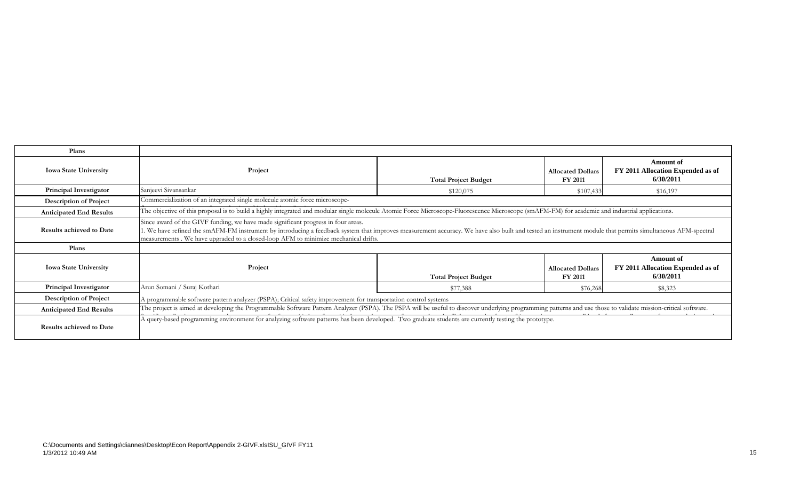| Plans                           |                                                                                                                                                                                                                                                                                                                                                                                      |                             |                                            |                                                                    |
|---------------------------------|--------------------------------------------------------------------------------------------------------------------------------------------------------------------------------------------------------------------------------------------------------------------------------------------------------------------------------------------------------------------------------------|-----------------------------|--------------------------------------------|--------------------------------------------------------------------|
| <b>Iowa State University</b>    | Project                                                                                                                                                                                                                                                                                                                                                                              | <b>Total Project Budget</b> | <b>Allocated Dollars</b><br><b>FY 2011</b> | <b>Amount of</b><br>FY 2011 Allocation Expended as of<br>6/30/2011 |
| <b>Principal Investigator</b>   | Sanjeevi Sivansankar                                                                                                                                                                                                                                                                                                                                                                 | \$120,075                   | \$107,433                                  | \$16,197                                                           |
| <b>Description of Project</b>   | Commercialization of an integrated single molecule atomic force microscope-                                                                                                                                                                                                                                                                                                          |                             |                                            |                                                                    |
| <b>Anticipated End Results</b>  | The objective of this proposal is to build a highly integrated and modular single molecule Atomic Force Microscope-Fluorescence Microscope (smAFM-FM) for academic and industrial applications.                                                                                                                                                                                      |                             |                                            |                                                                    |
| <b>Results achieved to Date</b> | Since award of the GIVF funding, we have made significant progress in four areas.<br>. We have refined the smAFM-FM instrument by introducing a feedback system that improves measurement accuracy. We have also built and tested an instrument module that permits simultaneous AFM-spectral<br>measurements . We have upgraded to a closed-loop AFM to minimize mechanical drifts. |                             |                                            |                                                                    |
| Plans                           |                                                                                                                                                                                                                                                                                                                                                                                      |                             |                                            |                                                                    |
| <b>Iowa State University</b>    | Project                                                                                                                                                                                                                                                                                                                                                                              | <b>Total Project Budget</b> | <b>Allocated Dollars</b><br><b>FY 2011</b> | <b>Amount of</b><br>FY 2011 Allocation Expended as of<br>6/30/2011 |
| <b>Principal Investigator</b>   | Arun Somani / Suraj Kothari                                                                                                                                                                                                                                                                                                                                                          | \$77,388                    | \$76,268                                   | \$8,323                                                            |
| <b>Description of Project</b>   | A programmable software pattern analyzer (PSPA); Critical safety improvement for transportation control systems                                                                                                                                                                                                                                                                      |                             |                                            |                                                                    |
| <b>Anticipated End Results</b>  | The project is aimed at developing the Programmable Software Pattern Analyzer (PSPA). The PSPA will be useful to discover underlying programming patterns and use those to validate mission-critical software.                                                                                                                                                                       |                             |                                            |                                                                    |
| <b>Results achieved to Date</b> | A query-based programming environment for analyzing software patterns has been developed. Two graduate students are currently testing the prototype.                                                                                                                                                                                                                                 |                             |                                            |                                                                    |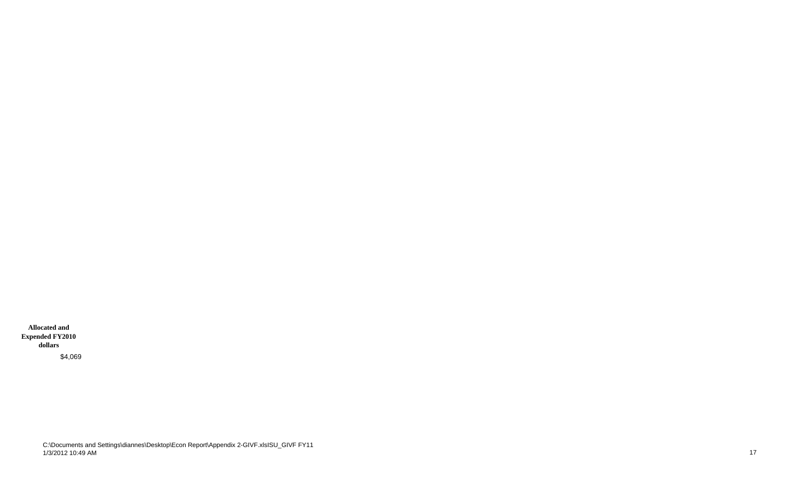**Allocated and Expended FY2010 dollars** \$4,069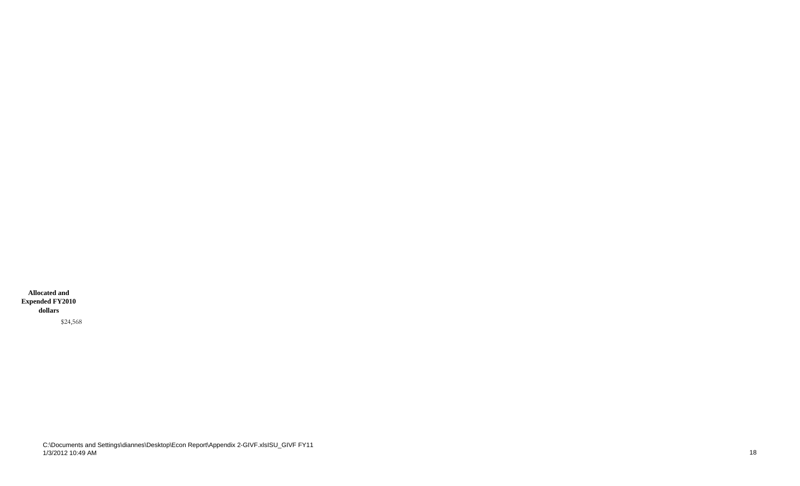**Allocated and Expended FY2010 dollars** \$24,568

> C:\Documents and Settings\diannes\Desktop\Econ Report\Appendix 2-GIVF.xlsISU\_GIVF FY11 1/3/2012 10:49 AMМ РАДИ 18 ОКТАВЛЯ 18 ОКТАВЛЯ 18 ОКТАВЛЯ 18 ОКТАВЛЯ 18 ОКТАВЛЯ 18 ОКТАВЛЯ 18 ОКТАВЛЯ 18 ОКТАВЛЯ 18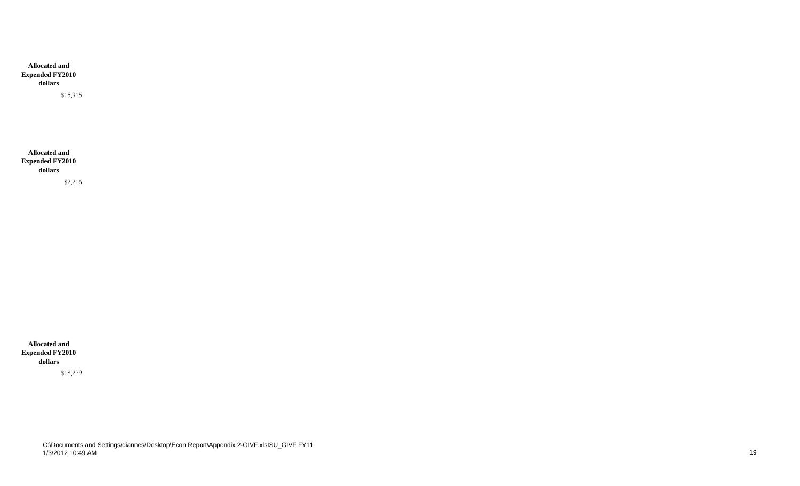**Allocated and Expended FY2010 dollars**

\$15,915

**Allocated and Expended FY2010 dollars** \$2,216

**Allocated and Expended FY2010 dollars**

\$18,279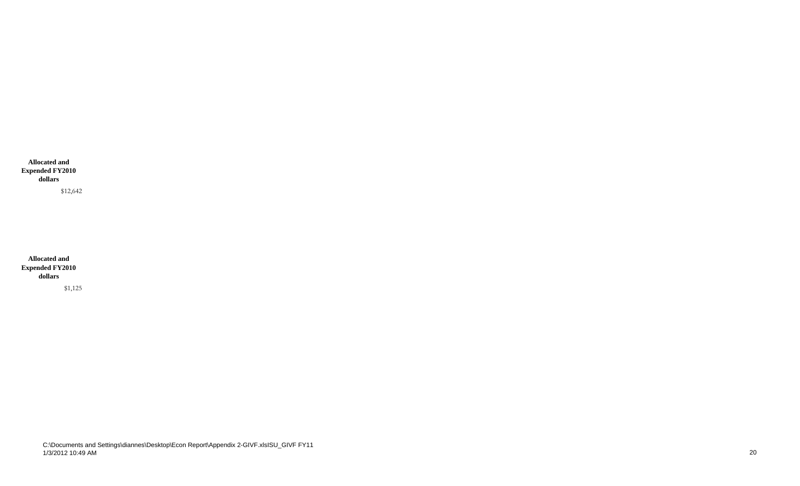**Allocated and Expended FY2010 dollars**

\$12,642

**Allocated and Expended FY2010 dollars**\$1,125

> C:\Documents and Settings\diannes\Desktop\Econ Report\Appendix 2-GIVF.xlsISU\_GIVF FY11 1/3/2012 10:49 AMм на последните последни последни последни последни и се последни последни последни последни се последни последн<br>М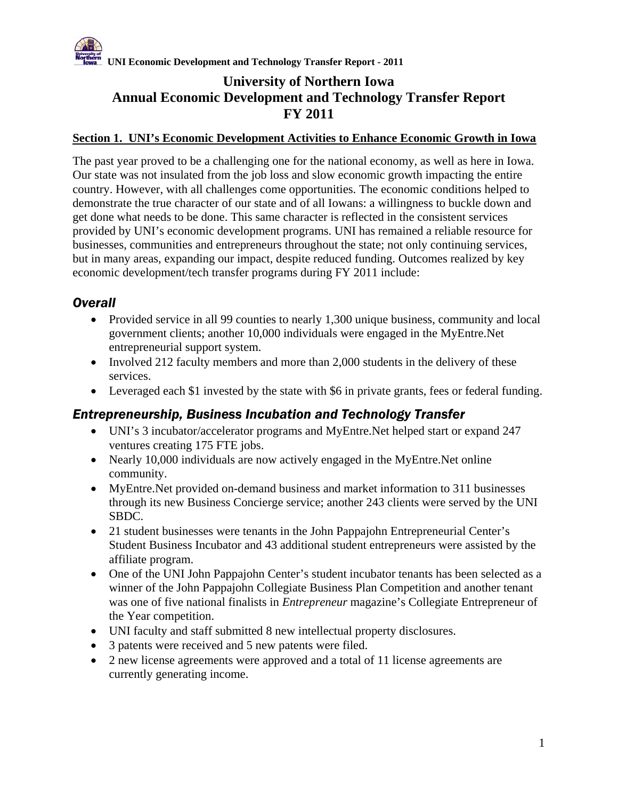

# **University of Northern Iowa Annual Economic Development and Technology Transfer Report FY 2011**

### **Section 1. UNI's Economic Development Activities to Enhance Economic Growth in Iowa**

The past year proved to be a challenging one for the national economy, as well as here in Iowa. Our state was not insulated from the job loss and slow economic growth impacting the entire country. However, with all challenges come opportunities. The economic conditions helped to demonstrate the true character of our state and of all Iowans: a willingness to buckle down and get done what needs to be done. This same character is reflected in the consistent services provided by UNI's economic development programs. UNI has remained a reliable resource for businesses, communities and entrepreneurs throughout the state; not only continuing services, but in many areas, expanding our impact, despite reduced funding. Outcomes realized by key economic development/tech transfer programs during FY 2011 include:

# *Overall*

- Provided service in all 99 counties to nearly 1,300 unique business, community and local government clients; another 10,000 individuals were engaged in the MyEntre.Net entrepreneurial support system.
- Involved 212 faculty members and more than 2,000 students in the delivery of these services.
- Leveraged each \$1 invested by the state with \$6 in private grants, fees or federal funding.

# *Entrepreneurship, Business Incubation and Technology Transfer*

- UNI's 3 incubator/accelerator programs and MyEntre.Net helped start or expand 247 ventures creating 175 FTE jobs.
- Nearly 10,000 individuals are now actively engaged in the MyEntre. Net online community.
- MyEntre.Net provided on-demand business and market information to 311 businesses through its new Business Concierge service; another 243 clients were served by the UNI SBDC.
- 21 student businesses were tenants in the John Pappajohn Entrepreneurial Center's Student Business Incubator and 43 additional student entrepreneurs were assisted by the affiliate program.
- One of the UNI John Pappajohn Center's student incubator tenants has been selected as a winner of the John Pappajohn Collegiate Business Plan Competition and another tenant was one of five national finalists in *Entrepreneur* magazine's Collegiate Entrepreneur of the Year competition.
- UNI faculty and staff submitted 8 new intellectual property disclosures.
- 3 patents were received and 5 new patents were filed.
- 2 new license agreements were approved and a total of 11 license agreements are currently generating income.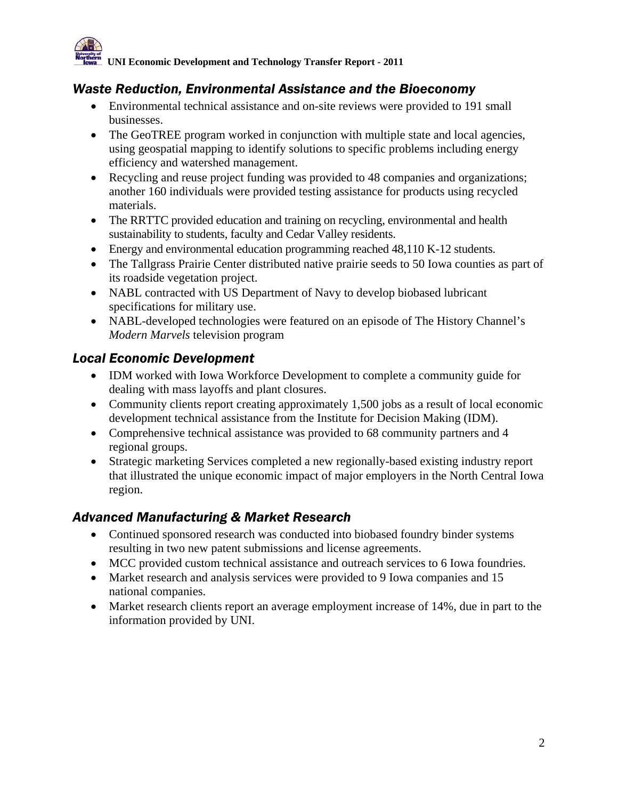

**UNI Economic Development and Technology Transfer Report - 2011** 

### *Waste Reduction, Environmental Assistance and the Bioeconomy*

- Environmental technical assistance and on-site reviews were provided to 191 small businesses.
- The GeoTREE program worked in conjunction with multiple state and local agencies, using geospatial mapping to identify solutions to specific problems including energy efficiency and watershed management.
- Recycling and reuse project funding was provided to 48 companies and organizations; another 160 individuals were provided testing assistance for products using recycled materials.
- The RRTTC provided education and training on recycling, environmental and health sustainability to students, faculty and Cedar Valley residents.
- Energy and environmental education programming reached 48,110 K-12 students.
- The Tallgrass Prairie Center distributed native prairie seeds to 50 Iowa counties as part of its roadside vegetation project.
- NABL contracted with US Department of Navy to develop biobased lubricant specifications for military use.
- NABL-developed technologies were featured on an episode of The History Channel's *Modern Marvels* television program

### *Local Economic Development*

- IDM worked with Iowa Workforce Development to complete a community guide for dealing with mass layoffs and plant closures.
- Community clients report creating approximately 1,500 jobs as a result of local economic development technical assistance from the Institute for Decision Making (IDM).
- Comprehensive technical assistance was provided to 68 community partners and 4 regional groups.
- Strategic marketing Services completed a new regionally-based existing industry report that illustrated the unique economic impact of major employers in the North Central Iowa region.

# *Advanced Manufacturing & Market Research*

- Continued sponsored research was conducted into biobased foundry binder systems resulting in two new patent submissions and license agreements.
- MCC provided custom technical assistance and outreach services to 6 Iowa foundries.
- Market research and analysis services were provided to 9 Iowa companies and 15 national companies.
- Market research clients report an average employment increase of 14%, due in part to the information provided by UNI.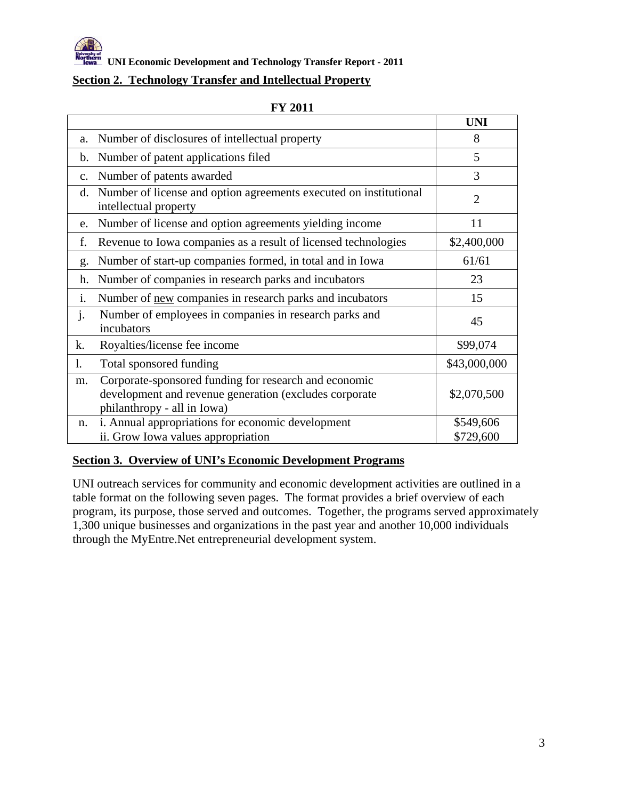

**UNI Economic Development and Technology Transfer Report - 2011** 

### **Section 2. Technology Transfer and Intellectual Property**

|                |                                                                                                                                                | <b>UNI</b>             |
|----------------|------------------------------------------------------------------------------------------------------------------------------------------------|------------------------|
| a.             | Number of disclosures of intellectual property                                                                                                 | 8                      |
| b.             | Number of patent applications filed                                                                                                            | 5                      |
| $\mathbf{c}$ . | Number of patents awarded                                                                                                                      | 3                      |
| d.             | Number of license and option agreements executed on institutional<br>intellectual property                                                     | $\overline{2}$         |
| e.             | Number of license and option agreements yielding income                                                                                        | 11                     |
| f.             | Revenue to Iowa companies as a result of licensed technologies                                                                                 | \$2,400,000            |
| g.             | Number of start-up companies formed, in total and in Iowa                                                                                      | 61/61                  |
| h.             | Number of companies in research parks and incubators                                                                                           | 23                     |
| i.             | Number of new companies in research parks and incubators                                                                                       | 15                     |
| $\mathbf{j}$ . | Number of employees in companies in research parks and<br>incubators                                                                           | 45                     |
| k.             | Royalties/license fee income                                                                                                                   | \$99,074               |
| 1.             | Total sponsored funding                                                                                                                        | \$43,000,000           |
| m.             | Corporate-sponsored funding for research and economic<br>development and revenue generation (excludes corporate<br>philanthropy - all in Iowa) | \$2,070,500            |
| n.             | i. Annual appropriations for economic development<br>ii. Grow Iowa values appropriation                                                        | \$549,606<br>\$729,600 |

### **FY 2011**

### **Section 3. Overview of UNI's Economic Development Programs**

UNI outreach services for community and economic development activities are outlined in a table format on the following seven pages. The format provides a brief overview of each program, its purpose, those served and outcomes. Together, the programs served approximately 1,300 unique businesses and organizations in the past year and another 10,000 individuals through the MyEntre.Net entrepreneurial development system.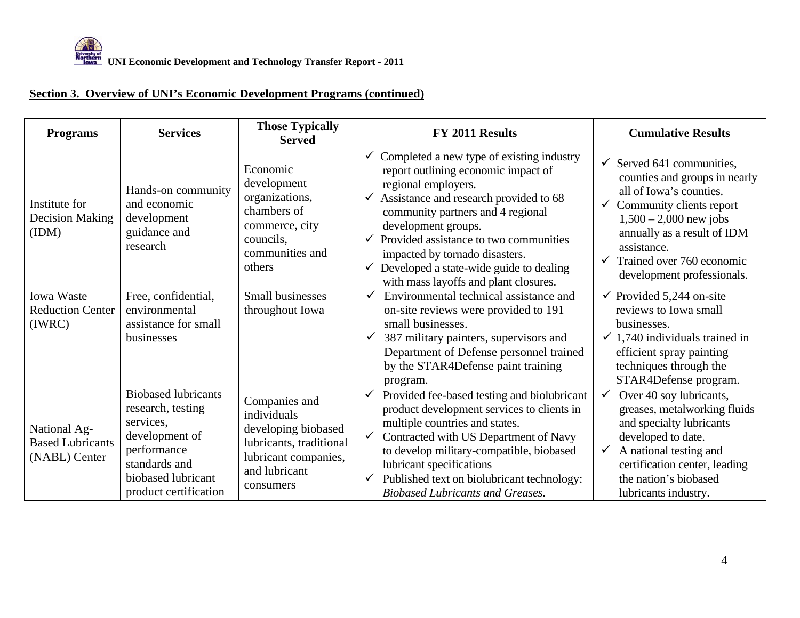# **Section 3. Overview of UNI's Economic Development Programs (continued)**

| <b>Programs</b>                                                                           | <b>Services</b>                                                                                                                                               | <b>Those Typically</b><br><b>Served</b>                                                                                                                     | FY 2011 Results                                                                                                                                                                                                                                                                                                                                                                                                                                                                                 | <b>Cumulative Results</b>                                                                                                                                                                                                                                                                                                                            |
|-------------------------------------------------------------------------------------------|---------------------------------------------------------------------------------------------------------------------------------------------------------------|-------------------------------------------------------------------------------------------------------------------------------------------------------------|-------------------------------------------------------------------------------------------------------------------------------------------------------------------------------------------------------------------------------------------------------------------------------------------------------------------------------------------------------------------------------------------------------------------------------------------------------------------------------------------------|------------------------------------------------------------------------------------------------------------------------------------------------------------------------------------------------------------------------------------------------------------------------------------------------------------------------------------------------------|
| Institute for<br><b>Decision Making</b><br>(IDM)<br>Iowa Waste<br><b>Reduction Center</b> | Hands-on community<br>and economic<br>development<br>guidance and<br>research<br>Free, confidential,<br>environmental                                         | Economic<br>development<br>organizations,<br>chambers of<br>commerce, city<br>councils,<br>communities and<br>others<br>Small businesses<br>throughout Iowa | Completed a new type of existing industry<br>report outlining economic impact of<br>regional employers.<br>Assistance and research provided to 68<br>$\checkmark$<br>community partners and 4 regional<br>development groups.<br>Provided assistance to two communities<br>impacted by tornado disasters.<br>Developed a state-wide guide to dealing<br>$\checkmark$<br>with mass layoffs and plant closures.<br>Environmental technical assistance and<br>on-site reviews were provided to 191 | Served 641 communities,<br>counties and groups in nearly<br>all of Iowa's counties.<br>Community clients report<br>$\checkmark$<br>$1,500 - 2,000$ new jobs<br>annually as a result of IDM<br>assistance.<br>Trained over 760 economic<br>$\checkmark$<br>development professionals.<br>$\checkmark$ Provided 5,244 on-site<br>reviews to Iowa small |
| (IWRC)                                                                                    | assistance for small<br>businesses                                                                                                                            |                                                                                                                                                             | small businesses.<br>387 military painters, supervisors and<br>Department of Defense personnel trained<br>by the STAR4Defense paint training<br>program.                                                                                                                                                                                                                                                                                                                                        | businesses.<br>$\checkmark$ 1,740 individuals trained in<br>efficient spray painting<br>techniques through the<br>STAR4Defense program.                                                                                                                                                                                                              |
| National Ag-<br><b>Based Lubricants</b><br>(NABL) Center                                  | <b>Biobased lubricants</b><br>research, testing<br>services,<br>development of<br>performance<br>standards and<br>biobased lubricant<br>product certification | Companies and<br>individuals<br>developing biobased<br>lubricants, traditional<br>lubricant companies,<br>and lubricant<br>consumers                        | Provided fee-based testing and biolubricant<br>product development services to clients in<br>multiple countries and states.<br>Contracted with US Department of Navy<br>✓<br>to develop military-compatible, biobased<br>lubricant specifications<br>Published text on biolubricant technology:<br>✓<br><b>Biobased Lubricants and Greases.</b>                                                                                                                                                 | Over 40 soy lubricants,<br>greases, metalworking fluids<br>and specialty lubricants<br>developed to date.<br>A national testing and<br>$\checkmark$<br>certification center, leading<br>the nation's biobased<br>lubricants industry.                                                                                                                |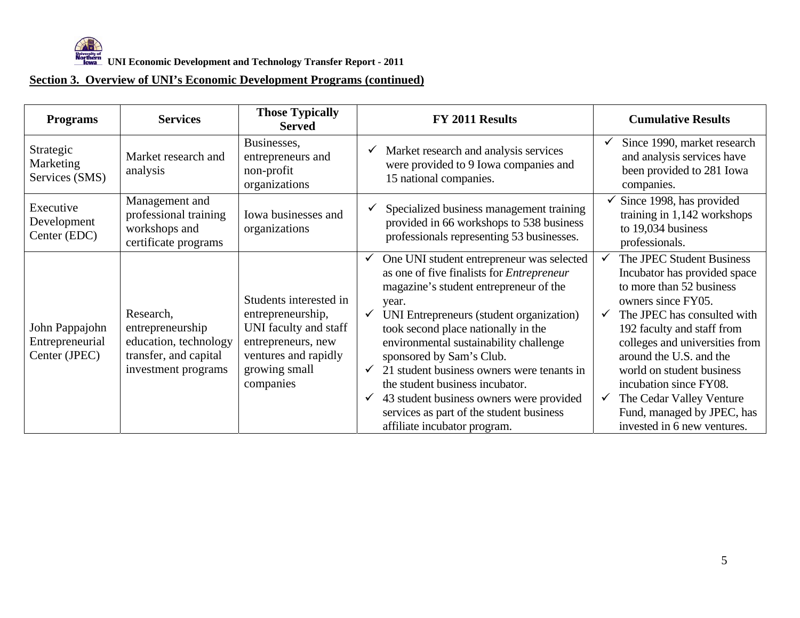

UNI Economic Development and Technology Transfer Report - 2011<br>Northern UNI Economic Development and Technology Transfer Report - 2011

### **Section 3. Overview of UNI's Economic Development Programs (continued)**

| <b>Programs</b>                                    | <b>Services</b>                                                                                        | <b>Those Typically</b><br><b>Served</b>                                                                                                          | FY 2011 Results                                                                                                                                                                                                                                                                                                                                                                                                                                                                                                                                                                    | <b>Cumulative Results</b>                                                                                                                                                                                                                                                                                                                                                                                                             |
|----------------------------------------------------|--------------------------------------------------------------------------------------------------------|--------------------------------------------------------------------------------------------------------------------------------------------------|------------------------------------------------------------------------------------------------------------------------------------------------------------------------------------------------------------------------------------------------------------------------------------------------------------------------------------------------------------------------------------------------------------------------------------------------------------------------------------------------------------------------------------------------------------------------------------|---------------------------------------------------------------------------------------------------------------------------------------------------------------------------------------------------------------------------------------------------------------------------------------------------------------------------------------------------------------------------------------------------------------------------------------|
| Strategic<br>Marketing<br>Services (SMS)           | Market research and<br>analysis                                                                        | Businesses,<br>entrepreneurs and<br>non-profit<br>organizations                                                                                  | Market research and analysis services<br>✓<br>were provided to 9 Iowa companies and<br>15 national companies.                                                                                                                                                                                                                                                                                                                                                                                                                                                                      | Since 1990, market research<br>and analysis services have<br>been provided to 281 Iowa<br>companies.                                                                                                                                                                                                                                                                                                                                  |
| Executive<br>Development<br>Center (EDC)           | Management and<br>professional training<br>workshops and<br>certificate programs                       | Iowa businesses and<br>organizations                                                                                                             | Specialized business management training<br>provided in 66 workshops to 538 business<br>professionals representing 53 businesses.                                                                                                                                                                                                                                                                                                                                                                                                                                                  | $\checkmark$ Since 1998, has provided<br>training in 1,142 workshops<br>to 19,034 business<br>professionals.                                                                                                                                                                                                                                                                                                                          |
| John Pappajohn<br>Entrepreneurial<br>Center (JPEC) | Research,<br>entrepreneurship<br>education, technology<br>transfer, and capital<br>investment programs | Students interested in<br>entrepreneurship,<br>UNI faculty and staff<br>entrepreneurs, new<br>ventures and rapidly<br>growing small<br>companies | One UNI student entrepreneur was selected<br>$\checkmark$<br>as one of five finalists for <i>Entrepreneur</i><br>magazine's student entrepreneur of the<br>year.<br>UNI Entrepreneurs (student organization)<br>$\checkmark$<br>took second place nationally in the<br>environmental sustainability challenge<br>sponsored by Sam's Club.<br>21 student business owners were tenants in<br>$\checkmark$<br>the student business incubator.<br>43 student business owners were provided<br>$\checkmark$<br>services as part of the student business<br>affiliate incubator program. | The JPEC Student Business<br>$\checkmark$<br>Incubator has provided space<br>to more than 52 business<br>owners since FY05.<br>The JPEC has consulted with<br>$\checkmark$<br>192 faculty and staff from<br>colleges and universities from<br>around the U.S. and the<br>world on student business<br>incubation since FY08.<br>The Cedar Valley Venture<br>$\checkmark$<br>Fund, managed by JPEC, has<br>invested in 6 new ventures. |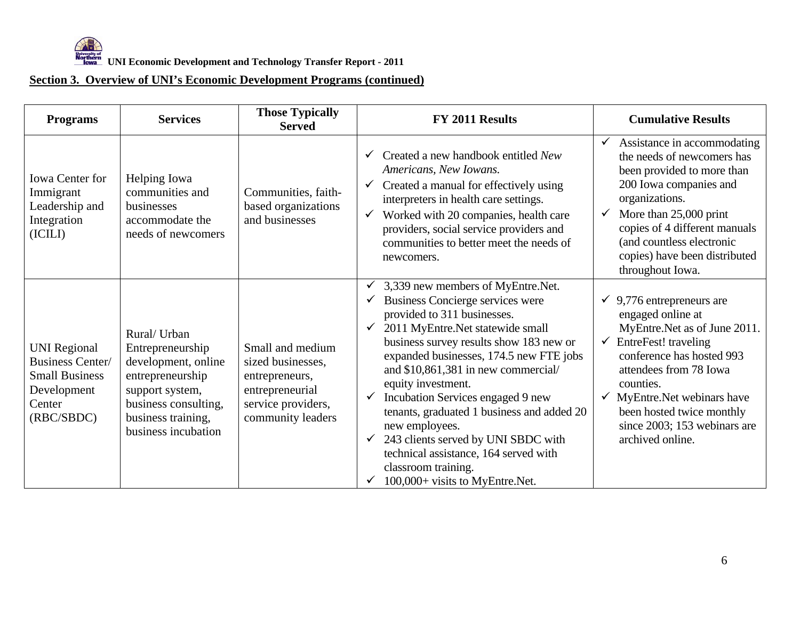

UNI Economic Development and Technology Transfer Report - 2011<br>Northern UNI Economic Development and Technology Transfer Report - 2011

# **Section 3. Overview of UNI's Economic Development Programs (continued)**

| <b>Programs</b>                                                                                                | <b>Services</b>                                                                                                                                                     | <b>Those Typically</b><br><b>Served</b>                                                                               | FY 2011 Results                                                                                                                                                                                                                                                                                                                                                                                                                                                                                                                                                            | <b>Cumulative Results</b>                                                                                                                                                                                                                                                                                           |
|----------------------------------------------------------------------------------------------------------------|---------------------------------------------------------------------------------------------------------------------------------------------------------------------|-----------------------------------------------------------------------------------------------------------------------|----------------------------------------------------------------------------------------------------------------------------------------------------------------------------------------------------------------------------------------------------------------------------------------------------------------------------------------------------------------------------------------------------------------------------------------------------------------------------------------------------------------------------------------------------------------------------|---------------------------------------------------------------------------------------------------------------------------------------------------------------------------------------------------------------------------------------------------------------------------------------------------------------------|
| Iowa Center for<br>Immigrant<br>Leadership and<br>Integration<br>(ICILI)                                       | Helping Iowa<br>communities and<br>businesses<br>accommodate the<br>needs of newcomers                                                                              | Communities, faith-<br>based organizations<br>and businesses                                                          | Created a new handbook entitled New<br>$\checkmark$<br>Americans, New Iowans.<br>Created a manual for effectively using<br>$\checkmark$<br>interpreters in health care settings.<br>Worked with 20 companies, health care<br>$\checkmark$<br>providers, social service providers and<br>communities to better meet the needs of<br>newcomers.                                                                                                                                                                                                                              | Assistance in accommodating<br>$\checkmark$<br>the needs of newcomers has<br>been provided to more than<br>200 Iowa companies and<br>organizations.<br>More than 25,000 print<br>$\checkmark$<br>copies of 4 different manuals<br>(and countless electronic<br>copies) have been distributed<br>throughout Iowa.    |
| <b>UNI Regional</b><br><b>Business Center/</b><br><b>Small Business</b><br>Development<br>Center<br>(RBC/SBDC) | Rural/ Urban<br>Entrepreneurship<br>development, online<br>entrepreneurship<br>support system,<br>business consulting,<br>business training,<br>business incubation | Small and medium<br>sized businesses,<br>entrepreneurs,<br>entrepreneurial<br>service providers,<br>community leaders | 3,339 new members of MyEntre.Net.<br>Business Concierge services were<br>provided to 311 businesses.<br>2011 MyEntre.Net statewide small<br>$\checkmark$<br>business survey results show 183 new or<br>expanded businesses, 174.5 new FTE jobs<br>and \$10,861,381 in new commercial/<br>equity investment.<br>Incubation Services engaged 9 new<br>tenants, graduated 1 business and added 20<br>new employees.<br>243 clients served by UNI SBDC with<br>$\checkmark$<br>technical assistance, 164 served with<br>classroom training.<br>100,000+ visits to MyEntre.Net. | $\checkmark$ 9,776 entrepreneurs are<br>engaged online at<br>MyEntre.Net as of June 2011.<br>EntreFest! traveling<br>conference has hosted 993<br>attendees from 78 Iowa<br>counties.<br>MyEntre.Net webinars have<br>$\checkmark$<br>been hosted twice monthly<br>since 2003; 153 webinars are<br>archived online. |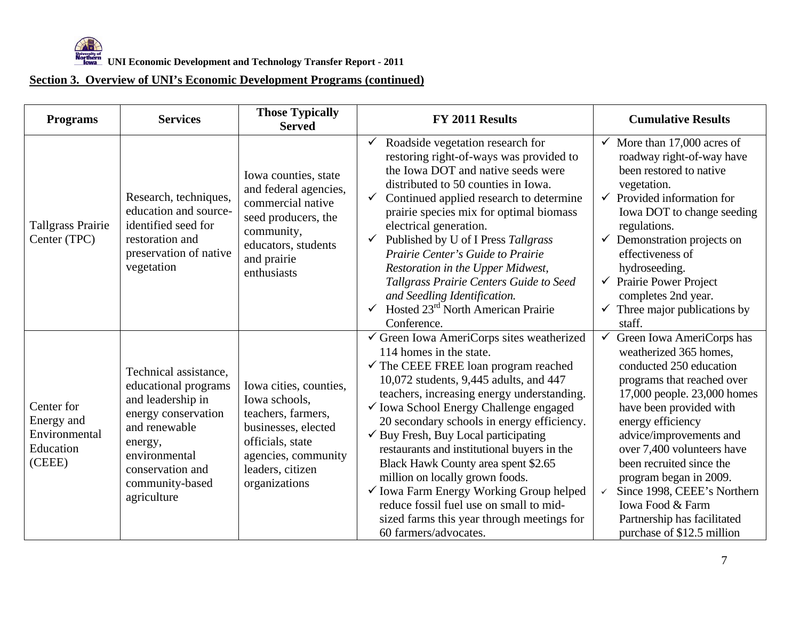

# **Section 3. Overview of UNI's Economic Development Programs (continued)**

| <b>Programs</b>                                                  | <b>Services</b>                                                                                                                                                                              | <b>Those Typically</b><br><b>Served</b>                                                                                                                              | FY 2011 Results                                                                                                                                                                                                                                                                                                                                                                                                                                                                                                                                                                                                                                             | <b>Cumulative Results</b>                                                                                                                                                                                                                                                                                                                                                                                                                  |
|------------------------------------------------------------------|----------------------------------------------------------------------------------------------------------------------------------------------------------------------------------------------|----------------------------------------------------------------------------------------------------------------------------------------------------------------------|-------------------------------------------------------------------------------------------------------------------------------------------------------------------------------------------------------------------------------------------------------------------------------------------------------------------------------------------------------------------------------------------------------------------------------------------------------------------------------------------------------------------------------------------------------------------------------------------------------------------------------------------------------------|--------------------------------------------------------------------------------------------------------------------------------------------------------------------------------------------------------------------------------------------------------------------------------------------------------------------------------------------------------------------------------------------------------------------------------------------|
| <b>Tallgrass Prairie</b><br>Center (TPC)                         | Research, techniques,<br>education and source-<br>identified seed for<br>restoration and<br>preservation of native<br>vegetation                                                             | Iowa counties, state<br>and federal agencies,<br>commercial native<br>seed producers, the<br>community,<br>educators, students<br>and prairie<br>enthusiasts         | Roadside vegetation research for<br>restoring right-of-ways was provided to<br>the Iowa DOT and native seeds were<br>distributed to 50 counties in Iowa.<br>Continued applied research to determine<br>prairie species mix for optimal biomass<br>electrical generation.<br>Published by U of I Press Tallgrass<br>Prairie Center's Guide to Prairie<br>Restoration in the Upper Midwest,<br>Tallgrass Prairie Centers Guide to Seed<br>and Seedling Identification.<br>Hosted 23 <sup>rd</sup> North American Prairie<br>Conference.                                                                                                                       | $\checkmark$ More than 17,000 acres of<br>roadway right-of-way have<br>been restored to native<br>vegetation.<br>$\checkmark$ Provided information for<br>Iowa DOT to change seeding<br>regulations.<br>$\checkmark$ Demonstration projects on<br>effectiveness of<br>hydroseeding.<br>$\checkmark$ Prairie Power Project<br>completes 2nd year.<br>$\checkmark$ Three major publications by<br>staff.                                     |
| Center for<br>Energy and<br>Environmental<br>Education<br>(CEEE) | Technical assistance,<br>educational programs<br>and leadership in<br>energy conservation<br>and renewable<br>energy,<br>environmental<br>conservation and<br>community-based<br>agriculture | Iowa cities, counties,<br>Iowa schools,<br>teachers, farmers,<br>businesses, elected<br>officials, state<br>agencies, community<br>leaders, citizen<br>organizations | $\checkmark$ Green Iowa AmeriCorps sites weatherized<br>114 homes in the state.<br>$\checkmark$ The CEEE FREE loan program reached<br>10,072 students, 9,445 adults, and 447<br>teachers, increasing energy understanding.<br>√ Iowa School Energy Challenge engaged<br>20 secondary schools in energy efficiency.<br>$\checkmark$ Buy Fresh, Buy Local participating<br>restaurants and institutional buyers in the<br>Black Hawk County area spent \$2.65<br>million on locally grown foods.<br>✓ Iowa Farm Energy Working Group helped<br>reduce fossil fuel use on small to mid-<br>sized farms this year through meetings for<br>60 farmers/advocates. | Green Iowa AmeriCorps has<br>$\checkmark$<br>weatherized 365 homes,<br>conducted 250 education<br>programs that reached over<br>17,000 people. 23,000 homes<br>have been provided with<br>energy efficiency<br>advice/improvements and<br>over 7,400 volunteers have<br>been recruited since the<br>program began in 2009.<br>Since 1998, CEEE's Northern<br>Iowa Food & Farm<br>Partnership has facilitated<br>purchase of \$12.5 million |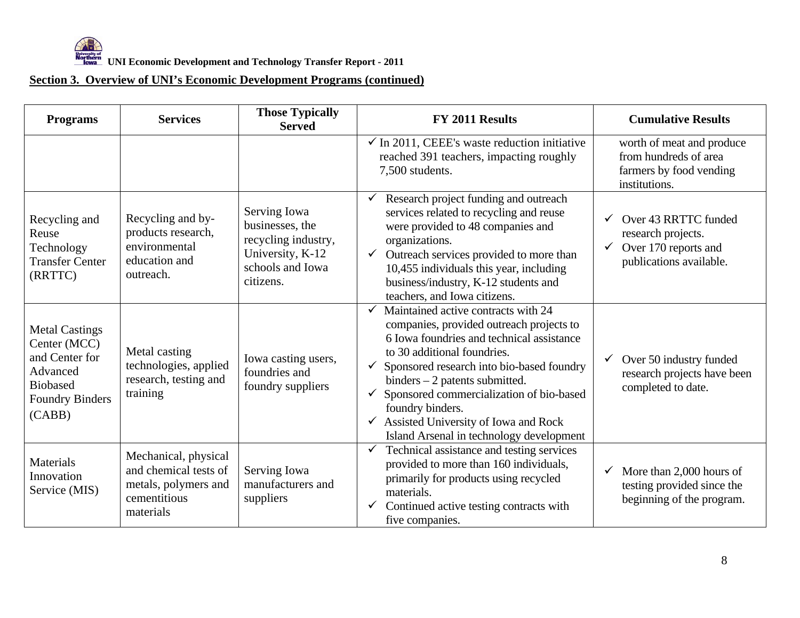

# **Section 3. Overview of UNI's Economic Development Programs (continued)**

| <b>Programs</b>                                                                                                            | <b>Services</b>                                                                                    | <b>Those Typically</b><br><b>Served</b>                                                                     | FY 2011 Results                                                                                                                                                                                                                                                                                                                                                                                              | <b>Cumulative Results</b>                                                                      |
|----------------------------------------------------------------------------------------------------------------------------|----------------------------------------------------------------------------------------------------|-------------------------------------------------------------------------------------------------------------|--------------------------------------------------------------------------------------------------------------------------------------------------------------------------------------------------------------------------------------------------------------------------------------------------------------------------------------------------------------------------------------------------------------|------------------------------------------------------------------------------------------------|
|                                                                                                                            |                                                                                                    |                                                                                                             | $\checkmark$ In 2011, CEEE's waste reduction initiative<br>reached 391 teachers, impacting roughly<br>7,500 students.                                                                                                                                                                                                                                                                                        | worth of meat and produce<br>from hundreds of area<br>farmers by food vending<br>institutions. |
| Recycling and<br>Reuse<br>Technology<br><b>Transfer Center</b><br>(RRTTC)                                                  | Recycling and by-<br>products research,<br>environmental<br>education and<br>outreach.             | Serving Iowa<br>businesses, the<br>recycling industry,<br>University, K-12<br>schools and Iowa<br>citizens. | Research project funding and outreach<br>services related to recycling and reuse<br>were provided to 48 companies and<br>organizations.<br>Outreach services provided to more than<br>$\checkmark$<br>10,455 individuals this year, including<br>business/industry, K-12 students and<br>teachers, and Iowa citizens.                                                                                        | Over 43 RRTTC funded<br>research projects.<br>Over 170 reports and<br>publications available.  |
| <b>Metal Castings</b><br>Center (MCC)<br>and Center for<br>Advanced<br><b>Biobased</b><br><b>Foundry Binders</b><br>(CABB) | Metal casting<br>technologies, applied<br>research, testing and<br>training                        | Iowa casting users,<br>foundries and<br>foundry suppliers                                                   | $\checkmark$ Maintained active contracts with 24<br>companies, provided outreach projects to<br>6 Iowa foundries and technical assistance<br>to 30 additional foundries.<br>Sponsored research into bio-based foundry<br>binders $-2$ patents submitted.<br>Sponsored commercialization of bio-based<br>foundry binders.<br>Assisted University of Iowa and Rock<br>Island Arsenal in technology development | Over 50 industry funded<br>research projects have been<br>completed to date.                   |
| Materials<br>Innovation<br>Service (MIS)                                                                                   | Mechanical, physical<br>and chemical tests of<br>metals, polymers and<br>cementitious<br>materials | Serving Iowa<br>manufacturers and<br>suppliers                                                              | Technical assistance and testing services<br>provided to more than 160 individuals,<br>primarily for products using recycled<br>materials.<br>Continued active testing contracts with<br>five companies.                                                                                                                                                                                                     | More than 2,000 hours of<br>testing provided since the<br>beginning of the program.            |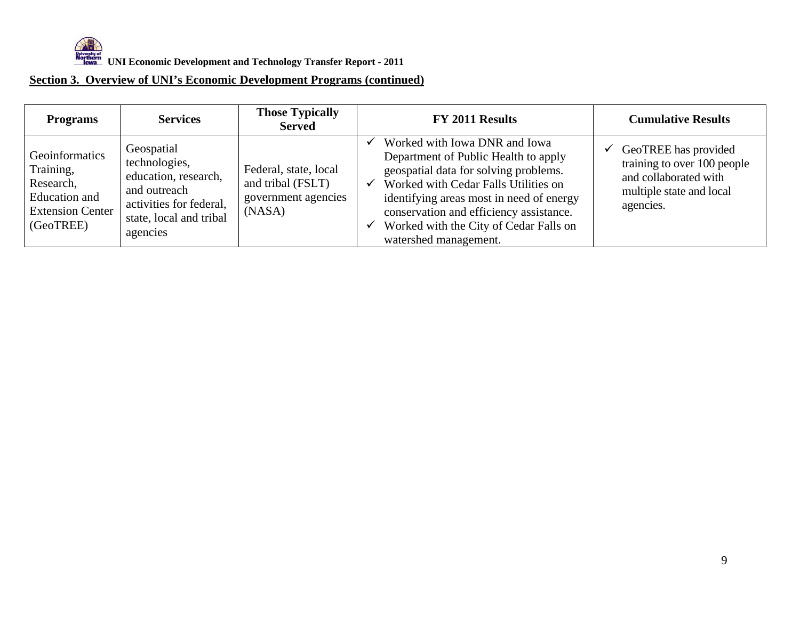

# **Section 3. Overview of UNI's Economic Development Programs (continued)**

| <b>Programs</b>                                                                                   | <b>Services</b>                                                                                                                       | <b>Those Typically</b><br><b>Served</b>                                     | FY 2011 Results                                                                                                                                                                                                                                                                                                  | <b>Cumulative Results</b>                                                                                             |
|---------------------------------------------------------------------------------------------------|---------------------------------------------------------------------------------------------------------------------------------------|-----------------------------------------------------------------------------|------------------------------------------------------------------------------------------------------------------------------------------------------------------------------------------------------------------------------------------------------------------------------------------------------------------|-----------------------------------------------------------------------------------------------------------------------|
| Geoinformatics<br>Training,<br>Research,<br>Education and<br><b>Extension Center</b><br>(GeoTREE) | Geospatial<br>technologies,<br>education, research,<br>and outreach<br>activities for federal,<br>state, local and tribal<br>agencies | Federal, state, local<br>and tribal (FSLT)<br>government agencies<br>(NASA) | Worked with Iowa DNR and Iowa<br>Department of Public Health to apply<br>geospatial data for solving problems.<br>Worked with Cedar Falls Utilities on<br>identifying areas most in need of energy<br>conservation and efficiency assistance.<br>Worked with the City of Cedar Falls on<br>watershed management. | GeoTREE has provided<br>training to over 100 people<br>and collaborated with<br>multiple state and local<br>agencies. |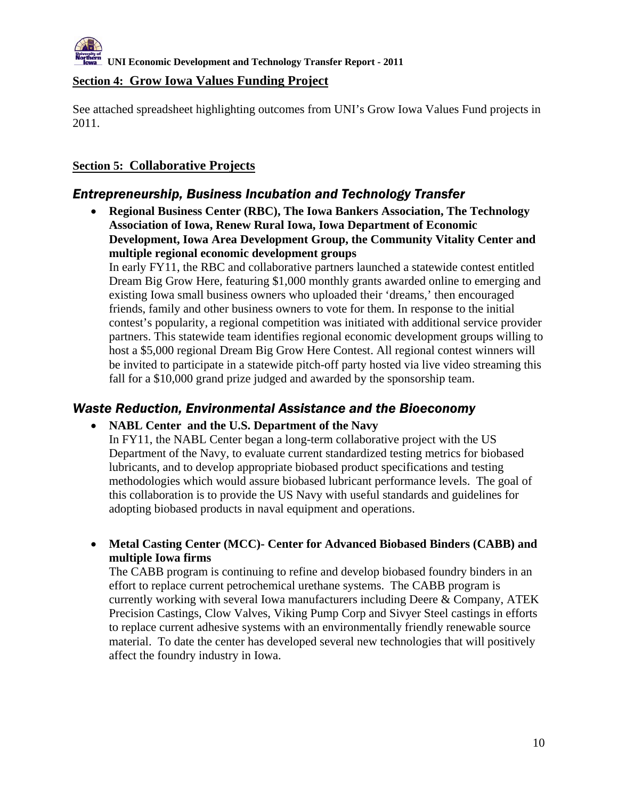

## **Section 4: Grow Iowa Values Funding Project**

See attached spreadsheet highlighting outcomes from UNI's Grow Iowa Values Fund projects in 2011.

## **Section 5: Collaborative Projects**

## *Entrepreneurship, Business Incubation and Technology Transfer*

 **Regional Business Center (RBC), The Iowa Bankers Association, The Technology Association of Iowa, Renew Rural Iowa, Iowa Department of Economic Development, Iowa Area Development Group, the Community Vitality Center and multiple regional economic development groups**

In early FY11, the RBC and collaborative partners launched a statewide contest entitled Dream Big Grow Here, featuring \$1,000 monthly grants awarded online to emerging and existing Iowa small business owners who uploaded their 'dreams,' then encouraged friends, family and other business owners to vote for them. In response to the initial contest's popularity, a regional competition was initiated with additional service provider partners. This statewide team identifies regional economic development groups willing to host a \$5,000 regional Dream Big Grow Here Contest. All regional contest winners will be invited to participate in a statewide pitch-off party hosted via live video streaming this fall for a \$10,000 grand prize judged and awarded by the sponsorship team.

## *Waste Reduction, Environmental Assistance and the Bioeconomy*

#### **NABL Center and the U.S. Department of the Navy**

In FY11, the NABL Center began a long-term collaborative project with the US Department of the Navy, to evaluate current standardized testing metrics for biobased lubricants, and to develop appropriate biobased product specifications and testing methodologies which would assure biobased lubricant performance levels. The goal of this collaboration is to provide the US Navy with useful standards and guidelines for adopting biobased products in naval equipment and operations.

 **Metal Casting Center (MCC)- Center for Advanced Biobased Binders (CABB) and multiple Iowa firms** 

The CABB program is continuing to refine and develop biobased foundry binders in an effort to replace current petrochemical urethane systems. The CABB program is currently working with several Iowa manufacturers including Deere & Company, ATEK Precision Castings, Clow Valves, Viking Pump Corp and Sivyer Steel castings in efforts to replace current adhesive systems with an environmentally friendly renewable source material. To date the center has developed several new technologies that will positively affect the foundry industry in Iowa.